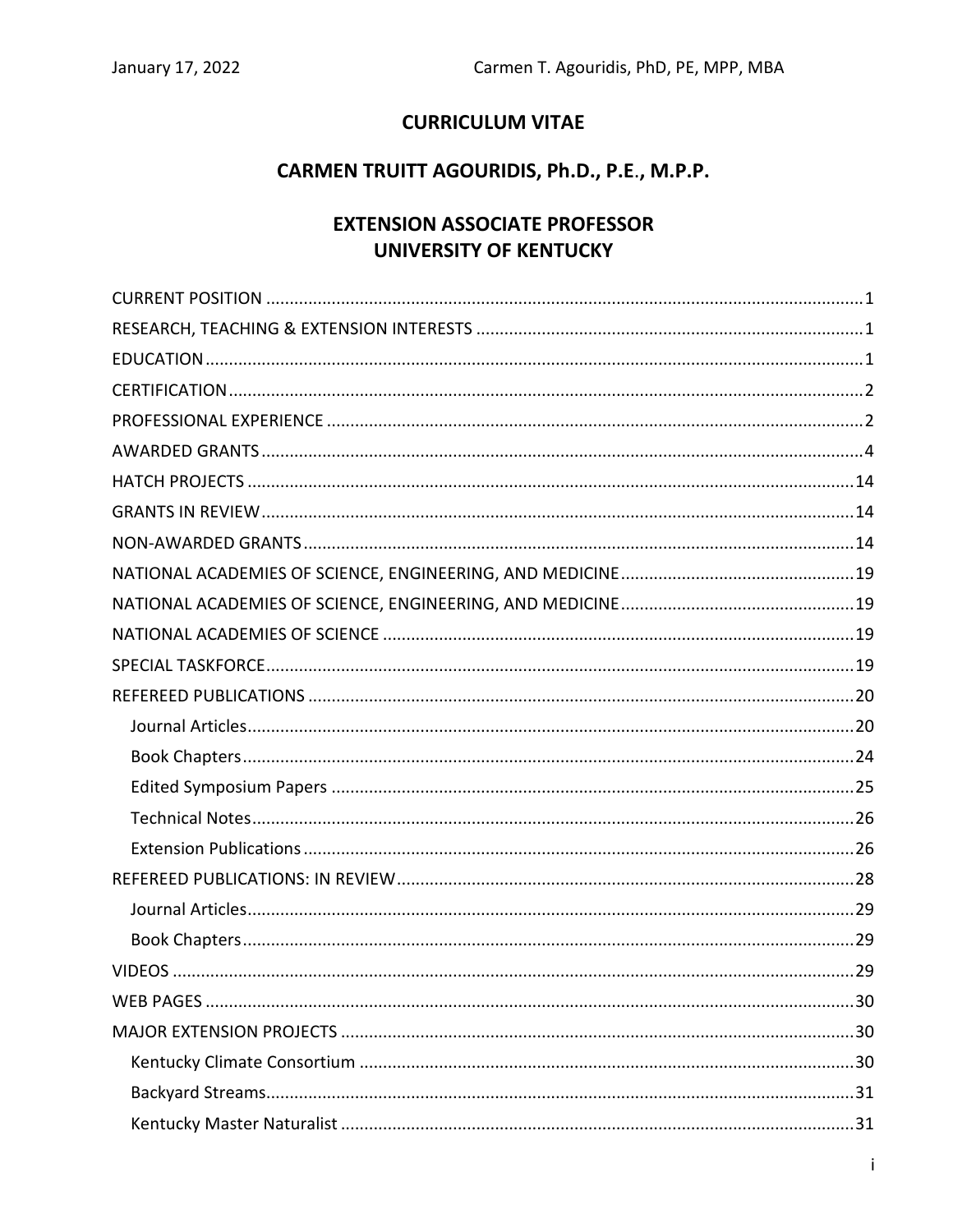# **CURRICULUM VITAE**

# CARMEN TRUITT AGOURIDIS, Ph.D., P.E., M.P.P.

# **EXTENSION ASSOCIATE PROFESSOR UNIVERSITY OF KENTUCKY**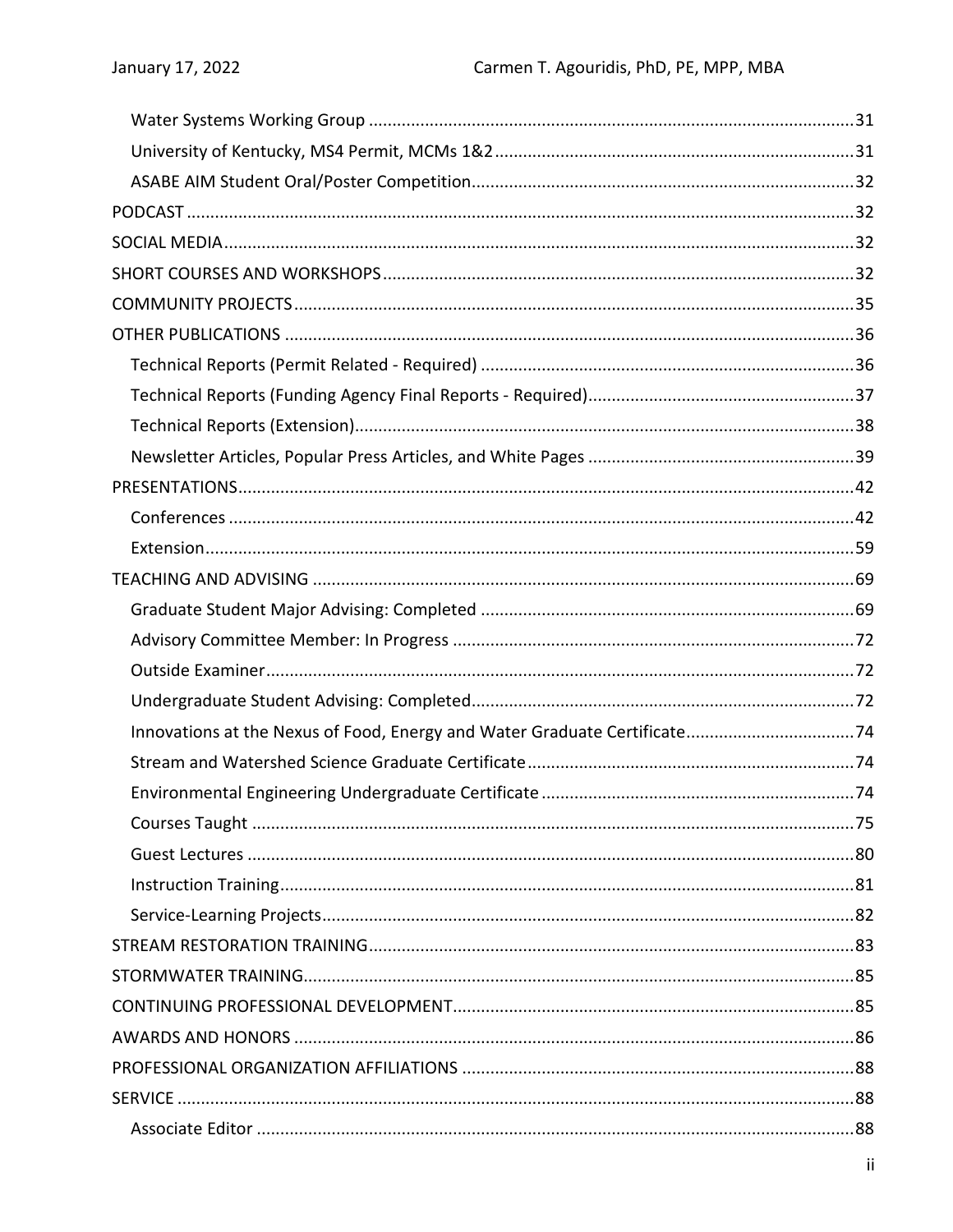| Innovations at the Nexus of Food, Energy and Water Graduate Certificate74 |  |
|---------------------------------------------------------------------------|--|
|                                                                           |  |
|                                                                           |  |
|                                                                           |  |
|                                                                           |  |
|                                                                           |  |
|                                                                           |  |
|                                                                           |  |
|                                                                           |  |
|                                                                           |  |
|                                                                           |  |
|                                                                           |  |
|                                                                           |  |
|                                                                           |  |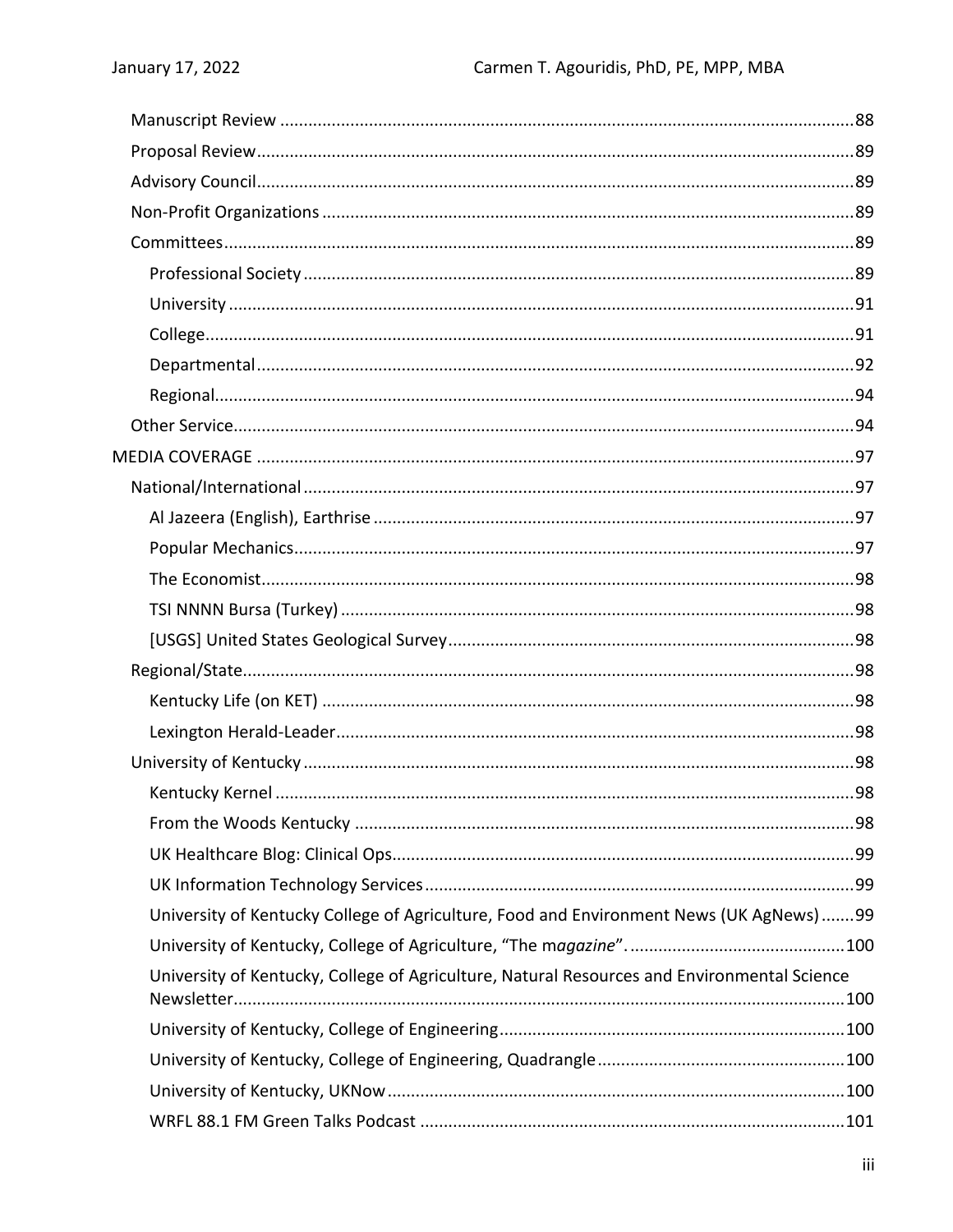| University of Kentucky College of Agriculture, Food and Environment News (UK AgNews)99      |  |
|---------------------------------------------------------------------------------------------|--|
|                                                                                             |  |
| University of Kentucky, College of Agriculture, Natural Resources and Environmental Science |  |
|                                                                                             |  |
|                                                                                             |  |
|                                                                                             |  |
|                                                                                             |  |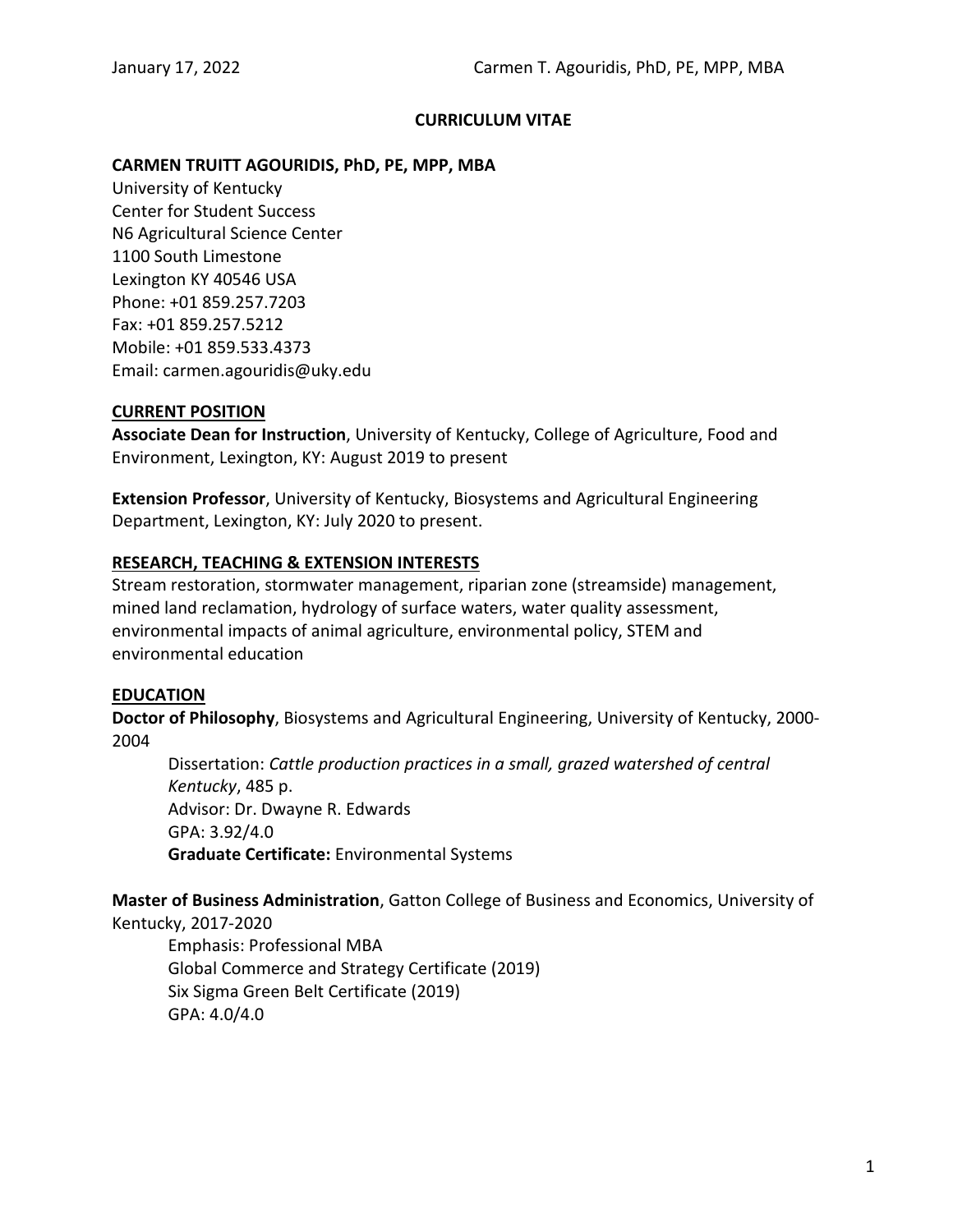#### **CURRICULUM VITAE**

#### **CARMEN TRUITT AGOURIDIS, PhD, PE, MPP, MBA**

University of Kentucky Center for Student Success N6 Agricultural Science Center 1100 South Limestone Lexington KY 40546 USA Phone: +01 859.257.7203 Fax: +01 859.257.5212 Mobile: +01 859.533.4373 Email: carmen.agouridis@uky.edu

#### <span id="page-3-0"></span>**CURRENT POSITION**

**Associate Dean for Instruction**, University of Kentucky, College of Agriculture, Food and Environment, Lexington, KY: August 2019 to present

**Extension Professor**, University of Kentucky, Biosystems and Agricultural Engineering Department, Lexington, KY: July 2020 to present.

#### <span id="page-3-1"></span>**RESEARCH, TEACHING & EXTENSION INTERESTS**

Stream restoration, stormwater management, riparian zone (streamside) management, mined land reclamation, hydrology of surface waters, water quality assessment, environmental impacts of animal agriculture, environmental policy, STEM and environmental education

#### <span id="page-3-2"></span>**EDUCATION**

**Doctor of Philosophy**, Biosystems and Agricultural Engineering, University of Kentucky, 2000- 2004

Dissertation: *Cattle production practices in a small, grazed watershed of central Kentucky*, 485 p. Advisor: Dr. Dwayne R. Edwards GPA: 3.92/4.0 **Graduate Certificate:** Environmental Systems

**Master of Business Administration**, Gatton College of Business and Economics, University of Kentucky, 2017-2020

Emphasis: Professional MBA Global Commerce and Strategy Certificate (2019) Six Sigma Green Belt Certificate (2019) GPA: 4.0/4.0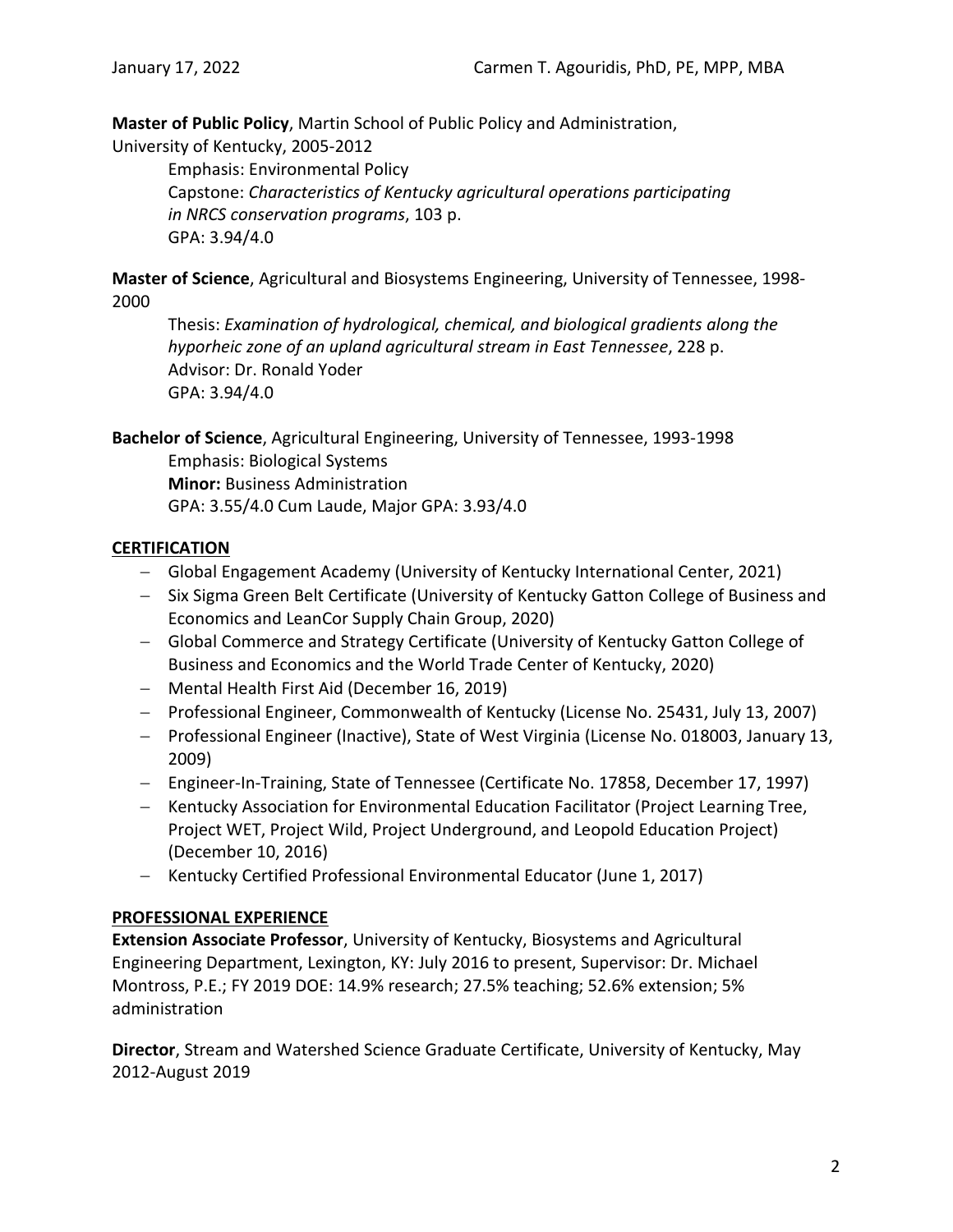**Master of Public Policy**, Martin School of Public Policy and Administration,

University of Kentucky, 2005-2012

Emphasis: Environmental Policy Capstone: *Characteristics of Kentucky agricultural operations participating in NRCS conservation programs*, 103 p. GPA: 3.94/4.0

**Master of Science**, Agricultural and Biosystems Engineering, University of Tennessee, 1998- 2000

Thesis: *Examination of hydrological, chemical, and biological gradients along the hyporheic zone of an upland agricultural stream in East Tennessee*, 228 p. Advisor: Dr. Ronald Yoder GPA: 3.94/4.0

**Bachelor of Science**, Agricultural Engineering, University of Tennessee, 1993-1998

Emphasis: Biological Systems **Minor:** Business Administration GPA: 3.55/4.0 Cum Laude, Major GPA: 3.93/4.0

# <span id="page-4-0"></span>**CERTIFICATION**

- − Global Engagement Academy (University of Kentucky International Center, 2021)
- − Six Sigma Green Belt Certificate (University of Kentucky Gatton College of Business and Economics and LeanCor Supply Chain Group, 2020)
- − Global Commerce and Strategy Certificate (University of Kentucky Gatton College of Business and Economics and the World Trade Center of Kentucky, 2020)
- − Mental Health First Aid (December 16, 2019)
- − Professional Engineer, Commonwealth of Kentucky (License No. 25431, July 13, 2007)
- − Professional Engineer (Inactive), State of West Virginia (License No. 018003, January 13, 2009)
- − Engineer-In-Training, State of Tennessee (Certificate No. 17858, December 17, 1997)
- − Kentucky Association for Environmental Education Facilitator (Project Learning Tree, Project WET, Project Wild, Project Underground, and Leopold Education Project) (December 10, 2016)
- − Kentucky Certified Professional Environmental Educator (June 1, 2017)

# <span id="page-4-1"></span>**PROFESSIONAL EXPERIENCE**

**Extension Associate Professor**, University of Kentucky, Biosystems and Agricultural Engineering Department, Lexington, KY: July 2016 to present, Supervisor: Dr. Michael Montross, P.E.; FY 2019 DOE: 14.9% research; 27.5% teaching; 52.6% extension; 5% administration

**Director**, Stream and Watershed Science Graduate Certificate, University of Kentucky, May 2012-August 2019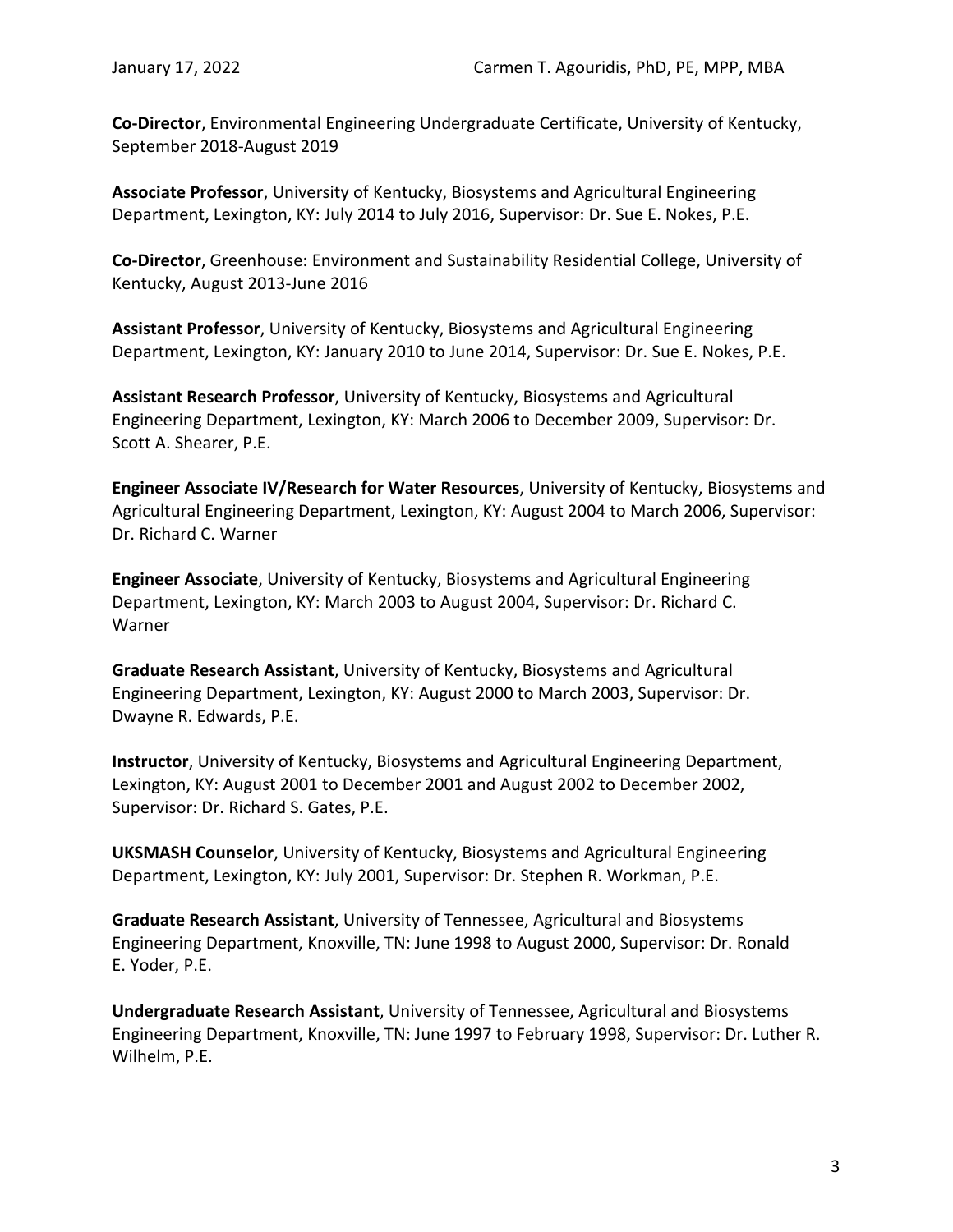**Co-Director**, Environmental Engineering Undergraduate Certificate, University of Kentucky, September 2018-August 2019

**Associate Professor**, University of Kentucky, Biosystems and Agricultural Engineering Department, Lexington, KY: July 2014 to July 2016, Supervisor: Dr. Sue E. Nokes, P.E.

**Co-Director**, Greenhouse: Environment and Sustainability Residential College, University of Kentucky, August 2013-June 2016

**Assistant Professor**, University of Kentucky, Biosystems and Agricultural Engineering Department, Lexington, KY: January 2010 to June 2014, Supervisor: Dr. Sue E. Nokes, P.E.

**Assistant Research Professor**, University of Kentucky, Biosystems and Agricultural Engineering Department, Lexington, KY: March 2006 to December 2009, Supervisor: Dr. Scott A. Shearer, P.E.

**Engineer Associate IV/Research for Water Resources**, University of Kentucky, Biosystems and Agricultural Engineering Department, Lexington, KY: August 2004 to March 2006, Supervisor: Dr. Richard C. Warner

**Engineer Associate**, University of Kentucky, Biosystems and Agricultural Engineering Department, Lexington, KY: March 2003 to August 2004, Supervisor: Dr. Richard C. Warner

**Graduate Research Assistant**, University of Kentucky, Biosystems and Agricultural Engineering Department, Lexington, KY: August 2000 to March 2003, Supervisor: Dr. Dwayne R. Edwards, P.E.

**Instructor**, University of Kentucky, Biosystems and Agricultural Engineering Department, Lexington, KY: August 2001 to December 2001 and August 2002 to December 2002, Supervisor: Dr. Richard S. Gates, P.E.

**UKSMASH Counselor**, University of Kentucky, Biosystems and Agricultural Engineering Department, Lexington, KY: July 2001, Supervisor: Dr. Stephen R. Workman, P.E.

**Graduate Research Assistant**, University of Tennessee, Agricultural and Biosystems Engineering Department, Knoxville, TN: June 1998 to August 2000, Supervisor: Dr. Ronald E. Yoder, P.E.

**Undergraduate Research Assistant**, University of Tennessee, Agricultural and Biosystems Engineering Department, Knoxville, TN: June 1997 to February 1998, Supervisor: Dr. Luther R. Wilhelm, P.E.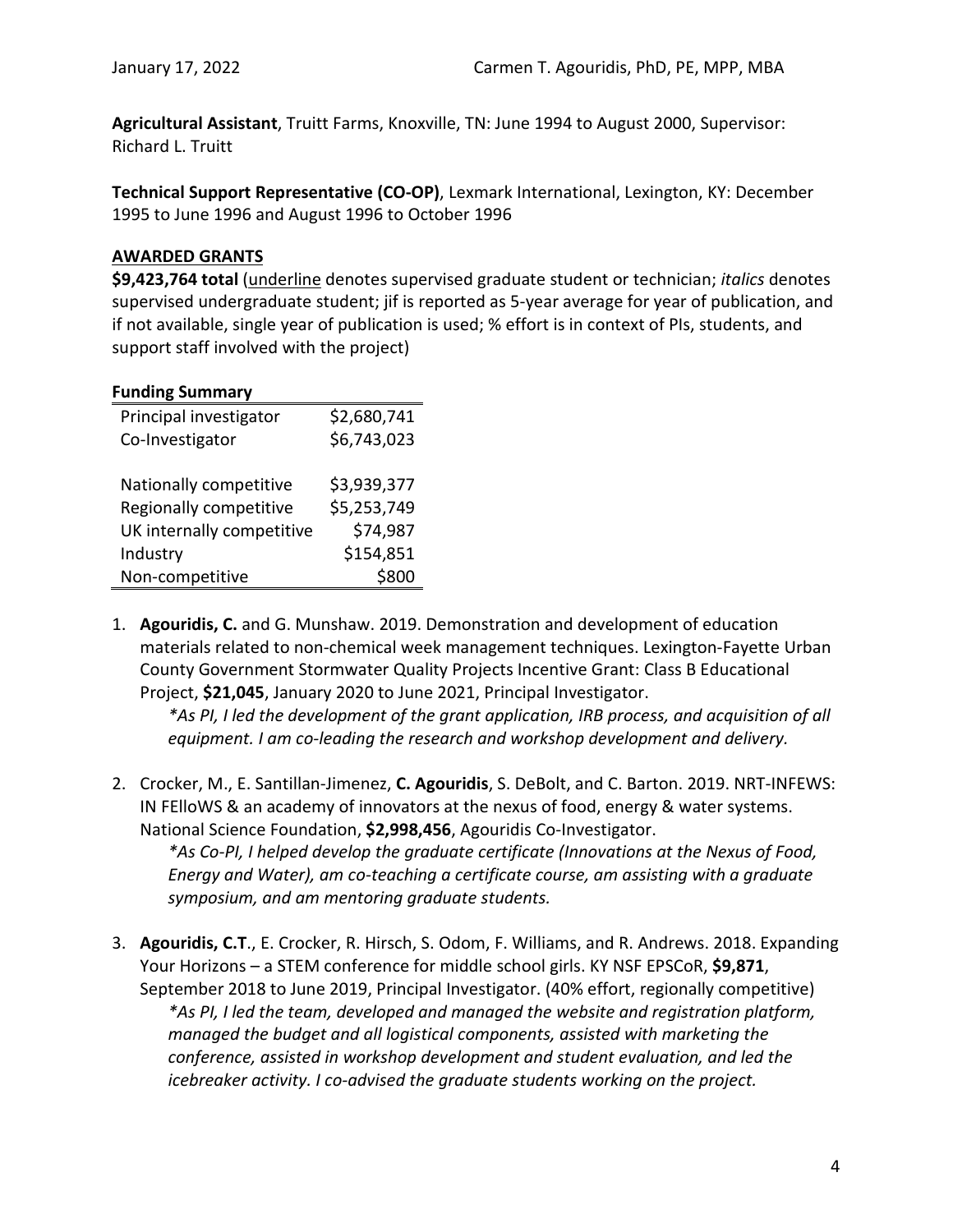**Agricultural Assistant**, Truitt Farms, Knoxville, TN: June 1994 to August 2000, Supervisor: Richard L. Truitt

**Technical Support Representative (CO-OP)**, Lexmark International, Lexington, KY: December 1995 to June 1996 and August 1996 to October 1996

# <span id="page-6-0"></span>**AWARDED GRANTS**

**\$9,423,764 total** (underline denotes supervised graduate student or technician; *italics* denotes supervised undergraduate student; jif is reported as 5-year average for year of publication, and if not available, single year of publication is used; % effort is in context of PIs, students, and support staff involved with the project)

| <b>Funding Summary</b>    |             |
|---------------------------|-------------|
| Principal investigator    | \$2,680,741 |
| Co-Investigator           | \$6,743,023 |
|                           |             |
| Nationally competitive    | \$3,939,377 |
| Regionally competitive    | \$5,253,749 |
| UK internally competitive | \$74,987    |
| Industry                  | \$154,851   |
| Non-competitive           | \$80        |
|                           |             |

1. **Agouridis, C.** and G. Munshaw. 2019. Demonstration and development of education materials related to non-chemical week management techniques. Lexington-Fayette Urban County Government Stormwater Quality Projects Incentive Grant: Class B Educational Project, **\$21,045**, January 2020 to June 2021, Principal Investigator.

*\*As PI, I led the development of the grant application, IRB process, and acquisition of all equipment. I am co-leading the research and workshop development and delivery.*

2. Crocker, M., E. Santillan-Jimenez, **C. Agouridis**, S. DeBolt, and C. Barton. 2019. NRT-INFEWS: IN FElloWS & an academy of innovators at the nexus of food, energy & water systems. National Science Foundation, **\$2,998,456**, Agouridis Co-Investigator.

*\*As Co-PI, I helped develop the graduate certificate (Innovations at the Nexus of Food, Energy and Water), am co-teaching a certificate course, am assisting with a graduate symposium, and am mentoring graduate students.*

3. **Agouridis, C.T**., E. Crocker, R. Hirsch, S. Odom, F. Williams, and R. Andrews. 2018. Expanding Your Horizons – a STEM conference for middle school girls. KY NSF EPSCoR, **\$9,871**, September 2018 to June 2019, Principal Investigator. (40% effort, regionally competitive) *\*As PI, I led the team, developed and managed the website and registration platform, managed the budget and all logistical components, assisted with marketing the conference, assisted in workshop development and student evaluation, and led the icebreaker activity. I co-advised the graduate students working on the project.*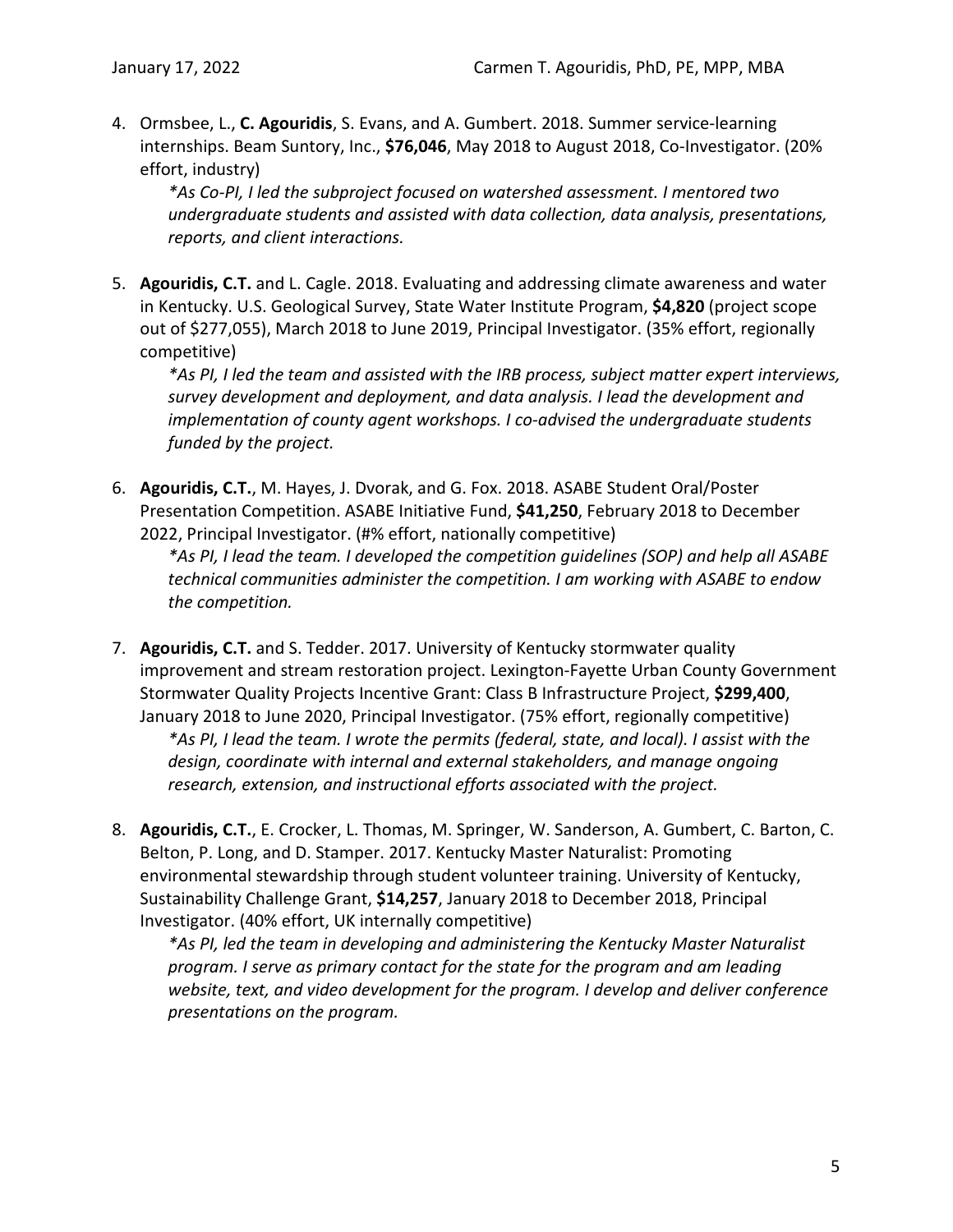4. Ormsbee, L., **C. Agouridis**, S. Evans, and A. Gumbert. 2018. Summer service-learning internships. Beam Suntory, Inc., **\$76,046**, May 2018 to August 2018, Co-Investigator. (20% effort, industry)

*\*As Co-PI, I led the subproject focused on watershed assessment. I mentored two undergraduate students and assisted with data collection, data analysis, presentations, reports, and client interactions.*

5. **Agouridis, C.T.** and L. Cagle. 2018. Evaluating and addressing climate awareness and water in Kentucky. U.S. Geological Survey, State Water Institute Program, **\$4,820** (project scope out of \$277,055), March 2018 to June 2019, Principal Investigator. (35% effort, regionally competitive)

*\*As PI, I led the team and assisted with the IRB process, subject matter expert interviews, survey development and deployment, and data analysis. I lead the development and implementation of county agent workshops. I co-advised the undergraduate students funded by the project.*

6. **Agouridis, C.T.**, M. Hayes, J. Dvorak, and G. Fox. 2018. ASABE Student Oral/Poster Presentation Competition. ASABE Initiative Fund, **\$41,250**, February 2018 to December 2022, Principal Investigator. (#% effort, nationally competitive)

*\*As PI, I lead the team. I developed the competition guidelines (SOP) and help all ASABE technical communities administer the competition. I am working with ASABE to endow the competition.*

7. **Agouridis, C.T.** and S. Tedder. 2017. University of Kentucky stormwater quality improvement and stream restoration project. Lexington-Fayette Urban County Government Stormwater Quality Projects Incentive Grant: Class B Infrastructure Project, **\$299,400**, January 2018 to June 2020, Principal Investigator. (75% effort, regionally competitive)

*\*As PI, I lead the team. I wrote the permits (federal, state, and local). I assist with the design, coordinate with internal and external stakeholders, and manage ongoing research, extension, and instructional efforts associated with the project.*

8. **Agouridis, C.T.**, E. Crocker, L. Thomas, M. Springer, W. Sanderson, A. Gumbert, C. Barton, C. Belton, P. Long, and D. Stamper. 2017. Kentucky Master Naturalist: Promoting environmental stewardship through student volunteer training. University of Kentucky, Sustainability Challenge Grant, **\$14,257**, January 2018 to December 2018, Principal Investigator. (40% effort, UK internally competitive)

*\*As PI, led the team in developing and administering the Kentucky Master Naturalist program. I serve as primary contact for the state for the program and am leading website, text, and video development for the program. I develop and deliver conference presentations on the program.*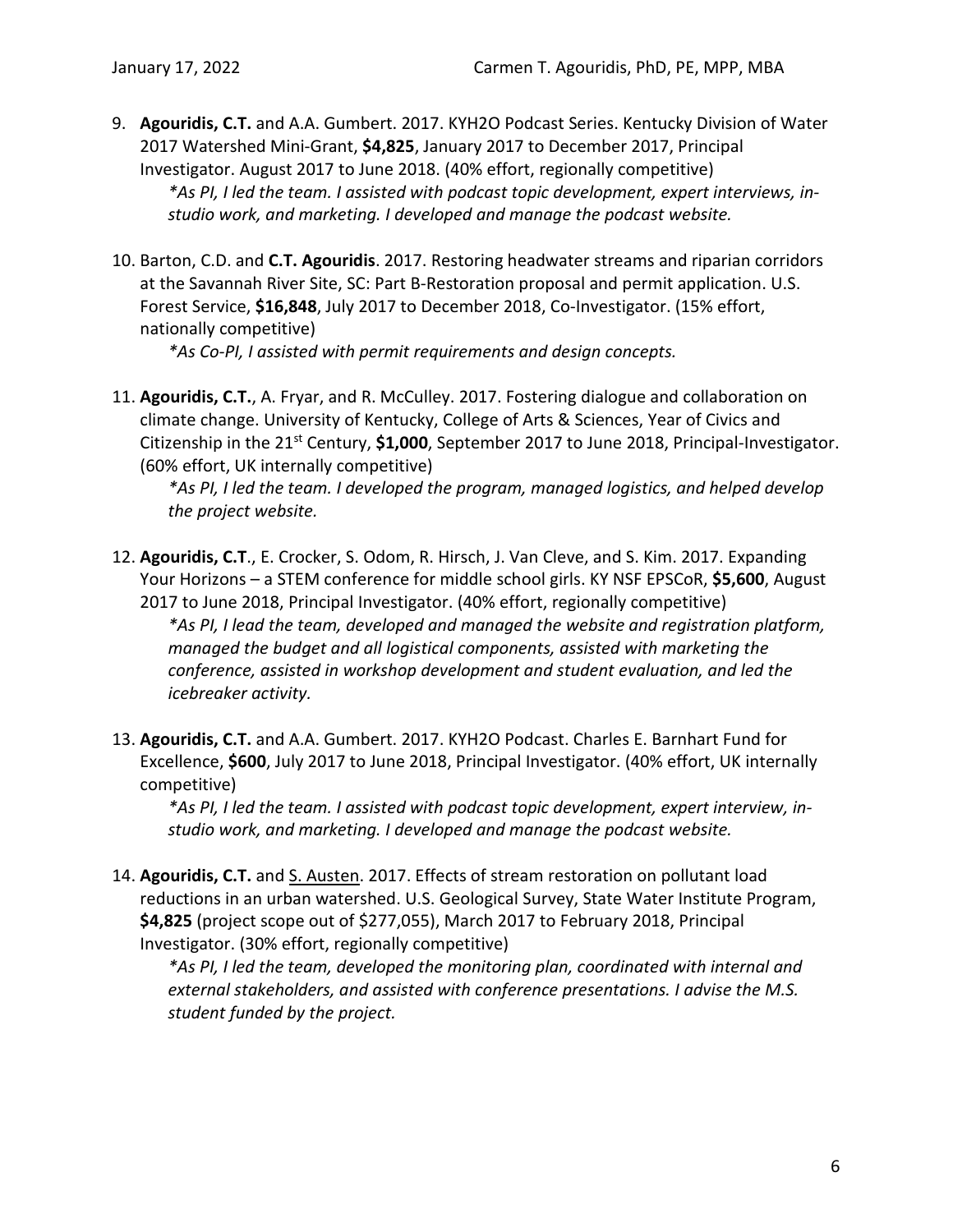- 9. **Agouridis, C.T.** and A.A. Gumbert. 2017. KYH2O Podcast Series. Kentucky Division of Water 2017 Watershed Mini-Grant, **\$4,825**, January 2017 to December 2017, Principal Investigator. August 2017 to June 2018. (40% effort, regionally competitive) *\*As PI, I led the team. I assisted with podcast topic development, expert interviews, instudio work, and marketing. I developed and manage the podcast website.*
- 10. Barton, C.D. and **C.T. Agouridis**. 2017. Restoring headwater streams and riparian corridors at the Savannah River Site, SC: Part B-Restoration proposal and permit application. U.S. Forest Service, **\$16,848**, July 2017 to December 2018, Co-Investigator. (15% effort, nationally competitive)

*\*As Co-PI, I assisted with permit requirements and design concepts.*

11. **Agouridis, C.T.**, A. Fryar, and R. McCulley. 2017. Fostering dialogue and collaboration on climate change. University of Kentucky, College of Arts & Sciences, Year of Civics and Citizenship in the 21st Century, **\$1,000**, September 2017 to June 2018, Principal-Investigator. (60% effort, UK internally competitive)

*\*As PI, I led the team. I developed the program, managed logistics, and helped develop the project website.*

12. **Agouridis, C.T**., E. Crocker, S. Odom, R. Hirsch, J. Van Cleve, and S. Kim. 2017. Expanding Your Horizons – a STEM conference for middle school girls. KY NSF EPSCoR, **\$5,600**, August 2017 to June 2018, Principal Investigator. (40% effort, regionally competitive) *\*As PI, I lead the team, developed and managed the website and registration platform, managed the budget and all logistical components, assisted with marketing the conference, assisted in workshop development and student evaluation, and led the icebreaker activity.*

13. **Agouridis, C.T.** and A.A. Gumbert. 2017. KYH2O Podcast. Charles E. Barnhart Fund for Excellence, **\$600**, July 2017 to June 2018, Principal Investigator. (40% effort, UK internally competitive)

*\*As PI, I led the team. I assisted with podcast topic development, expert interview, instudio work, and marketing. I developed and manage the podcast website.*

14. **Agouridis, C.T.** and S. Austen. 2017. Effects of stream restoration on pollutant load reductions in an urban watershed. U.S. Geological Survey, State Water Institute Program, **\$4,825** (project scope out of \$277,055), March 2017 to February 2018, Principal Investigator. (30% effort, regionally competitive)

*\*As PI, I led the team, developed the monitoring plan, coordinated with internal and external stakeholders, and assisted with conference presentations. I advise the M.S. student funded by the project.*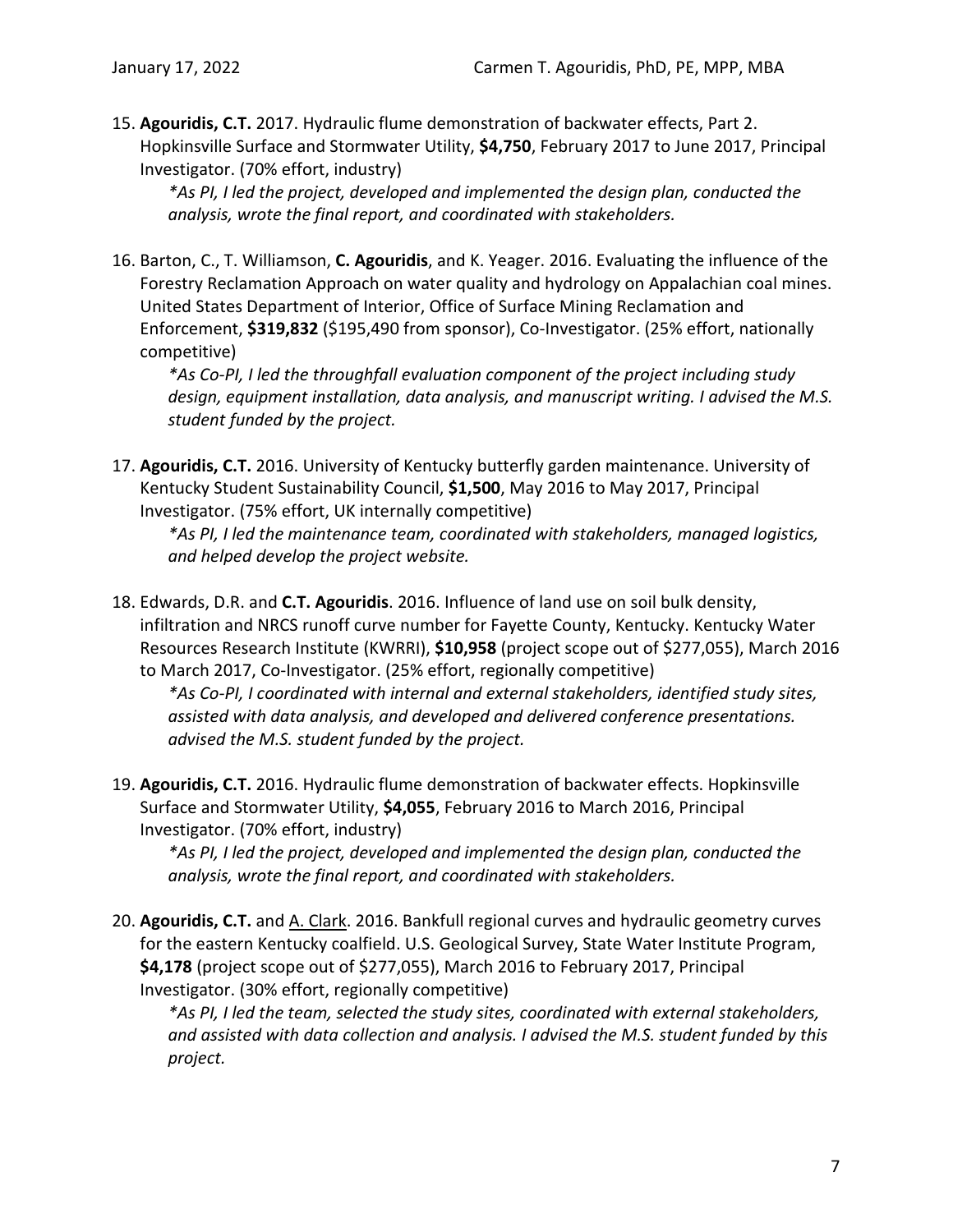15. **Agouridis, C.T.** 2017. Hydraulic flume demonstration of backwater effects, Part 2. Hopkinsville Surface and Stormwater Utility, **\$4,750**, February 2017 to June 2017, Principal Investigator. (70% effort, industry)

*\*As PI, I led the project, developed and implemented the design plan, conducted the analysis, wrote the final report, and coordinated with stakeholders.*

16. Barton, C., T. Williamson, **C. Agouridis**, and K. Yeager. 2016. Evaluating the influence of the Forestry Reclamation Approach on water quality and hydrology on Appalachian coal mines. United States Department of Interior, Office of Surface Mining Reclamation and Enforcement, **\$319,832** (\$195,490 from sponsor), Co-Investigator. (25% effort, nationally competitive)

*\*As Co-PI, I led the throughfall evaluation component of the project including study design, equipment installation, data analysis, and manuscript writing. I advised the M.S. student funded by the project.*

17. **Agouridis, C.T.** 2016. University of Kentucky butterfly garden maintenance. University of Kentucky Student Sustainability Council, **\$1,500**, May 2016 to May 2017, Principal Investigator. (75% effort, UK internally competitive)

*\*As PI, I led the maintenance team, coordinated with stakeholders, managed logistics, and helped develop the project website.*

18. Edwards, D.R. and **C.T. Agouridis**. 2016. Influence of land use on soil bulk density, infiltration and NRCS runoff curve number for Fayette County, Kentucky. Kentucky Water Resources Research Institute (KWRRI), **\$10,958** (project scope out of \$277,055), March 2016 to March 2017, Co-Investigator. (25% effort, regionally competitive)

*\*As Co-PI, I coordinated with internal and external stakeholders, identified study sites, assisted with data analysis, and developed and delivered conference presentations. advised the M.S. student funded by the project.*

19. **Agouridis, C.T.** 2016. Hydraulic flume demonstration of backwater effects. Hopkinsville Surface and Stormwater Utility, **\$4,055**, February 2016 to March 2016, Principal Investigator. (70% effort, industry)

*\*As PI, I led the project, developed and implemented the design plan, conducted the analysis, wrote the final report, and coordinated with stakeholders.*

20. Agouridis, C.T. and A. Clark. 2016. Bankfull regional curves and hydraulic geometry curves for the eastern Kentucky coalfield. U.S. Geological Survey, State Water Institute Program, **\$4,178** (project scope out of \$277,055), March 2016 to February 2017, Principal Investigator. (30% effort, regionally competitive)

*\*As PI, I led the team, selected the study sites, coordinated with external stakeholders, and assisted with data collection and analysis. I advised the M.S. student funded by this project.*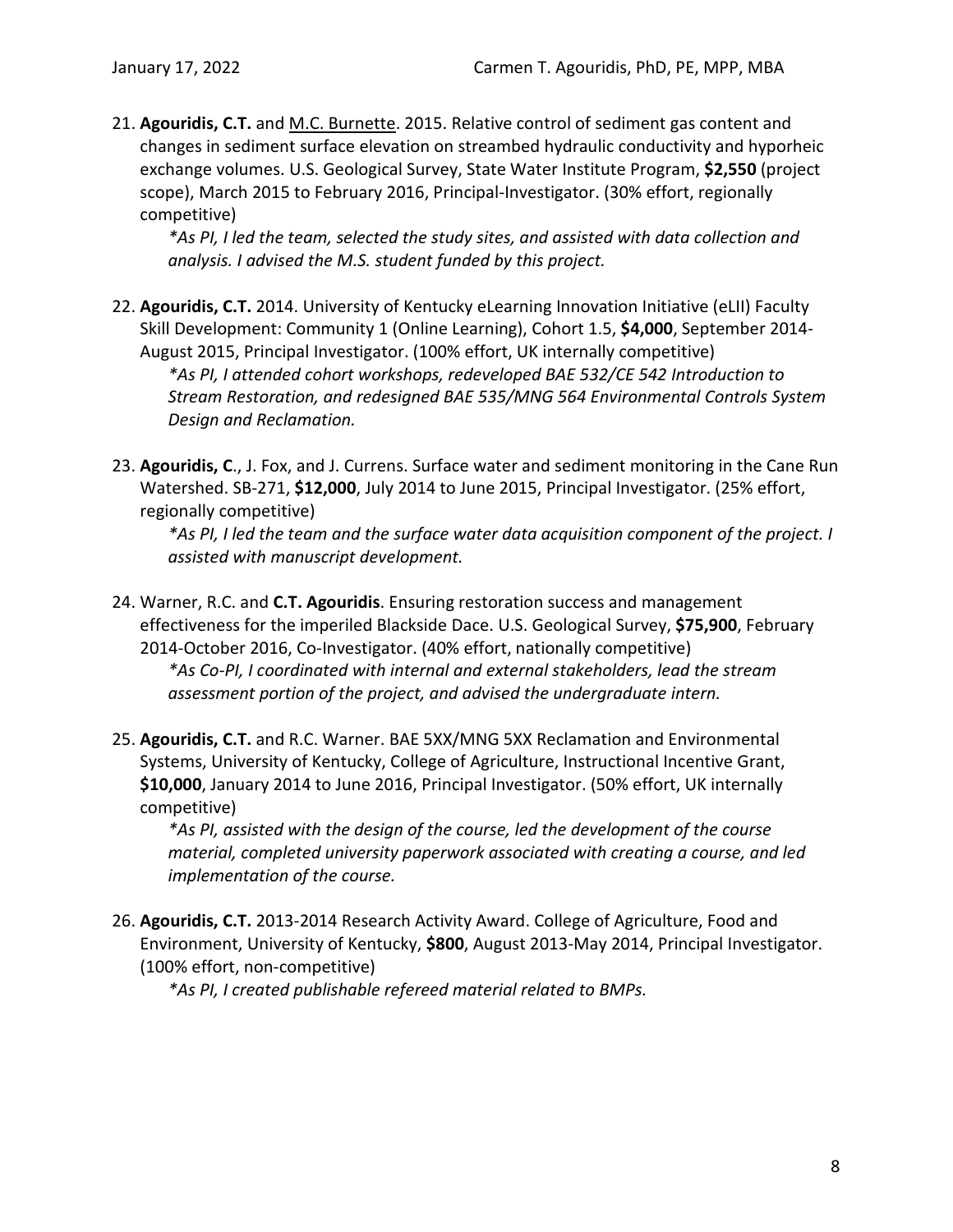21. **Agouridis, C.T.** and M.C. Burnette. 2015. Relative control of sediment gas content and changes in sediment surface elevation on streambed hydraulic conductivity and hyporheic exchange volumes. U.S. Geological Survey, State Water Institute Program, **\$2,550** (project scope), March 2015 to February 2016, Principal-Investigator. (30% effort, regionally competitive)

*\*As PI, I led the team, selected the study sites, and assisted with data collection and analysis. I advised the M.S. student funded by this project.*

- 22. **Agouridis, C.T.** 2014. University of Kentucky eLearning Innovation Initiative (eLII) Faculty Skill Development: Community 1 (Online Learning), Cohort 1.5, **\$4,000**, September 2014- August 2015, Principal Investigator. (100% effort, UK internally competitive) *\*As PI, I attended cohort workshops, redeveloped BAE 532/CE 542 Introduction to Stream Restoration, and redesigned BAE 535/MNG 564 Environmental Controls System Design and Reclamation.*
- 23. **Agouridis, C**., J. Fox, and J. Currens. Surface water and sediment monitoring in the Cane Run Watershed. SB-271, **\$12,000**, July 2014 to June 2015, Principal Investigator. (25% effort, regionally competitive)

*\*As PI, I led the team and the surface water data acquisition component of the project. I assisted with manuscript development.*

- 24. Warner, R.C. and **C.T. Agouridis**. Ensuring restoration success and management effectiveness for the imperiled Blackside Dace. U.S. Geological Survey, **\$75,900**, February 2014-October 2016, Co-Investigator. (40% effort, nationally competitive) *\*As Co-PI, I coordinated with internal and external stakeholders, lead the stream assessment portion of the project, and advised the undergraduate intern.*
- 25. **Agouridis, C.T.** and R.C. Warner. BAE 5XX/MNG 5XX Reclamation and Environmental Systems, University of Kentucky, College of Agriculture, Instructional Incentive Grant, **\$10,000**, January 2014 to June 2016, Principal Investigator. (50% effort, UK internally competitive)

*\*As PI, assisted with the design of the course, led the development of the course material, completed university paperwork associated with creating a course, and led implementation of the course.*

26. **Agouridis, C.T.** 2013-2014 Research Activity Award. College of Agriculture, Food and Environment, University of Kentucky, **\$800**, August 2013-May 2014, Principal Investigator. (100% effort, non-competitive)

*\*As PI, I created publishable refereed material related to BMPs.*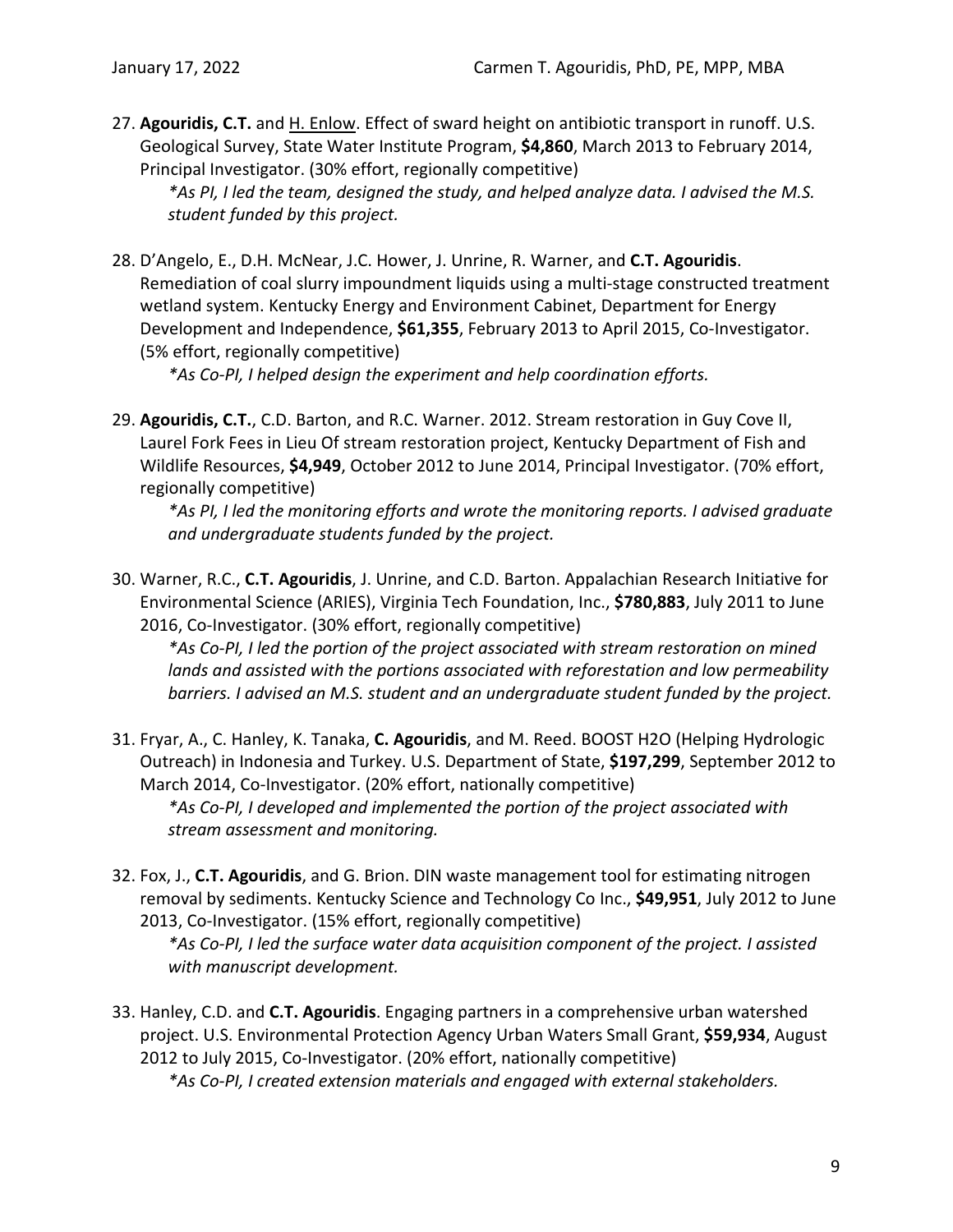27. **Agouridis, C.T.** and H. Enlow. Effect of sward height on antibiotic transport in runoff. U.S. Geological Survey, State Water Institute Program, **\$4,860**, March 2013 to February 2014, Principal Investigator. (30% effort, regionally competitive)

*\*As PI, I led the team, designed the study, and helped analyze data. I advised the M.S. student funded by this project.*

28. D'Angelo, E., D.H. McNear, J.C. Hower, J. Unrine, R. Warner, and **C.T. Agouridis**. Remediation of coal slurry impoundment liquids using a multi-stage constructed treatment wetland system. Kentucky Energy and Environment Cabinet, Department for Energy Development and Independence, **\$61,355**, February 2013 to April 2015, Co-Investigator. (5% effort, regionally competitive)

*\*As Co-PI, I helped design the experiment and help coordination efforts.*

29. **Agouridis, C.T.**, C.D. Barton, and R.C. Warner. 2012. Stream restoration in Guy Cove II, Laurel Fork Fees in Lieu Of stream restoration project, Kentucky Department of Fish and Wildlife Resources, **\$4,949**, October 2012 to June 2014, Principal Investigator. (70% effort, regionally competitive)

*\*As PI, I led the monitoring efforts and wrote the monitoring reports. I advised graduate and undergraduate students funded by the project.*

30. Warner, R.C., **C.T. Agouridis**, J. Unrine, and C.D. Barton. Appalachian Research Initiative for Environmental Science (ARIES), Virginia Tech Foundation, Inc., **\$780,883**, July 2011 to June 2016, Co-Investigator. (30% effort, regionally competitive)

*\*As Co-PI, I led the portion of the project associated with stream restoration on mined lands and assisted with the portions associated with reforestation and low permeability barriers. I advised an M.S. student and an undergraduate student funded by the project.*

31. Fryar, A., C. Hanley, K. Tanaka, **C. Agouridis**, and M. Reed. BOOST H2O (Helping Hydrologic Outreach) in Indonesia and Turkey. U.S. Department of State, **\$197,299**, September 2012 to March 2014, Co-Investigator. (20% effort, nationally competitive) *\*As Co-PI, I developed and implemented the portion of the project associated with stream assessment and monitoring.* 

32. Fox, J., **C.T. Agouridis**, and G. Brion. DIN waste management tool for estimating nitrogen removal by sediments. Kentucky Science and Technology Co Inc., **\$49,951**, July 2012 to June 2013, Co-Investigator. (15% effort, regionally competitive)

*\*As Co-PI, I led the surface water data acquisition component of the project. I assisted with manuscript development.*

33. Hanley, C.D. and **C.T. Agouridis**. Engaging partners in a comprehensive urban watershed project. U.S. Environmental Protection Agency Urban Waters Small Grant, **\$59,934**, August 2012 to July 2015, Co-Investigator. (20% effort, nationally competitive) *\*As Co-PI, I created extension materials and engaged with external stakeholders.*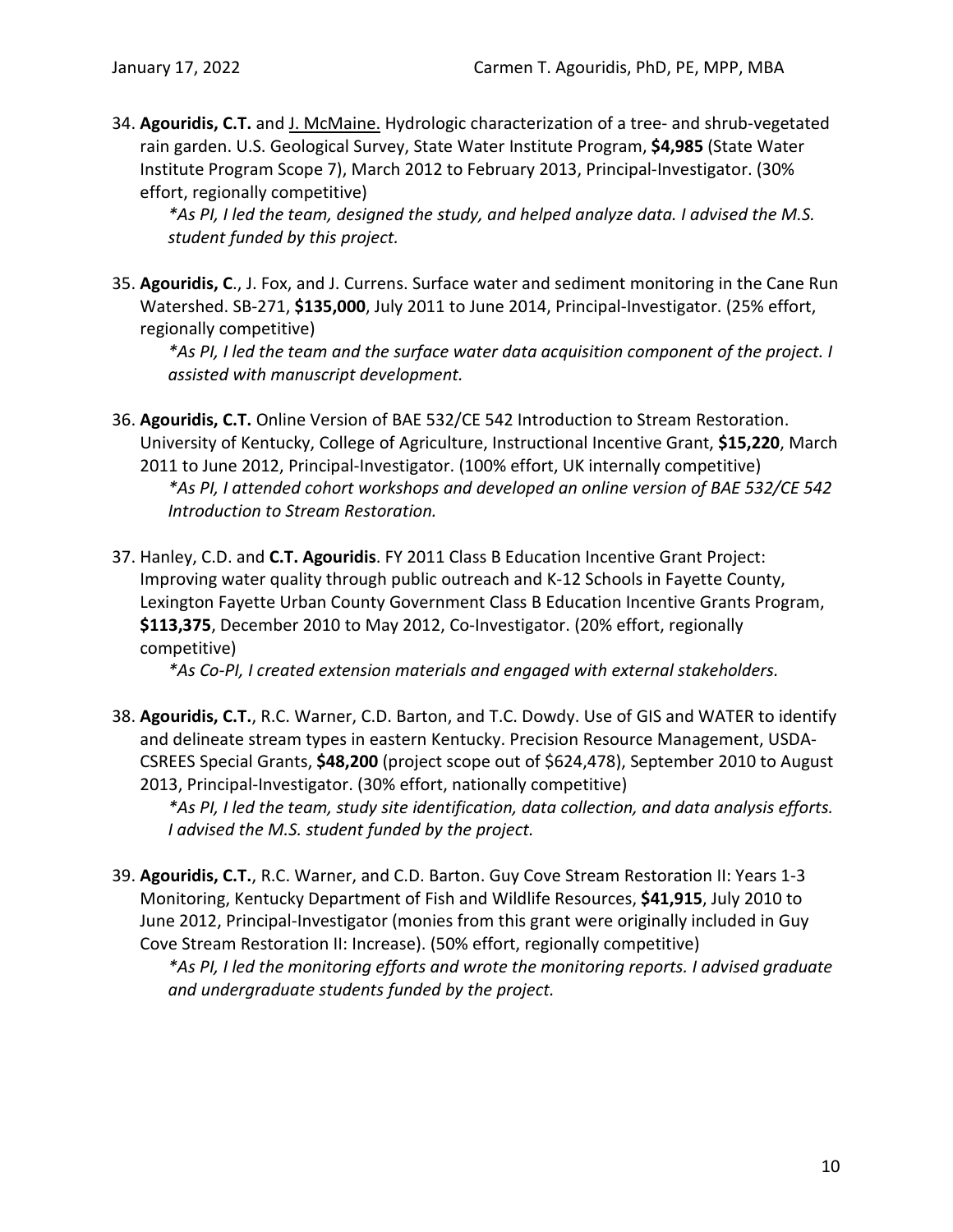34. **Agouridis, C.T.** and J. McMaine. Hydrologic characterization of a tree- and shrub-vegetated rain garden. U.S. Geological Survey, State Water Institute Program, **\$4,985** (State Water Institute Program Scope 7), March 2012 to February 2013, Principal-Investigator. (30% effort, regionally competitive)

*\*As PI, I led the team, designed the study, and helped analyze data. I advised the M.S. student funded by this project.*

35. **Agouridis, C**., J. Fox, and J. Currens. Surface water and sediment monitoring in the Cane Run Watershed. SB-271, **\$135,000**, July 2011 to June 2014, Principal-Investigator. (25% effort, regionally competitive)

*\*As PI, I led the team and the surface water data acquisition component of the project. I assisted with manuscript development.*

- 36. **Agouridis, C.T.** Online Version of BAE 532/CE 542 Introduction to Stream Restoration. University of Kentucky, College of Agriculture, Instructional Incentive Grant, **\$15,220**, March 2011 to June 2012, Principal-Investigator. (100% effort, UK internally competitive) *\*As PI, I attended cohort workshops and developed an online version of BAE 532/CE 542 Introduction to Stream Restoration.*
- 37. Hanley, C.D. and **C.T. Agouridis**. FY 2011 Class B Education Incentive Grant Project: Improving water quality through public outreach and K-12 Schools in Fayette County, Lexington Fayette Urban County Government Class B Education Incentive Grants Program, **\$113,375**, December 2010 to May 2012, Co-Investigator. (20% effort, regionally competitive)

*\*As Co-PI, I created extension materials and engaged with external stakeholders.*

38. **Agouridis, C.T.**, R.C. Warner, C.D. Barton, and T.C. Dowdy. Use of GIS and WATER to identify and delineate stream types in eastern Kentucky. Precision Resource Management, USDA-CSREES Special Grants, **\$48,200** (project scope out of \$624,478), September 2010 to August 2013, Principal-Investigator. (30% effort, nationally competitive)

*\*As PI, I led the team, study site identification, data collection, and data analysis efforts. I advised the M.S. student funded by the project.*

39. **Agouridis, C.T.**, R.C. Warner, and C.D. Barton. Guy Cove Stream Restoration II: Years 1-3 Monitoring, Kentucky Department of Fish and Wildlife Resources, **\$41,915**, July 2010 to June 2012, Principal-Investigator (monies from this grant were originally included in Guy Cove Stream Restoration II: Increase). (50% effort, regionally competitive)

*\*As PI, I led the monitoring efforts and wrote the monitoring reports. I advised graduate and undergraduate students funded by the project.*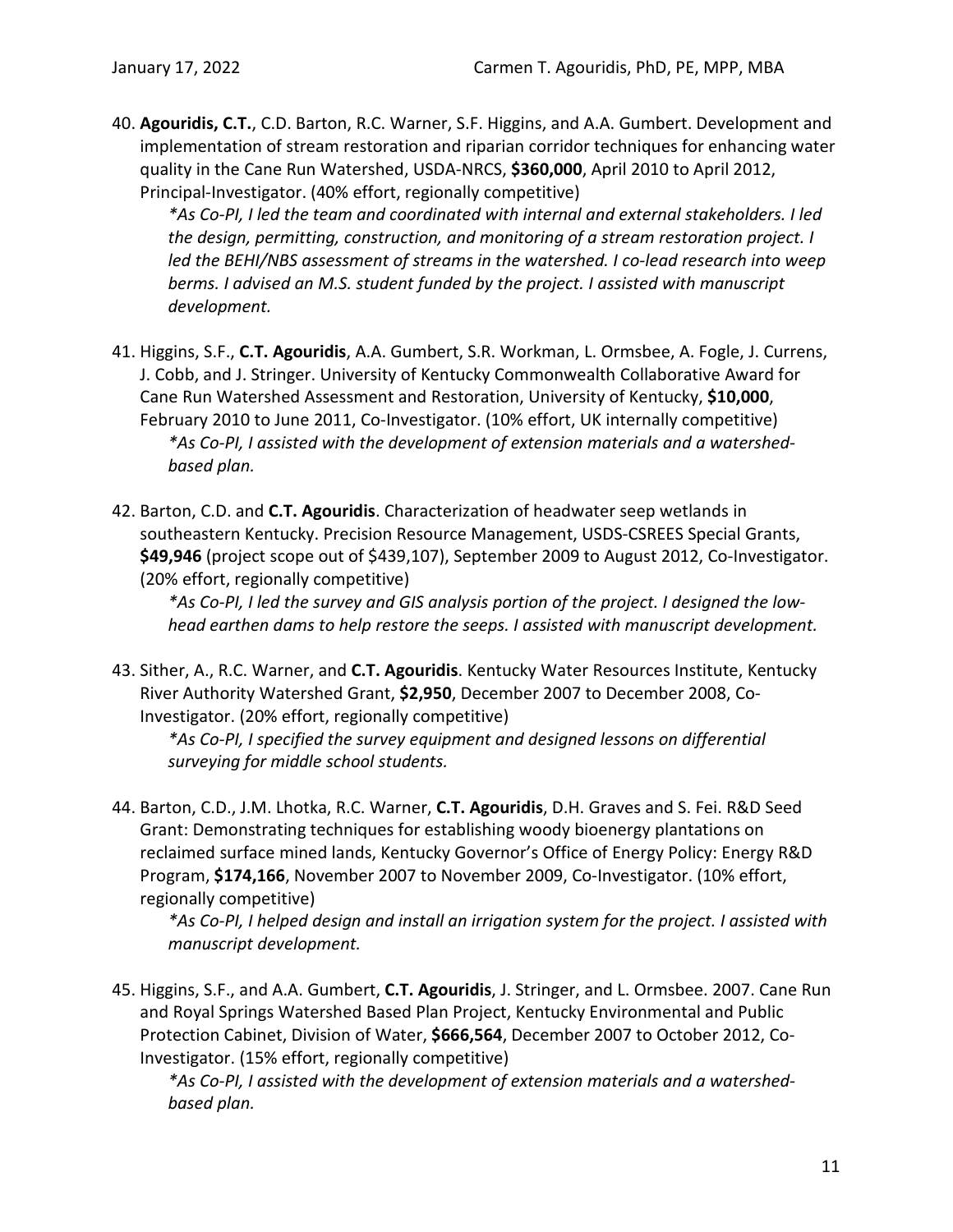40. **Agouridis, C.T.**, C.D. Barton, R.C. Warner, S.F. Higgins, and A.A. Gumbert. Development and implementation of stream restoration and riparian corridor techniques for enhancing water quality in the Cane Run Watershed, USDA-NRCS, **\$360,000**, April 2010 to April 2012, Principal-Investigator. (40% effort, regionally competitive)

*\*As Co-PI, I led the team and coordinated with internal and external stakeholders. I led the design, permitting, construction, and monitoring of a stream restoration project. I led the BEHI/NBS assessment of streams in the watershed. I co-lead research into weep berms. I advised an M.S. student funded by the project. I assisted with manuscript development.*

- 41. Higgins, S.F., **C.T. Agouridis**, A.A. Gumbert, S.R. Workman, L. Ormsbee, A. Fogle, J. Currens, J. Cobb, and J. Stringer. University of Kentucky Commonwealth Collaborative Award for Cane Run Watershed Assessment and Restoration, University of Kentucky, **\$10,000**, February 2010 to June 2011, Co-Investigator. (10% effort, UK internally competitive) *\*As Co-PI, I assisted with the development of extension materials and a watershedbased plan.*
- 42. Barton, C.D. and **C.T. Agouridis**. Characterization of headwater seep wetlands in southeastern Kentucky. Precision Resource Management, USDS-CSREES Special Grants, **\$49,946** (project scope out of \$439,107), September 2009 to August 2012, Co-Investigator. (20% effort, regionally competitive)

*\*As Co-PI, I led the survey and GIS analysis portion of the project. I designed the lowhead earthen dams to help restore the seeps. I assisted with manuscript development.*

43. Sither, A., R.C. Warner, and **C.T. Agouridis**. Kentucky Water Resources Institute, Kentucky River Authority Watershed Grant, **\$2,950**, December 2007 to December 2008, Co-Investigator. (20% effort, regionally competitive)

*\*As Co-PI, I specified the survey equipment and designed lessons on differential surveying for middle school students.*

44. Barton, C.D., J.M. Lhotka, R.C. Warner, **C.T. Agouridis**, D.H. Graves and S. Fei. R&D Seed Grant: Demonstrating techniques for establishing woody bioenergy plantations on reclaimed surface mined lands, Kentucky Governor's Office of Energy Policy: Energy R&D Program, **\$174,166**, November 2007 to November 2009, Co-Investigator. (10% effort, regionally competitive)

*\*As Co-PI, I helped design and install an irrigation system for the project. I assisted with manuscript development.*

45. Higgins, S.F., and A.A. Gumbert, **C.T. Agouridis**, J. Stringer, and L. Ormsbee. 2007. Cane Run and Royal Springs Watershed Based Plan Project, Kentucky Environmental and Public Protection Cabinet, Division of Water, **\$666,564**, December 2007 to October 2012, Co-Investigator. (15% effort, regionally competitive)

*\*As Co-PI, I assisted with the development of extension materials and a watershedbased plan.*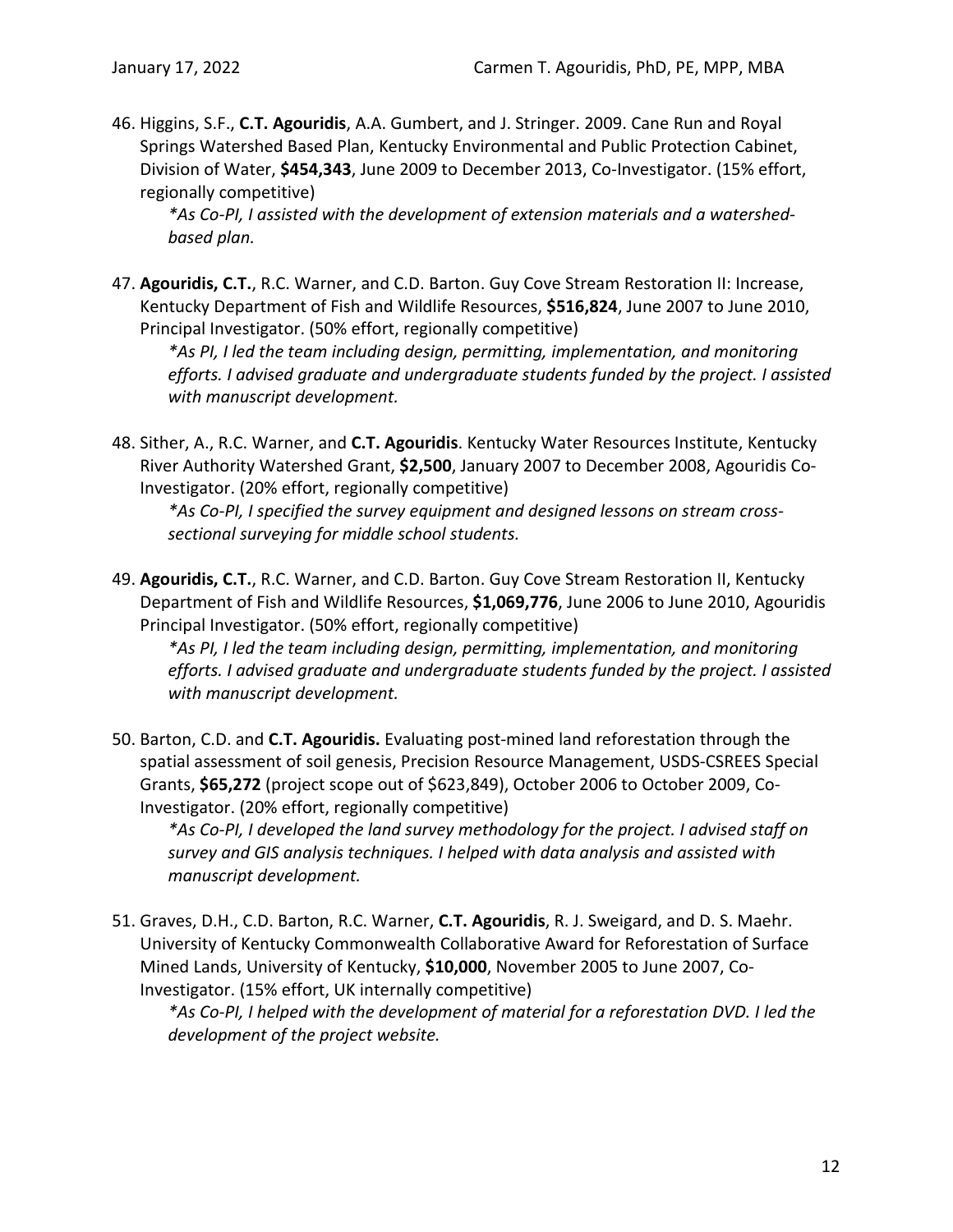46. Higgins, S.F., **C.T. Agouridis**, A.A. Gumbert, and J. Stringer. 2009. Cane Run and Royal Springs Watershed Based Plan, Kentucky Environmental and Public Protection Cabinet, Division of Water, **\$454,343**, June 2009 to December 2013, Co-Investigator. (15% effort, regionally competitive)

*\*As Co-PI, I assisted with the development of extension materials and a watershedbased plan.*

47. **Agouridis, C.T.**, R.C. Warner, and C.D. Barton. Guy Cove Stream Restoration II: Increase, Kentucky Department of Fish and Wildlife Resources, **\$516,824**, June 2007 to June 2010, Principal Investigator. (50% effort, regionally competitive)

*\*As PI, I led the team including design, permitting, implementation, and monitoring efforts. I advised graduate and undergraduate students funded by the project. I assisted with manuscript development.*

48. Sither, A., R.C. Warner, and **C.T. Agouridis**. Kentucky Water Resources Institute, Kentucky River Authority Watershed Grant, **\$2,500**, January 2007 to December 2008, Agouridis Co-Investigator. (20% effort, regionally competitive)

*\*As Co-PI, I specified the survey equipment and designed lessons on stream crosssectional surveying for middle school students.*

49. **Agouridis, C.T.**, R.C. Warner, and C.D. Barton. Guy Cove Stream Restoration II, Kentucky Department of Fish and Wildlife Resources, **\$1,069,776**, June 2006 to June 2010, Agouridis Principal Investigator. (50% effort, regionally competitive)

*\*As PI, I led the team including design, permitting, implementation, and monitoring efforts. I advised graduate and undergraduate students funded by the project. I assisted with manuscript development.*

50. Barton, C.D. and **C.T. Agouridis.** Evaluating post-mined land reforestation through the spatial assessment of soil genesis, Precision Resource Management, USDS-CSREES Special Grants, **\$65,272** (project scope out of \$623,849), October 2006 to October 2009, Co-Investigator. (20% effort, regionally competitive)

*\*As Co-PI, I developed the land survey methodology for the project. I advised staff on survey and GIS analysis techniques. I helped with data analysis and assisted with manuscript development.*

51. Graves, D.H., C.D. Barton, R.C. Warner, **C.T. Agouridis**, R. J. Sweigard, and D. S. Maehr. University of Kentucky Commonwealth Collaborative Award for Reforestation of Surface Mined Lands, University of Kentucky, **\$10,000**, November 2005 to June 2007, Co-Investigator. (15% effort, UK internally competitive)

*\*As Co-PI, I helped with the development of material for a reforestation DVD. I led the development of the project website.*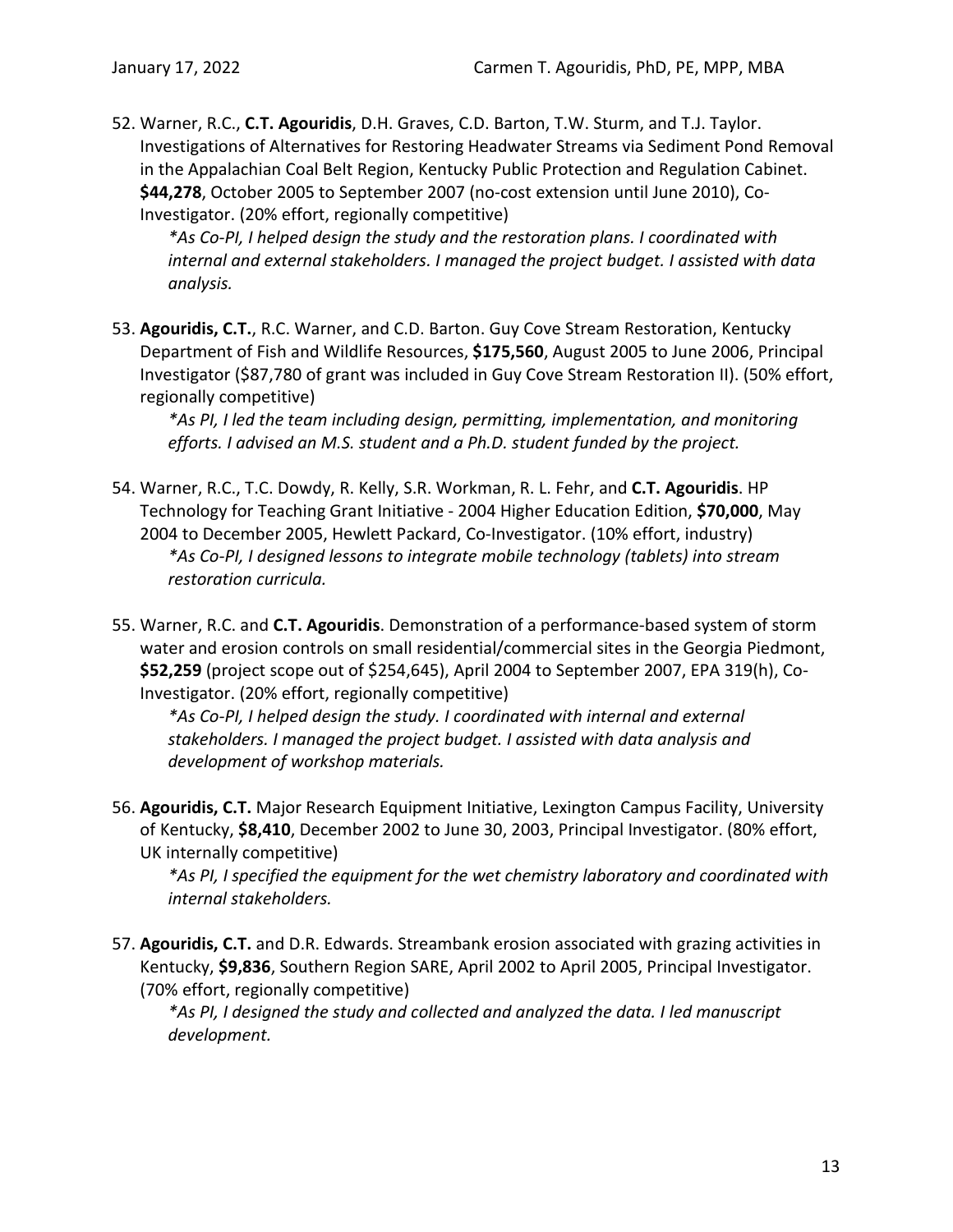52. Warner, R.C., **C.T. Agouridis**, D.H. Graves, C.D. Barton, T.W. Sturm, and T.J. Taylor. Investigations of Alternatives for Restoring Headwater Streams via Sediment Pond Removal in the Appalachian Coal Belt Region, Kentucky Public Protection and Regulation Cabinet. **\$44,278**, October 2005 to September 2007 (no-cost extension until June 2010), Co-Investigator. (20% effort, regionally competitive)

*\*As Co-PI, I helped design the study and the restoration plans. I coordinated with internal and external stakeholders. I managed the project budget. I assisted with data analysis.*

53. **Agouridis, C.T.**, R.C. Warner, and C.D. Barton. Guy Cove Stream Restoration, Kentucky Department of Fish and Wildlife Resources, **\$175,560**, August 2005 to June 2006, Principal Investigator (\$87,780 of grant was included in Guy Cove Stream Restoration II). (50% effort, regionally competitive)

*\*As PI, I led the team including design, permitting, implementation, and monitoring efforts. I advised an M.S. student and a Ph.D. student funded by the project.*

- 54. Warner, R.C., T.C. Dowdy, R. Kelly, S.R. Workman, R. L. Fehr, and **C.T. Agouridis**. HP Technology for Teaching Grant Initiative - 2004 Higher Education Edition, **\$70,000**, May 2004 to December 2005, Hewlett Packard, Co-Investigator. (10% effort, industry) *\*As Co-PI, I designed lessons to integrate mobile technology (tablets) into stream restoration curricula.*
- 55. Warner, R.C. and **C.T. Agouridis**. Demonstration of a performance-based system of storm water and erosion controls on small residential/commercial sites in the Georgia Piedmont, **\$52,259** (project scope out of \$254,645), April 2004 to September 2007, EPA 319(h), Co-Investigator. (20% effort, regionally competitive)

*\*As Co-PI, I helped design the study. I coordinated with internal and external stakeholders. I managed the project budget. I assisted with data analysis and development of workshop materials.*

56. **Agouridis, C.T.** Major Research Equipment Initiative, Lexington Campus Facility, University of Kentucky, **\$8,410**, December 2002 to June 30, 2003, Principal Investigator. (80% effort, UK internally competitive)

*\*As PI, I specified the equipment for the wet chemistry laboratory and coordinated with internal stakeholders.*

57. **Agouridis, C.T.** and D.R. Edwards. Streambank erosion associated with grazing activities in Kentucky, **\$9,836**, Southern Region SARE, April 2002 to April 2005, Principal Investigator. (70% effort, regionally competitive)

*\*As PI, I designed the study and collected and analyzed the data. I led manuscript development.*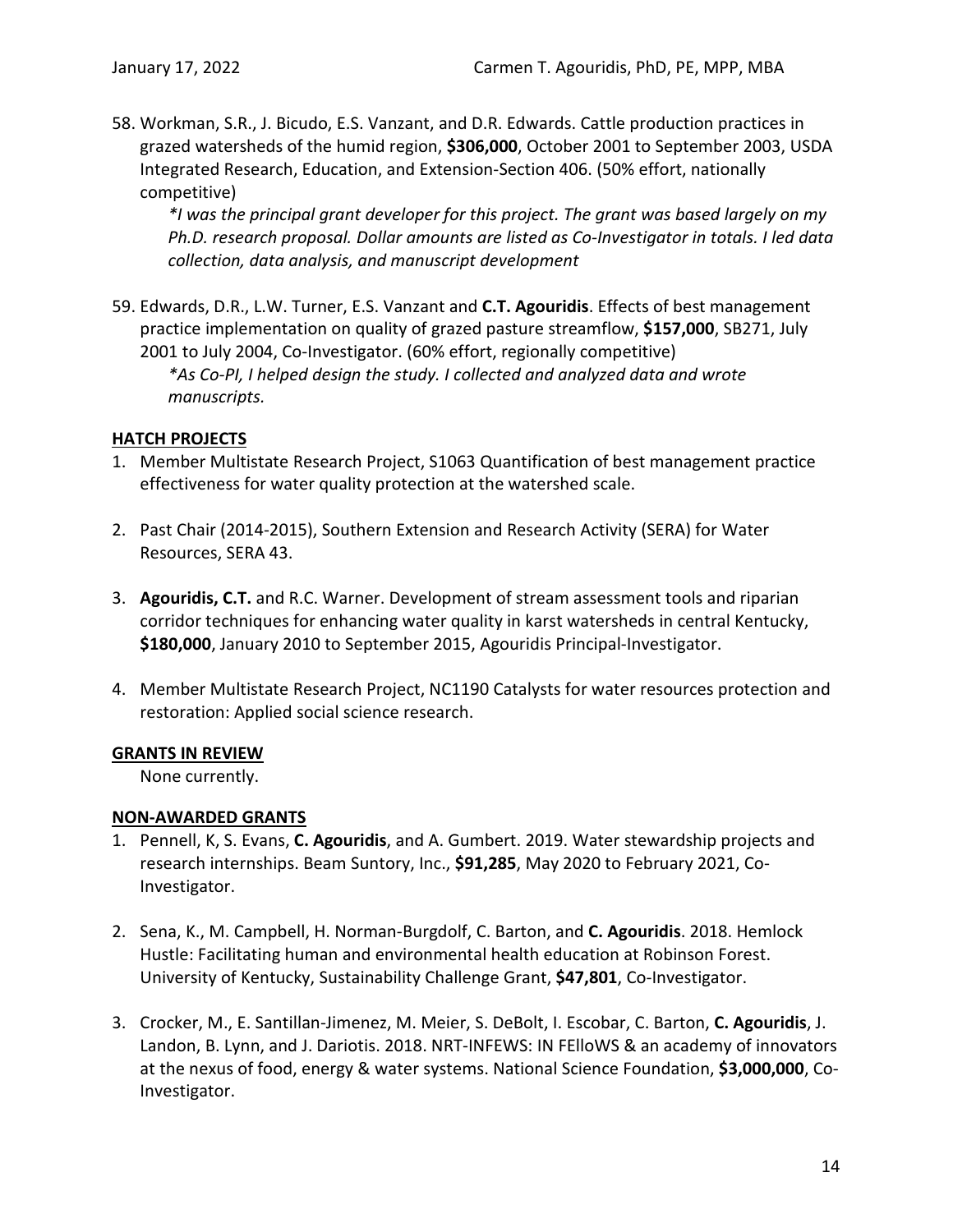58. Workman, S.R., J. Bicudo, E.S. Vanzant, and D.R. Edwards. Cattle production practices in grazed watersheds of the humid region, **\$306,000**, October 2001 to September 2003, USDA Integrated Research, Education, and Extension-Section 406. (50% effort, nationally competitive)

*\*I was the principal grant developer for this project. The grant was based largely on my Ph.D. research proposal. Dollar amounts are listed as Co-Investigator in totals. I led data collection, data analysis, and manuscript development*

59. Edwards, D.R., L.W. Turner, E.S. Vanzant and **C.T. Agouridis**. Effects of best management practice implementation on quality of grazed pasture streamflow, **\$157,000**, SB271, July 2001 to July 2004, Co-Investigator. (60% effort, regionally competitive) *\*As Co-PI, I helped design the study. I collected and analyzed data and wrote manuscripts.*

### <span id="page-16-0"></span>**HATCH PROJECTS**

- 1. Member Multistate Research Project, S1063 Quantification of best management practice effectiveness for water quality protection at the watershed scale.
- 2. Past Chair (2014-2015), Southern Extension and Research Activity (SERA) for Water Resources, SERA 43.
- 3. **Agouridis, C.T.** and R.C. Warner. Development of stream assessment tools and riparian corridor techniques for enhancing water quality in karst watersheds in central Kentucky, **\$180,000**, January 2010 to September 2015, Agouridis Principal-Investigator.
- 4. Member Multistate Research Project, NC1190 Catalysts for water resources protection and restoration: Applied social science research.

#### <span id="page-16-1"></span>**GRANTS IN REVIEW**

None currently.

#### <span id="page-16-2"></span>**NON-AWARDED GRANTS**

- 1. Pennell, K, S. Evans, **C. Agouridis**, and A. Gumbert. 2019. Water stewardship projects and research internships. Beam Suntory, Inc., **\$91,285**, May 2020 to February 2021, Co-Investigator.
- 2. Sena, K., M. Campbell, H. Norman-Burgdolf, C. Barton, and **C. Agouridis**. 2018. Hemlock Hustle: Facilitating human and environmental health education at Robinson Forest. University of Kentucky, Sustainability Challenge Grant, **\$47,801**, Co-Investigator.
- 3. Crocker, M., E. Santillan-Jimenez, M. Meier, S. DeBolt, I. Escobar, C. Barton, **C. Agouridis**, J. Landon, B. Lynn, and J. Dariotis. 2018. NRT-INFEWS: IN FElloWS & an academy of innovators at the nexus of food, energy & water systems. National Science Foundation, **\$3,000,000**, Co-Investigator.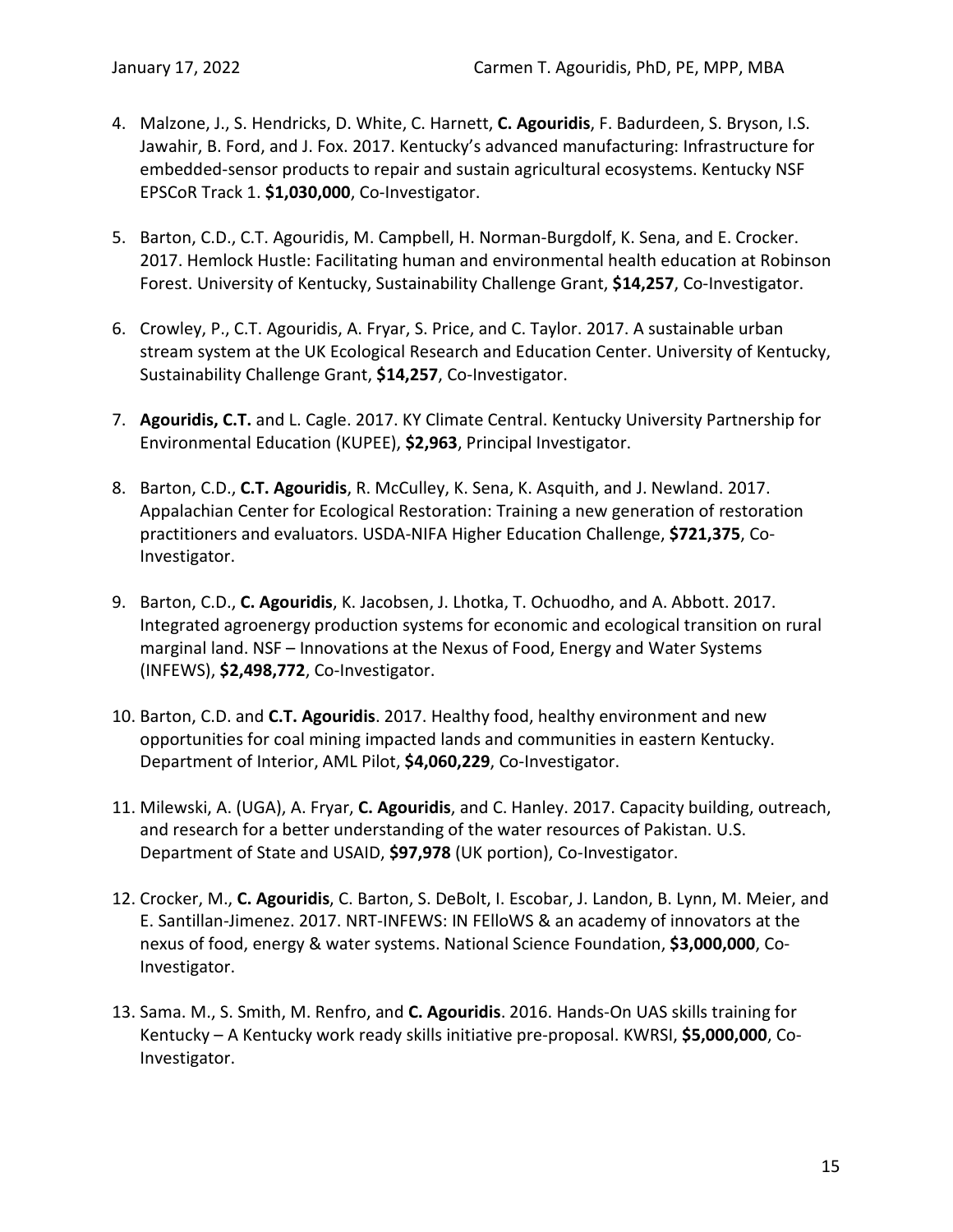- 4. Malzone, J., S. Hendricks, D. White, C. Harnett, **C. Agouridis**, F. Badurdeen, S. Bryson, I.S. Jawahir, B. Ford, and J. Fox. 2017. Kentucky's advanced manufacturing: Infrastructure for embedded-sensor products to repair and sustain agricultural ecosystems. Kentucky NSF EPSCoR Track 1. **\$1,030,000**, Co-Investigator.
- 5. Barton, C.D., C.T. Agouridis, M. Campbell, H. Norman-Burgdolf, K. Sena, and E. Crocker. 2017. Hemlock Hustle: Facilitating human and environmental health education at Robinson Forest. University of Kentucky, Sustainability Challenge Grant, **\$14,257**, Co-Investigator.
- 6. Crowley, P., C.T. Agouridis, A. Fryar, S. Price, and C. Taylor. 2017. A sustainable urban stream system at the UK Ecological Research and Education Center. University of Kentucky, Sustainability Challenge Grant, **\$14,257**, Co-Investigator.
- 7. **Agouridis, C.T.** and L. Cagle. 2017. KY Climate Central. Kentucky University Partnership for Environmental Education (KUPEE), **\$2,963**, Principal Investigator.
- 8. Barton, C.D., **C.T. Agouridis**, R. McCulley, K. Sena, K. Asquith, and J. Newland. 2017. Appalachian Center for Ecological Restoration: Training a new generation of restoration practitioners and evaluators. USDA-NIFA Higher Education Challenge, **\$721,375**, Co-Investigator.
- 9. Barton, C.D., **C. Agouridis**, K. Jacobsen, J. Lhotka, T. Ochuodho, and A. Abbott. 2017. Integrated agroenergy production systems for economic and ecological transition on rural marginal land. NSF – Innovations at the Nexus of Food, Energy and Water Systems (INFEWS), **\$2,498,772**, Co-Investigator.
- 10. Barton, C.D. and **C.T. Agouridis**. 2017. Healthy food, healthy environment and new opportunities for coal mining impacted lands and communities in eastern Kentucky. Department of Interior, AML Pilot, **\$4,060,229**, Co-Investigator.
- 11. Milewski, A. (UGA), A. Fryar, **C. Agouridis**, and C. Hanley. 2017. Capacity building, outreach, and research for a better understanding of the water resources of Pakistan. U.S. Department of State and USAID, **\$97,978** (UK portion), Co-Investigator.
- 12. Crocker, M., **C. Agouridis**, C. Barton, S. DeBolt, I. Escobar, J. Landon, B. Lynn, M. Meier, and E. Santillan-Jimenez. 2017. NRT-INFEWS: IN FElloWS & an academy of innovators at the nexus of food, energy & water systems. National Science Foundation, **\$3,000,000**, Co-Investigator.
- 13. Sama. M., S. Smith, M. Renfro, and **C. Agouridis**. 2016. Hands-On UAS skills training for Kentucky – A Kentucky work ready skills initiative pre-proposal. KWRSI, **\$5,000,000**, Co-Investigator.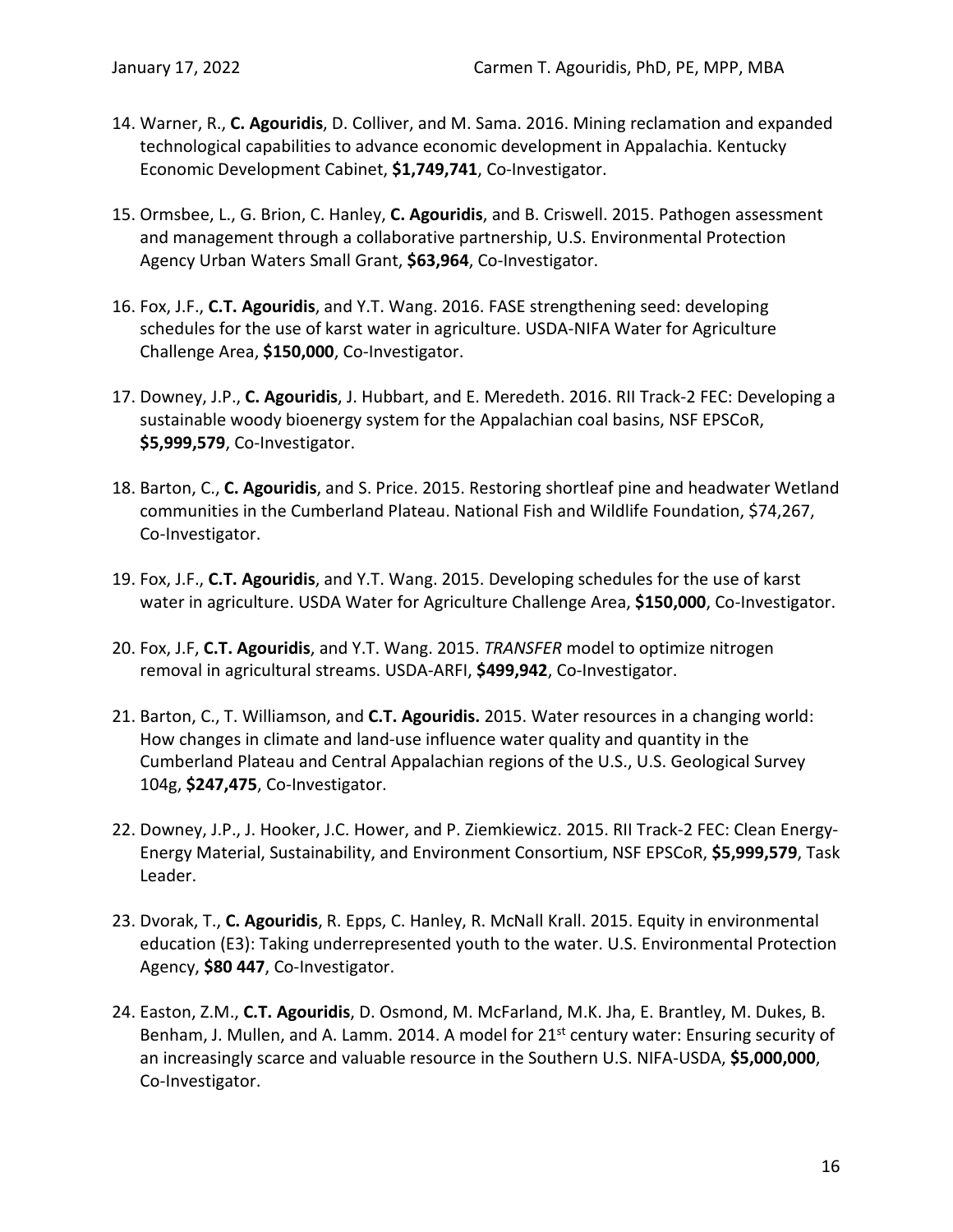- 14. Warner, R., **C. Agouridis**, D. Colliver, and M. Sama. 2016. Mining reclamation and expanded technological capabilities to advance economic development in Appalachia. Kentucky Economic Development Cabinet, **\$1,749,741**, Co-Investigator.
- 15. Ormsbee, L., G. Brion, C. Hanley, **C. Agouridis**, and B. Criswell. 2015. Pathogen assessment and management through a collaborative partnership, U.S. Environmental Protection Agency Urban Waters Small Grant, **\$63,964**, Co-Investigator.
- 16. Fox, J.F., **C.T. Agouridis**, and Y.T. Wang. 2016. FASE strengthening seed: developing schedules for the use of karst water in agriculture. USDA-NIFA Water for Agriculture Challenge Area, **\$150,000**, Co-Investigator.
- 17. Downey, J.P., **C. Agouridis**, J. Hubbart, and E. Meredeth. 2016. RII Track-2 FEC: Developing a sustainable woody bioenergy system for the Appalachian coal basins, NSF EPSCoR, **\$5,999,579**, Co-Investigator.
- 18. Barton, C., **C. Agouridis**, and S. Price. 2015. Restoring shortleaf pine and headwater Wetland communities in the Cumberland Plateau. National Fish and Wildlife Foundation, \$74,267, Co-Investigator.
- 19. Fox, J.F., **C.T. Agouridis**, and Y.T. Wang. 2015. Developing schedules for the use of karst water in agriculture. USDA Water for Agriculture Challenge Area, **\$150,000**, Co-Investigator.
- 20. Fox, J.F, **C.T. Agouridis**, and Y.T. Wang. 2015. *TRANSFER* model to optimize nitrogen removal in agricultural streams. USDA-ARFI, **\$499,942**, Co-Investigator.
- 21. Barton, C., T. Williamson, and **C.T. Agouridis.** 2015. Water resources in a changing world: How changes in climate and land-use influence water quality and quantity in the Cumberland Plateau and Central Appalachian regions of the U.S., U.S. Geological Survey 104g, **\$247,475**, Co-Investigator.
- 22. Downey, J.P., J. Hooker, J.C. Hower, and P. Ziemkiewicz. 2015. RII Track-2 FEC: Clean Energy-Energy Material, Sustainability, and Environment Consortium, NSF EPSCoR, **\$5,999,579**, Task Leader.
- 23. Dvorak, T., **C. Agouridis**, R. Epps, C. Hanley, R. McNall Krall. 2015. Equity in environmental education (E3): Taking underrepresented youth to the water. U.S. Environmental Protection Agency, **\$80 447**, Co-Investigator.
- 24. Easton, Z.M., **C.T. Agouridis**, D. Osmond, M. McFarland, M.K. Jha, E. Brantley, M. Dukes, B. Benham, J. Mullen, and A. Lamm. 2014. A model for  $21<sup>st</sup>$  century water: Ensuring security of an increasingly scarce and valuable resource in the Southern U.S. NIFA-USDA, **\$5,000,000**, Co-Investigator.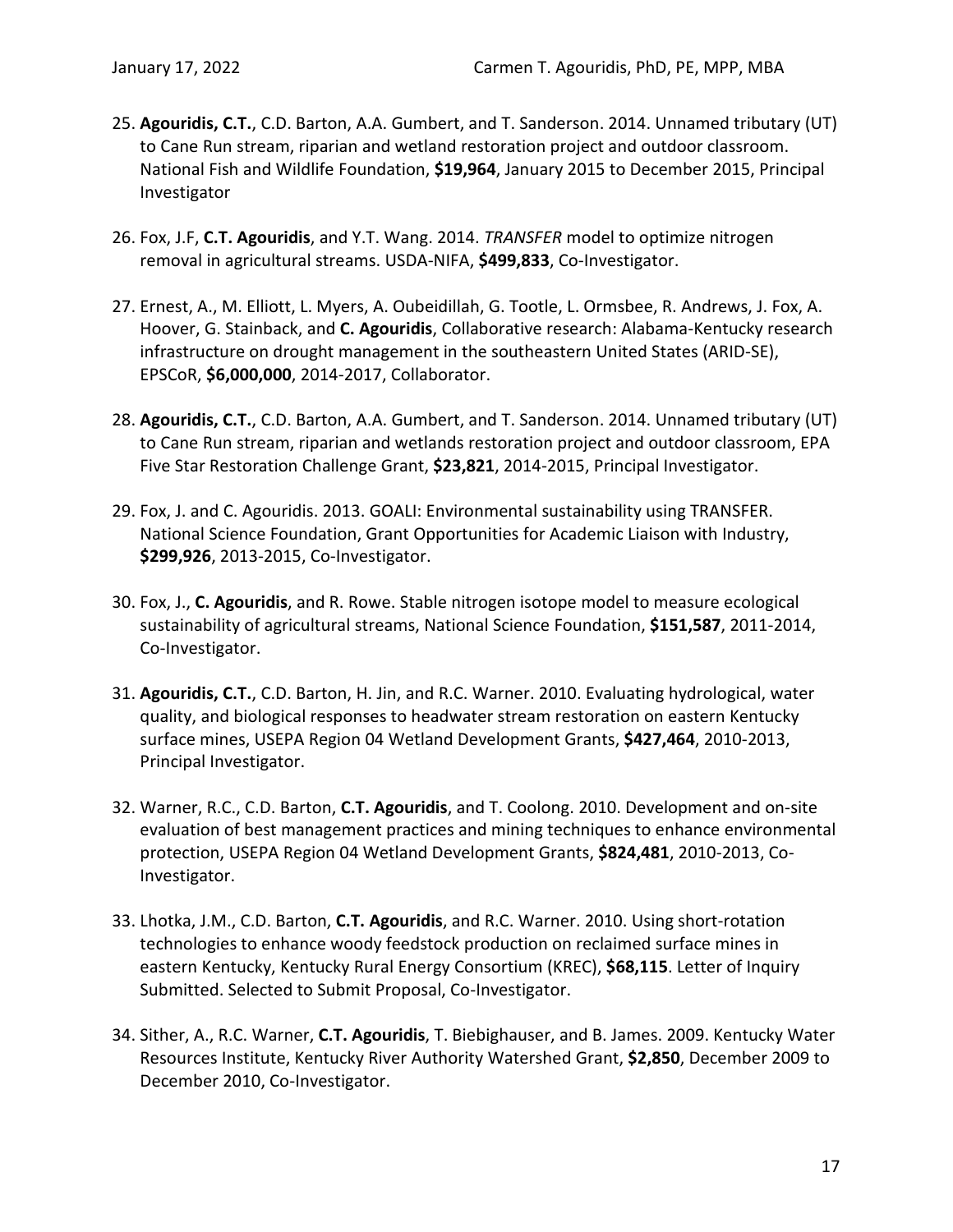- 25. **Agouridis, C.T.**, C.D. Barton, A.A. Gumbert, and T. Sanderson. 2014. Unnamed tributary (UT) to Cane Run stream, riparian and wetland restoration project and outdoor classroom. National Fish and Wildlife Foundation, **\$19,964**, January 2015 to December 2015, Principal Investigator
- 26. Fox, J.F, **C.T. Agouridis**, and Y.T. Wang. 2014. *TRANSFER* model to optimize nitrogen removal in agricultural streams. USDA-NIFA, **\$499,833**, Co-Investigator.
- 27. Ernest, A., M. Elliott, L. Myers, A. Oubeidillah, G. Tootle, L. Ormsbee, R. Andrews, J. Fox, A. Hoover, G. Stainback, and **C. Agouridis**, Collaborative research: Alabama-Kentucky research infrastructure on drought management in the southeastern United States (ARID-SE), EPSCoR, **\$6,000,000**, 2014-2017, Collaborator.
- 28. **Agouridis, C.T.**, C.D. Barton, A.A. Gumbert, and T. Sanderson. 2014. Unnamed tributary (UT) to Cane Run stream, riparian and wetlands restoration project and outdoor classroom, EPA Five Star Restoration Challenge Grant, **\$23,821**, 2014-2015, Principal Investigator.
- 29. Fox, J. and C. Agouridis. 2013. GOALI: Environmental sustainability using TRANSFER. National Science Foundation, Grant Opportunities for Academic Liaison with Industry, **\$299,926**, 2013-2015, Co-Investigator.
- 30. Fox, J., **C. Agouridis**, and R. Rowe. Stable nitrogen isotope model to measure ecological sustainability of agricultural streams, National Science Foundation, **\$151,587**, 2011-2014, Co-Investigator.
- 31. **Agouridis, C.T.**, C.D. Barton, H. Jin, and R.C. Warner. 2010. Evaluating hydrological, water quality, and biological responses to headwater stream restoration on eastern Kentucky surface mines, USEPA Region 04 Wetland Development Grants, **\$427,464**, 2010-2013, Principal Investigator.
- 32. Warner, R.C., C.D. Barton, **C.T. Agouridis**, and T. Coolong. 2010. Development and on-site evaluation of best management practices and mining techniques to enhance environmental protection, USEPA Region 04 Wetland Development Grants, **\$824,481**, 2010-2013, Co-Investigator.
- 33. Lhotka, J.M., C.D. Barton, **C.T. Agouridis**, and R.C. Warner. 2010. Using short-rotation technologies to enhance woody feedstock production on reclaimed surface mines in eastern Kentucky, Kentucky Rural Energy Consortium (KREC), **\$68,115**. Letter of Inquiry Submitted. Selected to Submit Proposal, Co-Investigator.
- 34. Sither, A., R.C. Warner, **C.T. Agouridis**, T. Biebighauser, and B. James. 2009. Kentucky Water Resources Institute, Kentucky River Authority Watershed Grant, **\$2,850**, December 2009 to December 2010, Co-Investigator.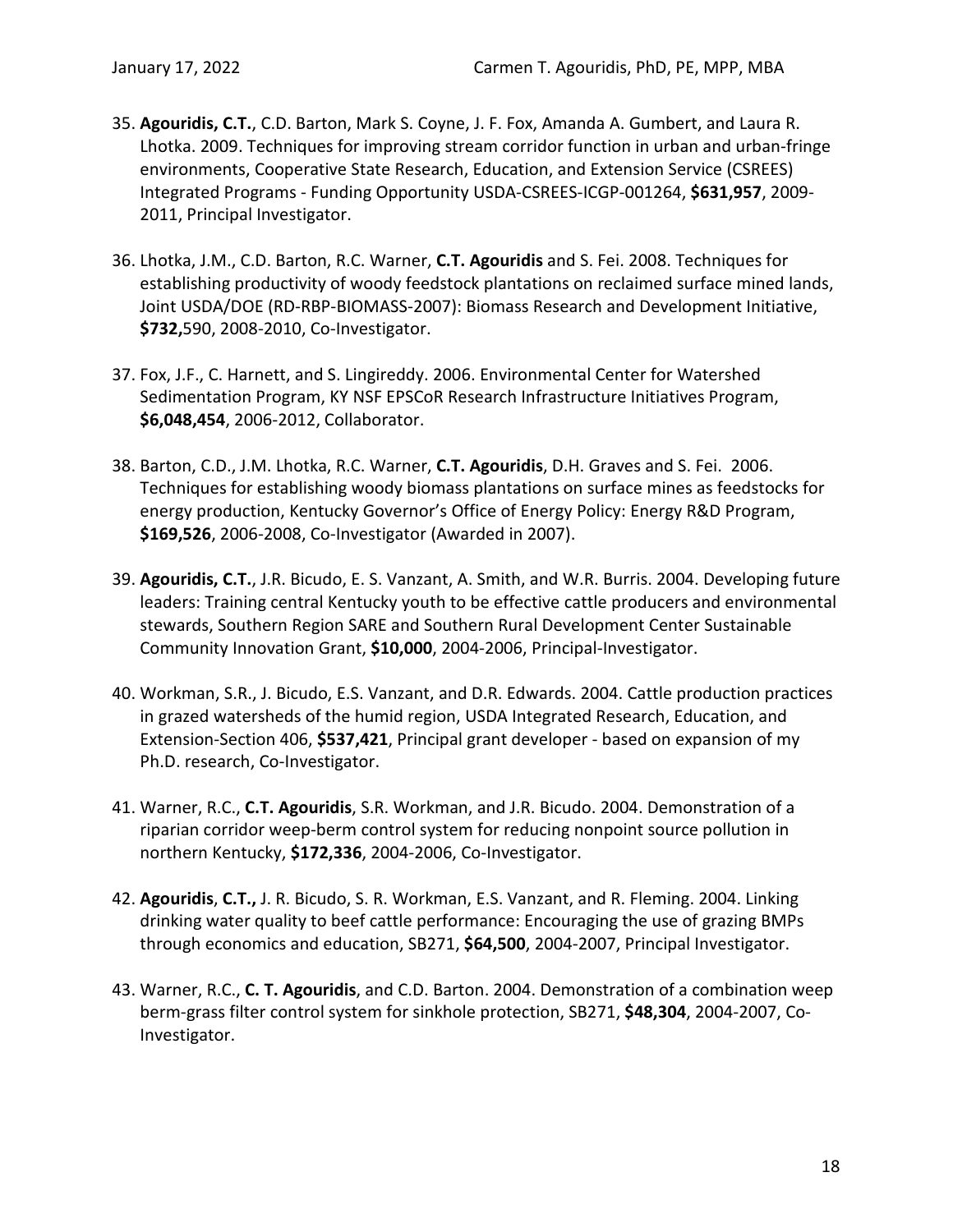- 35. **Agouridis, C.T.**, C.D. Barton, Mark S. Coyne, J. F. Fox, Amanda A. Gumbert, and Laura R. Lhotka. 2009. Techniques for improving stream corridor function in urban and urban-fringe environments, Cooperative State Research, Education, and Extension Service (CSREES) Integrated Programs - Funding Opportunity USDA-CSREES-ICGP-001264, **\$631,957**, 2009- 2011, Principal Investigator.
- 36. Lhotka, J.M., C.D. Barton, R.C. Warner, **C.T. Agouridis** and S. Fei. 2008. Techniques for establishing productivity of woody feedstock plantations on reclaimed surface mined lands, Joint USDA/DOE (RD-RBP-BIOMASS-2007): Biomass Research and Development Initiative, **\$732,**590, 2008-2010, Co-Investigator.
- 37. Fox, J.F., C. Harnett, and S. Lingireddy. 2006. Environmental Center for Watershed Sedimentation Program, KY NSF EPSCoR Research Infrastructure Initiatives Program, **\$6,048,454**, 2006-2012, Collaborator.
- 38. Barton, C.D., J.M. Lhotka, R.C. Warner, **C.T. Agouridis**, D.H. Graves and S. Fei. 2006. Techniques for establishing woody biomass plantations on surface mines as feedstocks for energy production, Kentucky Governor's Office of Energy Policy: Energy R&D Program, **\$169,526**, 2006-2008, Co-Investigator (Awarded in 2007).
- 39. **Agouridis, C.T.**, J.R. Bicudo, E. S. Vanzant, A. Smith, and W.R. Burris. 2004. Developing future leaders: Training central Kentucky youth to be effective cattle producers and environmental stewards, Southern Region SARE and Southern Rural Development Center Sustainable Community Innovation Grant, **\$10,000**, 2004-2006, Principal-Investigator.
- 40. Workman, S.R., J. Bicudo, E.S. Vanzant, and D.R. Edwards. 2004. Cattle production practices in grazed watersheds of the humid region, USDA Integrated Research, Education, and Extension-Section 406, **\$537,421**, Principal grant developer - based on expansion of my Ph.D. research, Co-Investigator.
- 41. Warner, R.C., **C.T. Agouridis**, S.R. Workman, and J.R. Bicudo. 2004. Demonstration of a riparian corridor weep-berm control system for reducing nonpoint source pollution in northern Kentucky, **\$172,336**, 2004-2006, Co-Investigator.
- 42. **Agouridis**, **C.T.,** J. R. Bicudo, S. R. Workman, E.S. Vanzant, and R. Fleming. 2004. Linking drinking water quality to beef cattle performance: Encouraging the use of grazing BMPs through economics and education, SB271, **\$64,500**, 2004-2007, Principal Investigator.
- 43. Warner, R.C., **C. T. Agouridis**, and C.D. Barton. 2004. Demonstration of a combination weep berm-grass filter control system for sinkhole protection, SB271, **\$48,304**, 2004-2007, Co-Investigator.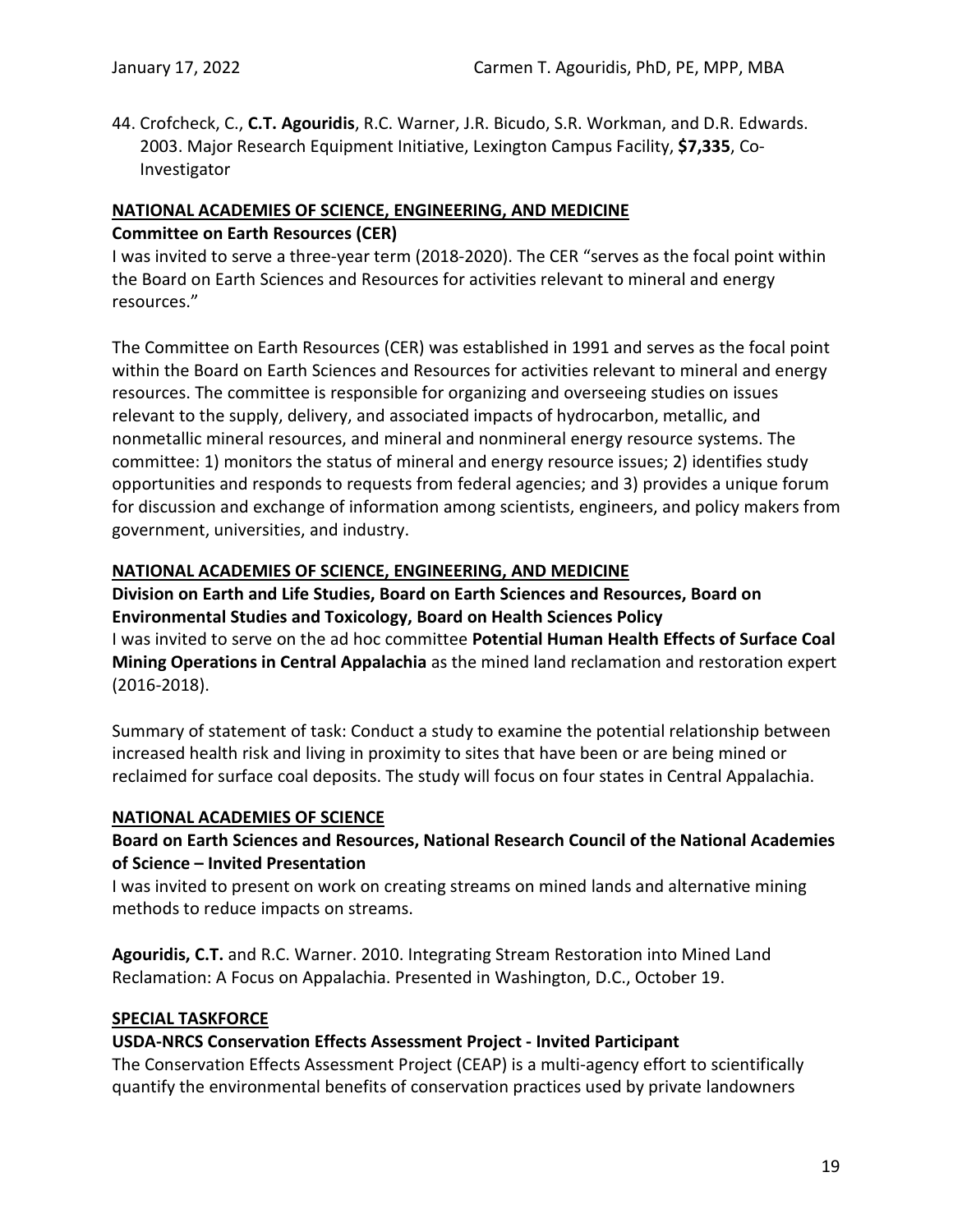44. Crofcheck, C., **C.T. Agouridis**, R.C. Warner, J.R. Bicudo, S.R. Workman, and D.R. Edwards. 2003. Major Research Equipment Initiative, Lexington Campus Facility, **\$7,335**, Co-Investigator

# <span id="page-21-0"></span>**NATIONAL ACADEMIES OF SCIENCE, ENGINEERING, AND MEDICINE Committee on Earth Resources (CER)**

I was invited to serve a three-year term (2018-2020). The CER "serves as the focal point within the Board on Earth Sciences and Resources for activities relevant to mineral and energy resources."

The Committee on Earth Resources (CER) was established in 1991 and serves as the focal point within the Board on Earth Sciences and Resources for activities relevant to mineral and energy resources. The committee is responsible for organizing and overseeing studies on issues relevant to the supply, delivery, and associated impacts of hydrocarbon, metallic, and nonmetallic mineral resources, and mineral and nonmineral energy resource systems. The committee: 1) monitors the status of mineral and energy resource issues; 2) identifies study opportunities and responds to requests from federal agencies; and 3) provides a unique forum for discussion and exchange of information among scientists, engineers, and policy makers from government, universities, and industry.

# <span id="page-21-1"></span>**NATIONAL ACADEMIES OF SCIENCE, ENGINEERING, AND MEDICINE**

**Division on Earth and Life Studies, Board on Earth Sciences and Resources, Board on Environmental Studies and Toxicology, Board on Health Sciences Policy** I was invited to serve on the ad hoc committee **Potential Human Health Effects of Surface Coal Mining Operations in Central Appalachia** as the mined land reclamation and restoration expert (2016-2018).

Summary of statement of task: Conduct a study to examine the potential relationship between increased health risk and living in proximity to sites that have been or are being mined or reclaimed for surface coal deposits. The study will focus on four states in Central Appalachia.

# <span id="page-21-2"></span>**NATIONAL ACADEMIES OF SCIENCE**

# **Board on Earth Sciences and Resources, National Research Council of the National Academies of Science – Invited Presentation**

I was invited to present on work on creating streams on mined lands and alternative mining methods to reduce impacts on streams.

**Agouridis, C.T.** and R.C. Warner. 2010. Integrating Stream Restoration into Mined Land Reclamation: A Focus on Appalachia. Presented in Washington, D.C., October 19.

# <span id="page-21-3"></span>**SPECIAL TASKFORCE**

# **USDA-NRCS Conservation Effects Assessment Project - Invited Participant**

The Conservation Effects Assessment Project (CEAP) is a multi-agency effort to scientifically quantify the environmental benefits of conservation practices used by private landowners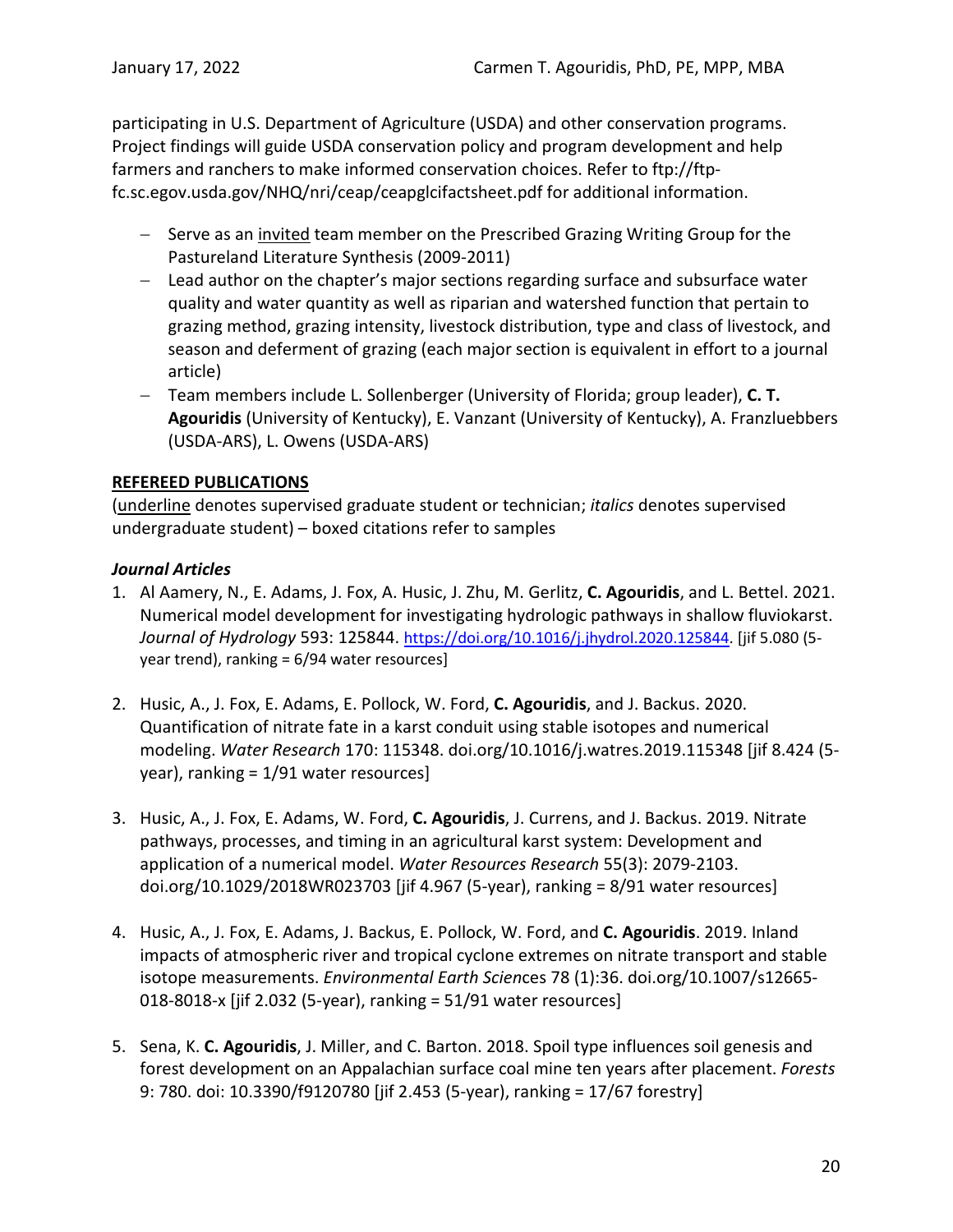participating in U.S. Department of Agriculture (USDA) and other conservation programs. Project findings will guide USDA conservation policy and program development and help farmers and ranchers to make informed conservation choices. Refer to ftp://ftpfc.sc.egov.usda.gov/NHQ/nri/ceap/ceapglcifactsheet.pdf for additional information.

- − Serve as an invited team member on the Prescribed Grazing Writing Group for the Pastureland Literature Synthesis (2009-2011)
- − Lead author on the chapter's major sections regarding surface and subsurface water quality and water quantity as well as riparian and watershed function that pertain to grazing method, grazing intensity, livestock distribution, type and class of livestock, and season and deferment of grazing (each major section is equivalent in effort to a journal article)
- − Team members include L. Sollenberger (University of Florida; group leader), **C. T. Agouridis** (University of Kentucky), E. Vanzant (University of Kentucky), A. Franzluebbers (USDA-ARS), L. Owens (USDA-ARS)

# <span id="page-22-0"></span>**REFEREED PUBLICATIONS**

(underline denotes supervised graduate student or technician; *italics* denotes supervised undergraduate student) – boxed citations refer to samples

# <span id="page-22-1"></span>*Journal Articles*

- 1. Al Aamery, N., E. Adams, J. Fox, A. Husic, J. Zhu, M. Gerlitz, **C. Agouridis**, and L. Bettel. 2021. Numerical model development for investigating hydrologic pathways in shallow fluviokarst. *Journal of Hydrology* 593: 125844. [https://doi.org/10.1016/j.jhydrol.2020.125844.](https://doi.org/10.1016/j.jhydrol.2020.125844) [jif 5.080 (5 year trend), ranking = 6/94 water resources]
- 2. Husic, A., J. Fox, E. Adams, E. Pollock, W. Ford, **C. Agouridis**, and J. Backus. 2020. Quantification of nitrate fate in a karst conduit using stable isotopes and numerical modeling. *Water Research* 170: 115348. doi.org/10.1016/j.watres.2019.115348 [jif 8.424 (5 year), ranking = 1/91 water resources]
- 3. Husic, A., J. Fox, E. Adams, W. Ford, **C. Agouridis**, J. Currens, and J. Backus. 2019. Nitrate pathways, processes, and timing in an agricultural karst system: Development and application of a numerical model. *Water Resources Research* 55(3): 2079-2103. doi.org/10.1029/2018WR023703 [jif 4.967 (5-year), ranking = 8/91 water resources]
- 4. Husic, A., J. Fox, E. Adams, J. Backus, E. Pollock, W. Ford, and **C. Agouridis**. 2019. Inland impacts of atmospheric river and tropical cyclone extremes on nitrate transport and stable isotope measurements. *Environmental Earth Scien*ces 78 (1):36. doi.org/10.1007/s12665- 018-8018-x [jif 2.032 (5-year), ranking = 51/91 water resources]
- 5. Sena, K. **C. Agouridis**, J. Miller, and C. Barton. 2018. Spoil type influences soil genesis and forest development on an Appalachian surface coal mine ten years after placement. *Forests* 9: 780. doi: 10.3390/f9120780 [jif 2.453 (5-year), ranking = 17/67 forestry]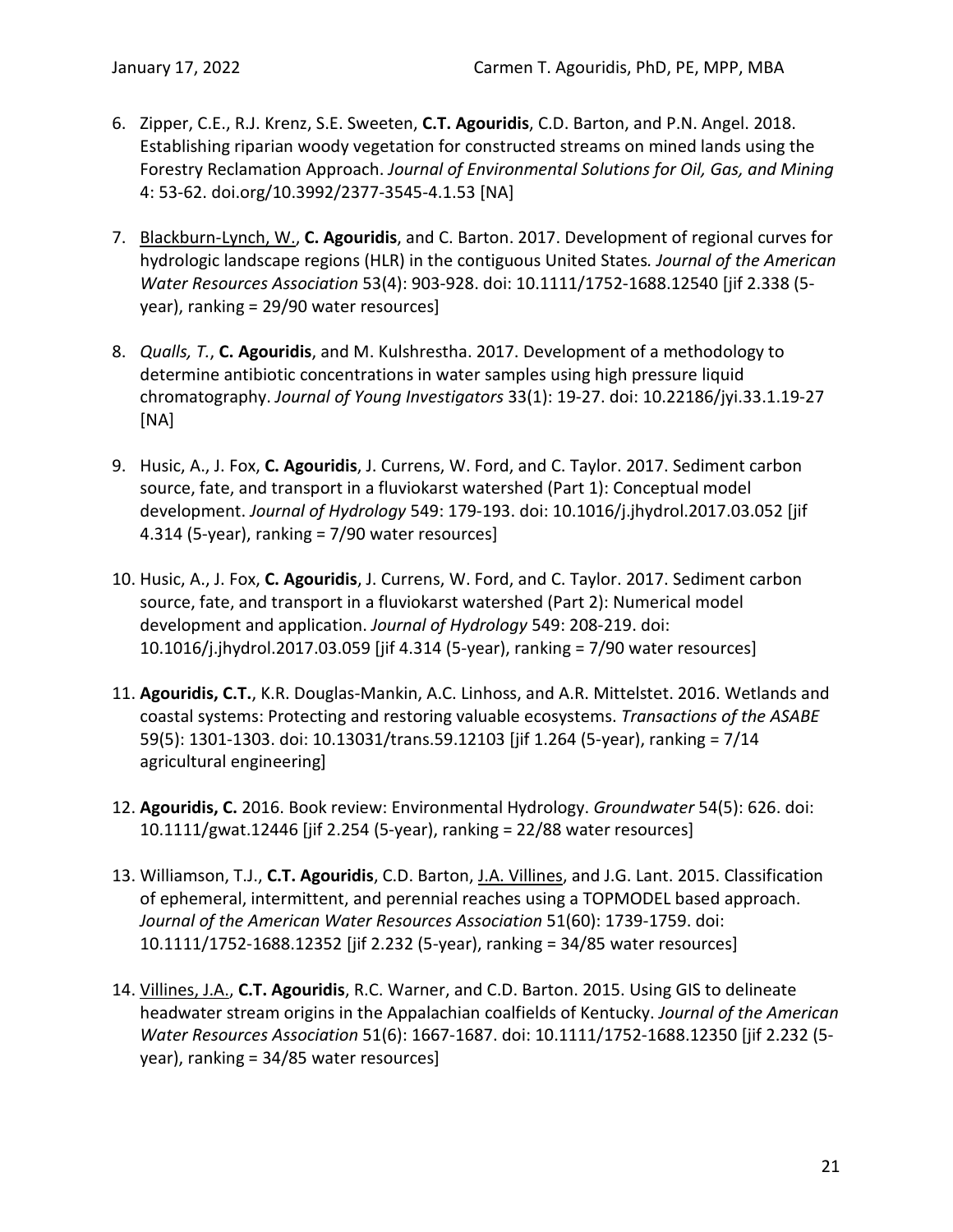- 6. Zipper, C.E., R.J. Krenz, S.E. Sweeten, **C.T. Agouridis**, C.D. Barton, and P.N. Angel. 2018. Establishing riparian woody vegetation for constructed streams on mined lands using the Forestry Reclamation Approach. *Journal of Environmental Solutions for Oil, Gas, and Mining* 4: 53-62. doi.org/10.3992/2377-3545-4.1.53 [NA]
- 7. Blackburn-Lynch, W., **C. Agouridis**, and C. Barton. 2017. Development of regional curves for hydrologic landscape regions (HLR) in the contiguous United States*. Journal of the American Water Resources Association* 53(4): 903-928. doi: 10.1111/1752-1688.12540 [jif 2.338 (5 year), ranking = 29/90 water resources]
- 8. *Qualls, T.*, **C. Agouridis**, and M. Kulshrestha. 2017. Development of a methodology to determine antibiotic concentrations in water samples using high pressure liquid chromatography. *Journal of Young Investigators* 33(1): 19-27. doi: 10.22186/jyi.33.1.19-27 [NA]
- 9. Husic, A., J. Fox, **C. Agouridis**, J. Currens, W. Ford, and C. Taylor. 2017. Sediment carbon source, fate, and transport in a fluviokarst watershed (Part 1): Conceptual model development. *Journal of Hydrology* 549: 179-193. doi: 10.1016/j.jhydrol.2017.03.052 [jif 4.314 (5-year), ranking = 7/90 water resources]
- 10. Husic, A., J. Fox, **C. Agouridis**, J. Currens, W. Ford, and C. Taylor. 2017. Sediment carbon source, fate, and transport in a fluviokarst watershed (Part 2): Numerical model development and application. *Journal of Hydrology* 549: 208-219. doi: 10.1016/j.jhydrol.2017.03.059 [jif 4.314 (5-year), ranking = 7/90 water resources]
- 11. **Agouridis, C.T.**, K.R. Douglas-Mankin, A.C. Linhoss, and A.R. Mittelstet. 2016. Wetlands and coastal systems: Protecting and restoring valuable ecosystems. *Transactions of the ASABE* 59(5): 1301-1303. doi: 10.13031/trans.59.12103 [jif 1.264 (5-year), ranking = 7/14 agricultural engineering]
- 12. **Agouridis, C.** 2016. Book review: Environmental Hydrology. *Groundwater* 54(5): 626. doi: 10.1111/gwat.12446 [jif 2.254 (5-year), ranking = 22/88 water resources]
- 13. Williamson, T.J., **C.T. Agouridis**, C.D. Barton, J.A. Villines, and J.G. Lant. 2015. Classification of ephemeral, intermittent, and perennial reaches using a TOPMODEL based approach. *Journal of the American Water Resources Association* 51(60): 1739-1759. doi: 10.1111/1752-1688.12352 [jif 2.232 (5-year), ranking = 34/85 water resources]
- 14. Villines, J.A., **C.T. Agouridis**, R.C. Warner, and C.D. Barton. 2015. Using GIS to delineate headwater stream origins in the Appalachian coalfields of Kentucky. *Journal of the American Water Resources Association* 51(6): 1667-1687. doi: 10.1111/1752-1688.12350 [jif 2.232 (5 year), ranking = 34/85 water resources]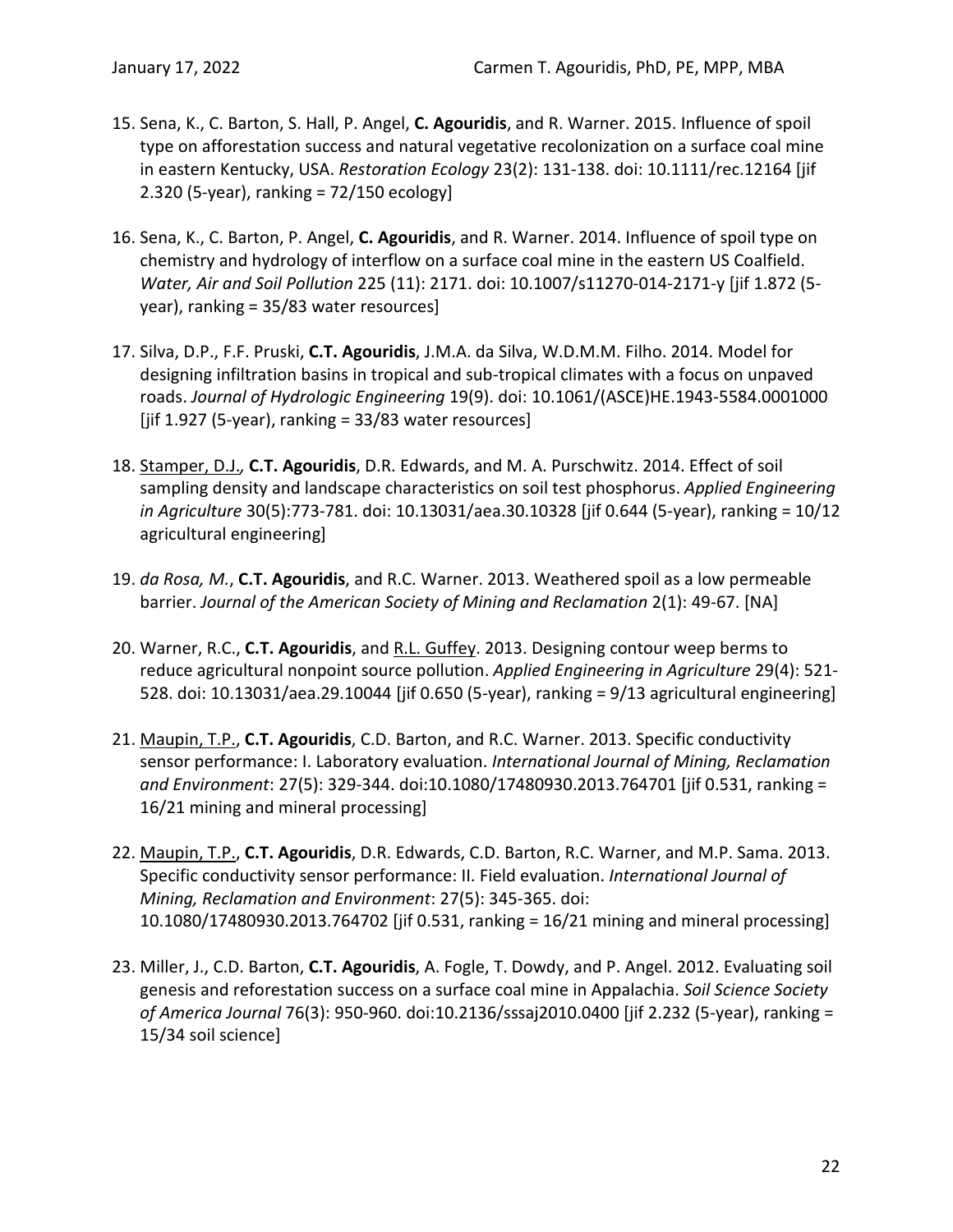- 15. Sena, K., C. Barton, S. Hall, P. Angel, **C. Agouridis**, and R. Warner. 2015. Influence of spoil type on afforestation success and natural vegetative recolonization on a surface coal mine in eastern Kentucky, USA. *Restoration Ecology* 23(2): 131-138. doi: 10.1111/rec.12164 [jif  $2.320$  (5-year), ranking =  $72/150$  ecology]
- 16. Sena, K., C. Barton, P. Angel, **C. Agouridis**, and R. Warner. 2014. Influence of spoil type on chemistry and hydrology of interflow on a surface coal mine in the eastern US Coalfield. *Water, Air and Soil Pollution* 225 (11): 2171. doi: 10.1007/s11270-014-2171-y [jif 1.872 (5 year), ranking = 35/83 water resources]
- 17. Silva, D.P., F.F. Pruski, **C.T. Agouridis**, J.M.A. da Silva, W.D.M.M. Filho. 2014. Model for designing infiltration basins in tropical and sub-tropical climates with a focus on unpaved roads. *Journal of Hydrologic Engineering* 19(9). doi: 10.1061/(ASCE)HE.1943-5584.0001000  $[jif 1.927 (5-year), ranking = 33/83 water resources]$
- 18. Stamper, D.J.*,* **C.T. Agouridis**, D.R. Edwards, and M. A. Purschwitz. 2014. Effect of soil sampling density and landscape characteristics on soil test phosphorus. *Applied Engineering in Agriculture* 30(5):773-781. doi: 10.13031/aea.30.10328 [jif 0.644 (5-year), ranking = 10/12 agricultural engineering]
- 19. *da Rosa, M.*, **C.T. Agouridis**, and R.C. Warner. 2013. Weathered spoil as a low permeable barrier. *Journal of the American Society of Mining and Reclamation* 2(1): 49-67. [NA]
- 20. Warner, R.C., **C.T. Agouridis**, and R.L. Guffey. 2013. Designing contour weep berms to reduce agricultural nonpoint source pollution. *Applied Engineering in Agriculture* 29(4): 521- 528. doi: 10.13031/aea.29.10044 [jif 0.650 (5-year), ranking = 9/13 agricultural engineering]
- 21. Maupin, T.P., **C.T. Agouridis**, C.D. Barton, and R.C. Warner. 2013. Specific conductivity sensor performance: I. Laboratory evaluation. *International Journal of Mining, Reclamation and Environment*: 27(5): 329-344. doi:10.1080/17480930.2013.764701 [jif 0.531, ranking = 16/21 mining and mineral processing]
- 22. Maupin, T.P., **C.T. Agouridis**, D.R. Edwards, C.D. Barton, R.C. Warner, and M.P. Sama. 2013. Specific conductivity sensor performance: II. Field evaluation. *International Journal of Mining, Reclamation and Environment*: 27(5): 345-365. doi: 10.1080/17480930.2013.764702 [jif 0.531, ranking = 16/21 mining and mineral processing]
- 23. Miller, J., C.D. Barton, **C.T. Agouridis**, A. Fogle, T. Dowdy, and P. Angel. 2012. Evaluating soil genesis and reforestation success on a surface coal mine in Appalachia. *Soil Science Society of America Journal* 76(3): 950-960. doi:10.2136/sssaj2010.0400 [jif 2.232 (5-year), ranking = 15/34 soil science]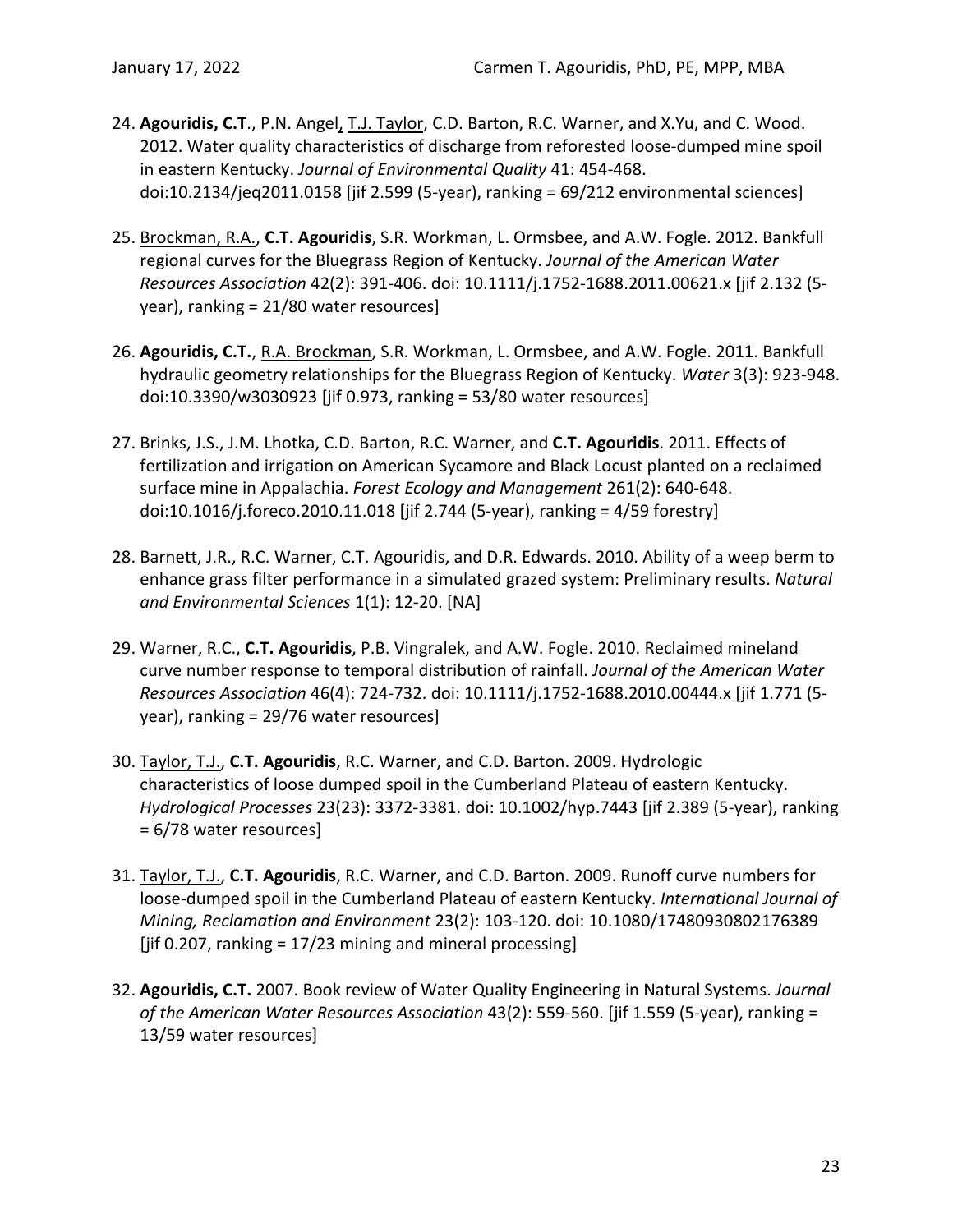- 24. **Agouridis, C.T**., P.N. Angel, T.J. Taylor, C.D. Barton, R.C. Warner, and X.Yu, and C. Wood. 2012. Water quality characteristics of discharge from reforested loose-dumped mine spoil in eastern Kentucky. *Journal of Environmental Quality* 41: 454-468. doi:10.2134/jeq2011.0158 [jif 2.599 (5-year), ranking = 69/212 environmental sciences]
- 25. Brockman, R.A., **C.T. Agouridis**, S.R. Workman, L. Ormsbee, and A.W. Fogle. 2012. Bankfull regional curves for the Bluegrass Region of Kentucky. *Journal of the American Water Resources Association* 42(2): 391-406. doi: 10.1111/j.1752-1688.2011.00621.x [jif 2.132 (5 year), ranking = 21/80 water resources]
- 26. **Agouridis, C.T.**, R.A. Brockman, S.R. Workman, L. Ormsbee, and A.W. Fogle. 2011. Bankfull hydraulic geometry relationships for the Bluegrass Region of Kentucky. *Water* 3(3): 923-948. doi:10.3390/w3030923 [jif 0.973, ranking = 53/80 water resources]
- 27. Brinks, J.S., J.M. Lhotka, C.D. Barton, R.C. Warner, and **C.T. Agouridis**. 2011. Effects of fertilization and irrigation on American Sycamore and Black Locust planted on a reclaimed surface mine in Appalachia. *Forest Ecology and Management* 261(2): 640-648. doi:10.1016/j.foreco.2010.11.018 [jif 2.744 (5-year), ranking = 4/59 forestry]
- 28. Barnett, J.R., R.C. Warner, C.T. Agouridis, and D.R. Edwards. 2010. Ability of a weep berm to enhance grass filter performance in a simulated grazed system: Preliminary results. *Natural and Environmental Sciences* 1(1): 12-20. [NA]
- 29. Warner, R.C., **C.T. Agouridis**, P.B. Vingralek, and A.W. Fogle. 2010. Reclaimed mineland curve number response to temporal distribution of rainfall. *Journal of the American Water Resources Association* 46(4): 724-732. doi: 10.1111/j.1752-1688.2010.00444.x [jif 1.771 (5 year), ranking = 29/76 water resources]
- 30. Taylor, T.J., **C.T. Agouridis**, R.C. Warner, and C.D. Barton. 2009. Hydrologic characteristics of loose dumped spoil in the Cumberland Plateau of eastern Kentucky. *Hydrological Processes* 23(23): 3372-3381. doi: 10.1002/hyp.7443 [jif 2.389 (5-year), ranking = 6/78 water resources]
- 31. Taylor, T.J., **C.T. Agouridis**, R.C. Warner, and C.D. Barton. 2009. Runoff curve numbers for loose-dumped spoil in the Cumberland Plateau of eastern Kentucky. *International Journal of Mining, Reclamation and Environment* 23(2): 103-120. doi: 10.1080/17480930802176389 [jif 0.207, ranking =  $17/23$  mining and mineral processing]
- 32. **Agouridis, C.T.** 2007. Book review of Water Quality Engineering in Natural Systems. *Journal of the American Water Resources Association* 43(2): 559-560. [jif 1.559 (5-year), ranking = 13/59 water resources]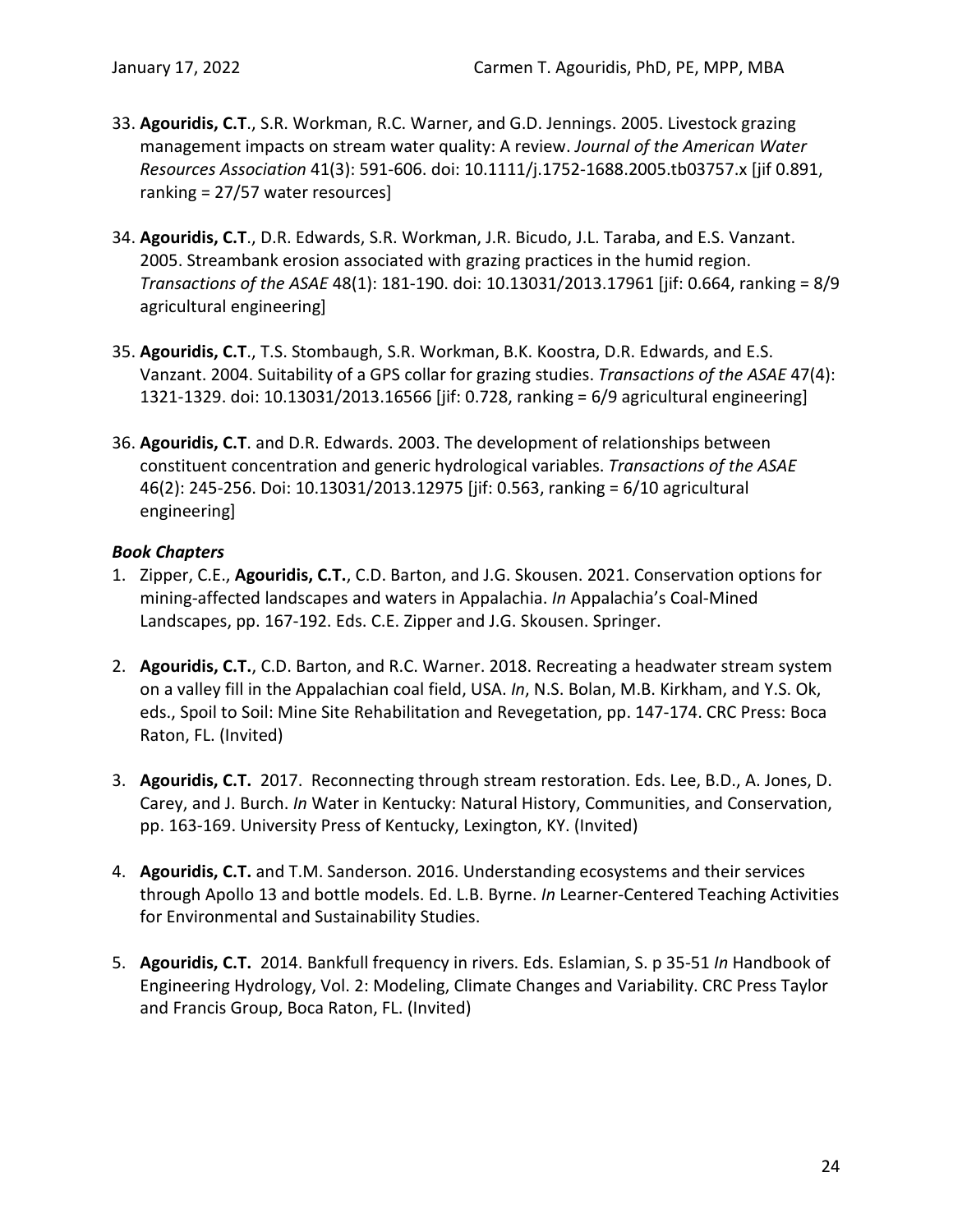- 33. **Agouridis, C.T**., S.R. Workman, R.C. Warner, and G.D. Jennings. 2005. Livestock grazing management impacts on stream water quality: A review. *Journal of the American Water Resources Association* 41(3): 591-606. doi: 10.1111/j.1752-1688.2005.tb03757.x [jif 0.891, ranking = 27/57 water resources]
- 34. **Agouridis, C.T**., D.R. Edwards, S.R. Workman, J.R. Bicudo, J.L. Taraba, and E.S. Vanzant. 2005. Streambank erosion associated with grazing practices in the humid region. *Transactions of the ASAE* 48(1): 181-190. doi: 10.13031/2013.17961 [jif: 0.664, ranking = 8/9 agricultural engineering]
- 35. **Agouridis, C.T**., T.S. Stombaugh, S.R. Workman, B.K. Koostra, D.R. Edwards, and E.S. Vanzant. 2004. Suitability of a GPS collar for grazing studies. *Transactions of the ASAE* 47(4): 1321-1329. doi: 10.13031/2013.16566 [jif: 0.728, ranking = 6/9 agricultural engineering]
- 36. **Agouridis, C.T**. and D.R. Edwards. 2003. The development of relationships between constituent concentration and generic hydrological variables. *Transactions of the ASAE* 46(2): 245-256. Doi: 10.13031/2013.12975 [jif: 0.563, ranking = 6/10 agricultural engineering]

# <span id="page-26-0"></span>*Book Chapters*

- 1. Zipper, C.E., **Agouridis, C.T.**, C.D. Barton, and J.G. Skousen. 2021. Conservation options for mining-affected landscapes and waters in Appalachia. *In* Appalachia's Coal-Mined Landscapes, pp. 167-192. Eds. C.E. Zipper and J.G. Skousen. Springer.
- 2. **Agouridis, C.T.**, C.D. Barton, and R.C. Warner. 2018. Recreating a headwater stream system on a valley fill in the Appalachian coal field, USA. *In*, N.S. Bolan, M.B. Kirkham, and Y.S. Ok, eds., Spoil to Soil: Mine Site Rehabilitation and Revegetation, pp. 147-174. CRC Press: Boca Raton, FL. (Invited)
- 3. **Agouridis, C.T.** 2017. Reconnecting through stream restoration. Eds. Lee, B.D., A. Jones, D. Carey, and J. Burch. *In* Water in Kentucky: Natural History, Communities, and Conservation, pp. 163-169. University Press of Kentucky, Lexington, KY. (Invited)
- 4. **Agouridis, C.T.** and T.M. Sanderson. 2016. Understanding ecosystems and their services through Apollo 13 and bottle models. Ed. L.B. Byrne. *In* Learner-Centered Teaching Activities for Environmental and Sustainability Studies.
- 5. **Agouridis, C.T.** 2014. Bankfull frequency in rivers. Eds. Eslamian, S. p 35-51 *In* Handbook of Engineering Hydrology, Vol. 2: Modeling, Climate Changes and Variability. CRC Press Taylor and Francis Group, Boca Raton, FL. (Invited)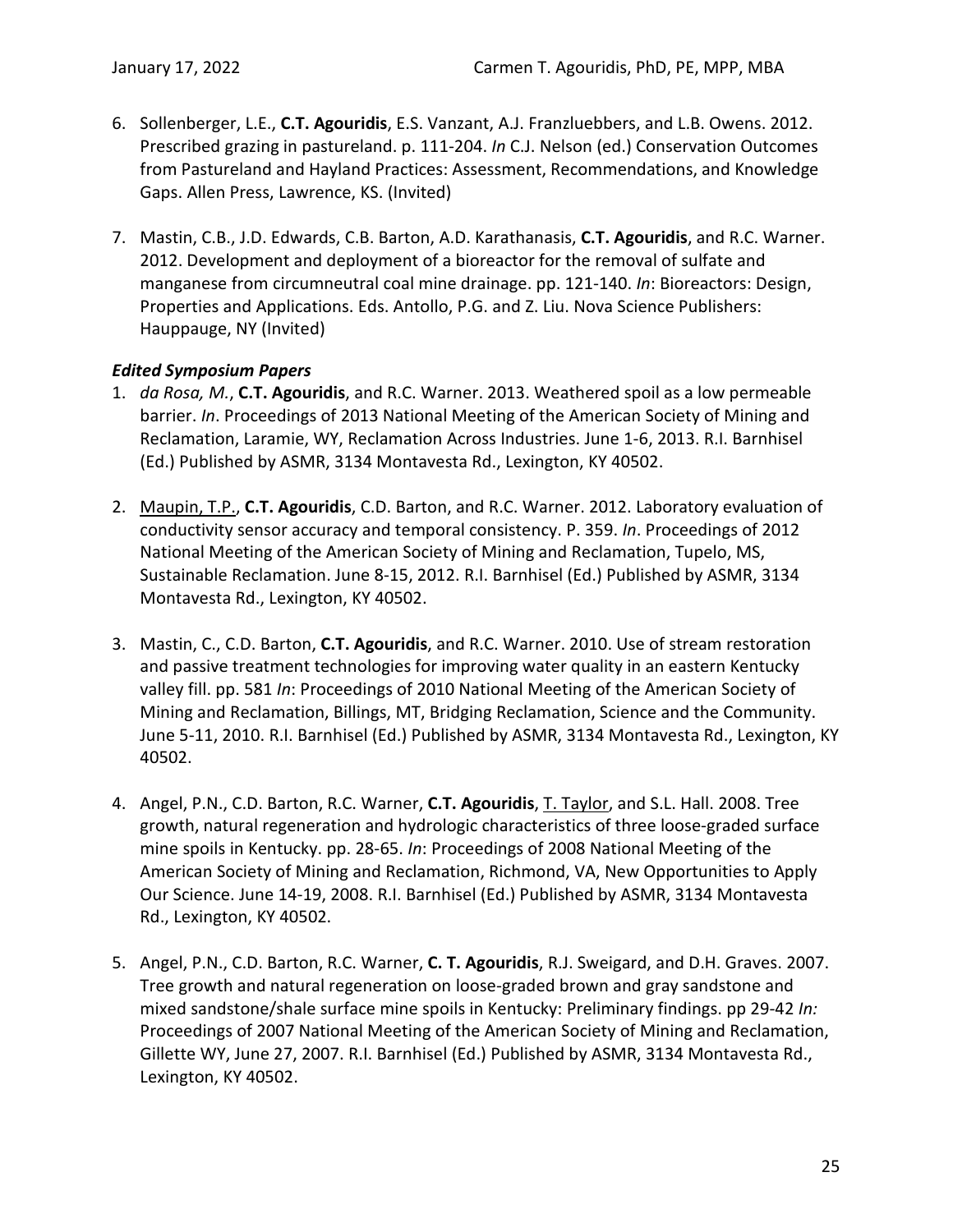- 6. Sollenberger, L.E., **C.T. Agouridis**, E.S. Vanzant, A.J. Franzluebbers, and L.B. Owens. 2012. Prescribed grazing in pastureland. p. 111-204. *In* C.J. Nelson (ed.) Conservation Outcomes from Pastureland and Hayland Practices: Assessment, Recommendations, and Knowledge Gaps. Allen Press, Lawrence, KS. (Invited)
- 7. Mastin, C.B., J.D. Edwards, C.B. Barton, A.D. Karathanasis, **C.T. Agouridis**, and R.C. Warner. 2012. Development and deployment of a bioreactor for the removal of sulfate and manganese from circumneutral coal mine drainage. pp. 121-140. *In*: Bioreactors: Design, Properties and Applications. Eds. Antollo, P.G. and Z. Liu. Nova Science Publishers: Hauppauge, NY (Invited)

### <span id="page-27-0"></span>*Edited Symposium Papers*

- 1. *da Rosa, M.*, **C.T. Agouridis**, and R.C. Warner. 2013. Weathered spoil as a low permeable barrier. *In*. Proceedings of 2013 National Meeting of the American Society of Mining and Reclamation, Laramie, WY, Reclamation Across Industries. June 1-6, 2013. R.I. Barnhisel (Ed.) Published by ASMR, 3134 Montavesta Rd., Lexington, KY 40502.
- 2. Maupin, T.P., **C.T. Agouridis**, C.D. Barton, and R.C. Warner. 2012. Laboratory evaluation of conductivity sensor accuracy and temporal consistency. P. 359. *In*. Proceedings of 2012 National Meeting of the American Society of Mining and Reclamation, Tupelo, MS, Sustainable Reclamation. June 8-15, 2012. R.I. Barnhisel (Ed.) Published by ASMR, 3134 Montavesta Rd., Lexington, KY 40502.
- 3. Mastin, C., C.D. Barton, **C.T. Agouridis**, and R.C. Warner. 2010. Use of stream restoration and passive treatment technologies for improving water quality in an eastern Kentucky valley fill. pp. 581 *In*: Proceedings of 2010 National Meeting of the American Society of Mining and Reclamation, Billings, MT, Bridging Reclamation, Science and the Community. June 5-11, 2010. R.I. Barnhisel (Ed.) Published by ASMR, 3134 Montavesta Rd., Lexington, KY 40502.
- 4. Angel, P.N., C.D. Barton, R.C. Warner, **C.T. Agouridis**, T. Taylor, and S.L. Hall. 2008. Tree growth, natural regeneration and hydrologic characteristics of three loose-graded surface mine spoils in Kentucky. pp. 28-65. *In*: Proceedings of 2008 National Meeting of the American Society of Mining and Reclamation, Richmond, VA, New Opportunities to Apply Our Science. June 14-19, 2008. R.I. Barnhisel (Ed.) Published by ASMR, 3134 Montavesta Rd., Lexington, KY 40502.
- 5. Angel, P.N., C.D. Barton, R.C. Warner, **C. T. Agouridis**, R.J. Sweigard, and D.H. Graves. 2007. Tree growth and natural regeneration on loose-graded brown and gray sandstone and mixed sandstone/shale surface mine spoils in Kentucky: Preliminary findings. pp 29-42 *In:* Proceedings of 2007 National Meeting of the American Society of Mining and Reclamation, Gillette WY, June 27, 2007. R.I. Barnhisel (Ed.) Published by ASMR, 3134 Montavesta Rd., Lexington, KY 40502.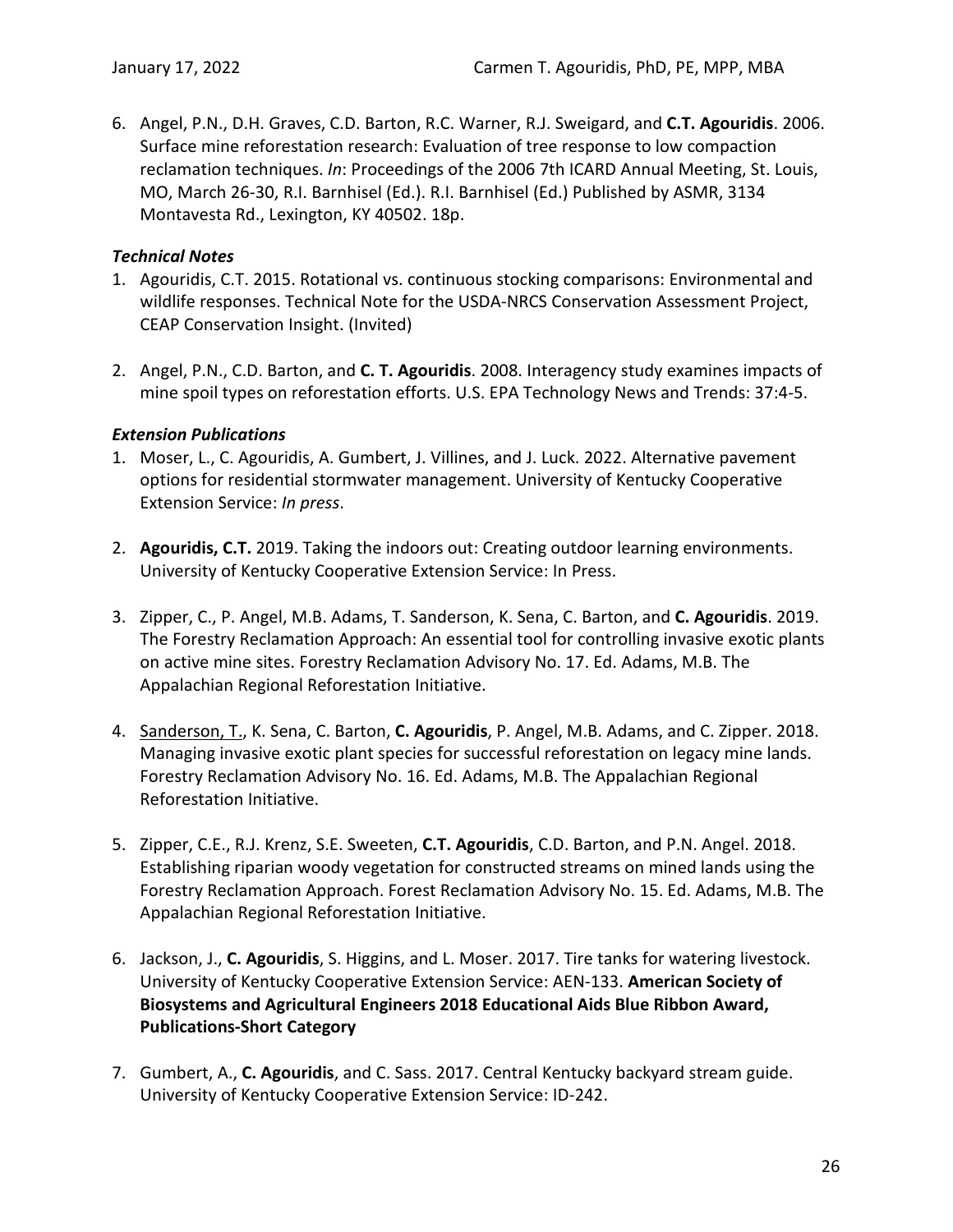6. Angel, P.N., D.H. Graves, C.D. Barton, R.C. Warner, R.J. Sweigard, and **C.T. Agouridis**. 2006. Surface mine reforestation research: Evaluation of tree response to low compaction reclamation techniques. *In*: Proceedings of the 2006 7th ICARD Annual Meeting, St. Louis, MO, March 26-30, R.I. Barnhisel (Ed.). R.I. Barnhisel (Ed.) Published by ASMR, 3134 Montavesta Rd., Lexington, KY 40502. 18p.

### <span id="page-28-0"></span>*Technical Notes*

- 1. Agouridis, C.T. 2015. Rotational vs. continuous stocking comparisons: Environmental and wildlife responses. Technical Note for the USDA-NRCS Conservation Assessment Project, CEAP Conservation Insight. (Invited)
- 2. Angel, P.N., C.D. Barton, and **C. T. Agouridis**. 2008. Interagency study examines impacts of mine spoil types on reforestation efforts. U.S. EPA Technology News and Trends: 37:4-5.

### <span id="page-28-1"></span>*Extension Publications*

- 1. Moser, L., C. Agouridis, A. Gumbert, J. Villines, and J. Luck. 2022. Alternative pavement options for residential stormwater management. University of Kentucky Cooperative Extension Service: *In press*.
- 2. **Agouridis, C.T.** 2019. Taking the indoors out: Creating outdoor learning environments. University of Kentucky Cooperative Extension Service: In Press.
- 3. Zipper, C., P. Angel, M.B. Adams, T. Sanderson, K. Sena, C. Barton, and **C. Agouridis**. 2019. The Forestry Reclamation Approach: An essential tool for controlling invasive exotic plants on active mine sites. Forestry Reclamation Advisory No. 17. Ed. Adams, M.B. The Appalachian Regional Reforestation Initiative.
- 4. Sanderson, T., K. Sena, C. Barton, **C. Agouridis**, P. Angel, M.B. Adams, and C. Zipper. 2018. Managing invasive exotic plant species for successful reforestation on legacy mine lands. Forestry Reclamation Advisory No. 16. Ed. Adams, M.B. The Appalachian Regional Reforestation Initiative.
- 5. Zipper, C.E., R.J. Krenz, S.E. Sweeten, **C.T. Agouridis**, C.D. Barton, and P.N. Angel. 2018. Establishing riparian woody vegetation for constructed streams on mined lands using the Forestry Reclamation Approach. Forest Reclamation Advisory No. 15. Ed. Adams, M.B. The Appalachian Regional Reforestation Initiative.
- 6. Jackson, J., **C. Agouridis**, S. Higgins, and L. Moser. 2017. Tire tanks for watering livestock. University of Kentucky Cooperative Extension Service: AEN-133. **American Society of Biosystems and Agricultural Engineers 2018 Educational Aids Blue Ribbon Award, Publications-Short Category**
- 7. Gumbert, A., **C. Agouridis**, and C. Sass. 2017. Central Kentucky backyard stream guide. University of Kentucky Cooperative Extension Service: ID-242.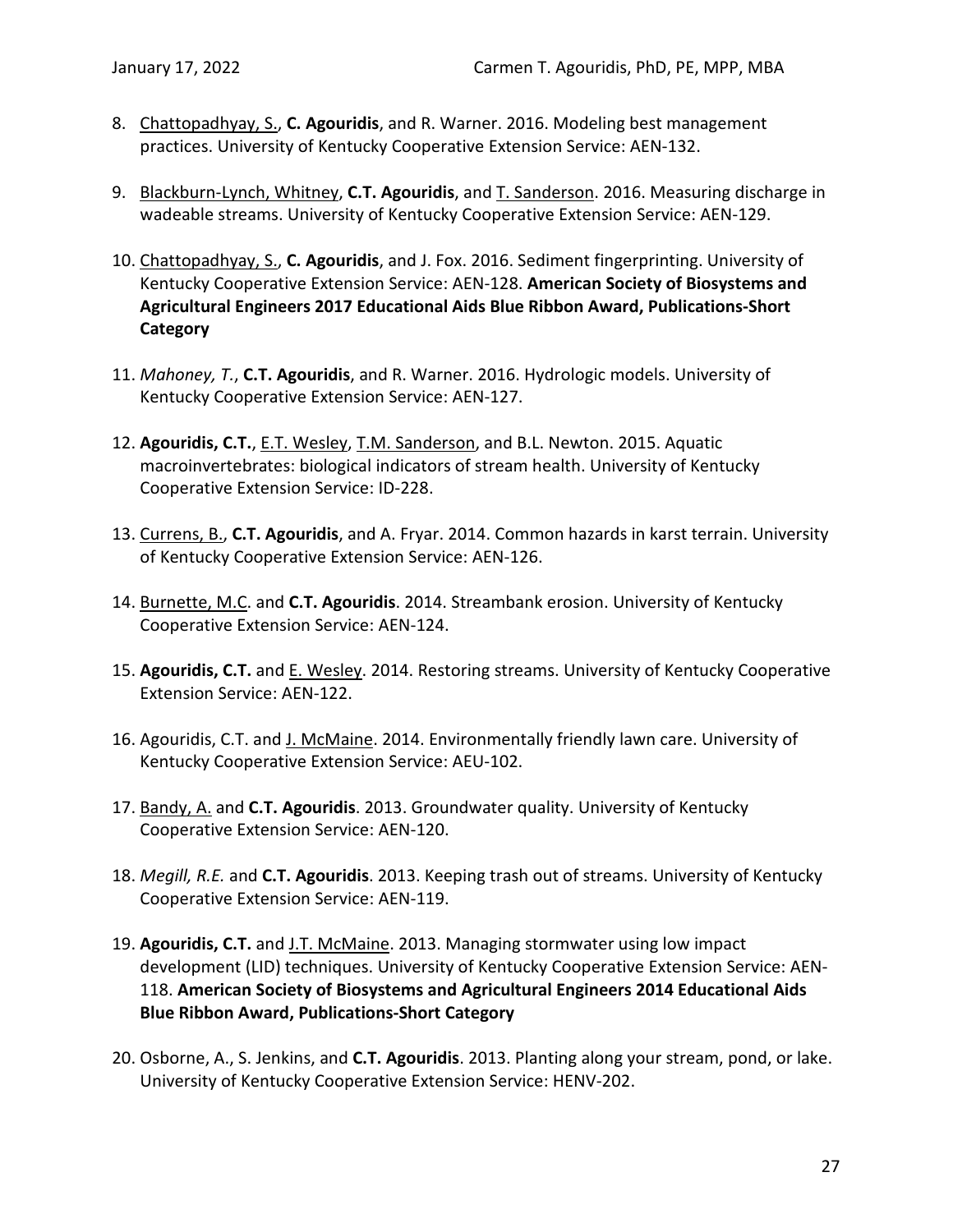- 8. Chattopadhyay, S., **C. Agouridis**, and R. Warner. 2016. Modeling best management practices. University of Kentucky Cooperative Extension Service: AEN-132.
- 9. Blackburn-Lynch, Whitney, **C.T. Agouridis**, and T. Sanderson. 2016. Measuring discharge in wadeable streams. University of Kentucky Cooperative Extension Service: AEN-129.
- 10. Chattopadhyay, S., **C. Agouridis**, and J. Fox. 2016. Sediment fingerprinting. University of Kentucky Cooperative Extension Service: AEN-128. **American Society of Biosystems and Agricultural Engineers 2017 Educational Aids Blue Ribbon Award, Publications-Short Category**
- 11. *Mahoney, T.*, **C.T. Agouridis**, and R. Warner. 2016. Hydrologic models. University of Kentucky Cooperative Extension Service: AEN-127.
- 12. **Agouridis, C.T.**, E.T. Wesley, T.M. Sanderson, and B.L. Newton. 2015. Aquatic macroinvertebrates: biological indicators of stream health. University of Kentucky Cooperative Extension Service: ID-228.
- 13. Currens, B., **C.T. Agouridis**, and A. Fryar. 2014. Common hazards in karst terrain. University of Kentucky Cooperative Extension Service: AEN-126.
- 14. Burnette, M.C. and **C.T. Agouridis**. 2014. Streambank erosion. University of Kentucky Cooperative Extension Service: AEN-124.
- 15. **Agouridis, C.T.** and E. Wesley. 2014. Restoring streams. University of Kentucky Cooperative Extension Service: AEN-122.
- 16. Agouridis, C.T. and J. McMaine. 2014. Environmentally friendly lawn care. University of Kentucky Cooperative Extension Service: AEU-102.
- 17. Bandy, A. and **C.T. Agouridis**. 2013. Groundwater quality. University of Kentucky Cooperative Extension Service: AEN-120.
- 18. *Megill, R.E.* and **C.T. Agouridis**. 2013. Keeping trash out of streams. University of Kentucky Cooperative Extension Service: AEN-119.
- 19. **Agouridis, C.T.** and J.T. McMaine. 2013. Managing stormwater using low impact development (LID) techniques. University of Kentucky Cooperative Extension Service: AEN-118. **American Society of Biosystems and Agricultural Engineers 2014 Educational Aids Blue Ribbon Award, Publications-Short Category**
- 20. Osborne, A., S. Jenkins, and **C.T. Agouridis**. 2013. Planting along your stream, pond, or lake. University of Kentucky Cooperative Extension Service: HENV-202.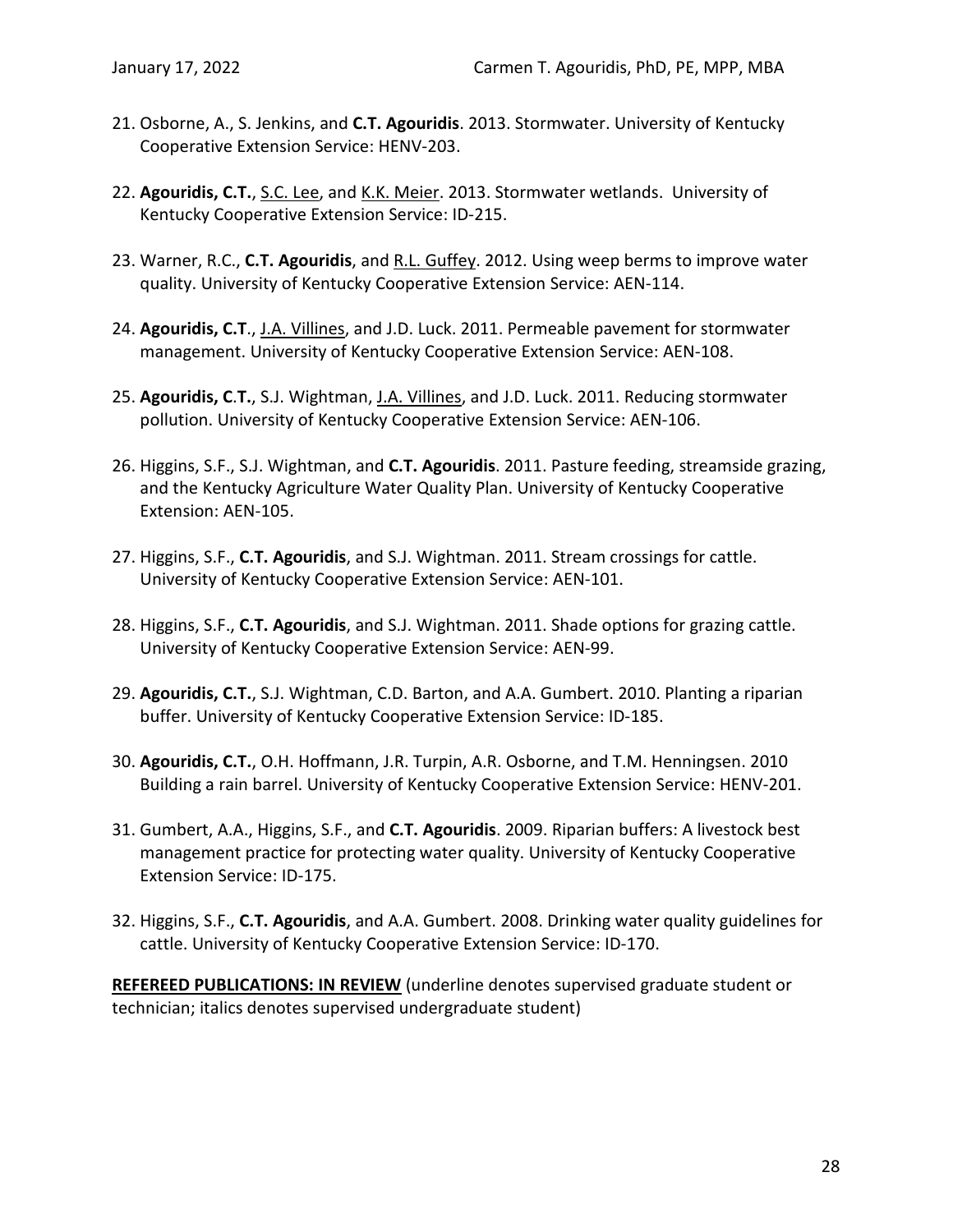- 21. Osborne, A., S. Jenkins, and **C.T. Agouridis**. 2013. Stormwater. University of Kentucky Cooperative Extension Service: HENV-203.
- 22. **Agouridis, C.T.**, S.C. Lee, and K.K. Meier. 2013. Stormwater wetlands. University of Kentucky Cooperative Extension Service: ID-215.
- 23. Warner, R.C., **C.T. Agouridis**, and R.L. Guffey. 2012. Using weep berms to improve water quality. University of Kentucky Cooperative Extension Service: AEN-114.
- 24. **Agouridis, C.T**., J.A. Villines, and J.D. Luck. 2011. Permeable pavement for stormwater management. University of Kentucky Cooperative Extension Service: AEN-108.
- 25. **Agouridis, C**.**T.**, S.J. Wightman, J.A. Villines, and J.D. Luck. 2011. Reducing stormwater pollution. University of Kentucky Cooperative Extension Service: AEN-106.
- 26. Higgins, S.F., S.J. Wightman, and **C.T. Agouridis**. 2011. Pasture feeding, streamside grazing, and the Kentucky Agriculture Water Quality Plan. University of Kentucky Cooperative Extension: AEN-105.
- 27. Higgins, S.F., **C.T. Agouridis**, and S.J. Wightman. 2011. Stream crossings for cattle. University of Kentucky Cooperative Extension Service: AEN-101.
- 28. Higgins, S.F., **C.T. Agouridis**, and S.J. Wightman. 2011. Shade options for grazing cattle. University of Kentucky Cooperative Extension Service: AEN-99.
- 29. **Agouridis, C.T.**, S.J. Wightman, C.D. Barton, and A.A. Gumbert. 2010. Planting a riparian buffer. University of Kentucky Cooperative Extension Service: ID-185.
- 30. **Agouridis, C.T.**, O.H. Hoffmann, J.R. Turpin, A.R. Osborne, and T.M. Henningsen. 2010 Building a rain barrel. University of Kentucky Cooperative Extension Service: HENV-201.
- 31. Gumbert, A.A., Higgins, S.F., and **C.T. Agouridis**. 2009. Riparian buffers: A livestock best management practice for protecting water quality. University of Kentucky Cooperative Extension Service: ID-175.
- 32. Higgins, S.F., **C.T. Agouridis**, and A.A. Gumbert. 2008. Drinking water quality guidelines for cattle. University of Kentucky Cooperative Extension Service: ID-170.

<span id="page-30-0"></span>**REFEREED PUBLICATIONS: IN REVIEW** (underline denotes supervised graduate student or technician; italics denotes supervised undergraduate student)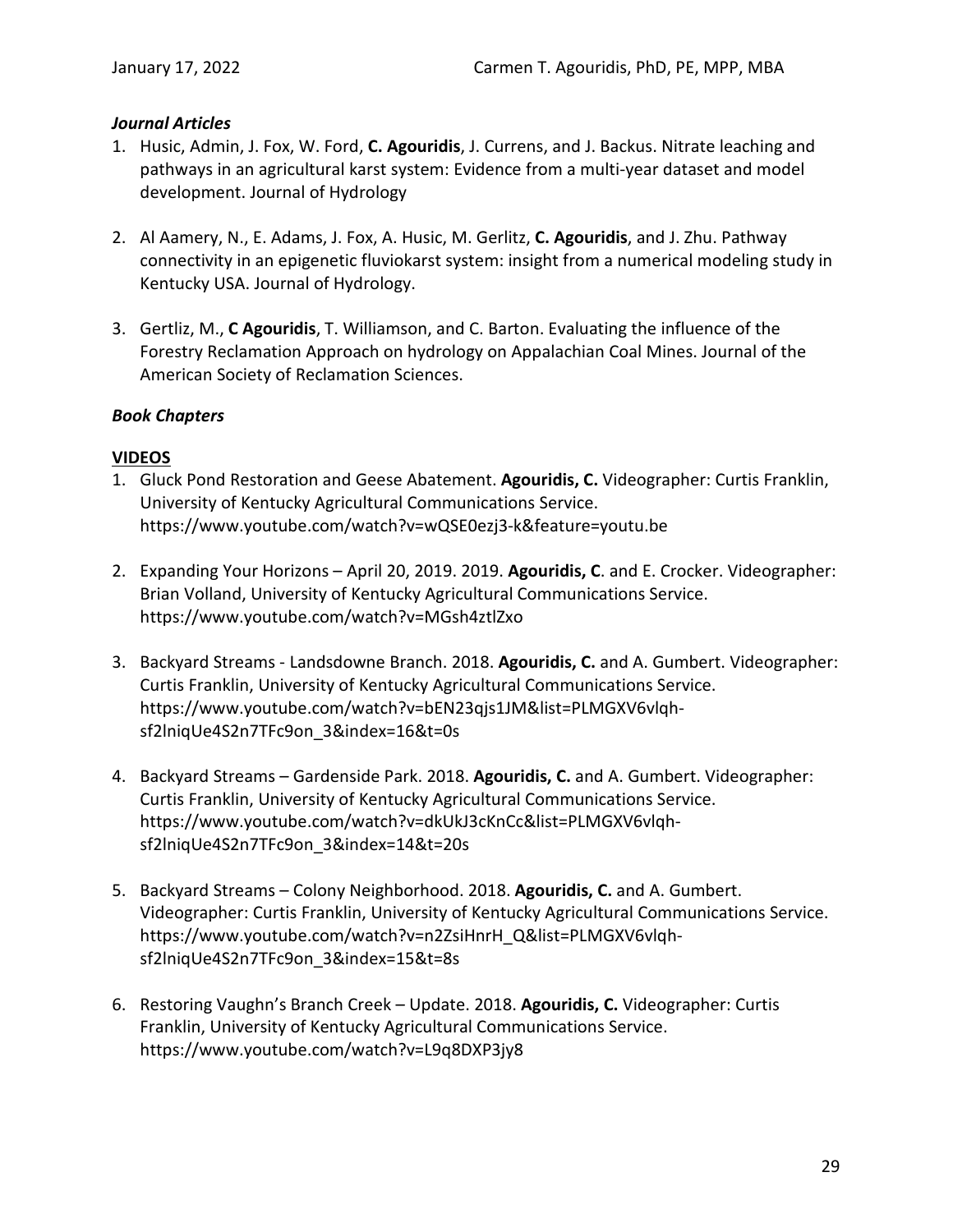### <span id="page-31-0"></span>*Journal Articles*

- 1. Husic, Admin, J. Fox, W. Ford, **C. Agouridis**, J. Currens, and J. Backus. Nitrate leaching and pathways in an agricultural karst system: Evidence from a multi-year dataset and model development. Journal of Hydrology
- 2. Al Aamery, N., E. Adams, J. Fox, A. Husic, M. Gerlitz, **C. Agouridis**, and J. Zhu. Pathway connectivity in an epigenetic fluviokarst system: insight from a numerical modeling study in Kentucky USA. Journal of Hydrology.
- 3. Gertliz, M., **C Agouridis**, T. Williamson, and C. Barton. Evaluating the influence of the Forestry Reclamation Approach on hydrology on Appalachian Coal Mines. Journal of the American Society of Reclamation Sciences.

### <span id="page-31-2"></span><span id="page-31-1"></span>*Book Chapters*

# **VIDEOS**

- 1. Gluck Pond Restoration and Geese Abatement. **Agouridis, C.** Videographer: Curtis Franklin, University of Kentucky Agricultural Communications Service. https://www.youtube.com/watch?v=wQSE0ezj3-k&feature=youtu.be
- 2. Expanding Your Horizons April 20, 2019. 2019. **Agouridis, C**. and E. Crocker. Videographer: Brian Volland, University of Kentucky Agricultural Communications Service. https://www.youtube.com/watch?v=MGsh4ztlZxo
- 3. Backyard Streams Landsdowne Branch. 2018. **Agouridis, C.** and A. Gumbert. Videographer: Curtis Franklin, University of Kentucky Agricultural Communications Service. https://www.youtube.com/watch?v=bEN23qjs1JM&list=PLMGXV6vlqhsf2lniqUe4S2n7TFc9on\_3&index=16&t=0s
- 4. Backyard Streams Gardenside Park. 2018. **Agouridis, C.** and A. Gumbert. Videographer: Curtis Franklin, University of Kentucky Agricultural Communications Service. https://www.youtube.com/watch?v=dkUkJ3cKnCc&list=PLMGXV6vlqhsf2lniqUe4S2n7TFc9on\_3&index=14&t=20s
- 5. Backyard Streams Colony Neighborhood. 2018. **Agouridis, C.** and A. Gumbert. Videographer: Curtis Franklin, University of Kentucky Agricultural Communications Service. https://www.youtube.com/watch?v=n2ZsiHnrH\_Q&list=PLMGXV6vlqhsf2lniqUe4S2n7TFc9on\_3&index=15&t=8s
- 6. Restoring Vaughn's Branch Creek Update. 2018. **Agouridis, C.** Videographer: Curtis Franklin, University of Kentucky Agricultural Communications Service. https://www.youtube.com/watch?v=L9q8DXP3jy8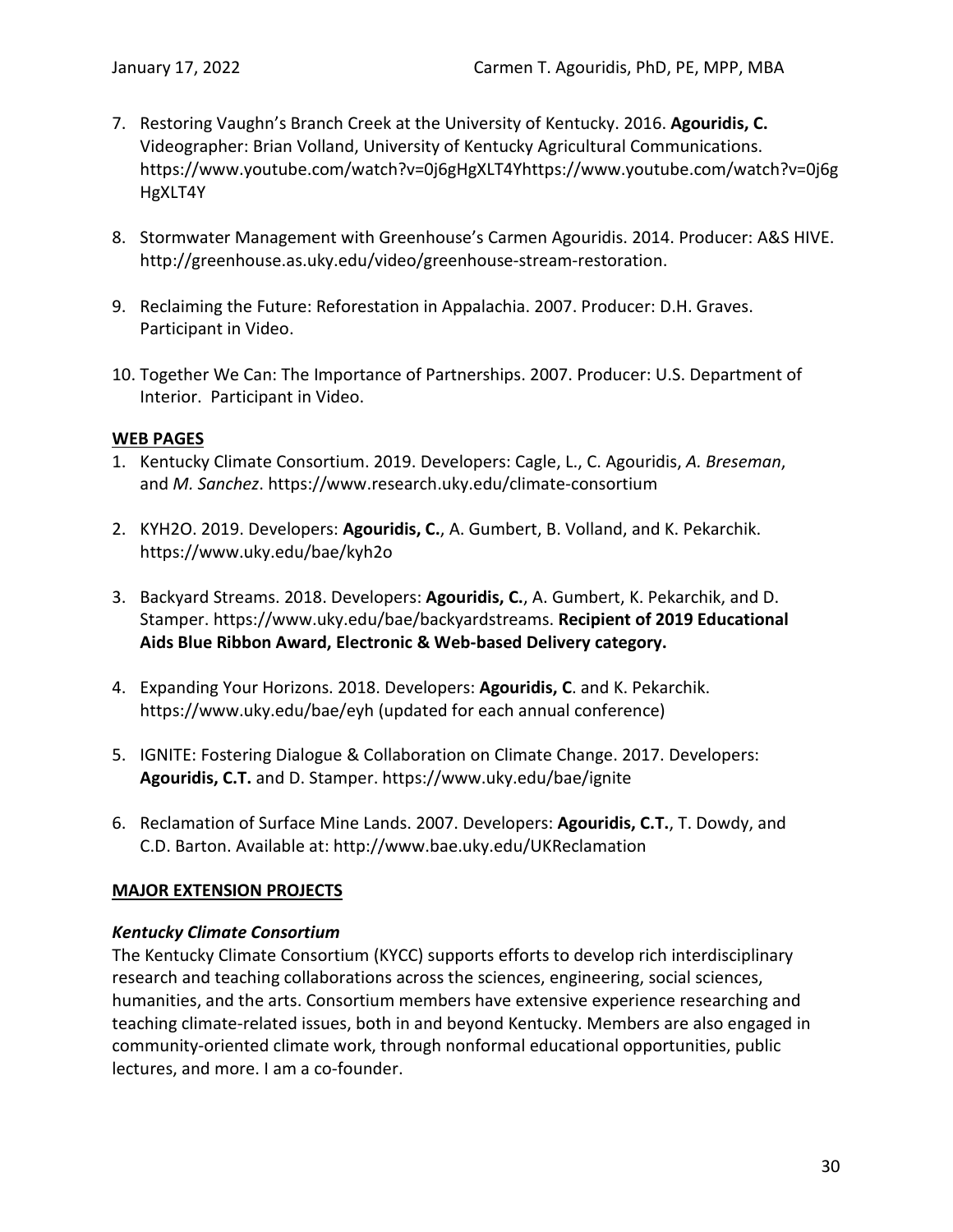- 7. Restoring Vaughn's Branch Creek at the University of Kentucky. 2016. **Agouridis, C.**  Videographer: Brian Volland, University of Kentucky Agricultural Communications. https://www.youtube.com/watch?v=0j6gHgXLT4Yhttps://www.youtube.com/watch?v=0j6g HgXLT4Y
- 8. Stormwater Management with Greenhouse's Carmen Agouridis. 2014. Producer: A&S HIVE. http://greenhouse.as.uky.edu/video/greenhouse-stream-restoration.
- 9. Reclaiming the Future: Reforestation in Appalachia. 2007. Producer: D.H. Graves. Participant in Video.
- 10. Together We Can: The Importance of Partnerships. 2007. Producer: U.S. Department of Interior. Participant in Video.

#### <span id="page-32-0"></span>**WEB PAGES**

- 1. Kentucky Climate Consortium. 2019. Developers: Cagle, L., C. Agouridis, *A. Breseman*, and *M. Sanchez*. https://www.research.uky.edu/climate-consortium
- 2. KYH2O. 2019. Developers: **Agouridis, C.**, A. Gumbert, B. Volland, and K. Pekarchik. https://www.uky.edu/bae/kyh2o
- 3. Backyard Streams. 2018. Developers: **Agouridis, C.**, A. Gumbert, K. Pekarchik, and D. Stamper. https://www.uky.edu/bae/backyardstreams. **Recipient of 2019 Educational Aids Blue Ribbon Award, Electronic & Web-based Delivery category.**
- 4. Expanding Your Horizons. 2018. Developers: **Agouridis, C**. and K. Pekarchik. https://www.uky.edu/bae/eyh (updated for each annual conference)
- 5. IGNITE: Fostering Dialogue & Collaboration on Climate Change. 2017. Developers: **Agouridis, C.T.** and D. Stamper. https://www.uky.edu/bae/ignite
- 6. Reclamation of Surface Mine Lands. 2007. Developers: **Agouridis, C.T.**, T. Dowdy, and C.D. Barton. Available at: http://www.bae.uky.edu/UKReclamation

#### <span id="page-32-2"></span><span id="page-32-1"></span>**MAJOR EXTENSION PROJECTS**

#### *Kentucky Climate Consortium*

The Kentucky Climate Consortium (KYCC) supports efforts to develop rich interdisciplinary research and teaching collaborations across the sciences, engineering, social sciences, humanities, and the arts. Consortium members have extensive experience researching and teaching climate-related issues, both in and beyond Kentucky. Members are also engaged in community-oriented climate work, through nonformal educational opportunities, public lectures, and more. I am a co-founder.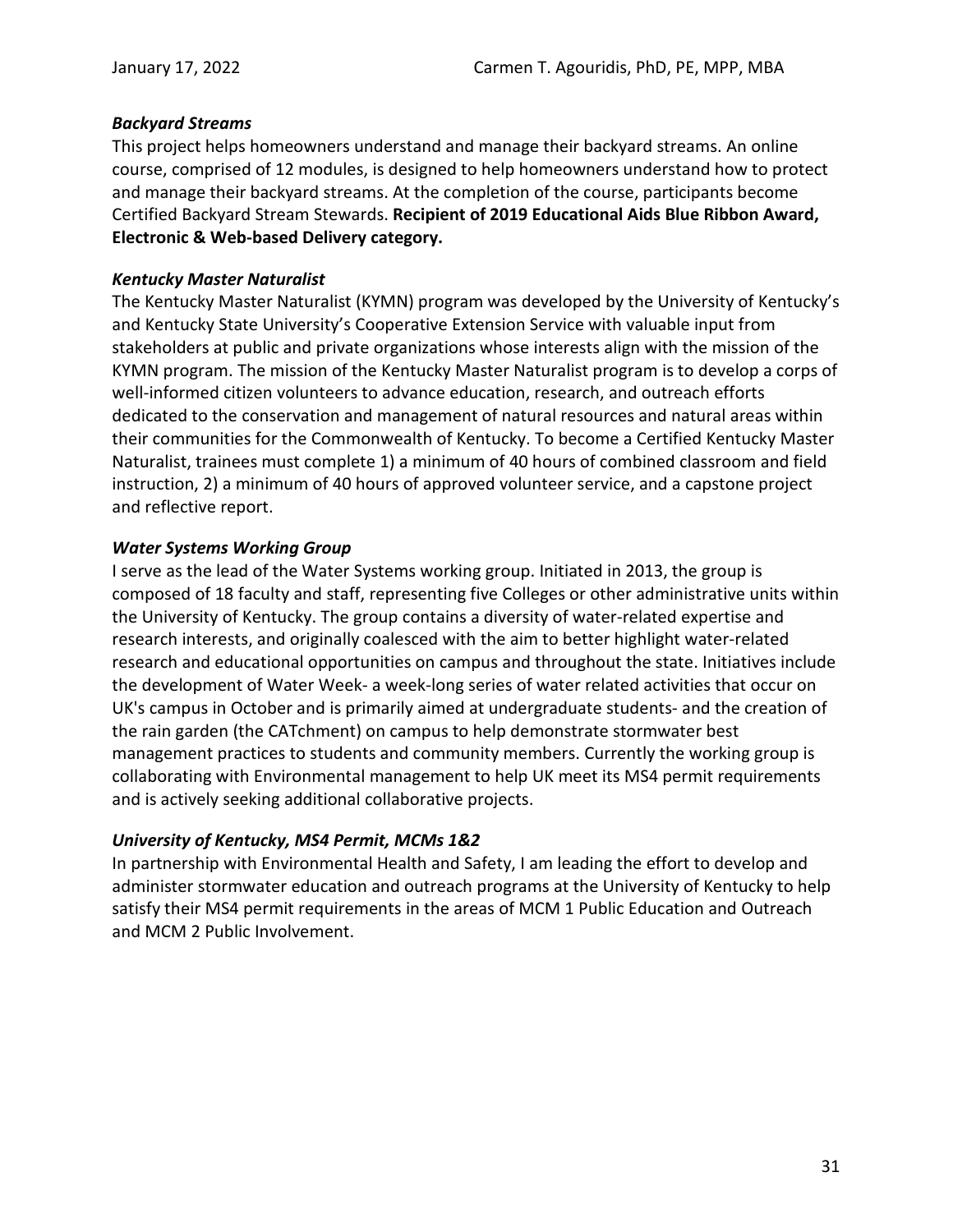#### <span id="page-33-0"></span>*Backyard Streams*

This project helps homeowners understand and manage their backyard streams. An online course, comprised of 12 modules, is designed to help homeowners understand how to protect and manage their backyard streams. At the completion of the course, participants become Certified Backyard Stream Stewards. **Recipient of 2019 Educational Aids Blue Ribbon Award, Electronic & Web-based Delivery category.**

### <span id="page-33-1"></span>*Kentucky Master Naturalist*

The Kentucky Master Naturalist (KYMN) program was developed by the University of Kentucky's and Kentucky State University's Cooperative Extension Service with valuable input from stakeholders at public and private organizations whose interests align with the mission of the KYMN program. The mission of the Kentucky Master Naturalist program is to develop a corps of well-informed citizen volunteers to advance education, research, and outreach efforts dedicated to the conservation and management of natural resources and natural areas within their communities for the Commonwealth of Kentucky. To become a Certified Kentucky Master Naturalist, trainees must complete 1) a minimum of 40 hours of combined classroom and field instruction, 2) a minimum of 40 hours of approved volunteer service, and a capstone project and reflective report.

### <span id="page-33-2"></span>*Water Systems Working Group*

I serve as the lead of the Water Systems working group. Initiated in 2013, the group is composed of 18 faculty and staff, representing five Colleges or other administrative units within the University of Kentucky. The group contains a diversity of water-related expertise and research interests, and originally coalesced with the aim to better highlight water-related research and educational opportunities on campus and throughout the state. Initiatives include the development of Water Week- a week-long series of water related activities that occur on UK's campus in October and is primarily aimed at undergraduate students- and the creation of the rain garden (the CATchment) on campus to help demonstrate stormwater best management practices to students and community members. Currently the working group is collaborating with Environmental management to help UK meet its MS4 permit requirements and is actively seeking additional collaborative projects.

# <span id="page-33-3"></span>*University of Kentucky, MS4 Permit, MCMs 1&2*

In partnership with Environmental Health and Safety, I am leading the effort to develop and administer stormwater education and outreach programs at the University of Kentucky to help satisfy their MS4 permit requirements in the areas of MCM 1 Public Education and Outreach and MCM 2 Public Involvement.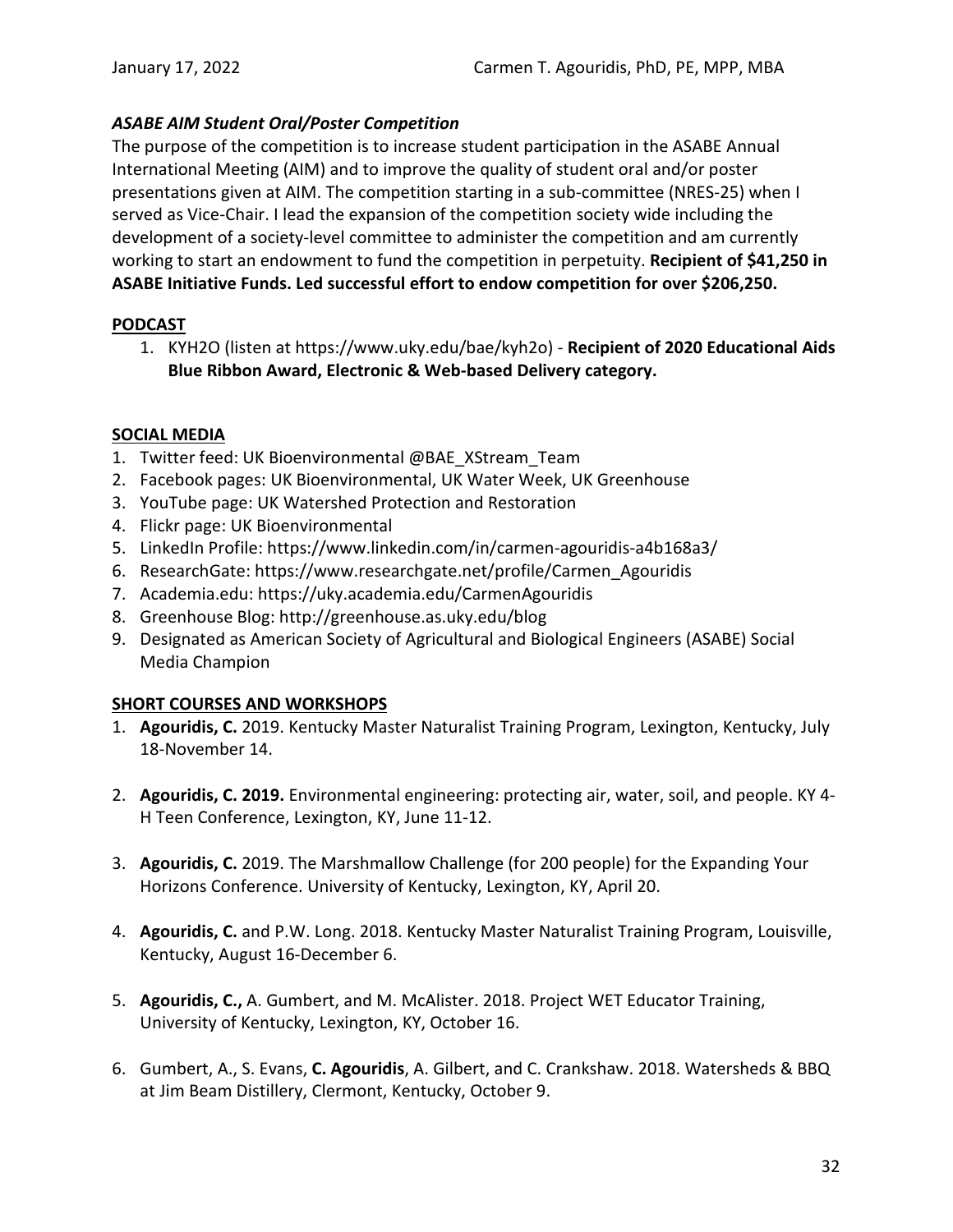# <span id="page-34-0"></span>*ASABE AIM Student Oral/Poster Competition*

The purpose of the competition is to increase student participation in the ASABE Annual International Meeting (AIM) and to improve the quality of student oral and/or poster presentations given at AIM. The competition starting in a sub-committee (NRES-25) when I served as Vice-Chair. I lead the expansion of the competition society wide including the development of a society-level committee to administer the competition and am currently working to start an endowment to fund the competition in perpetuity. **Recipient of \$41,250 in ASABE Initiative Funds. Led successful effort to endow competition for over \$206,250.**

### <span id="page-34-1"></span>**PODCAST**

1. KYH2O (listen at https://www.uky.edu/bae/kyh2o) - **Recipient of 2020 Educational Aids Blue Ribbon Award, Electronic & Web-based Delivery category.**

### <span id="page-34-2"></span>**SOCIAL MEDIA**

- 1. Twitter feed: UK Bioenvironmental @BAE\_XStream\_Team
- 2. Facebook pages: UK Bioenvironmental, UK Water Week, UK Greenhouse
- 3. YouTube page: UK Watershed Protection and Restoration
- 4. Flickr page: UK Bioenvironmental
- 5. LinkedIn Profile: https://www.linkedin.com/in/carmen-agouridis-a4b168a3/
- 6. ResearchGate: https://www.researchgate.net/profile/Carmen\_Agouridis
- 7. Academia.edu: https://uky.academia.edu/CarmenAgouridis
- 8. Greenhouse Blog: http://greenhouse.as.uky.edu/blog
- 9. Designated as American Society of Agricultural and Biological Engineers (ASABE) Social Media Champion

# <span id="page-34-3"></span>**SHORT COURSES AND WORKSHOPS**

- 1. **Agouridis, C.** 2019. Kentucky Master Naturalist Training Program, Lexington, Kentucky, July 18-November 14.
- 2. **Agouridis, C. 2019.** Environmental engineering: protecting air, water, soil, and people. KY 4- H Teen Conference, Lexington, KY, June 11-12.
- 3. **Agouridis, C.** 2019. The Marshmallow Challenge (for 200 people) for the Expanding Your Horizons Conference. University of Kentucky, Lexington, KY, April 20.
- 4. **Agouridis, C.** and P.W. Long. 2018. Kentucky Master Naturalist Training Program, Louisville, Kentucky, August 16-December 6.
- 5. **Agouridis, C.,** A. Gumbert, and M. McAlister. 2018. Project WET Educator Training, University of Kentucky, Lexington, KY, October 16.
- 6. Gumbert, A., S. Evans, **C. Agouridis**, A. Gilbert, and C. Crankshaw. 2018. Watersheds & BBQ at Jim Beam Distillery, Clermont, Kentucky, October 9.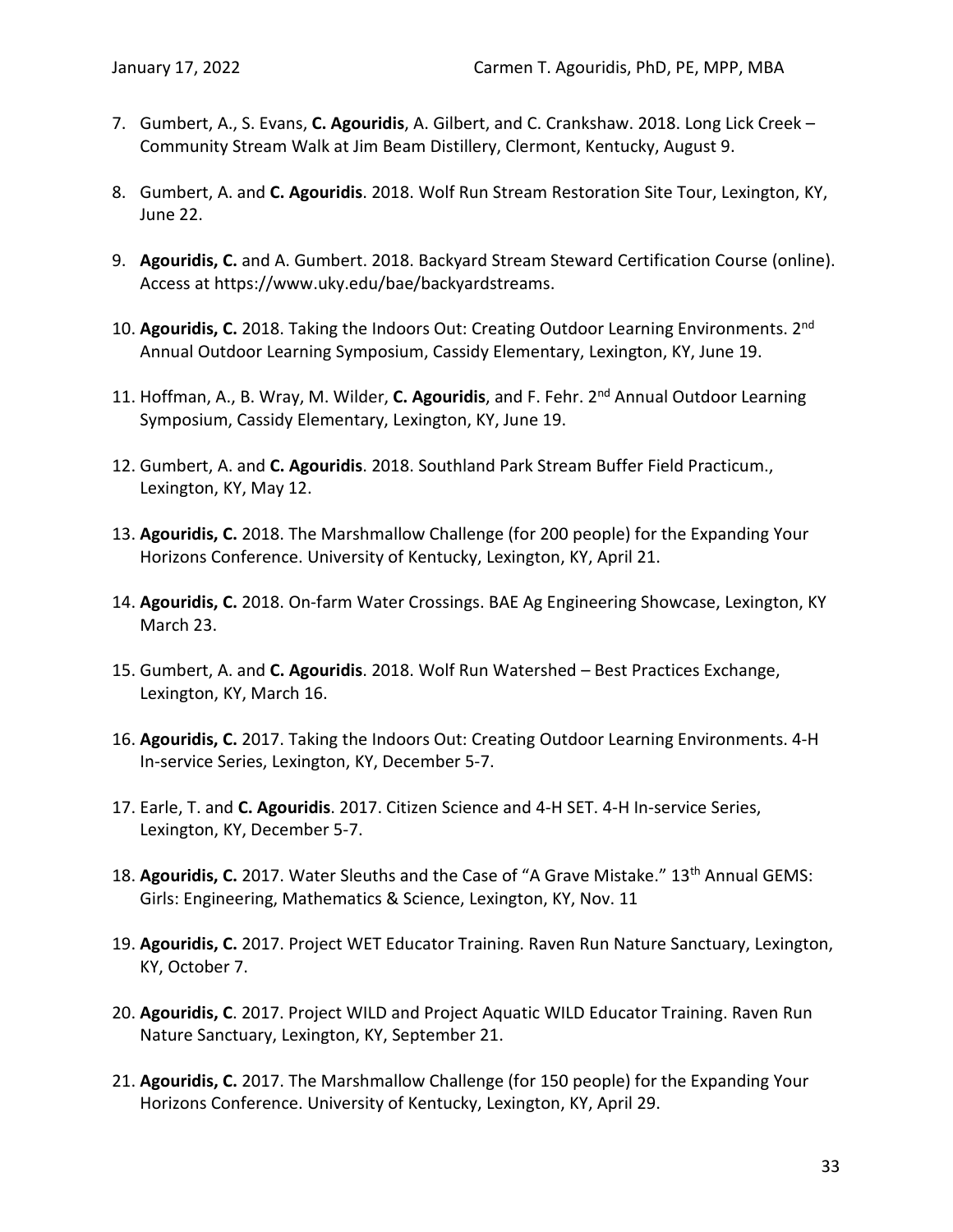- 7. Gumbert, A., S. Evans, **C. Agouridis**, A. Gilbert, and C. Crankshaw. 2018. Long Lick Creek Community Stream Walk at Jim Beam Distillery, Clermont, Kentucky, August 9.
- 8. Gumbert, A. and **C. Agouridis**. 2018. Wolf Run Stream Restoration Site Tour, Lexington, KY, June 22.
- 9. **Agouridis, C.** and A. Gumbert. 2018. Backyard Stream Steward Certification Course (online). Access at https://www.uky.edu/bae/backyardstreams.
- 10. **Agouridis, C.** 2018. Taking the Indoors Out: Creating Outdoor Learning Environments. 2nd Annual Outdoor Learning Symposium, Cassidy Elementary, Lexington, KY, June 19.
- 11. Hoffman, A., B. Wray, M. Wilder, **C. Agouridis**, and F. Fehr. 2nd Annual Outdoor Learning Symposium, Cassidy Elementary, Lexington, KY, June 19.
- 12. Gumbert, A. and **C. Agouridis**. 2018. Southland Park Stream Buffer Field Practicum., Lexington, KY, May 12.
- 13. **Agouridis, C.** 2018. The Marshmallow Challenge (for 200 people) for the Expanding Your Horizons Conference. University of Kentucky, Lexington, KY, April 21.
- 14. **Agouridis, C.** 2018. On-farm Water Crossings. BAE Ag Engineering Showcase, Lexington, KY March 23.
- 15. Gumbert, A. and **C. Agouridis**. 2018. Wolf Run Watershed Best Practices Exchange, Lexington, KY, March 16.
- 16. **Agouridis, C.** 2017. Taking the Indoors Out: Creating Outdoor Learning Environments. 4-H In-service Series, Lexington, KY, December 5-7.
- 17. Earle, T. and **C. Agouridis**. 2017. Citizen Science and 4-H SET. 4-H In-service Series, Lexington, KY, December 5-7.
- 18. Agouridis, C. 2017. Water Sleuths and the Case of "A Grave Mistake." 13<sup>th</sup> Annual GEMS: Girls: Engineering, Mathematics & Science, Lexington, KY, Nov. 11
- 19. **Agouridis, C.** 2017. Project WET Educator Training. Raven Run Nature Sanctuary, Lexington, KY, October 7.
- 20. **Agouridis, C**. 2017. Project WILD and Project Aquatic WILD Educator Training. Raven Run Nature Sanctuary, Lexington, KY, September 21.
- 21. **Agouridis, C.** 2017. The Marshmallow Challenge (for 150 people) for the Expanding Your Horizons Conference. University of Kentucky, Lexington, KY, April 29.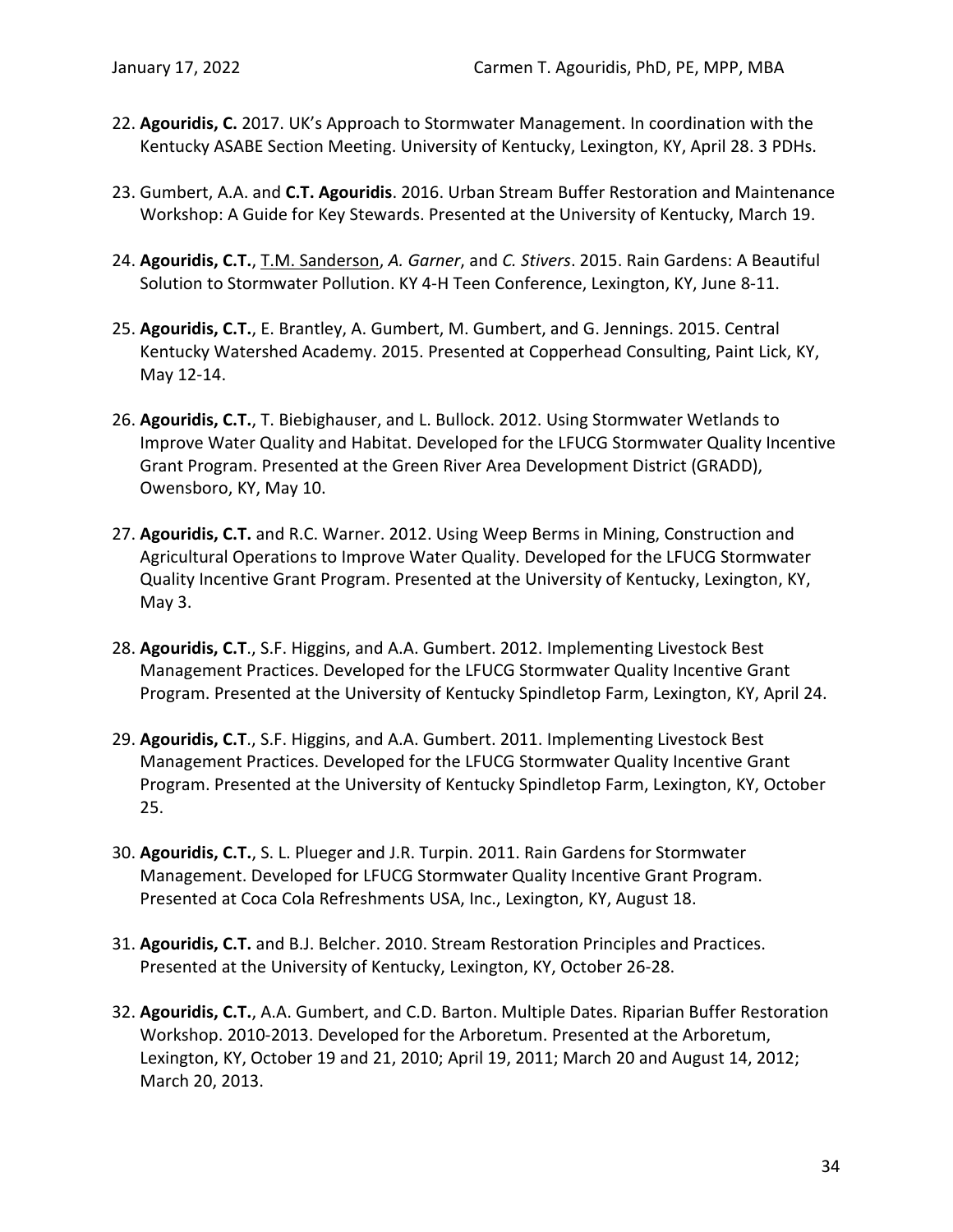- 22. **Agouridis, C.** 2017. UK's Approach to Stormwater Management. In coordination with the Kentucky ASABE Section Meeting. University of Kentucky, Lexington, KY, April 28. 3 PDHs.
- 23. Gumbert, A.A. and **C.T. Agouridis**. 2016. Urban Stream Buffer Restoration and Maintenance Workshop: A Guide for Key Stewards. Presented at the University of Kentucky, March 19.
- 24. **Agouridis, C.T.**, T.M. Sanderson, *A. Garner*, and *C. Stivers*. 2015. Rain Gardens: A Beautiful Solution to Stormwater Pollution. KY 4-H Teen Conference, Lexington, KY, June 8-11.
- 25. **Agouridis, C.T.**, E. Brantley, A. Gumbert, M. Gumbert, and G. Jennings. 2015. Central Kentucky Watershed Academy. 2015. Presented at Copperhead Consulting, Paint Lick, KY, May 12-14.
- 26. **Agouridis, C.T.**, T. Biebighauser, and L. Bullock. 2012. Using Stormwater Wetlands to Improve Water Quality and Habitat. Developed for the LFUCG Stormwater Quality Incentive Grant Program. Presented at the Green River Area Development District (GRADD), Owensboro, KY, May 10.
- 27. **Agouridis, C.T.** and R.C. Warner. 2012. Using Weep Berms in Mining, Construction and Agricultural Operations to Improve Water Quality. Developed for the LFUCG Stormwater Quality Incentive Grant Program. Presented at the University of Kentucky, Lexington, KY, May 3.
- 28. **Agouridis, C.T**., S.F. Higgins, and A.A. Gumbert. 2012. Implementing Livestock Best Management Practices. Developed for the LFUCG Stormwater Quality Incentive Grant Program. Presented at the University of Kentucky Spindletop Farm, Lexington, KY, April 24.
- 29. **Agouridis, C.T**., S.F. Higgins, and A.A. Gumbert. 2011. Implementing Livestock Best Management Practices. Developed for the LFUCG Stormwater Quality Incentive Grant Program. Presented at the University of Kentucky Spindletop Farm, Lexington, KY, October 25.
- 30. **Agouridis, C.T.**, S. L. Plueger and J.R. Turpin. 2011. Rain Gardens for Stormwater Management. Developed for LFUCG Stormwater Quality Incentive Grant Program. Presented at Coca Cola Refreshments USA, Inc., Lexington, KY, August 18.
- 31. **Agouridis, C.T.** and B.J. Belcher. 2010. Stream Restoration Principles and Practices. Presented at the University of Kentucky, Lexington, KY, October 26-28.
- 32. **Agouridis, C.T.**, A.A. Gumbert, and C.D. Barton. Multiple Dates. Riparian Buffer Restoration Workshop. 2010-2013. Developed for the Arboretum. Presented at the Arboretum, Lexington, KY, October 19 and 21, 2010; April 19, 2011; March 20 and August 14, 2012; March 20, 2013.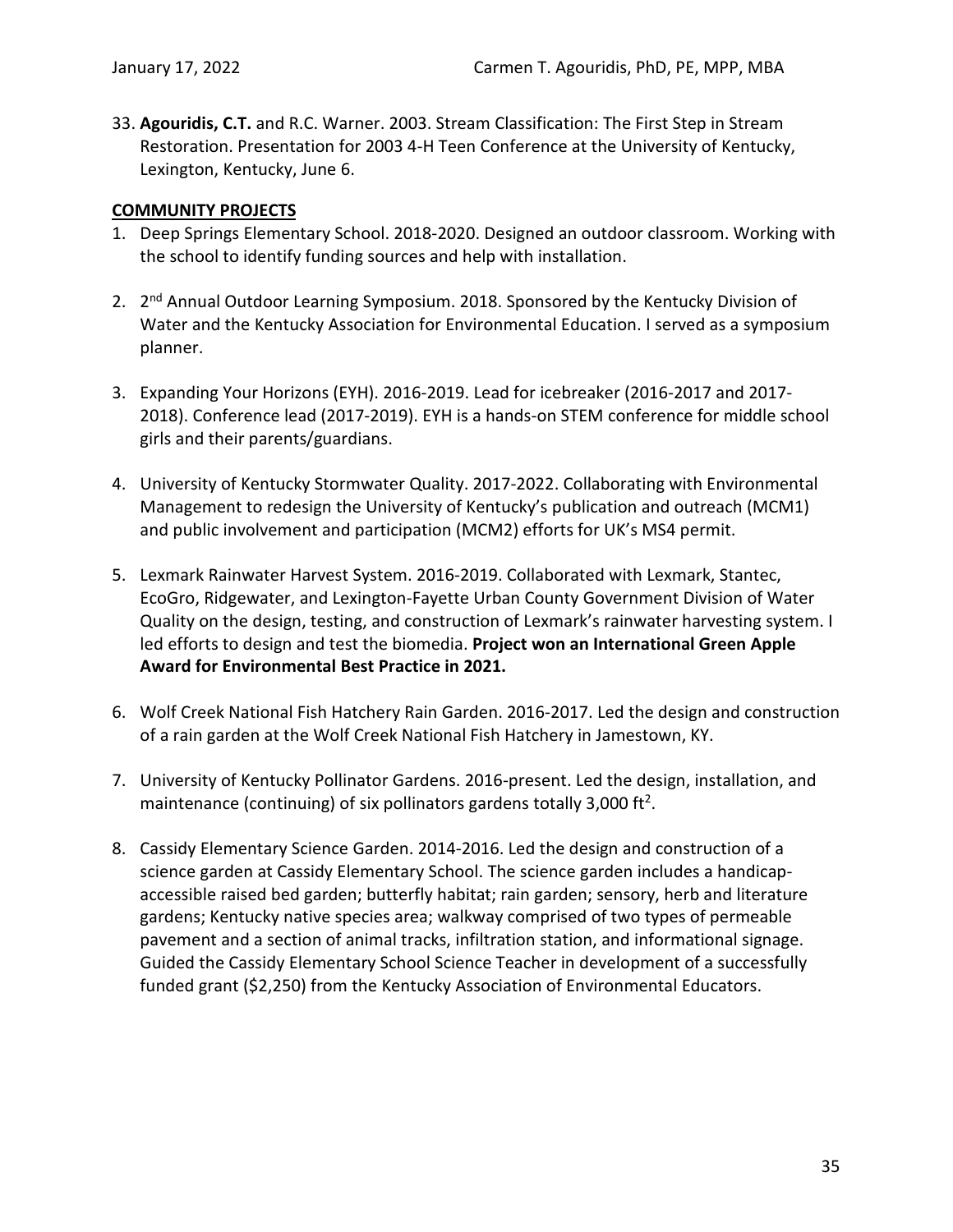33. **Agouridis, C.T.** and R.C. Warner. 2003. Stream Classification: The First Step in Stream Restoration. Presentation for 2003 4-H Teen Conference at the University of Kentucky, Lexington, Kentucky, June 6.

## **COMMUNITY PROJECTS**

- 1. Deep Springs Elementary School. 2018-2020. Designed an outdoor classroom. Working with the school to identify funding sources and help with installation.
- 2. 2<sup>nd</sup> Annual Outdoor Learning Symposium. 2018. Sponsored by the Kentucky Division of Water and the Kentucky Association for Environmental Education. I served as a symposium planner.
- 3. Expanding Your Horizons (EYH). 2016-2019. Lead for icebreaker (2016-2017 and 2017- 2018). Conference lead (2017-2019). EYH is a hands-on STEM conference for middle school girls and their parents/guardians.
- 4. University of Kentucky Stormwater Quality. 2017-2022. Collaborating with Environmental Management to redesign the University of Kentucky's publication and outreach (MCM1) and public involvement and participation (MCM2) efforts for UK's MS4 permit.
- 5. Lexmark Rainwater Harvest System. 2016-2019. Collaborated with Lexmark, Stantec, EcoGro, Ridgewater, and Lexington-Fayette Urban County Government Division of Water Quality on the design, testing, and construction of Lexmark's rainwater harvesting system. I led efforts to design and test the biomedia. **Project won an International Green Apple Award for Environmental Best Practice in 2021.**
- 6. Wolf Creek National Fish Hatchery Rain Garden. 2016-2017. Led the design and construction of a rain garden at the Wolf Creek National Fish Hatchery in Jamestown, KY.
- 7. University of Kentucky Pollinator Gardens. 2016-present. Led the design, installation, and maintenance (continuing) of six pollinators gardens totally 3,000 ft<sup>2</sup>.
- 8. Cassidy Elementary Science Garden. 2014-2016. Led the design and construction of a science garden at Cassidy Elementary School. The science garden includes a handicapaccessible raised bed garden; butterfly habitat; rain garden; sensory, herb and literature gardens; Kentucky native species area; walkway comprised of two types of permeable pavement and a section of animal tracks, infiltration station, and informational signage. Guided the Cassidy Elementary School Science Teacher in development of a successfully funded grant (\$2,250) from the Kentucky Association of Environmental Educators.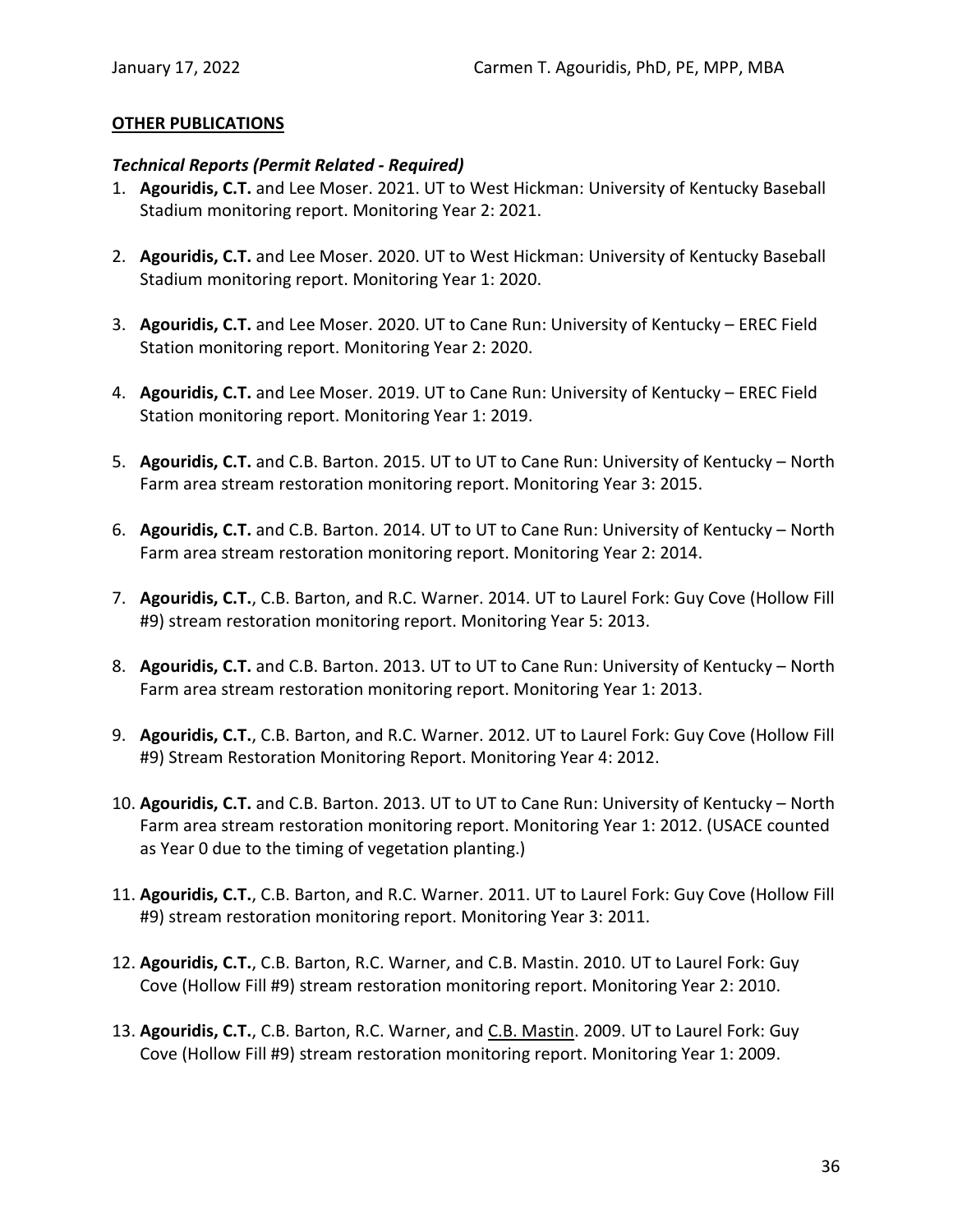### **OTHER PUBLICATIONS**

#### *Technical Reports (Permit Related - Required)*

- 1. **Agouridis, C.T.** and Lee Moser. 2021. UT to West Hickman: University of Kentucky Baseball Stadium monitoring report. Monitoring Year 2: 2021.
- 2. **Agouridis, C.T.** and Lee Moser. 2020. UT to West Hickman: University of Kentucky Baseball Stadium monitoring report. Monitoring Year 1: 2020.
- 3. **Agouridis, C.T.** and Lee Moser. 2020. UT to Cane Run: University of Kentucky EREC Field Station monitoring report. Monitoring Year 2: 2020.
- 4. **Agouridis, C.T.** and Lee Moser. 2019. UT to Cane Run: University of Kentucky EREC Field Station monitoring report. Monitoring Year 1: 2019.
- 5. **Agouridis, C.T.** and C.B. Barton. 2015. UT to UT to Cane Run: University of Kentucky North Farm area stream restoration monitoring report. Monitoring Year 3: 2015.
- 6. **Agouridis, C.T.** and C.B. Barton. 2014. UT to UT to Cane Run: University of Kentucky North Farm area stream restoration monitoring report. Monitoring Year 2: 2014.
- 7. **Agouridis, C.T.**, C.B. Barton, and R.C. Warner. 2014. UT to Laurel Fork: Guy Cove (Hollow Fill #9) stream restoration monitoring report. Monitoring Year 5: 2013.
- 8. **Agouridis, C.T.** and C.B. Barton. 2013. UT to UT to Cane Run: University of Kentucky North Farm area stream restoration monitoring report. Monitoring Year 1: 2013.
- 9. **Agouridis, C.T.**, C.B. Barton, and R.C. Warner. 2012. UT to Laurel Fork: Guy Cove (Hollow Fill #9) Stream Restoration Monitoring Report. Monitoring Year 4: 2012.
- 10. **Agouridis, C.T.** and C.B. Barton. 2013. UT to UT to Cane Run: University of Kentucky North Farm area stream restoration monitoring report. Monitoring Year 1: 2012. (USACE counted as Year 0 due to the timing of vegetation planting.)
- 11. **Agouridis, C.T.**, C.B. Barton, and R.C. Warner. 2011. UT to Laurel Fork: Guy Cove (Hollow Fill #9) stream restoration monitoring report. Monitoring Year 3: 2011.
- 12. **Agouridis, C.T.**, C.B. Barton, R.C. Warner, and C.B. Mastin. 2010. UT to Laurel Fork: Guy Cove (Hollow Fill #9) stream restoration monitoring report. Monitoring Year 2: 2010.
- 13. **Agouridis, C.T.**, C.B. Barton, R.C. Warner, and C.B. Mastin. 2009. UT to Laurel Fork: Guy Cove (Hollow Fill #9) stream restoration monitoring report. Monitoring Year 1: 2009.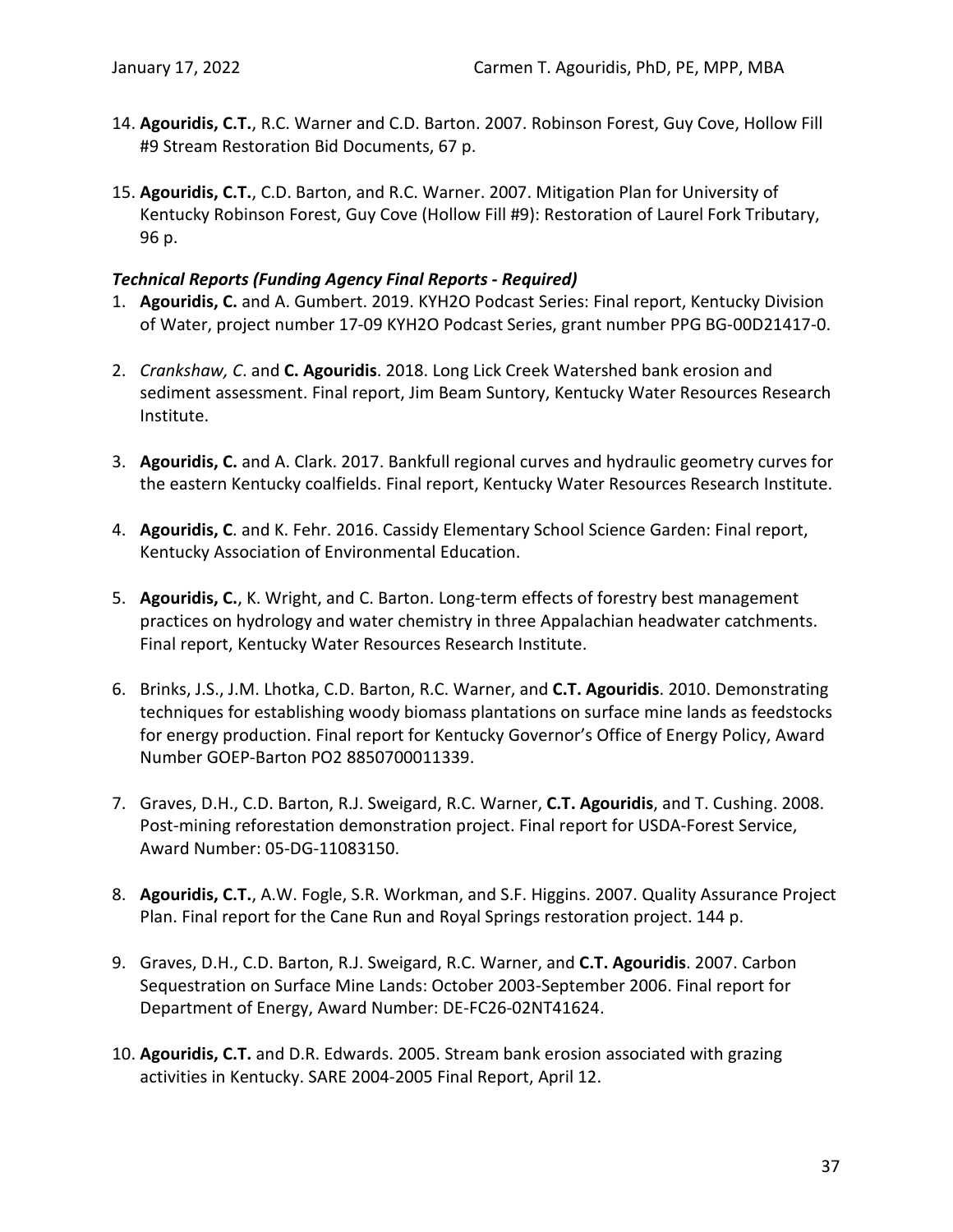- 14. **Agouridis, C.T.**, R.C. Warner and C.D. Barton. 2007. Robinson Forest, Guy Cove, Hollow Fill #9 Stream Restoration Bid Documents, 67 p.
- 15. **Agouridis, C.T.**, C.D. Barton, and R.C. Warner. 2007. Mitigation Plan for University of Kentucky Robinson Forest, Guy Cove (Hollow Fill #9): Restoration of Laurel Fork Tributary, 96 p.

# *Technical Reports (Funding Agency Final Reports - Required)*

- 1. **Agouridis, C.** and A. Gumbert. 2019. KYH2O Podcast Series: Final report, Kentucky Division of Water, project number 17-09 KYH2O Podcast Series, grant number PPG BG-00D21417-0.
- 2. *Crankshaw, C*. and **C. Agouridis**. 2018. Long Lick Creek Watershed bank erosion and sediment assessment. Final report, Jim Beam Suntory, Kentucky Water Resources Research Institute.
- 3. **Agouridis, C.** and A. Clark. 2017. Bankfull regional curves and hydraulic geometry curves for the eastern Kentucky coalfields. Final report, Kentucky Water Resources Research Institute.
- 4. **Agouridis, C**. and K. Fehr. 2016. Cassidy Elementary School Science Garden: Final report, Kentucky Association of Environmental Education.
- 5. **Agouridis, C.**, K. Wright, and C. Barton. Long-term effects of forestry best management practices on hydrology and water chemistry in three Appalachian headwater catchments. Final report, Kentucky Water Resources Research Institute.
- 6. Brinks, J.S., J.M. Lhotka, C.D. Barton, R.C. Warner, and **C.T. Agouridis**. 2010. Demonstrating techniques for establishing woody biomass plantations on surface mine lands as feedstocks for energy production. Final report for Kentucky Governor's Office of Energy Policy, Award Number GOEP-Barton PO2 8850700011339.
- 7. Graves, D.H., C.D. Barton, R.J. Sweigard, R.C. Warner, **C.T. Agouridis**, and T. Cushing. 2008. Post-mining reforestation demonstration project. Final report for USDA-Forest Service, Award Number: 05-DG-11083150.
- 8. **Agouridis, C.T.**, A.W. Fogle, S.R. Workman, and S.F. Higgins. 2007. Quality Assurance Project Plan. Final report for the Cane Run and Royal Springs restoration project. 144 p.
- 9. Graves, D.H., C.D. Barton, R.J. Sweigard, R.C. Warner, and **C.T. Agouridis**. 2007. Carbon Sequestration on Surface Mine Lands: October 2003-September 2006. Final report for Department of Energy, Award Number: DE-FC26-02NT41624.
- 10. **Agouridis, C.T.** and D.R. Edwards. 2005. Stream bank erosion associated with grazing activities in Kentucky. SARE 2004-2005 Final Report, April 12.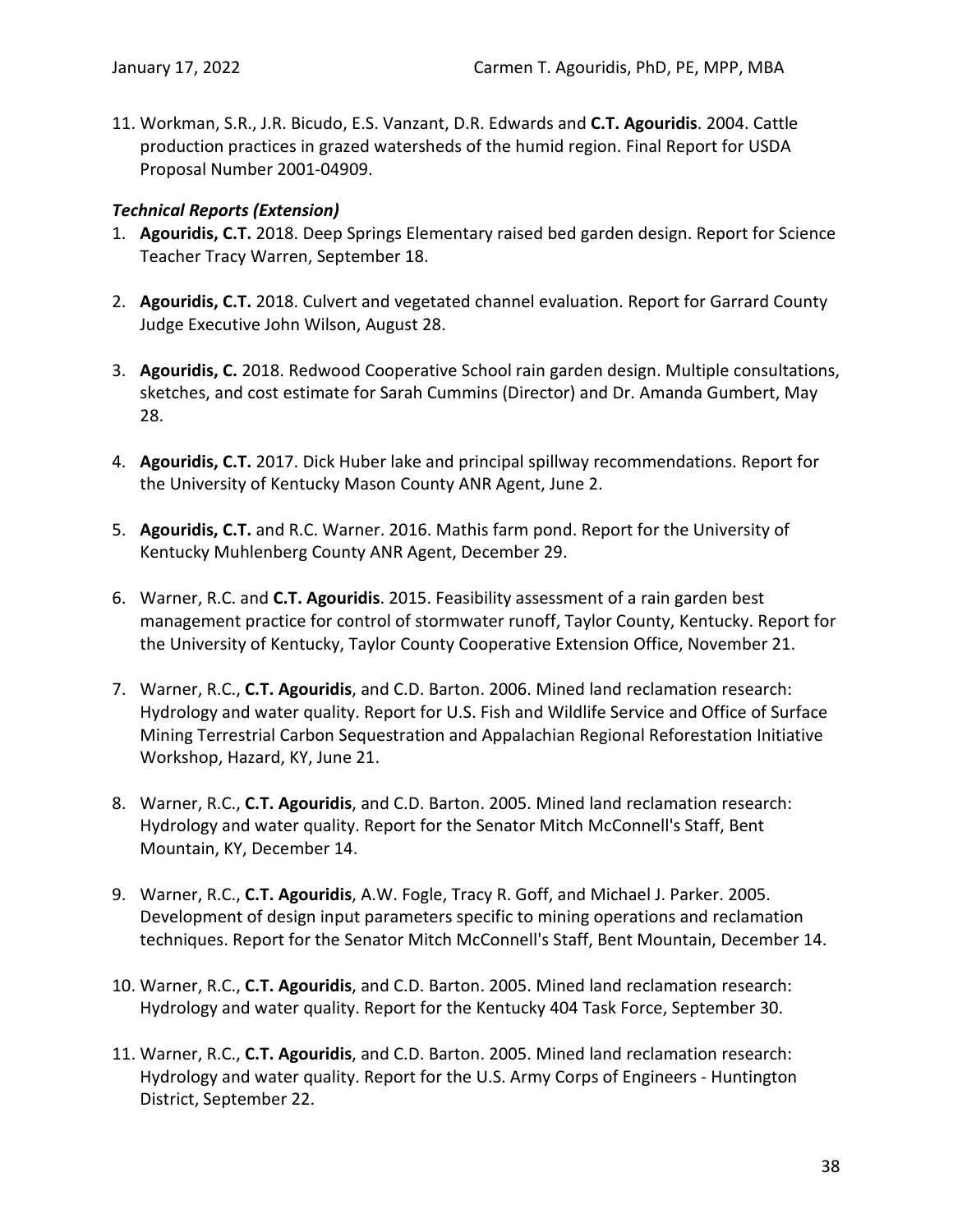11. Workman, S.R., J.R. Bicudo, E.S. Vanzant, D.R. Edwards and **C.T. Agouridis**. 2004. Cattle production practices in grazed watersheds of the humid region. Final Report for USDA Proposal Number 2001-04909.

## *Technical Reports (Extension)*

- 1. **Agouridis, C.T.** 2018. Deep Springs Elementary raised bed garden design. Report for Science Teacher Tracy Warren, September 18.
- 2. **Agouridis, C.T.** 2018. Culvert and vegetated channel evaluation. Report for Garrard County Judge Executive John Wilson, August 28.
- 3. **Agouridis, C.** 2018. Redwood Cooperative School rain garden design. Multiple consultations, sketches, and cost estimate for Sarah Cummins (Director) and Dr. Amanda Gumbert, May 28.
- 4. **Agouridis, C.T.** 2017. Dick Huber lake and principal spillway recommendations. Report for the University of Kentucky Mason County ANR Agent, June 2.
- 5. **Agouridis, C.T.** and R.C. Warner. 2016. Mathis farm pond. Report for the University of Kentucky Muhlenberg County ANR Agent, December 29.
- 6. Warner, R.C. and **C.T. Agouridis**. 2015. Feasibility assessment of a rain garden best management practice for control of stormwater runoff, Taylor County, Kentucky. Report for the University of Kentucky, Taylor County Cooperative Extension Office, November 21.
- 7. Warner, R.C., **C.T. Agouridis**, and C.D. Barton. 2006. Mined land reclamation research: Hydrology and water quality. Report for U.S. Fish and Wildlife Service and Office of Surface Mining Terrestrial Carbon Sequestration and Appalachian Regional Reforestation Initiative Workshop, Hazard, KY, June 21.
- 8. Warner, R.C., **C.T. Agouridis**, and C.D. Barton. 2005. Mined land reclamation research: Hydrology and water quality. Report for the Senator Mitch McConnell's Staff, Bent Mountain, KY, December 14.
- 9. Warner, R.C., **C.T. Agouridis**, A.W. Fogle, Tracy R. Goff, and Michael J. Parker. 2005. Development of design input parameters specific to mining operations and reclamation techniques. Report for the Senator Mitch McConnell's Staff, Bent Mountain, December 14.
- 10. Warner, R.C., **C.T. Agouridis**, and C.D. Barton. 2005. Mined land reclamation research: Hydrology and water quality. Report for the Kentucky 404 Task Force, September 30.
- 11. Warner, R.C., **C.T. Agouridis**, and C.D. Barton. 2005. Mined land reclamation research: Hydrology and water quality. Report for the U.S. Army Corps of Engineers - Huntington District, September 22.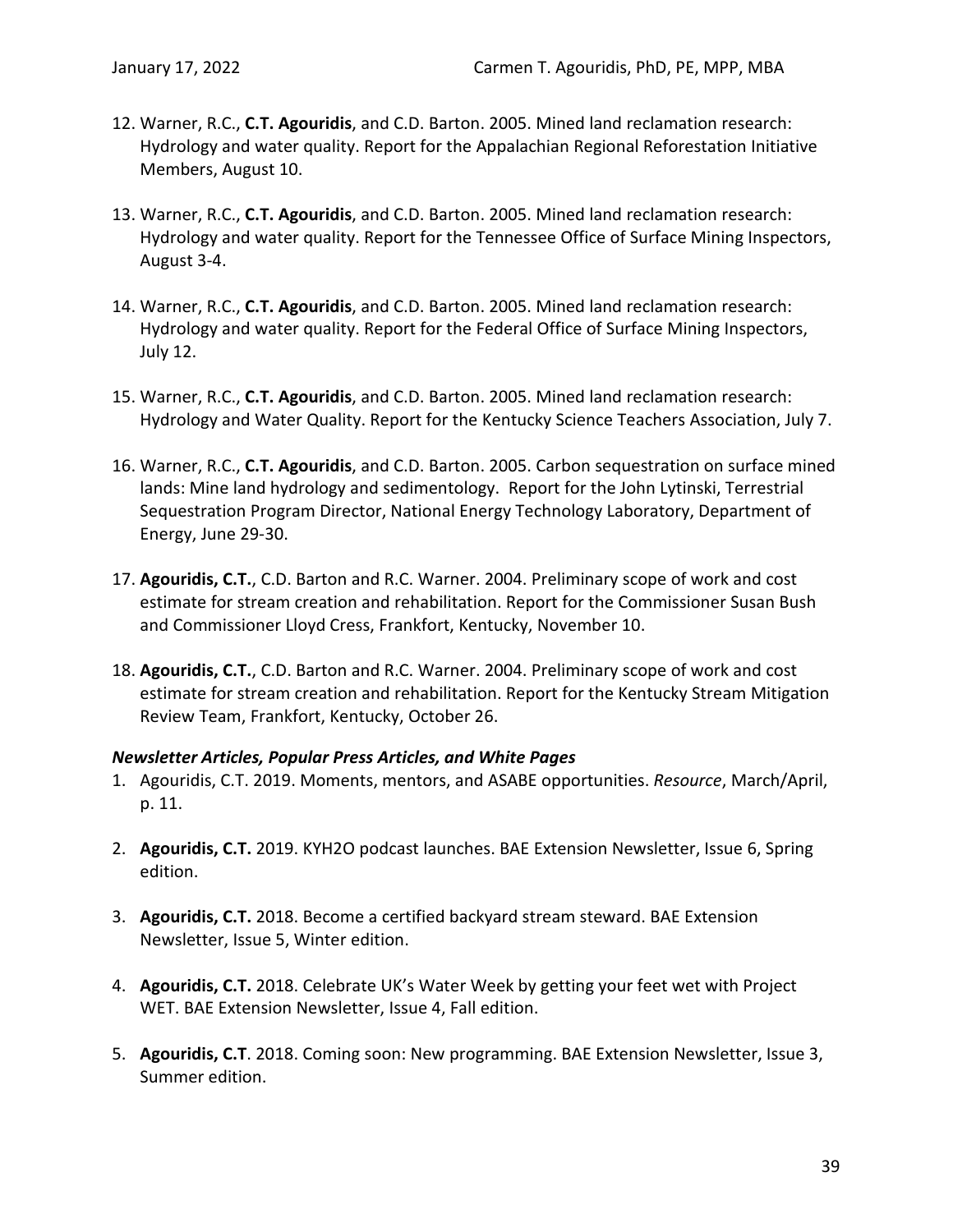- 12. Warner, R.C., **C.T. Agouridis**, and C.D. Barton. 2005. Mined land reclamation research: Hydrology and water quality. Report for the Appalachian Regional Reforestation Initiative Members, August 10.
- 13. Warner, R.C., **C.T. Agouridis**, and C.D. Barton. 2005. Mined land reclamation research: Hydrology and water quality. Report for the Tennessee Office of Surface Mining Inspectors, August 3-4.
- 14. Warner, R.C., **C.T. Agouridis**, and C.D. Barton. 2005. Mined land reclamation research: Hydrology and water quality. Report for the Federal Office of Surface Mining Inspectors, July 12.
- 15. Warner, R.C., **C.T. Agouridis**, and C.D. Barton. 2005. Mined land reclamation research: Hydrology and Water Quality. Report for the Kentucky Science Teachers Association, July 7.
- 16. Warner, R.C., **C.T. Agouridis**, and C.D. Barton. 2005. Carbon sequestration on surface mined lands: Mine land hydrology and sedimentology. Report for the John Lytinski, Terrestrial Sequestration Program Director, National Energy Technology Laboratory, Department of Energy, June 29-30.
- 17. **Agouridis, C.T.**, C.D. Barton and R.C. Warner. 2004. Preliminary scope of work and cost estimate for stream creation and rehabilitation. Report for the Commissioner Susan Bush and Commissioner Lloyd Cress, Frankfort, Kentucky, November 10.
- 18. **Agouridis, C.T.**, C.D. Barton and R.C. Warner. 2004. Preliminary scope of work and cost estimate for stream creation and rehabilitation. Report for the Kentucky Stream Mitigation Review Team, Frankfort, Kentucky, October 26.

### *Newsletter Articles, Popular Press Articles, and White Pages*

- 1. Agouridis, C.T. 2019. Moments, mentors, and ASABE opportunities. *Resource*, March/April, p. 11.
- 2. **Agouridis, C.T.** 2019. KYH2O podcast launches. BAE Extension Newsletter, Issue 6, Spring edition.
- 3. **Agouridis, C.T.** 2018. Become a certified backyard stream steward. BAE Extension Newsletter, Issue 5, Winter edition.
- 4. **Agouridis, C.T.** 2018. Celebrate UK's Water Week by getting your feet wet with Project WET. BAE Extension Newsletter, Issue 4, Fall edition.
- 5. **Agouridis, C.T**. 2018. Coming soon: New programming. BAE Extension Newsletter, Issue 3, Summer edition.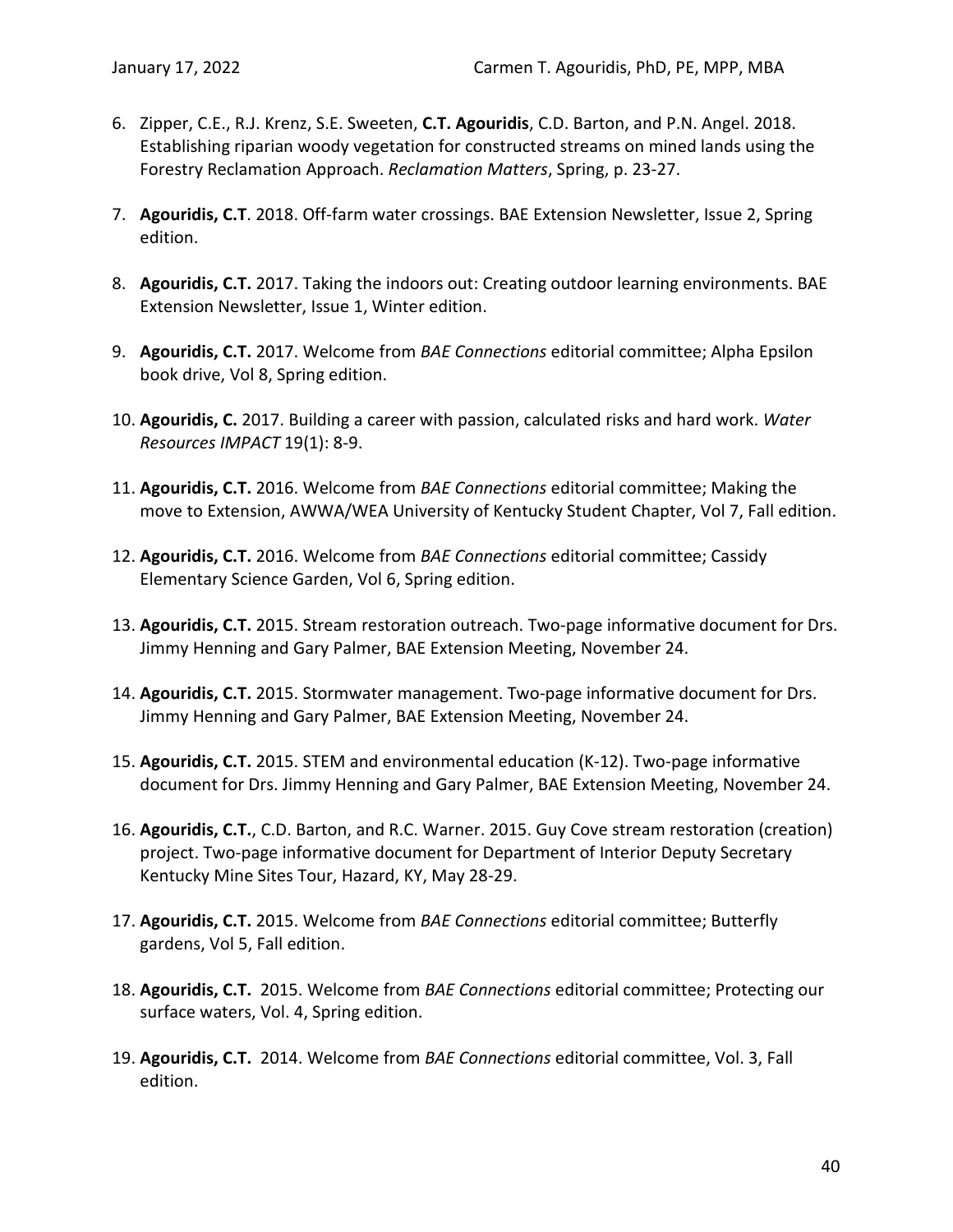- 6. Zipper, C.E., R.J. Krenz, S.E. Sweeten, **C.T. Agouridis**, C.D. Barton, and P.N. Angel. 2018. Establishing riparian woody vegetation for constructed streams on mined lands using the Forestry Reclamation Approach. *Reclamation Matters*, Spring, p. 23-27.
- 7. **Agouridis, C.T**. 2018. Off-farm water crossings. BAE Extension Newsletter, Issue 2, Spring edition.
- 8. **Agouridis, C.T.** 2017. Taking the indoors out: Creating outdoor learning environments. BAE Extension Newsletter, Issue 1, Winter edition.
- 9. **Agouridis, C.T.** 2017. Welcome from *BAE Connections* editorial committee; Alpha Epsilon book drive, Vol 8, Spring edition.
- 10. **Agouridis, C.** 2017. Building a career with passion, calculated risks and hard work. *Water Resources IMPACT* 19(1): 8-9.
- 11. **Agouridis, C.T.** 2016. Welcome from *BAE Connections* editorial committee; Making the move to Extension, AWWA/WEA University of Kentucky Student Chapter, Vol 7, Fall edition.
- 12. **Agouridis, C.T.** 2016. Welcome from *BAE Connections* editorial committee; Cassidy Elementary Science Garden, Vol 6, Spring edition.
- 13. **Agouridis, C.T.** 2015. Stream restoration outreach. Two-page informative document for Drs. Jimmy Henning and Gary Palmer, BAE Extension Meeting, November 24.
- 14. **Agouridis, C.T.** 2015. Stormwater management. Two-page informative document for Drs. Jimmy Henning and Gary Palmer, BAE Extension Meeting, November 24.
- 15. **Agouridis, C.T.** 2015. STEM and environmental education (K-12). Two-page informative document for Drs. Jimmy Henning and Gary Palmer, BAE Extension Meeting, November 24.
- 16. **Agouridis, C.T.**, C.D. Barton, and R.C. Warner. 2015. Guy Cove stream restoration (creation) project. Two-page informative document for Department of Interior Deputy Secretary Kentucky Mine Sites Tour, Hazard, KY, May 28-29.
- 17. **Agouridis, C.T.** 2015. Welcome from *BAE Connections* editorial committee; Butterfly gardens, Vol 5, Fall edition.
- 18. **Agouridis, C.T.** 2015. Welcome from *BAE Connections* editorial committee; Protecting our surface waters, Vol. 4, Spring edition.
- 19. **Agouridis, C.T.** 2014. Welcome from *BAE Connections* editorial committee, Vol. 3, Fall edition.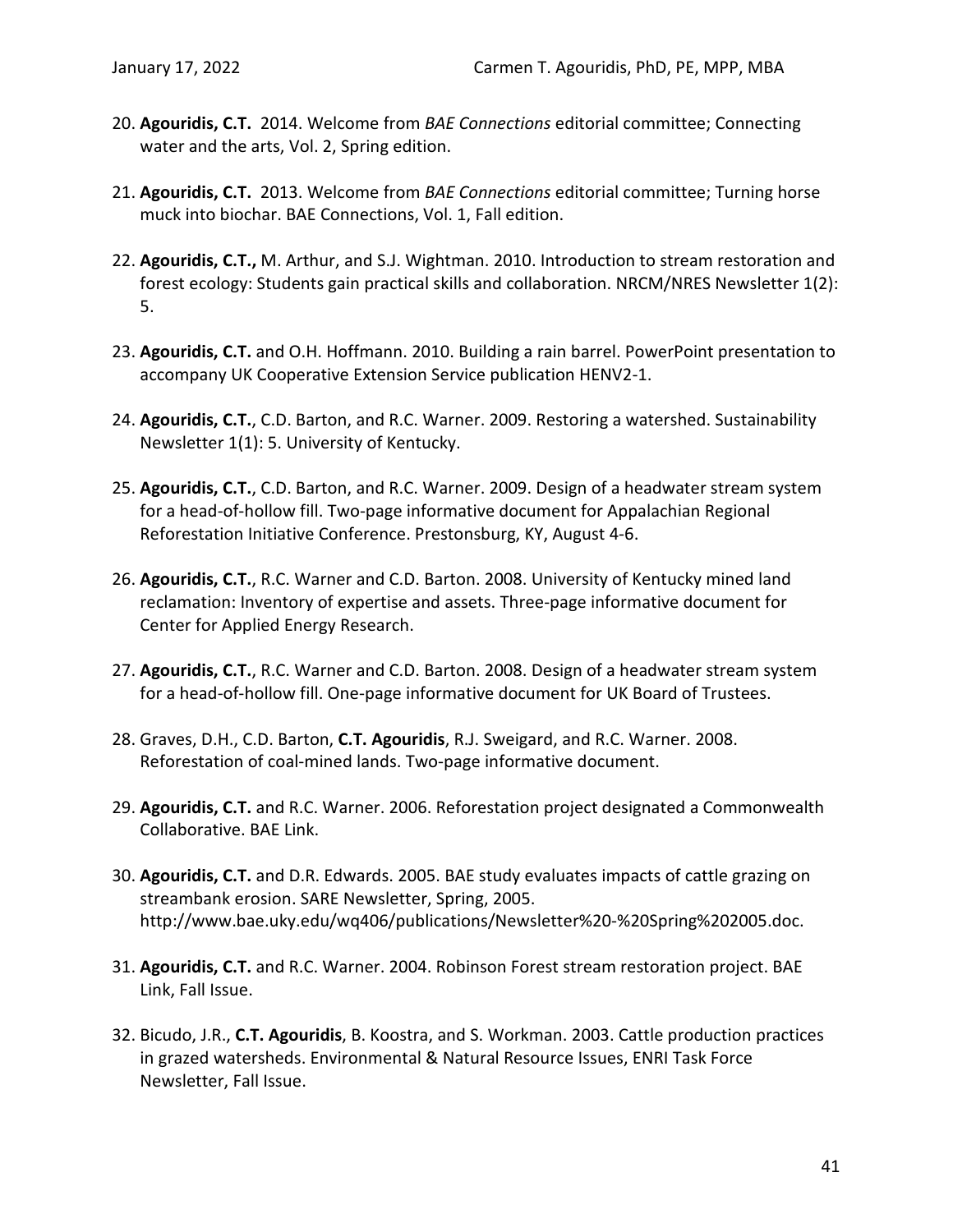- 20. **Agouridis, C.T.** 2014. Welcome from *BAE Connections* editorial committee; Connecting water and the arts, Vol. 2, Spring edition.
- 21. **Agouridis, C.T.** 2013. Welcome from *BAE Connections* editorial committee; Turning horse muck into biochar. BAE Connections, Vol. 1, Fall edition.
- 22. **Agouridis, C.T.,** M. Arthur, and S.J. Wightman. 2010. Introduction to stream restoration and forest ecology: Students gain practical skills and collaboration. NRCM/NRES Newsletter 1(2): 5.
- 23. **Agouridis, C.T.** and O.H. Hoffmann. 2010. Building a rain barrel. PowerPoint presentation to accompany UK Cooperative Extension Service publication HENV2-1.
- 24. **Agouridis, C.T.**, C.D. Barton, and R.C. Warner. 2009. Restoring a watershed. Sustainability Newsletter 1(1): 5. University of Kentucky.
- 25. **Agouridis, C.T.**, C.D. Barton, and R.C. Warner. 2009. Design of a headwater stream system for a head-of-hollow fill. Two-page informative document for Appalachian Regional Reforestation Initiative Conference. Prestonsburg, KY, August 4-6.
- 26. **Agouridis, C.T.**, R.C. Warner and C.D. Barton. 2008. University of Kentucky mined land reclamation: Inventory of expertise and assets. Three-page informative document for Center for Applied Energy Research.
- 27. **Agouridis, C.T.**, R.C. Warner and C.D. Barton. 2008. Design of a headwater stream system for a head-of-hollow fill. One-page informative document for UK Board of Trustees.
- 28. Graves, D.H., C.D. Barton, **C.T. Agouridis**, R.J. Sweigard, and R.C. Warner. 2008. Reforestation of coal-mined lands. Two-page informative document.
- 29. **Agouridis, C.T.** and R.C. Warner. 2006. Reforestation project designated a Commonwealth Collaborative. BAE Link.
- 30. **Agouridis, C.T.** and D.R. Edwards. 2005. BAE study evaluates impacts of cattle grazing on streambank erosion. SARE Newsletter, Spring, 2005. http://www.bae.uky.edu/wq406/publications/Newsletter%20-%20Spring%202005.doc.
- 31. **Agouridis, C.T.** and R.C. Warner. 2004. Robinson Forest stream restoration project. BAE Link, Fall Issue.
- 32. Bicudo, J.R., **C.T. Agouridis**, B. Koostra, and S. Workman. 2003. Cattle production practices in grazed watersheds. Environmental & Natural Resource Issues, ENRI Task Force Newsletter, Fall Issue.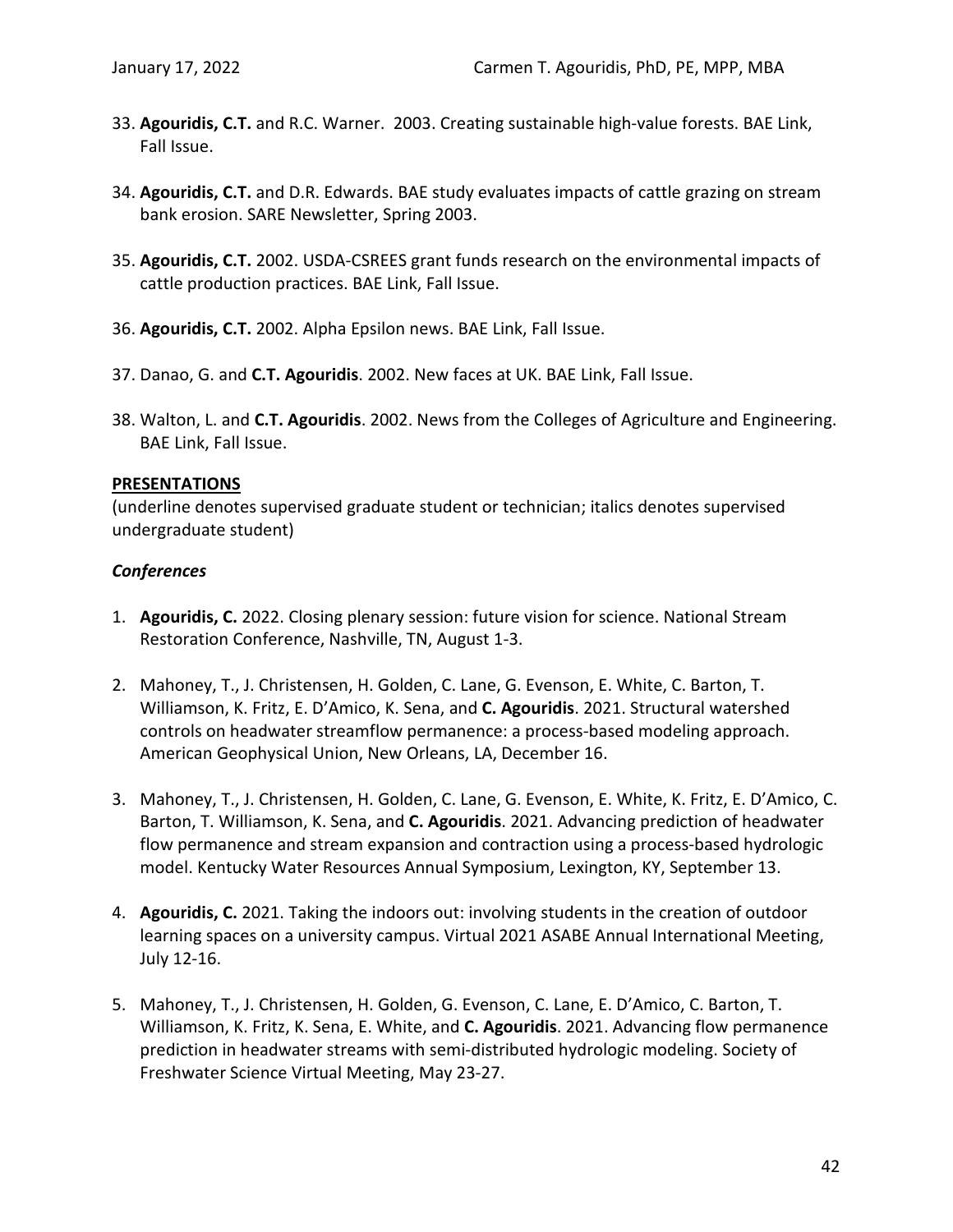- 33. **Agouridis, C.T.** and R.C. Warner. 2003. Creating sustainable high-value forests. BAE Link, Fall Issue.
- 34. **Agouridis, C.T.** and D.R. Edwards. BAE study evaluates impacts of cattle grazing on stream bank erosion. SARE Newsletter, Spring 2003.
- 35. **Agouridis, C.T.** 2002. USDA-CSREES grant funds research on the environmental impacts of cattle production practices. BAE Link, Fall Issue.
- 36. **Agouridis, C.T.** 2002. Alpha Epsilon news. BAE Link, Fall Issue.
- 37. Danao, G. and **C.T. Agouridis**. 2002. New faces at UK. BAE Link, Fall Issue.
- 38. Walton, L. and **C.T. Agouridis**. 2002. News from the Colleges of Agriculture and Engineering. BAE Link, Fall Issue.

# **PRESENTATIONS**

(underline denotes supervised graduate student or technician; italics denotes supervised undergraduate student)

# *Conferences*

- 1. **Agouridis, C.** 2022. Closing plenary session: future vision for science. National Stream Restoration Conference, Nashville, TN, August 1-3.
- 2. Mahoney, T., J. Christensen, H. Golden, C. Lane, G. Evenson, E. White, C. Barton, T. Williamson, K. Fritz, E. D'Amico, K. Sena, and **C. Agouridis**. 2021. Structural watershed controls on headwater streamflow permanence: a process-based modeling approach. American Geophysical Union, New Orleans, LA, December 16.
- 3. Mahoney, T., J. Christensen, H. Golden, C. Lane, G. Evenson, E. White, K. Fritz, E. D'Amico, C. Barton, T. Williamson, K. Sena, and **C. Agouridis**. 2021. Advancing prediction of headwater flow permanence and stream expansion and contraction using a process-based hydrologic model. Kentucky Water Resources Annual Symposium, Lexington, KY, September 13.
- 4. **Agouridis, C.** 2021. Taking the indoors out: involving students in the creation of outdoor learning spaces on a university campus. Virtual 2021 ASABE Annual International Meeting, July 12-16.
- 5. Mahoney, T., J. Christensen, H. Golden, G. Evenson, C. Lane, E. D'Amico, C. Barton, T. Williamson, K. Fritz, K. Sena, E. White, and **C. Agouridis**. 2021. Advancing flow permanence prediction in headwater streams with semi-distributed hydrologic modeling. Society of Freshwater Science Virtual Meeting, May 23-27.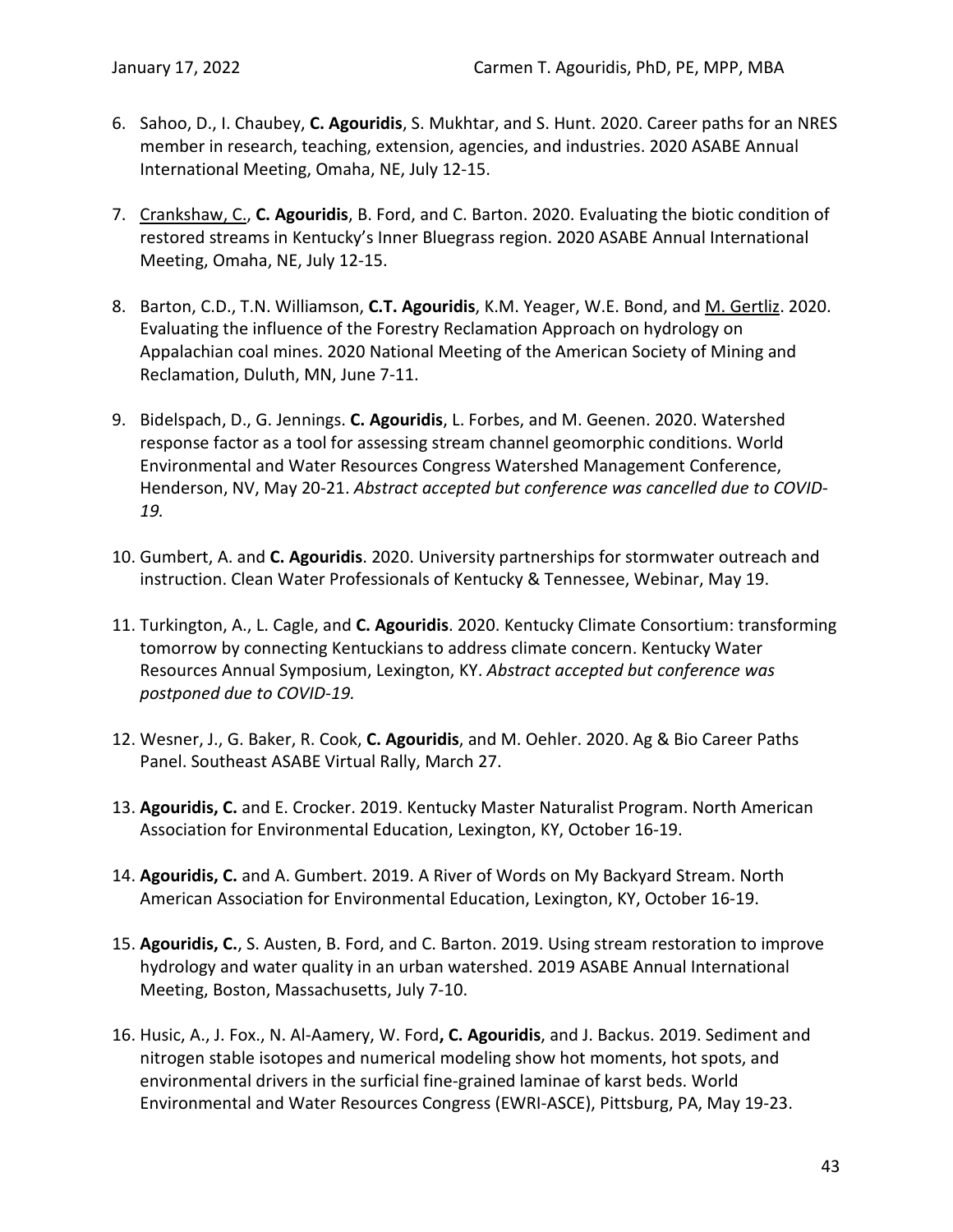- 6. Sahoo, D., I. Chaubey, **C. Agouridis**, S. Mukhtar, and S. Hunt. 2020. Career paths for an NRES member in research, teaching, extension, agencies, and industries. 2020 ASABE Annual International Meeting, Omaha, NE, July 12-15.
- 7. Crankshaw, C., **C. Agouridis**, B. Ford, and C. Barton. 2020. Evaluating the biotic condition of restored streams in Kentucky's Inner Bluegrass region. 2020 ASABE Annual International Meeting, Omaha, NE, July 12-15.
- 8. Barton, C.D., T.N. Williamson, **C.T. Agouridis**, K.M. Yeager, W.E. Bond, and M. Gertliz. 2020. Evaluating the influence of the Forestry Reclamation Approach on hydrology on Appalachian coal mines. 2020 National Meeting of the American Society of Mining and Reclamation, Duluth, MN, June 7-11.
- 9. Bidelspach, D., G. Jennings. **C. Agouridis**, L. Forbes, and M. Geenen. 2020. Watershed response factor as a tool for assessing stream channel geomorphic conditions. World Environmental and Water Resources Congress Watershed Management Conference, Henderson, NV, May 20-21. *Abstract accepted but conference was cancelled due to COVID-19.*
- 10. Gumbert, A. and **C. Agouridis**. 2020. University partnerships for stormwater outreach and instruction. Clean Water Professionals of Kentucky & Tennessee, Webinar, May 19.
- 11. Turkington, A., L. Cagle, and **C. Agouridis**. 2020. Kentucky Climate Consortium: transforming tomorrow by connecting Kentuckians to address climate concern. Kentucky Water Resources Annual Symposium, Lexington, KY. *Abstract accepted but conference was postponed due to COVID-19.*
- 12. Wesner, J., G. Baker, R. Cook, **C. Agouridis**, and M. Oehler. 2020. Ag & Bio Career Paths Panel. Southeast ASABE Virtual Rally, March 27.
- 13. **Agouridis, C.** and E. Crocker. 2019. Kentucky Master Naturalist Program. North American Association for Environmental Education, Lexington, KY, October 16-19.
- 14. **Agouridis, C.** and A. Gumbert. 2019. A River of Words on My Backyard Stream. North American Association for Environmental Education, Lexington, KY, October 16-19.
- 15. **Agouridis, C.**, S. Austen, B. Ford, and C. Barton. 2019. Using stream restoration to improve hydrology and water quality in an urban watershed. 2019 ASABE Annual International Meeting, Boston, Massachusetts, July 7-10.
- 16. Husic, A., J. Fox., N. Al-Aamery, W. Ford**, C. Agouridis**, and J. Backus. 2019. Sediment and nitrogen stable isotopes and numerical modeling show hot moments, hot spots, and environmental drivers in the surficial fine-grained laminae of karst beds. World Environmental and Water Resources Congress (EWRI-ASCE), Pittsburg, PA, May 19-23.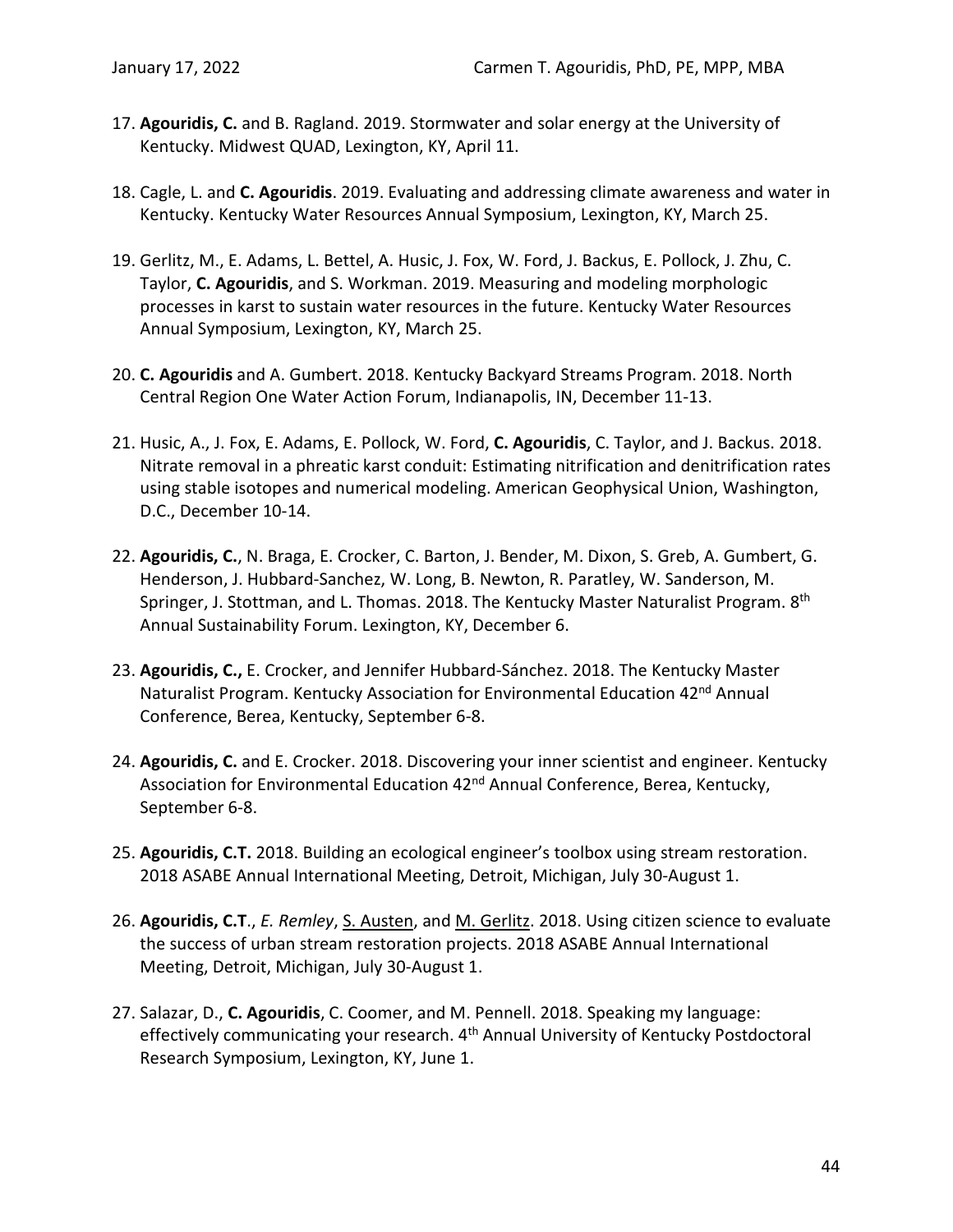- 17. **Agouridis, C.** and B. Ragland. 2019. Stormwater and solar energy at the University of Kentucky. Midwest QUAD, Lexington, KY, April 11.
- 18. Cagle, L. and **C. Agouridis**. 2019. Evaluating and addressing climate awareness and water in Kentucky. Kentucky Water Resources Annual Symposium, Lexington, KY, March 25.
- 19. Gerlitz, M., E. Adams, L. Bettel, A. Husic, J. Fox, W. Ford, J. Backus, E. Pollock, J. Zhu, C. Taylor, **C. Agouridis**, and S. Workman. 2019. Measuring and modeling morphologic processes in karst to sustain water resources in the future. Kentucky Water Resources Annual Symposium, Lexington, KY, March 25.
- 20. **C. Agouridis** and A. Gumbert. 2018. Kentucky Backyard Streams Program. 2018. North Central Region One Water Action Forum, Indianapolis, IN, December 11-13.
- 21. Husic, A., J. Fox, E. Adams, E. Pollock, W. Ford, **C. Agouridis**, C. Taylor, and J. Backus. 2018. Nitrate removal in a phreatic karst conduit: Estimating nitrification and denitrification rates using stable isotopes and numerical modeling. American Geophysical Union, Washington, D.C., December 10-14.
- 22. **Agouridis, C.**, N. Braga, E. Crocker, C. Barton, J. Bender, M. Dixon, S. Greb, A. Gumbert, G. Henderson, J. Hubbard-Sanchez, W. Long, B. Newton, R. Paratley, W. Sanderson, M. Springer, J. Stottman, and L. Thomas. 2018. The Kentucky Master Naturalist Program. 8<sup>th</sup> Annual Sustainability Forum. Lexington, KY, December 6.
- 23. **Agouridis, C.,** E. Crocker, and Jennifer Hubbard-Sánchez. 2018. The Kentucky Master Naturalist Program. Kentucky Association for Environmental Education 42<sup>nd</sup> Annual Conference, Berea, Kentucky, September 6-8.
- 24. **Agouridis, C.** and E. Crocker. 2018. Discovering your inner scientist and engineer. Kentucky Association for Environmental Education 42<sup>nd</sup> Annual Conference, Berea, Kentucky, September 6-8.
- 25. **Agouridis, C.T.** 2018. Building an ecological engineer's toolbox using stream restoration. 2018 ASABE Annual International Meeting, Detroit, Michigan, July 30-August 1.
- 26. **Agouridis, C.T**., *E. Remley*, S. Austen, and M. Gerlitz. 2018. Using citizen science to evaluate the success of urban stream restoration projects. 2018 ASABE Annual International Meeting, Detroit, Michigan, July 30-August 1.
- 27. Salazar, D., **C. Agouridis**, C. Coomer, and M. Pennell. 2018. Speaking my language: effectively communicating your research. 4<sup>th</sup> Annual University of Kentucky Postdoctoral Research Symposium, Lexington, KY, June 1.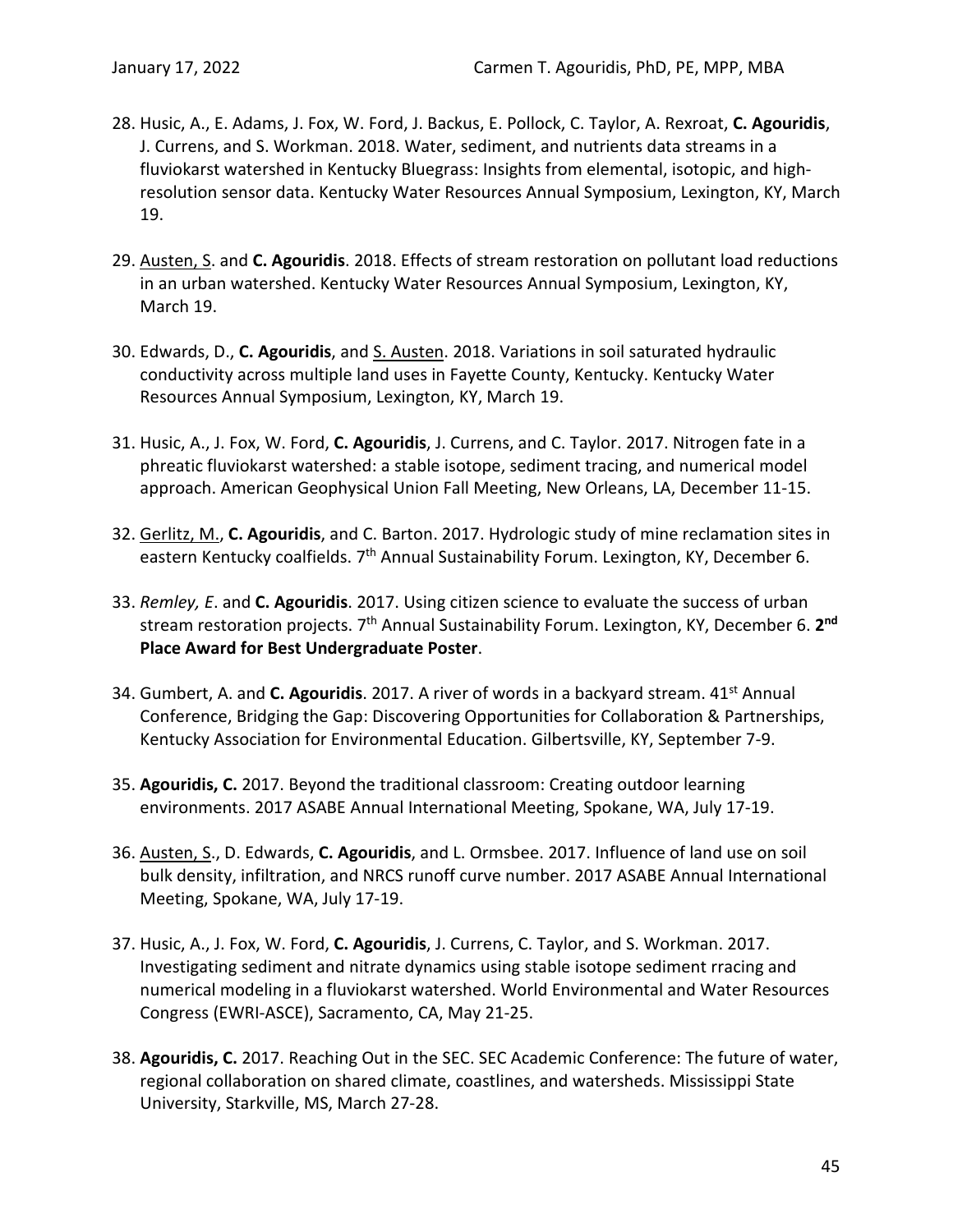- 28. Husic, A., E. Adams, J. Fox, W. Ford, J. Backus, E. Pollock, C. Taylor, A. Rexroat, **C. Agouridis**, J. Currens, and S. Workman. 2018. Water, sediment, and nutrients data streams in a fluviokarst watershed in Kentucky Bluegrass: Insights from elemental, isotopic, and highresolution sensor data. Kentucky Water Resources Annual Symposium, Lexington, KY, March 19.
- 29. Austen, S. and **C. Agouridis**. 2018. Effects of stream restoration on pollutant load reductions in an urban watershed. Kentucky Water Resources Annual Symposium, Lexington, KY, March 19.
- 30. Edwards, D., **C. Agouridis**, and S. Austen. 2018. Variations in soil saturated hydraulic conductivity across multiple land uses in Fayette County, Kentucky. Kentucky Water Resources Annual Symposium, Lexington, KY, March 19.
- 31. Husic, A., J. Fox, W. Ford, **C. Agouridis**, J. Currens, and C. Taylor. 2017. Nitrogen fate in a phreatic fluviokarst watershed: a stable isotope, sediment tracing, and numerical model approach. American Geophysical Union Fall Meeting, New Orleans, LA, December 11-15.
- 32. Gerlitz, M., **C. Agouridis**, and C. Barton. 2017. Hydrologic study of mine reclamation sites in eastern Kentucky coalfields. 7<sup>th</sup> Annual Sustainability Forum. Lexington, KY, December 6.
- 33. *Remley, E*. and **C. Agouridis**. 2017. Using citizen science to evaluate the success of urban stream restoration projects. 7<sup>th</sup> Annual Sustainability Forum. Lexington, KY, December 6. 2<sup>nd</sup> **Place Award for Best Undergraduate Poster**.
- 34. Gumbert, A. and **C. Agouridis**. 2017. A river of words in a backyard stream. 41st Annual Conference, Bridging the Gap: Discovering Opportunities for Collaboration & Partnerships, Kentucky Association for Environmental Education. Gilbertsville, KY, September 7-9.
- 35. **Agouridis, C.** 2017. Beyond the traditional classroom: Creating outdoor learning environments. 2017 ASABE Annual International Meeting, Spokane, WA, July 17-19.
- 36. Austen, S., D. Edwards, **C. Agouridis**, and L. Ormsbee. 2017. Influence of land use on soil bulk density, infiltration, and NRCS runoff curve number. 2017 ASABE Annual International Meeting, Spokane, WA, July 17-19.
- 37. Husic, A., J. Fox, W. Ford, **C. Agouridis**, J. Currens, C. Taylor, and S. Workman. 2017. Investigating sediment and nitrate dynamics using stable isotope sediment rracing and numerical modeling in a fluviokarst watershed. World Environmental and Water Resources Congress (EWRI-ASCE), Sacramento, CA, May 21-25.
- 38. **Agouridis, C.** 2017. Reaching Out in the SEC. SEC Academic Conference: The future of water, regional collaboration on shared climate, coastlines, and watersheds. Mississippi State University, Starkville, MS, March 27-28.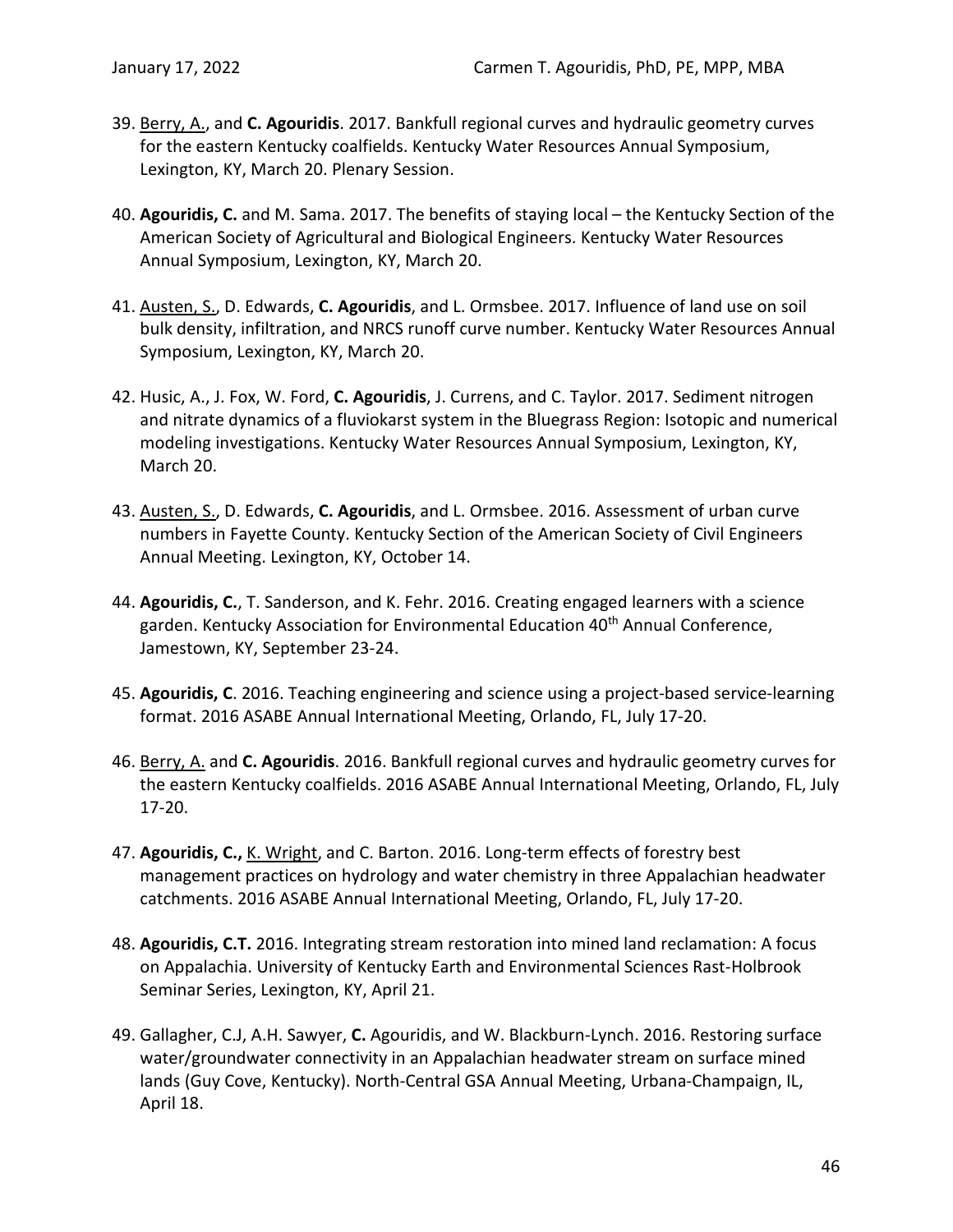- 39. Berry, A., and **C. Agouridis**. 2017. Bankfull regional curves and hydraulic geometry curves for the eastern Kentucky coalfields. Kentucky Water Resources Annual Symposium, Lexington, KY, March 20. Plenary Session.
- 40. **Agouridis, C.** and M. Sama. 2017. The benefits of staying local the Kentucky Section of the American Society of Agricultural and Biological Engineers. Kentucky Water Resources Annual Symposium, Lexington, KY, March 20.
- 41. Austen, S., D. Edwards, **C. Agouridis**, and L. Ormsbee. 2017. Influence of land use on soil bulk density, infiltration, and NRCS runoff curve number. Kentucky Water Resources Annual Symposium, Lexington, KY, March 20.
- 42. Husic, A., J. Fox, W. Ford, **C. Agouridis**, J. Currens, and C. Taylor. 2017. Sediment nitrogen and nitrate dynamics of a fluviokarst system in the Bluegrass Region: Isotopic and numerical modeling investigations. Kentucky Water Resources Annual Symposium, Lexington, KY, March 20.
- 43. Austen, S., D. Edwards, **C. Agouridis**, and L. Ormsbee. 2016. Assessment of urban curve numbers in Fayette County. Kentucky Section of the American Society of Civil Engineers Annual Meeting. Lexington, KY, October 14.
- 44. **Agouridis, C.**, T. Sanderson, and K. Fehr. 2016. Creating engaged learners with a science garden. Kentucky Association for Environmental Education 40<sup>th</sup> Annual Conference, Jamestown, KY, September 23-24.
- 45. **Agouridis, C**. 2016. Teaching engineering and science using a project-based service-learning format. 2016 ASABE Annual International Meeting, Orlando, FL, July 17-20.
- 46. Berry, A. and **C. Agouridis**. 2016. Bankfull regional curves and hydraulic geometry curves for the eastern Kentucky coalfields. 2016 ASABE Annual International Meeting, Orlando, FL, July 17-20.
- 47. **Agouridis, C.,** K. Wright, and C. Barton. 2016. Long-term effects of forestry best management practices on hydrology and water chemistry in three Appalachian headwater catchments. 2016 ASABE Annual International Meeting, Orlando, FL, July 17-20.
- 48. **Agouridis, C.T.** 2016. Integrating stream restoration into mined land reclamation: A focus on Appalachia. University of Kentucky Earth and Environmental Sciences Rast-Holbrook Seminar Series, Lexington, KY, April 21.
- 49. Gallagher, C.J, A.H. Sawyer, **C.** Agouridis, and W. Blackburn-Lynch. 2016. Restoring surface water/groundwater connectivity in an Appalachian headwater stream on surface mined lands (Guy Cove, Kentucky). North-Central GSA Annual Meeting, Urbana-Champaign, IL, April 18.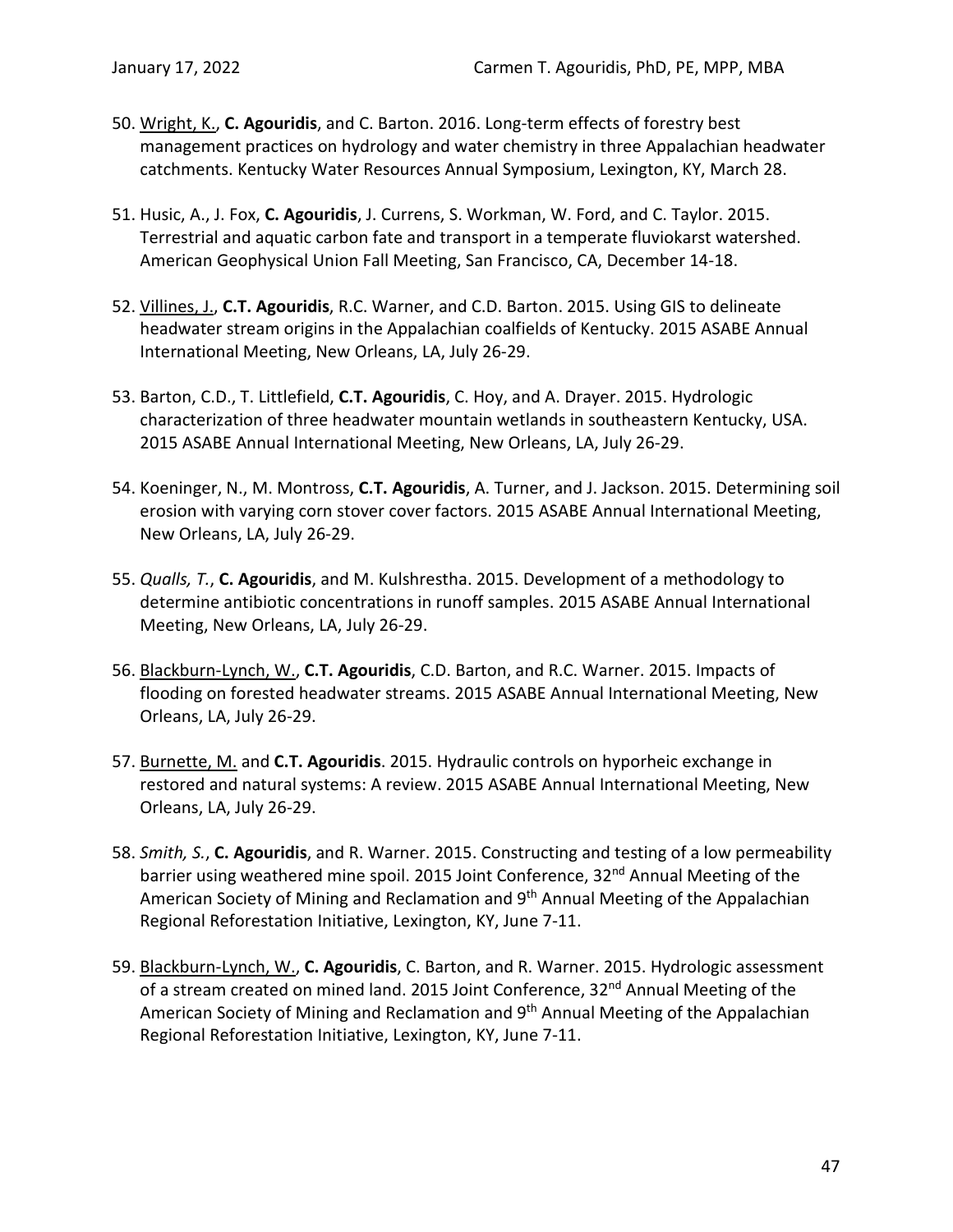- 50. Wright, K., **C. Agouridis**, and C. Barton. 2016. Long-term effects of forestry best management practices on hydrology and water chemistry in three Appalachian headwater catchments. Kentucky Water Resources Annual Symposium, Lexington, KY, March 28.
- 51. Husic, A., J. Fox, **C. Agouridis**, J. Currens, S. Workman, W. Ford, and C. Taylor. 2015. Terrestrial and aquatic carbon fate and transport in a temperate fluviokarst watershed. American Geophysical Union Fall Meeting, San Francisco, CA, December 14-18.
- 52. Villines, J., **C.T. Agouridis**, R.C. Warner, and C.D. Barton. 2015. Using GIS to delineate headwater stream origins in the Appalachian coalfields of Kentucky. 2015 ASABE Annual International Meeting, New Orleans, LA, July 26-29.
- 53. Barton, C.D., T. Littlefield, **C.T. Agouridis**, C. Hoy, and A. Drayer. 2015. Hydrologic characterization of three headwater mountain wetlands in southeastern Kentucky, USA. 2015 ASABE Annual International Meeting, New Orleans, LA, July 26-29.
- 54. Koeninger, N., M. Montross, **C.T. Agouridis**, A. Turner, and J. Jackson. 2015. Determining soil erosion with varying corn stover cover factors. 2015 ASABE Annual International Meeting, New Orleans, LA, July 26-29.
- 55. *Qualls, T.*, **C. Agouridis**, and M. Kulshrestha. 2015. Development of a methodology to determine antibiotic concentrations in runoff samples. 2015 ASABE Annual International Meeting, New Orleans, LA, July 26-29.
- 56. Blackburn-Lynch, W., **C.T. Agouridis**, C.D. Barton, and R.C. Warner. 2015. Impacts of flooding on forested headwater streams. 2015 ASABE Annual International Meeting, New Orleans, LA, July 26-29.
- 57. Burnette, M. and **C.T. Agouridis**. 2015. Hydraulic controls on hyporheic exchange in restored and natural systems: A review. 2015 ASABE Annual International Meeting, New Orleans, LA, July 26-29.
- 58. *Smith, S.*, **C. Agouridis**, and R. Warner. 2015. Constructing and testing of a low permeability barrier using weathered mine spoil. 2015 Joint Conference, 32<sup>nd</sup> Annual Meeting of the American Society of Mining and Reclamation and 9<sup>th</sup> Annual Meeting of the Appalachian Regional Reforestation Initiative, Lexington, KY, June 7-11.
- 59. Blackburn-Lynch, W., **C. Agouridis**, C. Barton, and R. Warner. 2015. Hydrologic assessment of a stream created on mined land. 2015 Joint Conference, 32<sup>nd</sup> Annual Meeting of the American Society of Mining and Reclamation and 9<sup>th</sup> Annual Meeting of the Appalachian Regional Reforestation Initiative, Lexington, KY, June 7-11.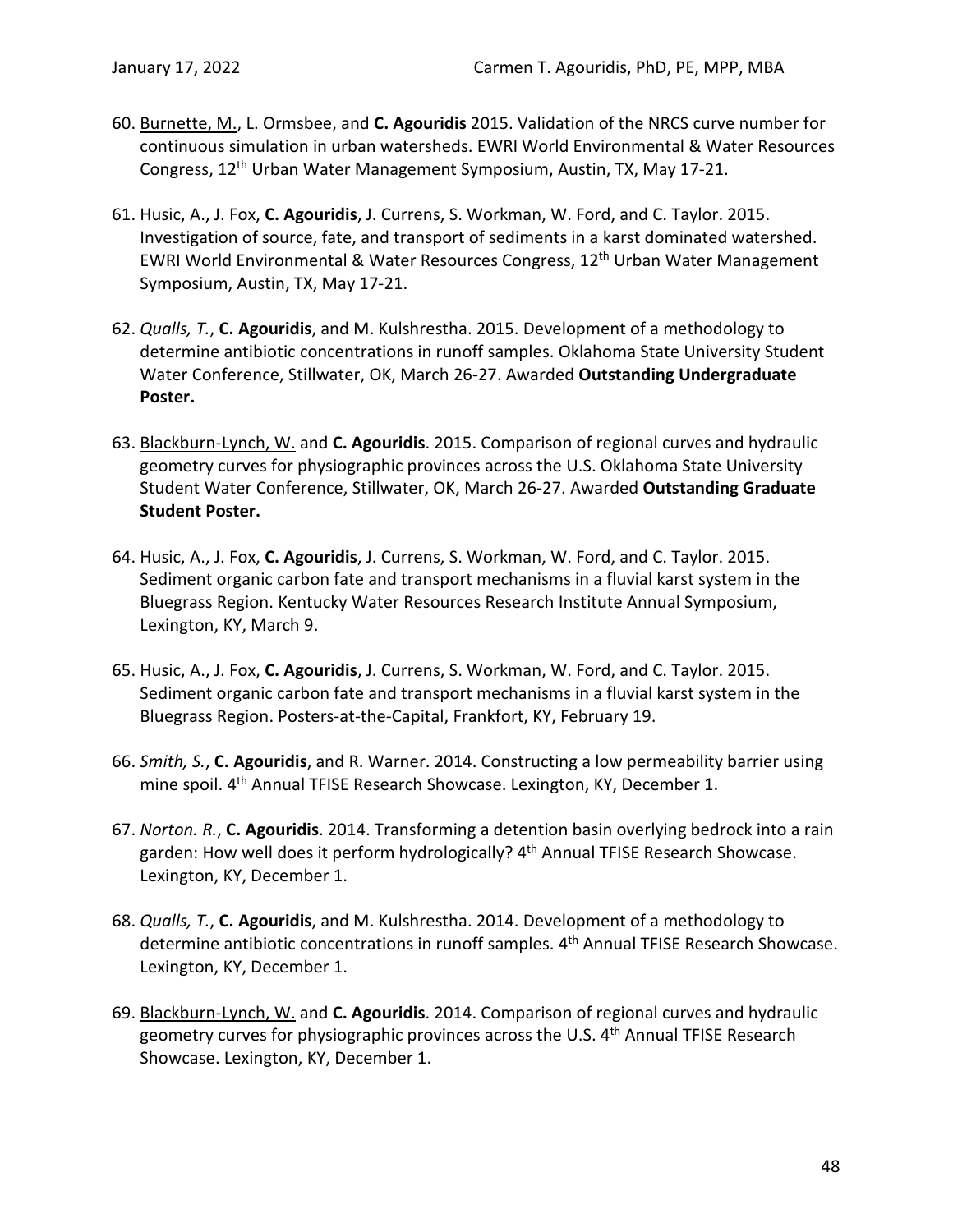- 60. Burnette, M., L. Ormsbee, and **C. Agouridis** 2015. Validation of the NRCS curve number for continuous simulation in urban watersheds. EWRI World Environmental & Water Resources Congress, 12th Urban Water Management Symposium, Austin, TX, May 17-21.
- 61. Husic, A., J. Fox, **C. Agouridis**, J. Currens, S. Workman, W. Ford, and C. Taylor. 2015. Investigation of source, fate, and transport of sediments in a karst dominated watershed. EWRI World Environmental & Water Resources Congress, 12<sup>th</sup> Urban Water Management Symposium, Austin, TX, May 17-21.
- 62. *Qualls, T.*, **C. Agouridis**, and M. Kulshrestha. 2015. Development of a methodology to determine antibiotic concentrations in runoff samples. Oklahoma State University Student Water Conference, Stillwater, OK, March 26-27. Awarded **Outstanding Undergraduate Poster.**
- 63. Blackburn-Lynch, W. and **C. Agouridis**. 2015. Comparison of regional curves and hydraulic geometry curves for physiographic provinces across the U.S. Oklahoma State University Student Water Conference, Stillwater, OK, March 26-27. Awarded **Outstanding Graduate Student Poster.**
- 64. Husic, A., J. Fox, **C. Agouridis**, J. Currens, S. Workman, W. Ford, and C. Taylor. 2015. Sediment organic carbon fate and transport mechanisms in a fluvial karst system in the Bluegrass Region. Kentucky Water Resources Research Institute Annual Symposium, Lexington, KY, March 9.
- 65. Husic, A., J. Fox, **C. Agouridis**, J. Currens, S. Workman, W. Ford, and C. Taylor. 2015. Sediment organic carbon fate and transport mechanisms in a fluvial karst system in the Bluegrass Region. Posters-at-the-Capital, Frankfort, KY, February 19.
- 66. *Smith, S.*, **C. Agouridis**, and R. Warner. 2014. Constructing a low permeability barrier using mine spoil. 4<sup>th</sup> Annual TFISE Research Showcase. Lexington, KY, December 1.
- 67. *Norton. R.*, **C. Agouridis**. 2014. Transforming a detention basin overlying bedrock into a rain garden: How well does it perform hydrologically? 4<sup>th</sup> Annual TFISE Research Showcase. Lexington, KY, December 1.
- 68. *Qualls, T.*, **C. Agouridis**, and M. Kulshrestha. 2014. Development of a methodology to determine antibiotic concentrations in runoff samples. 4<sup>th</sup> Annual TFISE Research Showcase. Lexington, KY, December 1.
- 69. Blackburn-Lynch, W. and **C. Agouridis**. 2014. Comparison of regional curves and hydraulic geometry curves for physiographic provinces across the U.S. 4<sup>th</sup> Annual TFISE Research Showcase. Lexington, KY, December 1.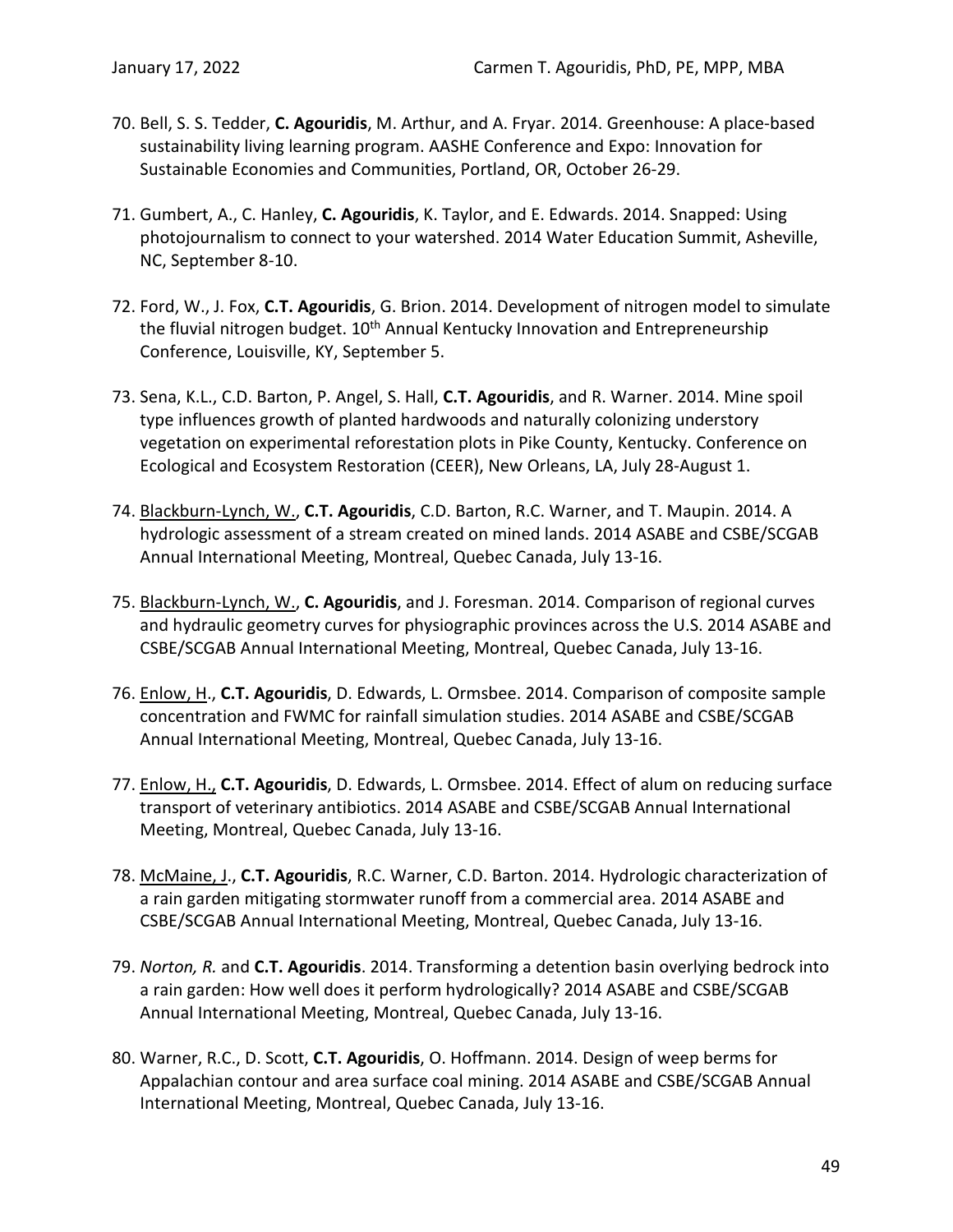- 70. Bell, S. S. Tedder, **C. Agouridis**, M. Arthur, and A. Fryar. 2014. Greenhouse: A place-based sustainability living learning program. AASHE Conference and Expo: Innovation for Sustainable Economies and Communities, Portland, OR, October 26-29.
- 71. Gumbert, A., C. Hanley, **C. Agouridis**, K. Taylor, and E. Edwards. 2014. Snapped: Using photojournalism to connect to your watershed. 2014 Water Education Summit, Asheville, NC, September 8-10.
- 72. Ford, W., J. Fox, **C.T. Agouridis**, G. Brion. 2014. Development of nitrogen model to simulate the fluvial nitrogen budget. 10<sup>th</sup> Annual Kentucky Innovation and Entrepreneurship Conference, Louisville, KY, September 5.
- 73. Sena, K.L., C.D. Barton, P. Angel, S. Hall, **C.T. Agouridis**, and R. Warner. 2014. Mine spoil type influences growth of planted hardwoods and naturally colonizing understory vegetation on experimental reforestation plots in Pike County, Kentucky. Conference on Ecological and Ecosystem Restoration (CEER), New Orleans, LA, July 28-August 1.
- 74. Blackburn-Lynch, W., **C.T. Agouridis**, C.D. Barton, R.C. Warner, and T. Maupin. 2014. A hydrologic assessment of a stream created on mined lands. 2014 ASABE and CSBE/SCGAB Annual International Meeting, Montreal, Quebec Canada, July 13-16.
- 75. Blackburn-Lynch, W., **C. Agouridis**, and J. Foresman. 2014. Comparison of regional curves and hydraulic geometry curves for physiographic provinces across the U.S. 2014 ASABE and CSBE/SCGAB Annual International Meeting, Montreal, Quebec Canada, July 13-16.
- 76. Enlow, H., **C.T. Agouridis**, D. Edwards, L. Ormsbee. 2014. Comparison of composite sample concentration and FWMC for rainfall simulation studies. 2014 ASABE and CSBE/SCGAB Annual International Meeting, Montreal, Quebec Canada, July 13-16.
- 77. Enlow, H., **C.T. Agouridis**, D. Edwards, L. Ormsbee. 2014. Effect of alum on reducing surface transport of veterinary antibiotics. 2014 ASABE and CSBE/SCGAB Annual International Meeting, Montreal, Quebec Canada, July 13-16.
- 78. McMaine, J., **C.T. Agouridis**, R.C. Warner, C.D. Barton. 2014. Hydrologic characterization of a rain garden mitigating stormwater runoff from a commercial area. 2014 ASABE and CSBE/SCGAB Annual International Meeting, Montreal, Quebec Canada, July 13-16.
- 79. *Norton, R.* and **C.T. Agouridis**. 2014. Transforming a detention basin overlying bedrock into a rain garden: How well does it perform hydrologically? 2014 ASABE and CSBE/SCGAB Annual International Meeting, Montreal, Quebec Canada, July 13-16.
- 80. Warner, R.C., D. Scott, **C.T. Agouridis**, O. Hoffmann. 2014. Design of weep berms for Appalachian contour and area surface coal mining. 2014 ASABE and CSBE/SCGAB Annual International Meeting, Montreal, Quebec Canada, July 13-16.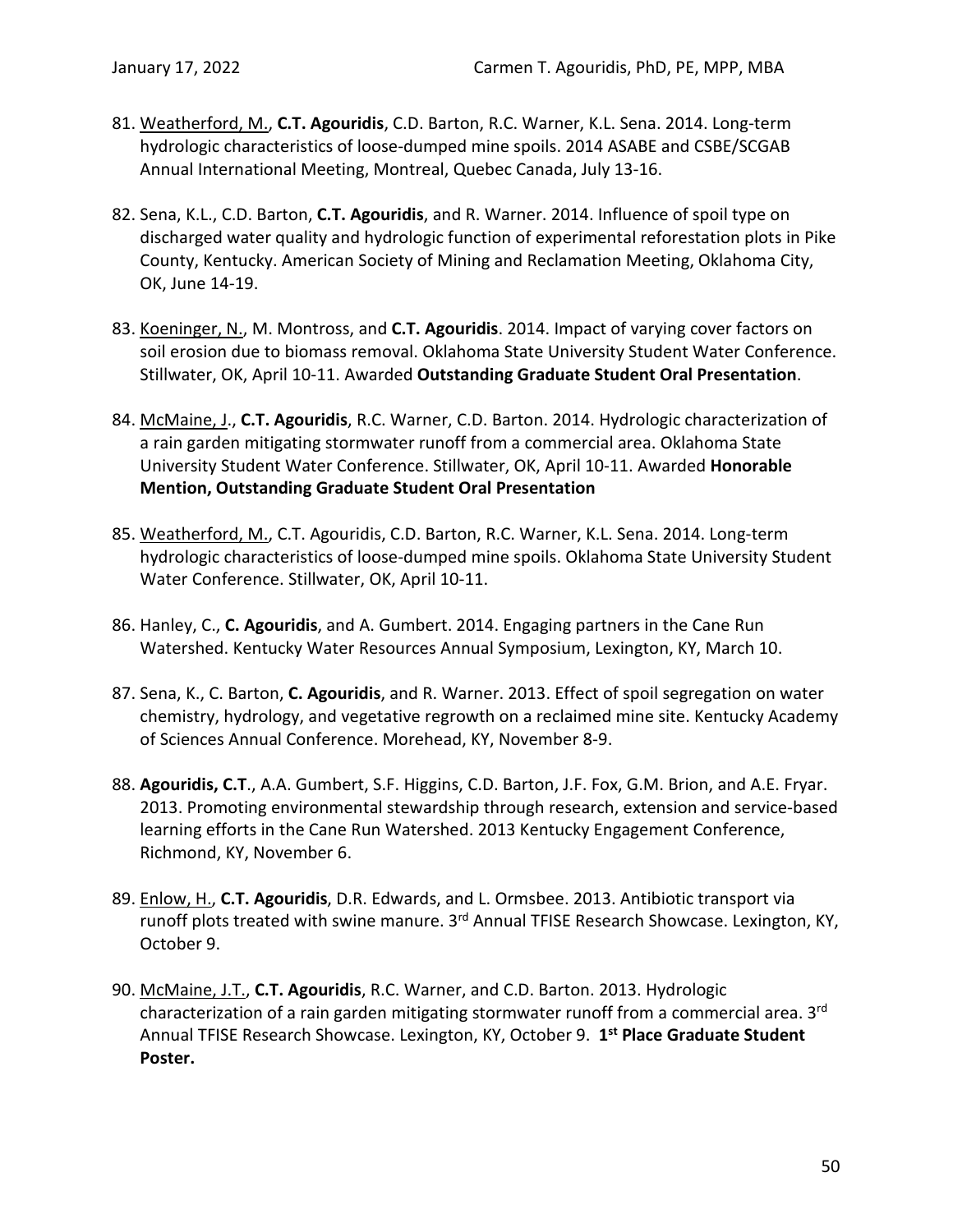- 81. Weatherford, M., **C.T. Agouridis**, C.D. Barton, R.C. Warner, K.L. Sena. 2014. Long-term hydrologic characteristics of loose-dumped mine spoils. 2014 ASABE and CSBE/SCGAB Annual International Meeting, Montreal, Quebec Canada, July 13-16.
- 82. Sena, K.L., C.D. Barton, **C.T. Agouridis**, and R. Warner. 2014. Influence of spoil type on discharged water quality and hydrologic function of experimental reforestation plots in Pike County, Kentucky. American Society of Mining and Reclamation Meeting, Oklahoma City, OK, June 14-19.
- 83. Koeninger, N., M. Montross, and **C.T. Agouridis**. 2014. Impact of varying cover factors on soil erosion due to biomass removal. Oklahoma State University Student Water Conference. Stillwater, OK, April 10-11. Awarded **Outstanding Graduate Student Oral Presentation**.
- 84. McMaine, J., **C.T. Agouridis**, R.C. Warner, C.D. Barton. 2014. Hydrologic characterization of a rain garden mitigating stormwater runoff from a commercial area. Oklahoma State University Student Water Conference. Stillwater, OK, April 10-11. Awarded **Honorable Mention, Outstanding Graduate Student Oral Presentation**
- 85. Weatherford, M., C.T. Agouridis, C.D. Barton, R.C. Warner, K.L. Sena. 2014. Long-term hydrologic characteristics of loose-dumped mine spoils. Oklahoma State University Student Water Conference. Stillwater, OK, April 10-11.
- 86. Hanley, C., **C. Agouridis**, and A. Gumbert. 2014. Engaging partners in the Cane Run Watershed. Kentucky Water Resources Annual Symposium, Lexington, KY, March 10.
- 87. Sena, K., C. Barton, **C. Agouridis**, and R. Warner. 2013. Effect of spoil segregation on water chemistry, hydrology, and vegetative regrowth on a reclaimed mine site. Kentucky Academy of Sciences Annual Conference. Morehead, KY, November 8-9.
- 88. **Agouridis, C.T**., A.A. Gumbert, S.F. Higgins, C.D. Barton, J.F. Fox, G.M. Brion, and A.E. Fryar. 2013. Promoting environmental stewardship through research, extension and service-based learning efforts in the Cane Run Watershed. 2013 Kentucky Engagement Conference, Richmond, KY, November 6.
- 89. Enlow, H., **C.T. Agouridis**, D.R. Edwards, and L. Ormsbee. 2013. Antibiotic transport via runoff plots treated with swine manure. 3<sup>rd</sup> Annual TFISE Research Showcase. Lexington, KY, October 9.
- 90. McMaine, J.T., **C.T. Agouridis**, R.C. Warner, and C.D. Barton. 2013. Hydrologic characterization of a rain garden mitigating stormwater runoff from a commercial area. 3<sup>rd</sup> Annual TFISE Research Showcase. Lexington, KY, October 9. **1st Place Graduate Student Poster.**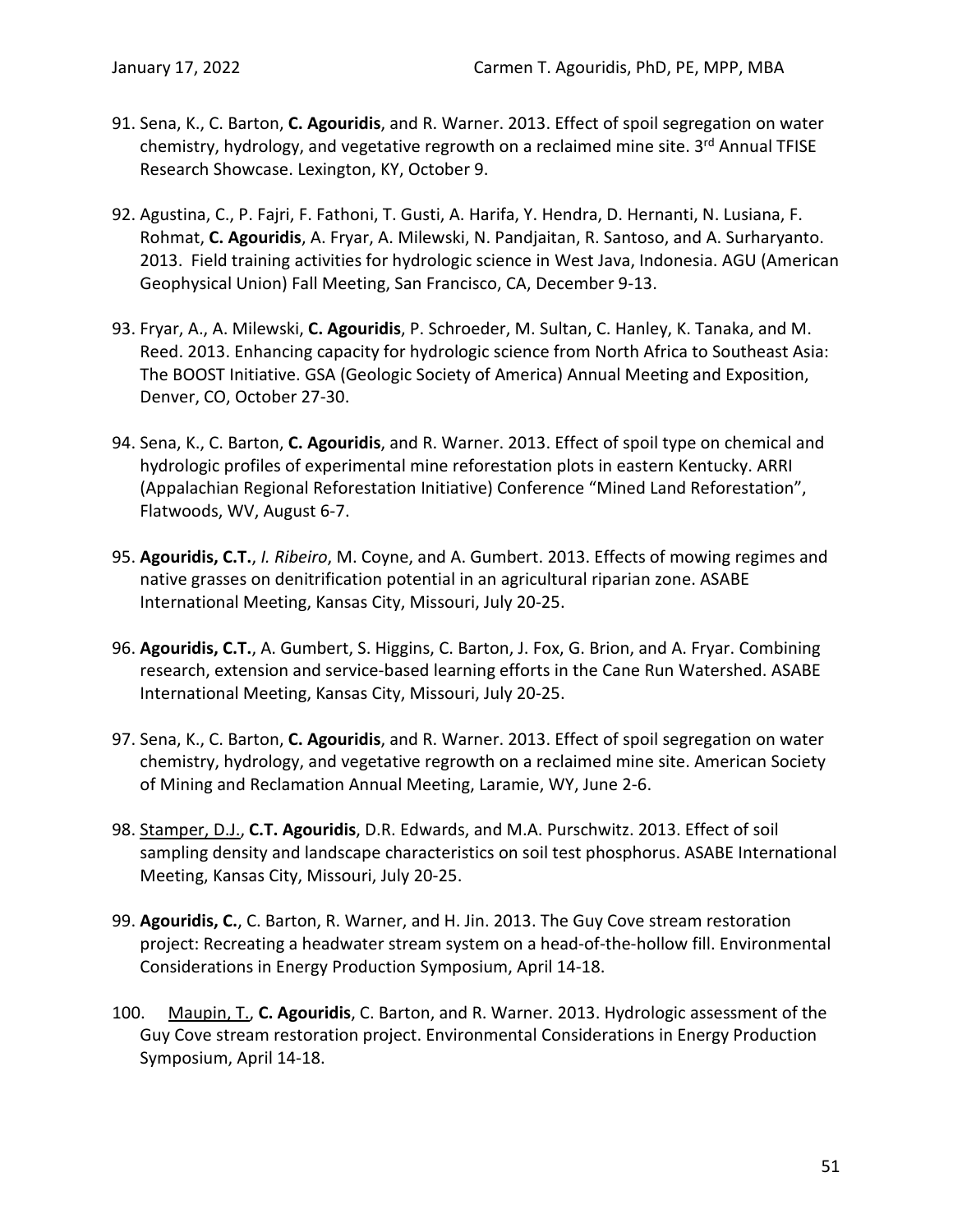- 91. Sena, K., C. Barton, **C. Agouridis**, and R. Warner. 2013. Effect of spoil segregation on water chemistry, hydrology, and vegetative regrowth on a reclaimed mine site. 3rd Annual TFISE Research Showcase. Lexington, KY, October 9.
- 92. Agustina, C., P. Fajri, F. Fathoni, T. Gusti, A. Harifa, Y. Hendra, D. Hernanti, N. Lusiana, F. Rohmat, **C. Agouridis**, A. Fryar, A. Milewski, N. Pandjaitan, R. Santoso, and A. Surharyanto. 2013. Field training activities for hydrologic science in West Java, Indonesia. AGU (American Geophysical Union) Fall Meeting, San Francisco, CA, December 9-13.
- 93. Fryar, A., A. Milewski, **C. Agouridis**, P. Schroeder, M. Sultan, C. Hanley, K. Tanaka, and M. Reed. 2013. Enhancing capacity for hydrologic science from North Africa to Southeast Asia: The BOOST Initiative. GSA (Geologic Society of America) Annual Meeting and Exposition, Denver, CO, October 27-30.
- 94. Sena, K., C. Barton, **C. Agouridis**, and R. Warner. 2013. Effect of spoil type on chemical and hydrologic profiles of experimental mine reforestation plots in eastern Kentucky. ARRI (Appalachian Regional Reforestation Initiative) Conference "Mined Land Reforestation", Flatwoods, WV, August 6-7.
- 95. **Agouridis, C.T.**, *I. Ribeiro*, M. Coyne, and A. Gumbert. 2013. Effects of mowing regimes and native grasses on denitrification potential in an agricultural riparian zone. ASABE International Meeting, Kansas City, Missouri, July 20-25.
- 96. **Agouridis, C.T.**, A. Gumbert, S. Higgins, C. Barton, J. Fox, G. Brion, and A. Fryar. Combining research, extension and service-based learning efforts in the Cane Run Watershed. ASABE International Meeting, Kansas City, Missouri, July 20-25.
- 97. Sena, K., C. Barton, **C. Agouridis**, and R. Warner. 2013. Effect of spoil segregation on water chemistry, hydrology, and vegetative regrowth on a reclaimed mine site. American Society of Mining and Reclamation Annual Meeting, Laramie, WY, June 2-6.
- 98. Stamper, D.J., **C.T. Agouridis**, D.R. Edwards, and M.A. Purschwitz. 2013. Effect of soil sampling density and landscape characteristics on soil test phosphorus. ASABE International Meeting, Kansas City, Missouri, July 20-25.
- 99. **Agouridis, C.**, C. Barton, R. Warner, and H. Jin. 2013. The Guy Cove stream restoration project: Recreating a headwater stream system on a head-of-the-hollow fill. Environmental Considerations in Energy Production Symposium, April 14-18.
- 100. Maupin, T., **C. Agouridis**, C. Barton, and R. Warner. 2013. Hydrologic assessment of the Guy Cove stream restoration project. Environmental Considerations in Energy Production Symposium, April 14-18.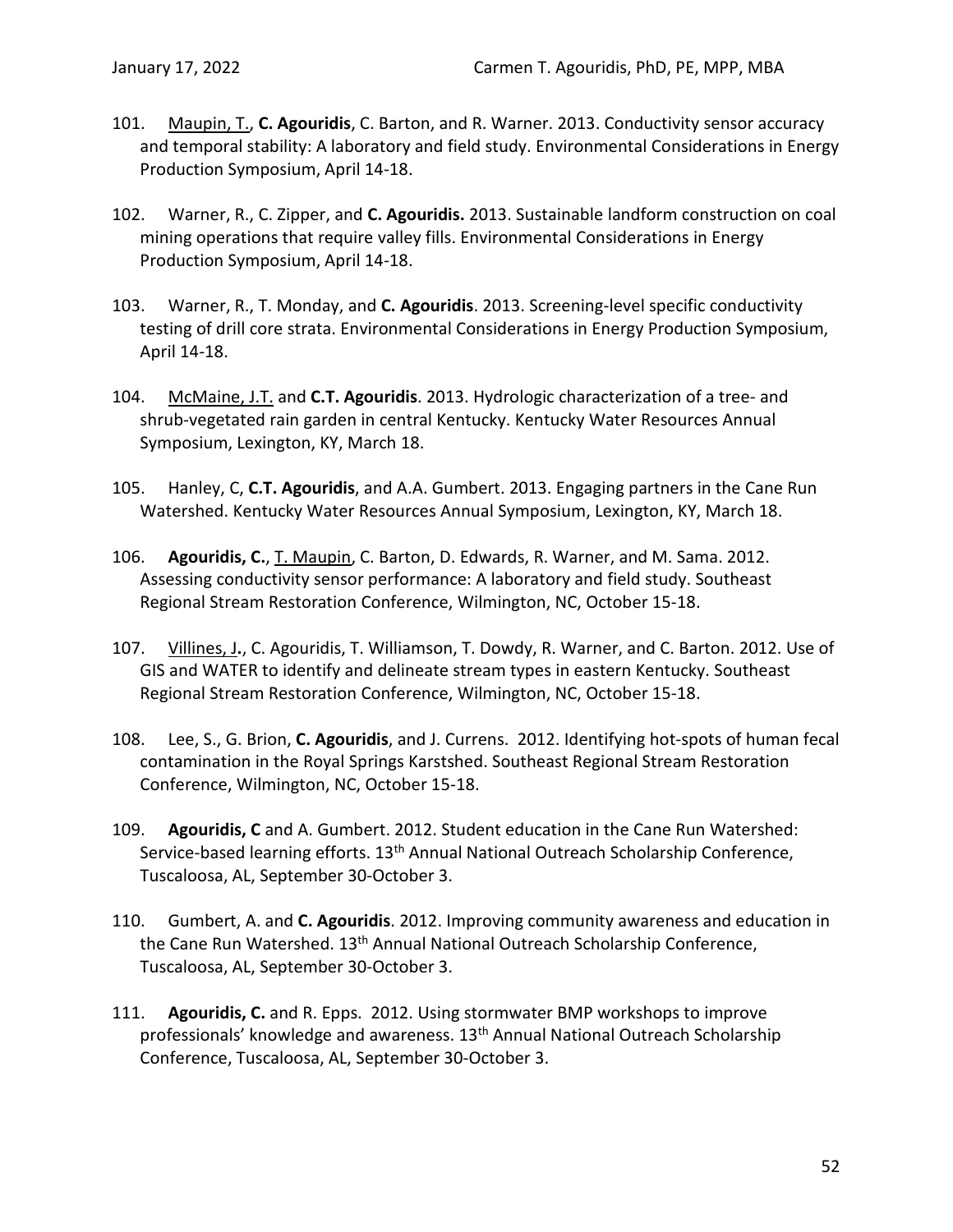- 101. Maupin, T., **C. Agouridis**, C. Barton, and R. Warner. 2013. Conductivity sensor accuracy and temporal stability: A laboratory and field study. Environmental Considerations in Energy Production Symposium, April 14-18.
- 102. Warner, R., C. Zipper, and **C. Agouridis.** 2013. Sustainable landform construction on coal mining operations that require valley fills. Environmental Considerations in Energy Production Symposium, April 14-18.
- 103. Warner, R., T. Monday, and **C. Agouridis**. 2013. Screening-level specific conductivity testing of drill core strata. Environmental Considerations in Energy Production Symposium, April 14-18.
- 104. McMaine, J.T. and **C.T. Agouridis**. 2013. Hydrologic characterization of a tree- and shrub-vegetated rain garden in central Kentucky. Kentucky Water Resources Annual Symposium, Lexington, KY, March 18.
- 105. Hanley, C, **C.T. Agouridis**, and A.A. Gumbert. 2013. Engaging partners in the Cane Run Watershed. Kentucky Water Resources Annual Symposium, Lexington, KY, March 18.
- 106. **Agouridis, C.**, T. Maupin, C. Barton, D. Edwards, R. Warner, and M. Sama. 2012. Assessing conductivity sensor performance: A laboratory and field study. Southeast Regional Stream Restoration Conference, Wilmington, NC, October 15-18.
- 107. Villines, J**.**, C. Agouridis, T. Williamson, T. Dowdy, R. Warner, and C. Barton. 2012. Use of GIS and WATER to identify and delineate stream types in eastern Kentucky. Southeast Regional Stream Restoration Conference, Wilmington, NC, October 15-18.
- 108. Lee, S., G. Brion, **C. Agouridis**, and J. Currens. 2012. Identifying hot-spots of human fecal contamination in the Royal Springs Karstshed. Southeast Regional Stream Restoration Conference, Wilmington, NC, October 15-18.
- 109. **Agouridis, C** and A. Gumbert. 2012. Student education in the Cane Run Watershed: Service-based learning efforts. 13<sup>th</sup> Annual National Outreach Scholarship Conference, Tuscaloosa, AL, September 30-October 3.
- 110. Gumbert, A. and **C. Agouridis**. 2012. Improving community awareness and education in the Cane Run Watershed. 13<sup>th</sup> Annual National Outreach Scholarship Conference, Tuscaloosa, AL, September 30-October 3.
- 111. **Agouridis, C.** and R. Epps. 2012. Using stormwater BMP workshops to improve professionals' knowledge and awareness. 13<sup>th</sup> Annual National Outreach Scholarship Conference, Tuscaloosa, AL, September 30-October 3.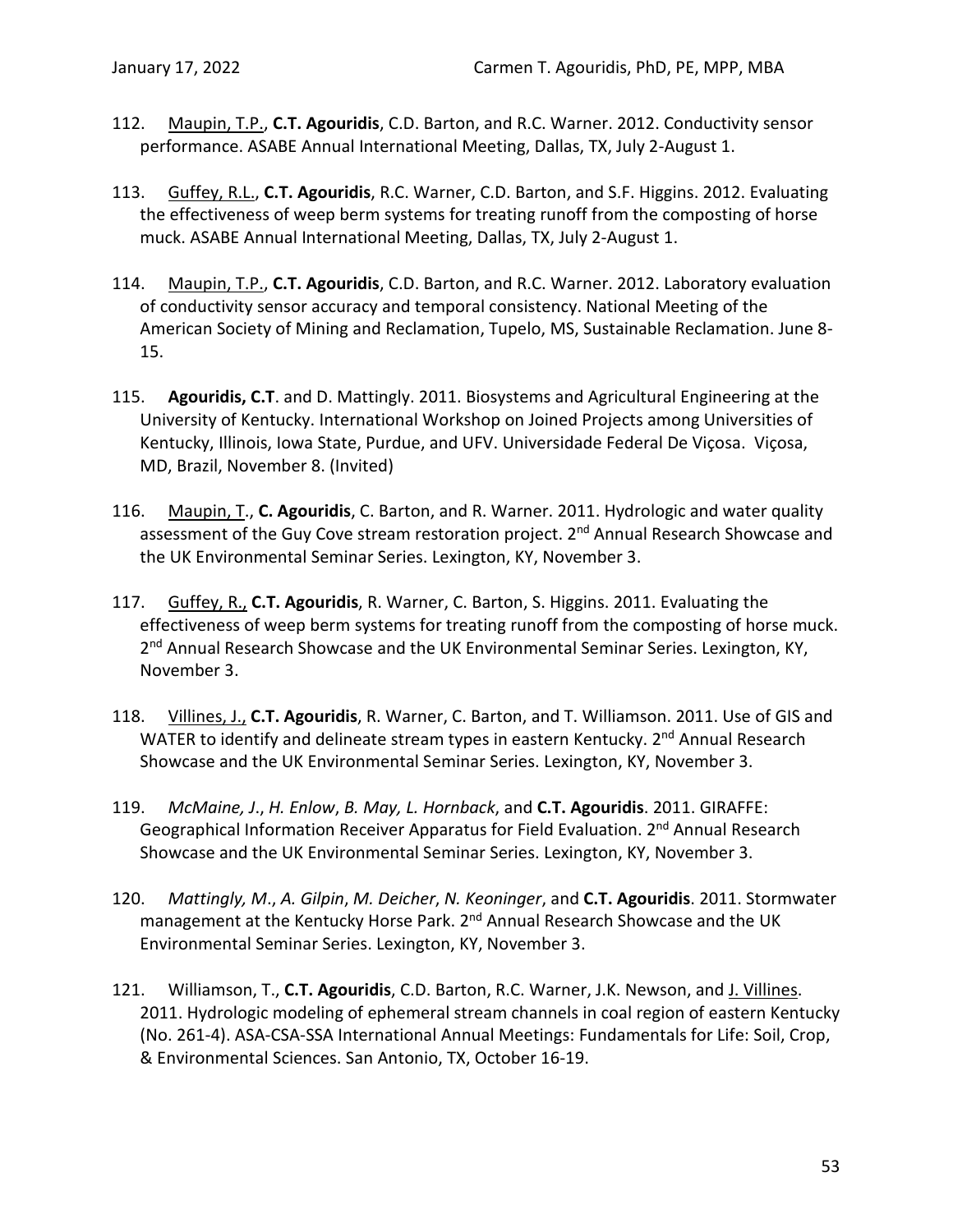- 112. Maupin, T.P., **C.T. Agouridis**, C.D. Barton, and R.C. Warner. 2012. Conductivity sensor performance. ASABE Annual International Meeting, Dallas, TX, July 2-August 1.
- 113. Guffey, R.L., **C.T. Agouridis**, R.C. Warner, C.D. Barton, and S.F. Higgins. 2012. Evaluating the effectiveness of weep berm systems for treating runoff from the composting of horse muck. ASABE Annual International Meeting, Dallas, TX, July 2-August 1.
- 114. Maupin, T.P., **C.T. Agouridis**, C.D. Barton, and R.C. Warner. 2012. Laboratory evaluation of conductivity sensor accuracy and temporal consistency. National Meeting of the American Society of Mining and Reclamation, Tupelo, MS, Sustainable Reclamation. June 8- 15.
- 115. **Agouridis, C.T**. and D. Mattingly. 2011. Biosystems and Agricultural Engineering at the University of Kentucky. International Workshop on Joined Projects among Universities of Kentucky, Illinois, Iowa State, Purdue, and UFV. Universidade Federal De Viçosa. Viçosa, MD, Brazil, November 8. (Invited)
- 116. Maupin, T., **C. Agouridis**, C. Barton, and R. Warner. 2011. Hydrologic and water quality assessment of the Guy Cove stream restoration project. 2<sup>nd</sup> Annual Research Showcase and the UK Environmental Seminar Series. Lexington, KY, November 3.
- 117. Guffey, R., **C.T. Agouridis**, R. Warner, C. Barton, S. Higgins. 2011. Evaluating the effectiveness of weep berm systems for treating runoff from the composting of horse muck. 2<sup>nd</sup> Annual Research Showcase and the UK Environmental Seminar Series. Lexington, KY, November 3.
- 118. Villines, J., **C.T. Agouridis**, R. Warner, C. Barton, and T. Williamson. 2011. Use of GIS and WATER to identify and delineate stream types in eastern Kentucky. 2<sup>nd</sup> Annual Research Showcase and the UK Environmental Seminar Series. Lexington, KY, November 3.
- 119. *McMaine, J*., *H. Enlow*, *B. May, L. Hornback*, and **C.T. Agouridis**. 2011. GIRAFFE: Geographical Information Receiver Apparatus for Field Evaluation. 2<sup>nd</sup> Annual Research Showcase and the UK Environmental Seminar Series. Lexington, KY, November 3.
- 120. *Mattingly, M*., *A. Gilpin*, *M. Deicher*, *N. Keoninger*, and **C.T. Agouridis**. 2011. Stormwater management at the Kentucky Horse Park. 2<sup>nd</sup> Annual Research Showcase and the UK Environmental Seminar Series. Lexington, KY, November 3.
- 121. Williamson, T., **C.T. Agouridis**, C.D. Barton, R.C. Warner, J.K. Newson, and J. Villines. 2011. Hydrologic modeling of ephemeral stream channels in coal region of eastern Kentucky (No. 261-4). ASA-CSA-SSA International Annual Meetings: Fundamentals for Life: Soil, Crop, & Environmental Sciences. San Antonio, TX, October 16-19.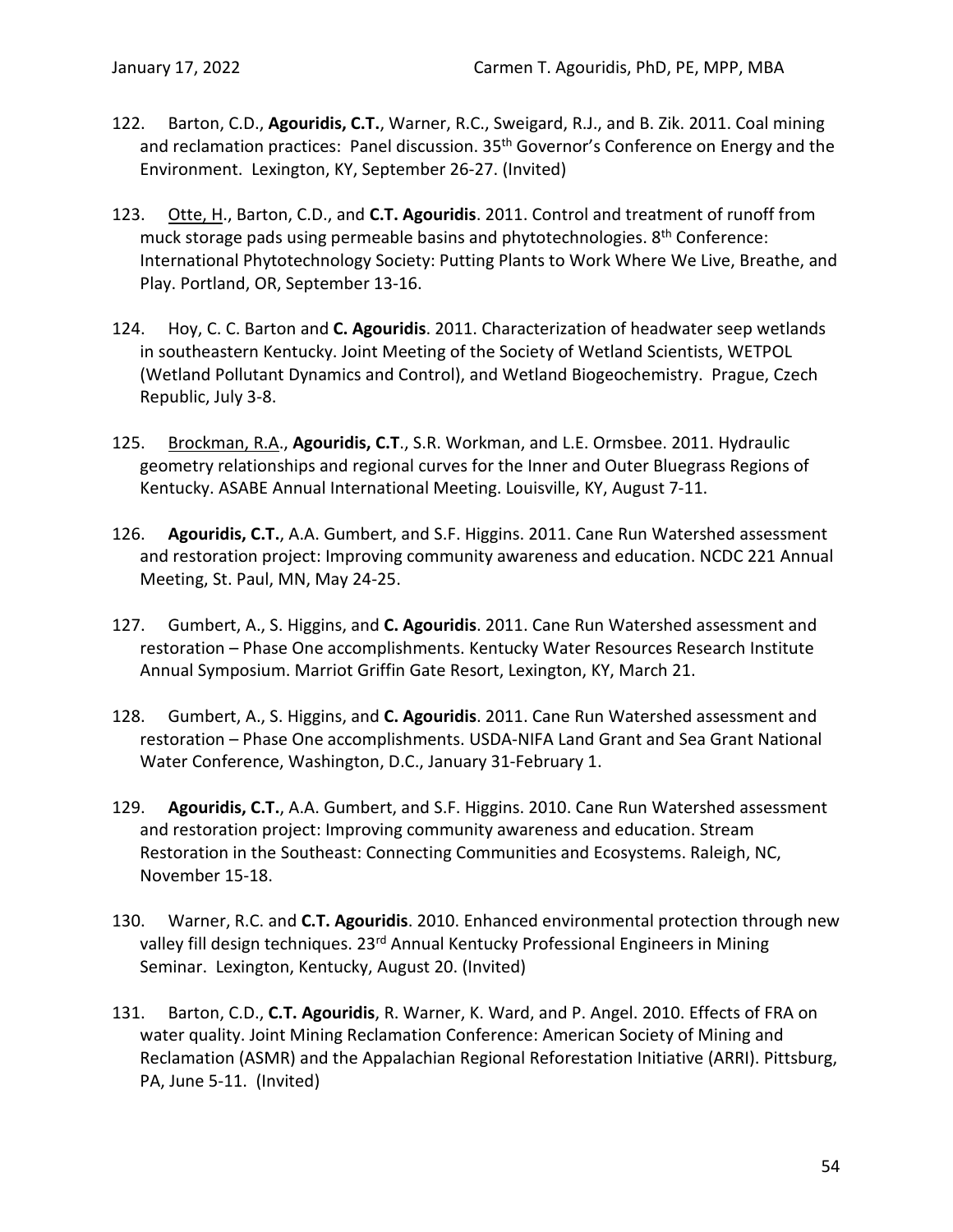- 122. Barton, C.D., **Agouridis, C.T.**, Warner, R.C., Sweigard, R.J., and B. Zik. 2011. Coal mining and reclamation practices: Panel discussion. 35<sup>th</sup> Governor's Conference on Energy and the Environment. Lexington, KY, September 26-27. (Invited)
- 123. Otte, H., Barton, C.D., and **C.T. Agouridis**. 2011. Control and treatment of runoff from muck storage pads using permeable basins and phytotechnologies. 8<sup>th</sup> Conference: International Phytotechnology Society: Putting Plants to Work Where We Live, Breathe, and Play. Portland, OR, September 13-16.
- 124. Hoy, C. C. Barton and **C. Agouridis**. 2011. Characterization of headwater seep wetlands in southeastern Kentucky. Joint Meeting of the Society of Wetland Scientists, WETPOL (Wetland Pollutant Dynamics and Control), and Wetland Biogeochemistry. Prague, Czech Republic, July 3-8.
- 125. Brockman, R.A., **Agouridis, C.T**., S.R. Workman, and L.E. Ormsbee. 2011. Hydraulic geometry relationships and regional curves for the Inner and Outer Bluegrass Regions of Kentucky. ASABE Annual International Meeting. Louisville, KY, August 7-11.
- 126. **Agouridis, C.T.**, A.A. Gumbert, and S.F. Higgins. 2011. Cane Run Watershed assessment and restoration project: Improving community awareness and education. NCDC 221 Annual Meeting, St. Paul, MN, May 24-25.
- 127. Gumbert, A., S. Higgins, and **C. Agouridis**. 2011. Cane Run Watershed assessment and restoration – Phase One accomplishments. Kentucky Water Resources Research Institute Annual Symposium. Marriot Griffin Gate Resort, Lexington, KY, March 21.
- 128. Gumbert, A., S. Higgins, and **C. Agouridis**. 2011. Cane Run Watershed assessment and restoration – Phase One accomplishments. USDA-NIFA Land Grant and Sea Grant National Water Conference, Washington, D.C., January 31-February 1.
- 129. **Agouridis, C.T.**, A.A. Gumbert, and S.F. Higgins. 2010. Cane Run Watershed assessment and restoration project: Improving community awareness and education. Stream Restoration in the Southeast: Connecting Communities and Ecosystems. Raleigh, NC, November 15-18.
- 130. Warner, R.C. and **C.T. Agouridis**. 2010. Enhanced environmental protection through new valley fill design techniques. 23<sup>rd</sup> Annual Kentucky Professional Engineers in Mining Seminar. Lexington, Kentucky, August 20. (Invited)
- 131. Barton, C.D., **C.T. Agouridis**, R. Warner, K. Ward, and P. Angel. 2010. Effects of FRA on water quality. Joint Mining Reclamation Conference: American Society of Mining and Reclamation (ASMR) and the Appalachian Regional Reforestation Initiative (ARRI). Pittsburg, PA, June 5-11. (Invited)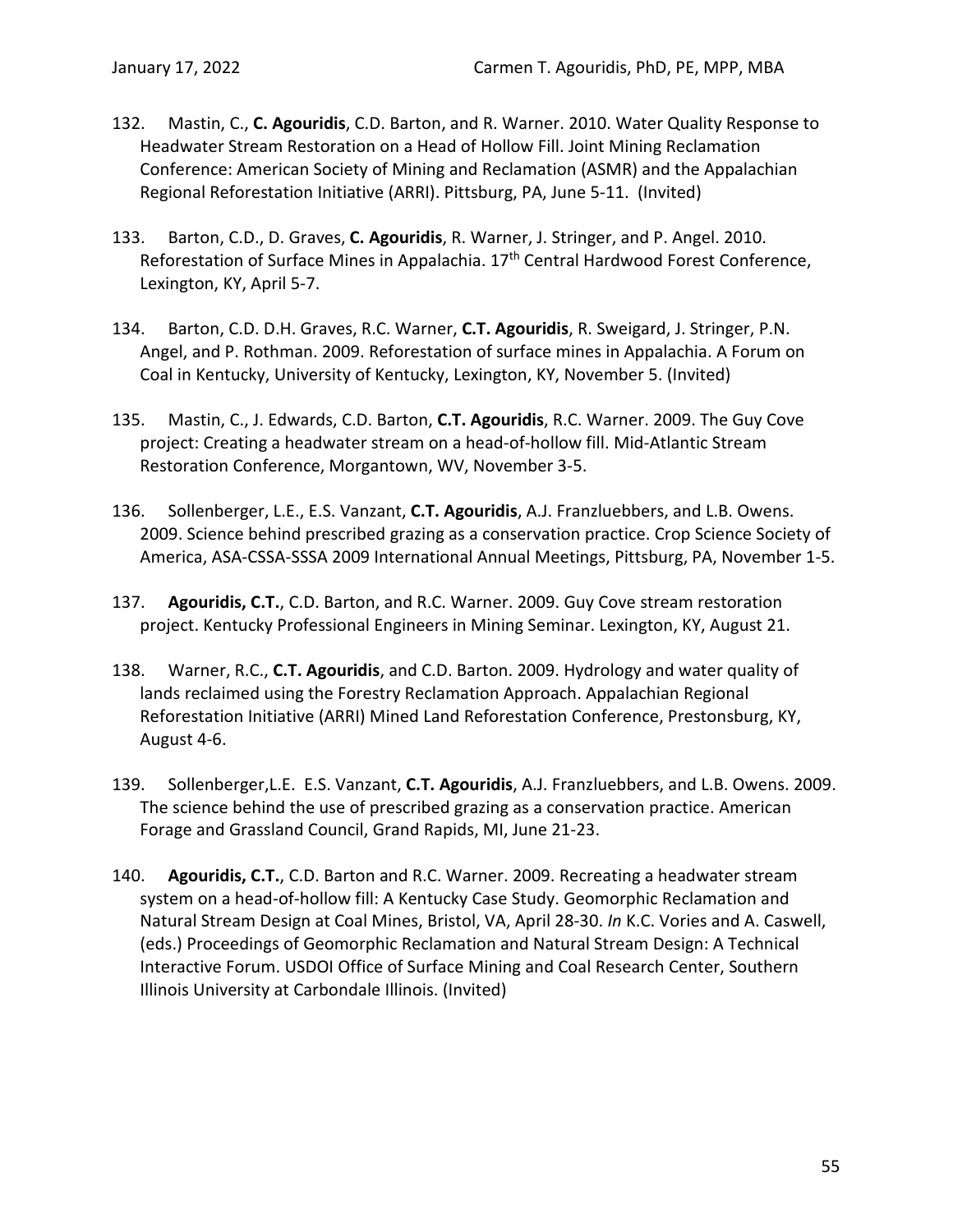- 132. Mastin, C., **C. Agouridis**, C.D. Barton, and R. Warner. 2010. Water Quality Response to Headwater Stream Restoration on a Head of Hollow Fill. Joint Mining Reclamation Conference: American Society of Mining and Reclamation (ASMR) and the Appalachian Regional Reforestation Initiative (ARRI). Pittsburg, PA, June 5-11. (Invited)
- 133. Barton, C.D., D. Graves, **C. Agouridis**, R. Warner, J. Stringer, and P. Angel. 2010. Reforestation of Surface Mines in Appalachia. 17<sup>th</sup> Central Hardwood Forest Conference, Lexington, KY, April 5-7.
- 134. Barton, C.D. D.H. Graves, R.C. Warner, **C.T. Agouridis**, R. Sweigard, J. Stringer, P.N. Angel, and P. Rothman. 2009. Reforestation of surface mines in Appalachia. A Forum on Coal in Kentucky, University of Kentucky, Lexington, KY, November 5. (Invited)
- 135. Mastin, C., J. Edwards, C.D. Barton, **C.T. Agouridis**, R.C. Warner. 2009. The Guy Cove project: Creating a headwater stream on a head-of-hollow fill. Mid-Atlantic Stream Restoration Conference, Morgantown, WV, November 3-5.
- 136. Sollenberger, L.E., E.S. Vanzant, **C.T. Agouridis**, A.J. Franzluebbers, and L.B. Owens. 2009. Science behind prescribed grazing as a conservation practice. Crop Science Society of America, ASA-CSSA-SSSA 2009 International Annual Meetings, Pittsburg, PA, November 1-5.
- 137. **Agouridis, C.T.**, C.D. Barton, and R.C. Warner. 2009. Guy Cove stream restoration project. Kentucky Professional Engineers in Mining Seminar. Lexington, KY, August 21.
- 138. Warner, R.C., **C.T. Agouridis**, and C.D. Barton. 2009. Hydrology and water quality of lands reclaimed using the Forestry Reclamation Approach. Appalachian Regional Reforestation Initiative (ARRI) Mined Land Reforestation Conference, Prestonsburg, KY, August 4-6.
- 139. Sollenberger,L.E. E.S. Vanzant, **C.T. Agouridis**, A.J. Franzluebbers, and L.B. Owens. 2009. The science behind the use of prescribed grazing as a conservation practice. American Forage and Grassland Council, Grand Rapids, MI, June 21-23.
- 140. **Agouridis, C.T.**, C.D. Barton and R.C. Warner. 2009. Recreating a headwater stream system on a head-of-hollow fill: A Kentucky Case Study. Geomorphic Reclamation and Natural Stream Design at Coal Mines, Bristol, VA, April 28-30. *In* K.C. Vories and A. Caswell, (eds.) Proceedings of Geomorphic Reclamation and Natural Stream Design: A Technical Interactive Forum. USDOI Office of Surface Mining and Coal Research Center, Southern Illinois University at Carbondale Illinois. (Invited)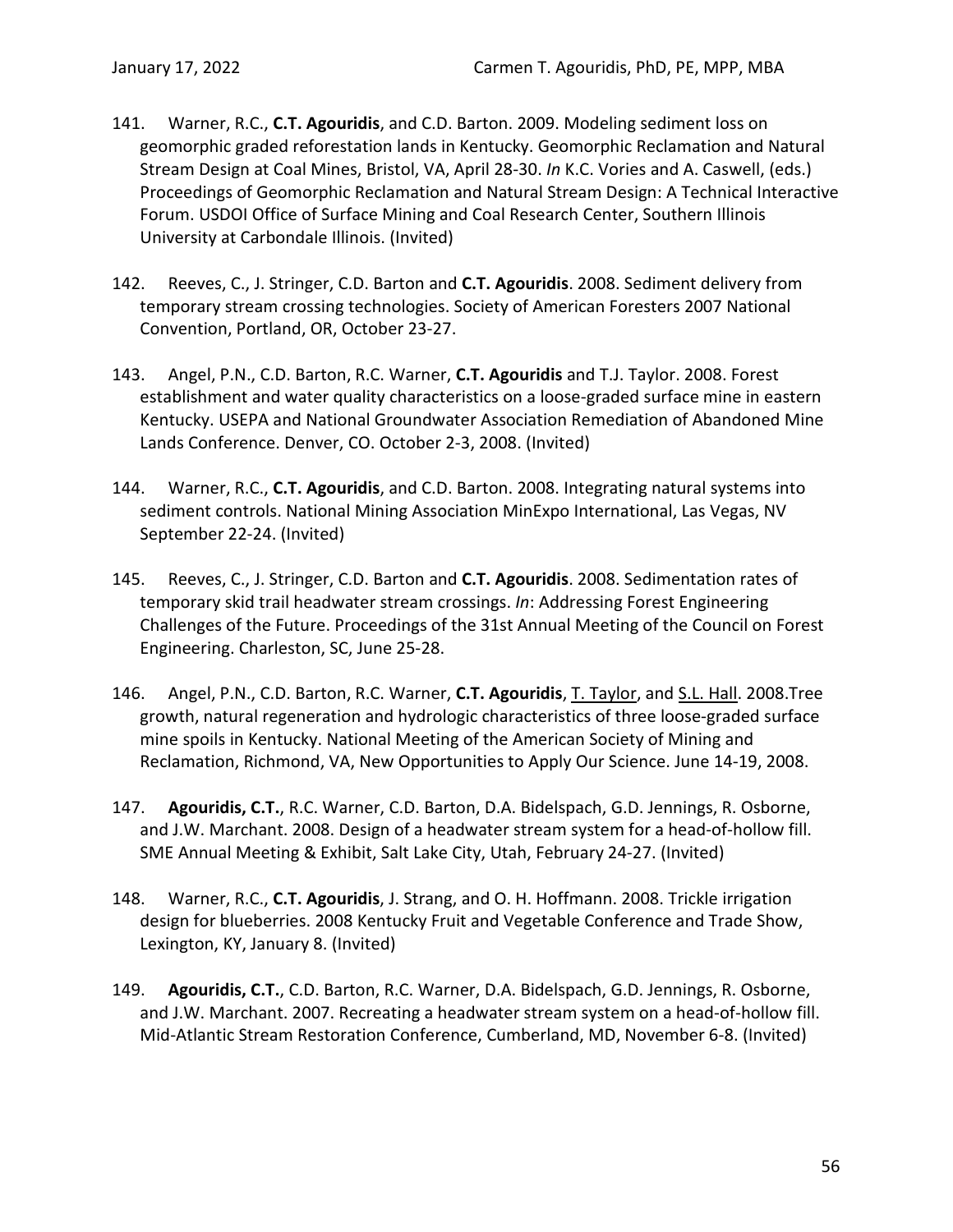- 141. Warner, R.C., **C.T. Agouridis**, and C.D. Barton. 2009. Modeling sediment loss on geomorphic graded reforestation lands in Kentucky. Geomorphic Reclamation and Natural Stream Design at Coal Mines, Bristol, VA, April 28-30. *In* K.C. Vories and A. Caswell, (eds.) Proceedings of Geomorphic Reclamation and Natural Stream Design: A Technical Interactive Forum. USDOI Office of Surface Mining and Coal Research Center, Southern Illinois University at Carbondale Illinois. (Invited)
- 142. Reeves, C., J. Stringer, C.D. Barton and **C.T. Agouridis**. 2008. Sediment delivery from temporary stream crossing technologies. Society of American Foresters 2007 National Convention, Portland, OR, October 23-27.
- 143. Angel, P.N., C.D. Barton, R.C. Warner, **C.T. Agouridis** and T.J. Taylor. 2008. Forest establishment and water quality characteristics on a loose-graded surface mine in eastern Kentucky. USEPA and National Groundwater Association Remediation of Abandoned Mine Lands Conference. Denver, CO. October 2-3, 2008. (Invited)
- 144. Warner, R.C., **C.T. Agouridis**, and C.D. Barton. 2008. Integrating natural systems into sediment controls. National Mining Association MinExpo International, Las Vegas, NV September 22-24. (Invited)
- 145. Reeves, C., J. Stringer, C.D. Barton and **C.T. Agouridis**. 2008. Sedimentation rates of temporary skid trail headwater stream crossings. *In*: Addressing Forest Engineering Challenges of the Future. Proceedings of the 31st Annual Meeting of the Council on Forest Engineering. Charleston, SC, June 25-28.
- 146. Angel, P.N., C.D. Barton, R.C. Warner, **C.T. Agouridis**, T. Taylor, and S.L. Hall. 2008.Tree growth, natural regeneration and hydrologic characteristics of three loose-graded surface mine spoils in Kentucky. National Meeting of the American Society of Mining and Reclamation, Richmond, VA, New Opportunities to Apply Our Science. June 14-19, 2008.
- 147. **Agouridis, C.T.**, R.C. Warner, C.D. Barton, D.A. Bidelspach, G.D. Jennings, R. Osborne, and J.W. Marchant. 2008. Design of a headwater stream system for a head-of-hollow fill. SME Annual Meeting & Exhibit, Salt Lake City, Utah, February 24-27. (Invited)
- 148. Warner, R.C., **C.T. Agouridis**, J. Strang, and O. H. Hoffmann. 2008. Trickle irrigation design for blueberries. 2008 Kentucky Fruit and Vegetable Conference and Trade Show, Lexington, KY, January 8. (Invited)
- 149. **Agouridis, C.T.**, C.D. Barton, R.C. Warner, D.A. Bidelspach, G.D. Jennings, R. Osborne, and J.W. Marchant. 2007. Recreating a headwater stream system on a head-of-hollow fill. Mid-Atlantic Stream Restoration Conference, Cumberland, MD, November 6-8. (Invited)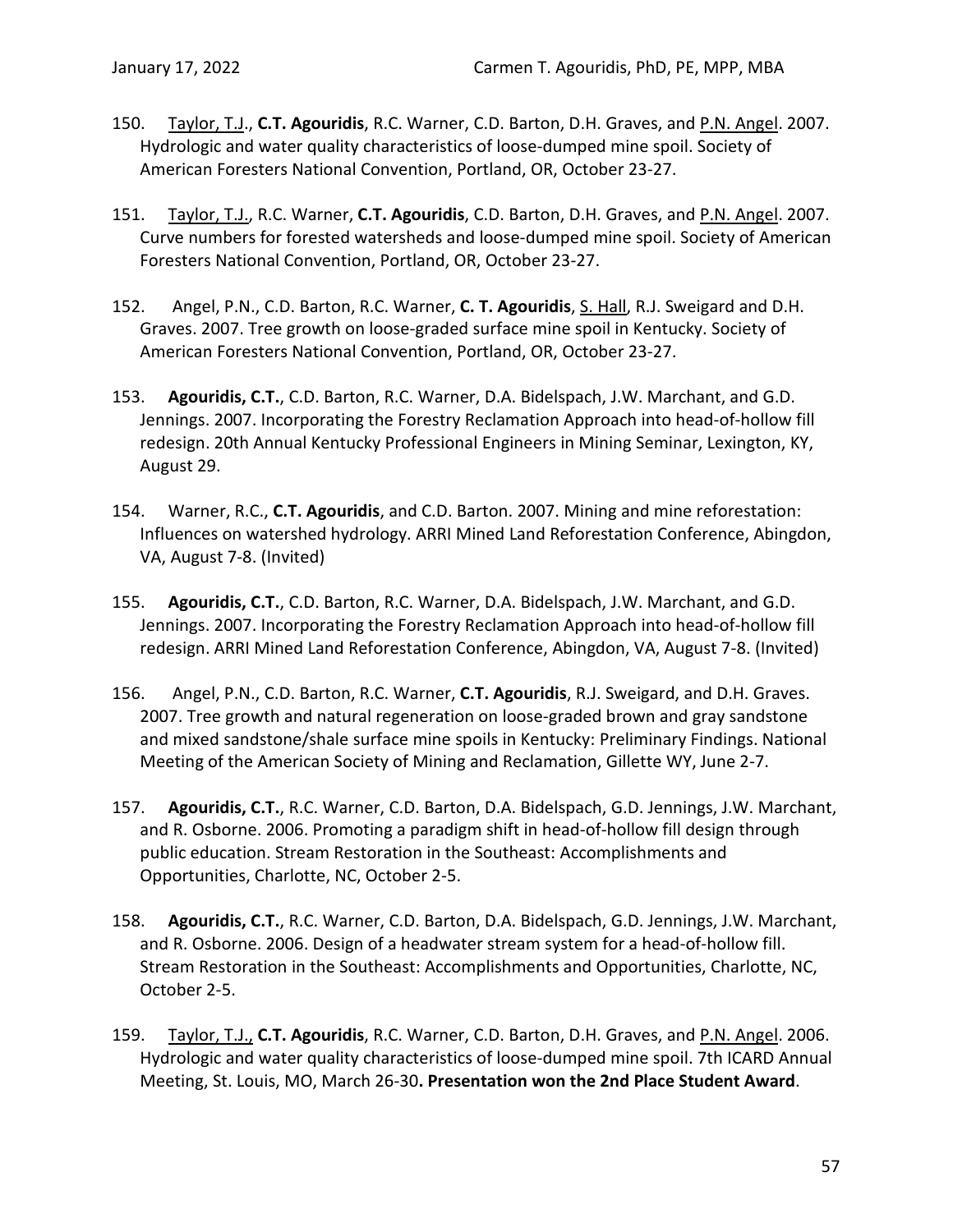- 150. Taylor, T.J., **C.T. Agouridis**, R.C. Warner, C.D. Barton, D.H. Graves, and P.N. Angel. 2007. Hydrologic and water quality characteristics of loose-dumped mine spoil. Society of American Foresters National Convention, Portland, OR, October 23-27.
- 151. Taylor, T.J., R.C. Warner, **C.T. Agouridis**, C.D. Barton, D.H. Graves, and P.N. Angel. 2007. Curve numbers for forested watersheds and loose-dumped mine spoil. Society of American Foresters National Convention, Portland, OR, October 23-27.
- 152. Angel, P.N., C.D. Barton, R.C. Warner, **C. T. Agouridis**, S. Hall, R.J. Sweigard and D.H. Graves. 2007. Tree growth on loose-graded surface mine spoil in Kentucky. Society of American Foresters National Convention, Portland, OR, October 23-27.
- 153. **Agouridis, C.T.**, C.D. Barton, R.C. Warner, D.A. Bidelspach, J.W. Marchant, and G.D. Jennings. 2007. Incorporating the Forestry Reclamation Approach into head-of-hollow fill redesign. 20th Annual Kentucky Professional Engineers in Mining Seminar, Lexington, KY, August 29.
- 154. Warner, R.C., **C.T. Agouridis**, and C.D. Barton. 2007. Mining and mine reforestation: Influences on watershed hydrology. ARRI Mined Land Reforestation Conference, Abingdon, VA, August 7-8. (Invited)
- 155. **Agouridis, C.T.**, C.D. Barton, R.C. Warner, D.A. Bidelspach, J.W. Marchant, and G.D. Jennings. 2007. Incorporating the Forestry Reclamation Approach into head-of-hollow fill redesign. ARRI Mined Land Reforestation Conference, Abingdon, VA, August 7-8. (Invited)
- 156. Angel, P.N., C.D. Barton, R.C. Warner, **C.T. Agouridis**, R.J. Sweigard, and D.H. Graves. 2007. Tree growth and natural regeneration on loose-graded brown and gray sandstone and mixed sandstone/shale surface mine spoils in Kentucky: Preliminary Findings. National Meeting of the American Society of Mining and Reclamation, Gillette WY, June 2-7.
- 157. **Agouridis, C.T.**, R.C. Warner, C.D. Barton, D.A. Bidelspach, G.D. Jennings, J.W. Marchant, and R. Osborne. 2006. Promoting a paradigm shift in head-of-hollow fill design through public education. Stream Restoration in the Southeast: Accomplishments and Opportunities, Charlotte, NC, October 2-5.
- 158. **Agouridis, C.T.**, R.C. Warner, C.D. Barton, D.A. Bidelspach, G.D. Jennings, J.W. Marchant, and R. Osborne. 2006. Design of a headwater stream system for a head-of-hollow fill. Stream Restoration in the Southeast: Accomplishments and Opportunities, Charlotte, NC, October 2-5.
- 159. Taylor, T.J., **C.T. Agouridis**, R.C. Warner, C.D. Barton, D.H. Graves, and P.N. Angel. 2006. Hydrologic and water quality characteristics of loose-dumped mine spoil. 7th ICARD Annual Meeting, St. Louis, MO, March 26-30**. Presentation won the 2nd Place Student Award**.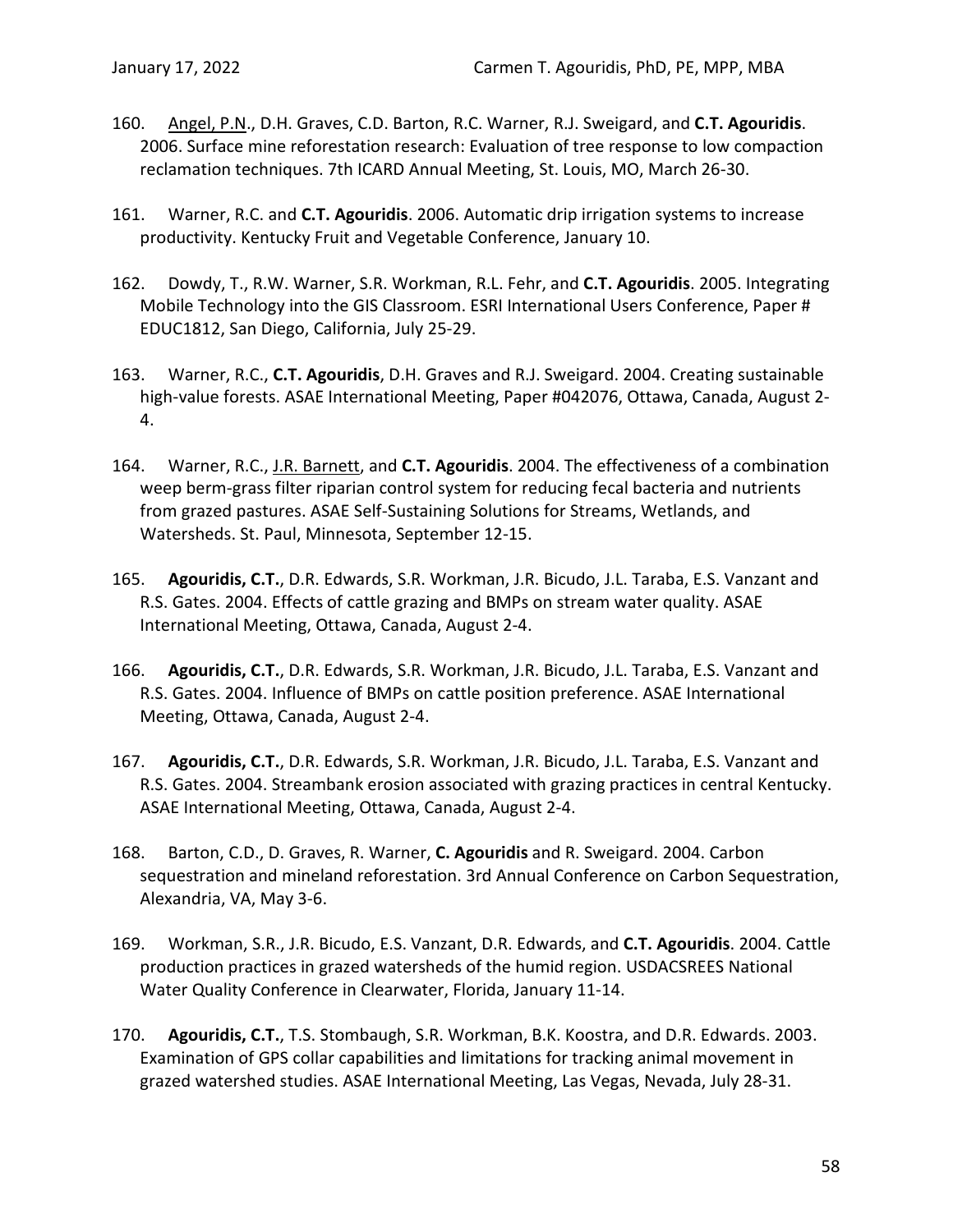- 160. Angel, P.N., D.H. Graves, C.D. Barton, R.C. Warner, R.J. Sweigard, and **C.T. Agouridis**. 2006. Surface mine reforestation research: Evaluation of tree response to low compaction reclamation techniques. 7th ICARD Annual Meeting, St. Louis, MO, March 26-30.
- 161. Warner, R.C. and **C.T. Agouridis**. 2006. Automatic drip irrigation systems to increase productivity. Kentucky Fruit and Vegetable Conference, January 10.
- 162. Dowdy, T., R.W. Warner, S.R. Workman, R.L. Fehr, and **C.T. Agouridis**. 2005. Integrating Mobile Technology into the GIS Classroom. ESRI International Users Conference, Paper # EDUC1812, San Diego, California, July 25-29.
- 163. Warner, R.C., **C.T. Agouridis**, D.H. Graves and R.J. Sweigard. 2004. Creating sustainable high-value forests. ASAE International Meeting, Paper #042076, Ottawa, Canada, August 2- 4.
- 164. Warner, R.C., J.R. Barnett, and **C.T. Agouridis**. 2004. The effectiveness of a combination weep berm-grass filter riparian control system for reducing fecal bacteria and nutrients from grazed pastures. ASAE Self-Sustaining Solutions for Streams, Wetlands, and Watersheds. St. Paul, Minnesota, September 12-15.
- 165. **Agouridis, C.T.**, D.R. Edwards, S.R. Workman, J.R. Bicudo, J.L. Taraba, E.S. Vanzant and R.S. Gates. 2004. Effects of cattle grazing and BMPs on stream water quality. ASAE International Meeting, Ottawa, Canada, August 2-4.
- 166. **Agouridis, C.T.**, D.R. Edwards, S.R. Workman, J.R. Bicudo, J.L. Taraba, E.S. Vanzant and R.S. Gates. 2004. Influence of BMPs on cattle position preference. ASAE International Meeting, Ottawa, Canada, August 2-4.
- 167. **Agouridis, C.T.**, D.R. Edwards, S.R. Workman, J.R. Bicudo, J.L. Taraba, E.S. Vanzant and R.S. Gates. 2004. Streambank erosion associated with grazing practices in central Kentucky. ASAE International Meeting, Ottawa, Canada, August 2-4.
- 168. Barton, C.D., D. Graves, R. Warner, **C. Agouridis** and R. Sweigard. 2004. Carbon sequestration and mineland reforestation. 3rd Annual Conference on Carbon Sequestration, Alexandria, VA, May 3-6.
- 169. Workman, S.R., J.R. Bicudo, E.S. Vanzant, D.R. Edwards, and **C.T. Agouridis**. 2004. Cattle production practices in grazed watersheds of the humid region. USDACSREES National Water Quality Conference in Clearwater, Florida, January 11-14.
- 170. **Agouridis, C.T.**, T.S. Stombaugh, S.R. Workman, B.K. Koostra, and D.R. Edwards. 2003. Examination of GPS collar capabilities and limitations for tracking animal movement in grazed watershed studies. ASAE International Meeting, Las Vegas, Nevada, July 28-31.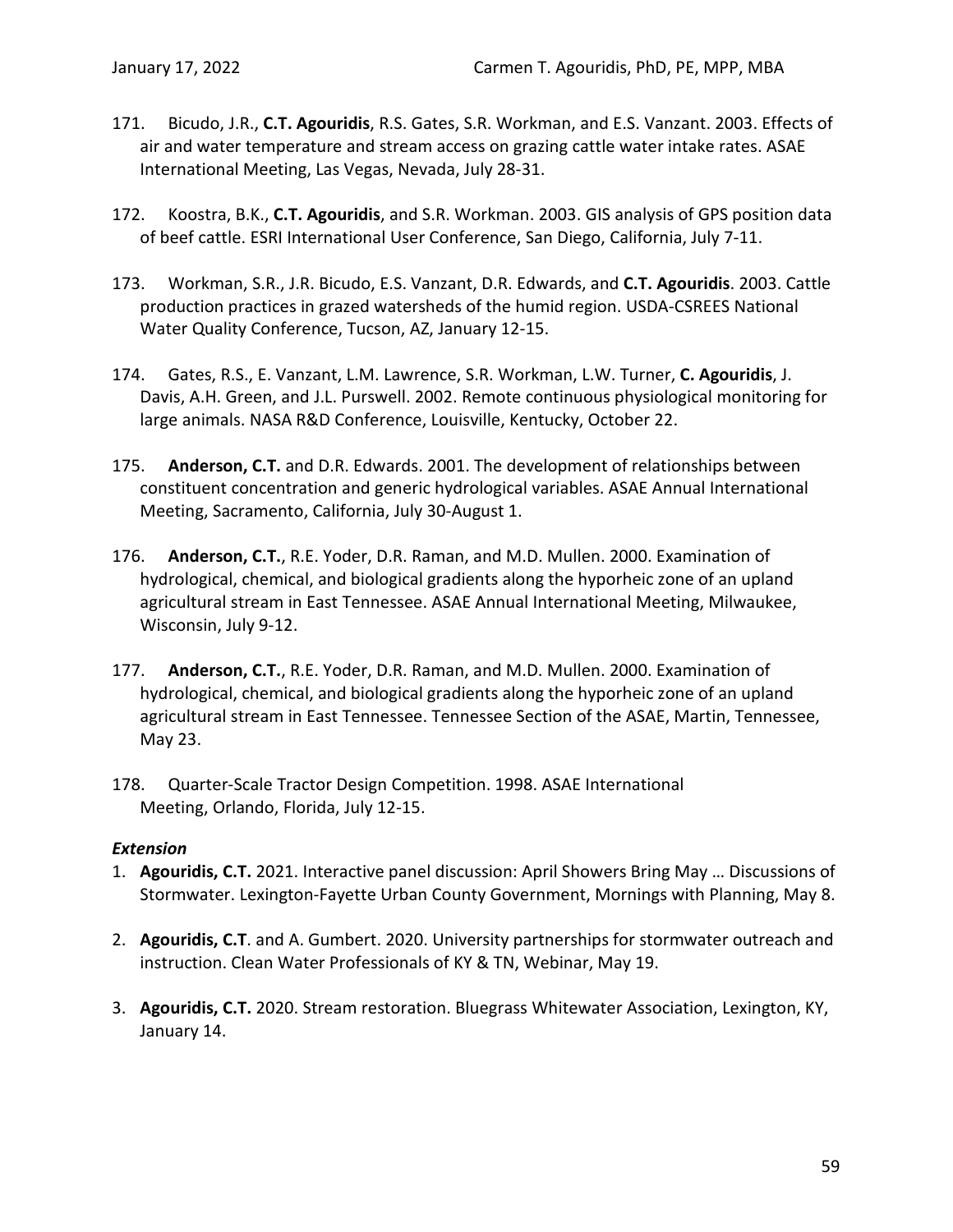- 171. Bicudo, J.R., **C.T. Agouridis**, R.S. Gates, S.R. Workman, and E.S. Vanzant. 2003. Effects of air and water temperature and stream access on grazing cattle water intake rates. ASAE International Meeting, Las Vegas, Nevada, July 28-31.
- 172. Koostra, B.K., **C.T. Agouridis**, and S.R. Workman. 2003. GIS analysis of GPS position data of beef cattle. ESRI International User Conference, San Diego, California, July 7-11.
- 173. Workman, S.R., J.R. Bicudo, E.S. Vanzant, D.R. Edwards, and **C.T. Agouridis**. 2003. Cattle production practices in grazed watersheds of the humid region. USDA-CSREES National Water Quality Conference, Tucson, AZ, January 12-15.
- 174. Gates, R.S., E. Vanzant, L.M. Lawrence, S.R. Workman, L.W. Turner, **C. Agouridis**, J. Davis, A.H. Green, and J.L. Purswell. 2002. Remote continuous physiological monitoring for large animals. NASA R&D Conference, Louisville, Kentucky, October 22.
- 175. **Anderson, C.T.** and D.R. Edwards. 2001. The development of relationships between constituent concentration and generic hydrological variables. ASAE Annual International Meeting, Sacramento, California, July 30-August 1.
- 176. **Anderson, C.T.**, R.E. Yoder, D.R. Raman, and M.D. Mullen. 2000. Examination of hydrological, chemical, and biological gradients along the hyporheic zone of an upland agricultural stream in East Tennessee. ASAE Annual International Meeting, Milwaukee, Wisconsin, July 9-12.
- 177. **Anderson, C.T.**, R.E. Yoder, D.R. Raman, and M.D. Mullen. 2000. Examination of hydrological, chemical, and biological gradients along the hyporheic zone of an upland agricultural stream in East Tennessee. Tennessee Section of the ASAE, Martin, Tennessee, May 23.
- 178. Quarter-Scale Tractor Design Competition. 1998. ASAE International Meeting, Orlando, Florida, July 12-15.

### *Extension*

- 1. **Agouridis, C.T.** 2021. Interactive panel discussion: April Showers Bring May … Discussions of Stormwater. Lexington-Fayette Urban County Government, Mornings with Planning, May 8.
- 2. **Agouridis, C.T**. and A. Gumbert. 2020. University partnerships for stormwater outreach and instruction. Clean Water Professionals of KY & TN, Webinar, May 19.
- 3. **Agouridis, C.T.** 2020. Stream restoration. Bluegrass Whitewater Association, Lexington, KY, January 14.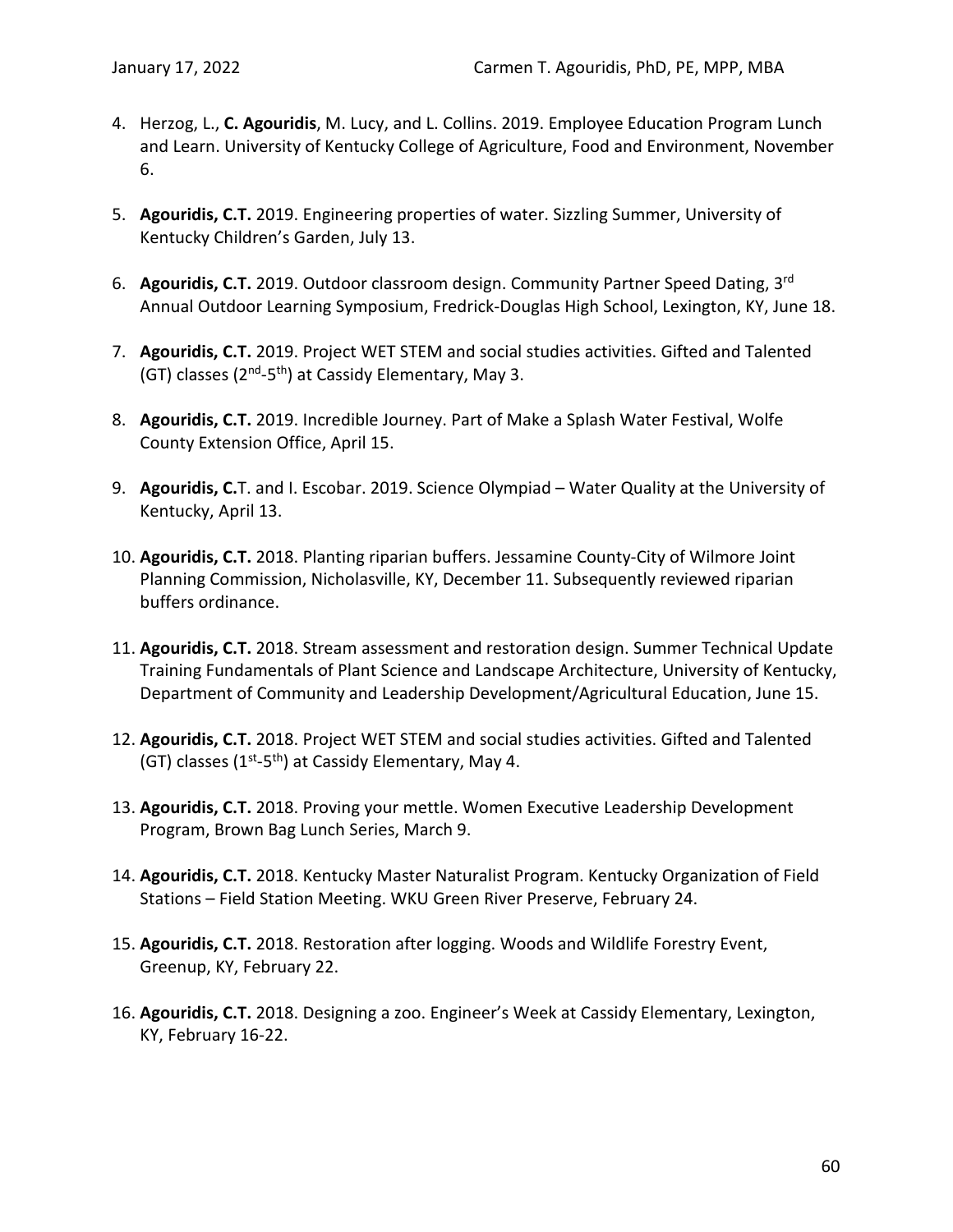- 4. Herzog, L., **C. Agouridis**, M. Lucy, and L. Collins. 2019. Employee Education Program Lunch and Learn. University of Kentucky College of Agriculture, Food and Environment, November 6.
- 5. **Agouridis, C.T.** 2019. Engineering properties of water. Sizzling Summer, University of Kentucky Children's Garden, July 13.
- 6. **Agouridis, C.T.** 2019. Outdoor classroom design. Community Partner Speed Dating, 3rd Annual Outdoor Learning Symposium, Fredrick-Douglas High School, Lexington, KY, June 18.
- 7. **Agouridis, C.T.** 2019. Project WET STEM and social studies activities. Gifted and Talented (GT) classes ( $2<sup>nd</sup>-5<sup>th</sup>$ ) at Cassidy Elementary, May 3.
- 8. **Agouridis, C.T.** 2019. Incredible Journey. Part of Make a Splash Water Festival, Wolfe County Extension Office, April 15.
- 9. **Agouridis, C.**T. and I. Escobar. 2019. Science Olympiad Water Quality at the University of Kentucky, April 13.
- 10. **Agouridis, C.T.** 2018. Planting riparian buffers. Jessamine County-City of Wilmore Joint Planning Commission, Nicholasville, KY, December 11. Subsequently reviewed riparian buffers ordinance.
- 11. **Agouridis, C.T.** 2018. Stream assessment and restoration design. Summer Technical Update Training Fundamentals of Plant Science and Landscape Architecture, University of Kentucky, Department of Community and Leadership Development/Agricultural Education, June 15.
- 12. **Agouridis, C.T.** 2018. Project WET STEM and social studies activities. Gifted and Talented (GT) classes  $(1^{st}-5^{th})$  at Cassidy Elementary, May 4.
- 13. **Agouridis, C.T.** 2018. Proving your mettle. Women Executive Leadership Development Program, Brown Bag Lunch Series, March 9.
- 14. **Agouridis, C.T.** 2018. Kentucky Master Naturalist Program. Kentucky Organization of Field Stations – Field Station Meeting. WKU Green River Preserve, February 24.
- 15. **Agouridis, C.T.** 2018. Restoration after logging. Woods and Wildlife Forestry Event, Greenup, KY, February 22.
- 16. **Agouridis, C.T.** 2018. Designing a zoo. Engineer's Week at Cassidy Elementary, Lexington, KY, February 16-22.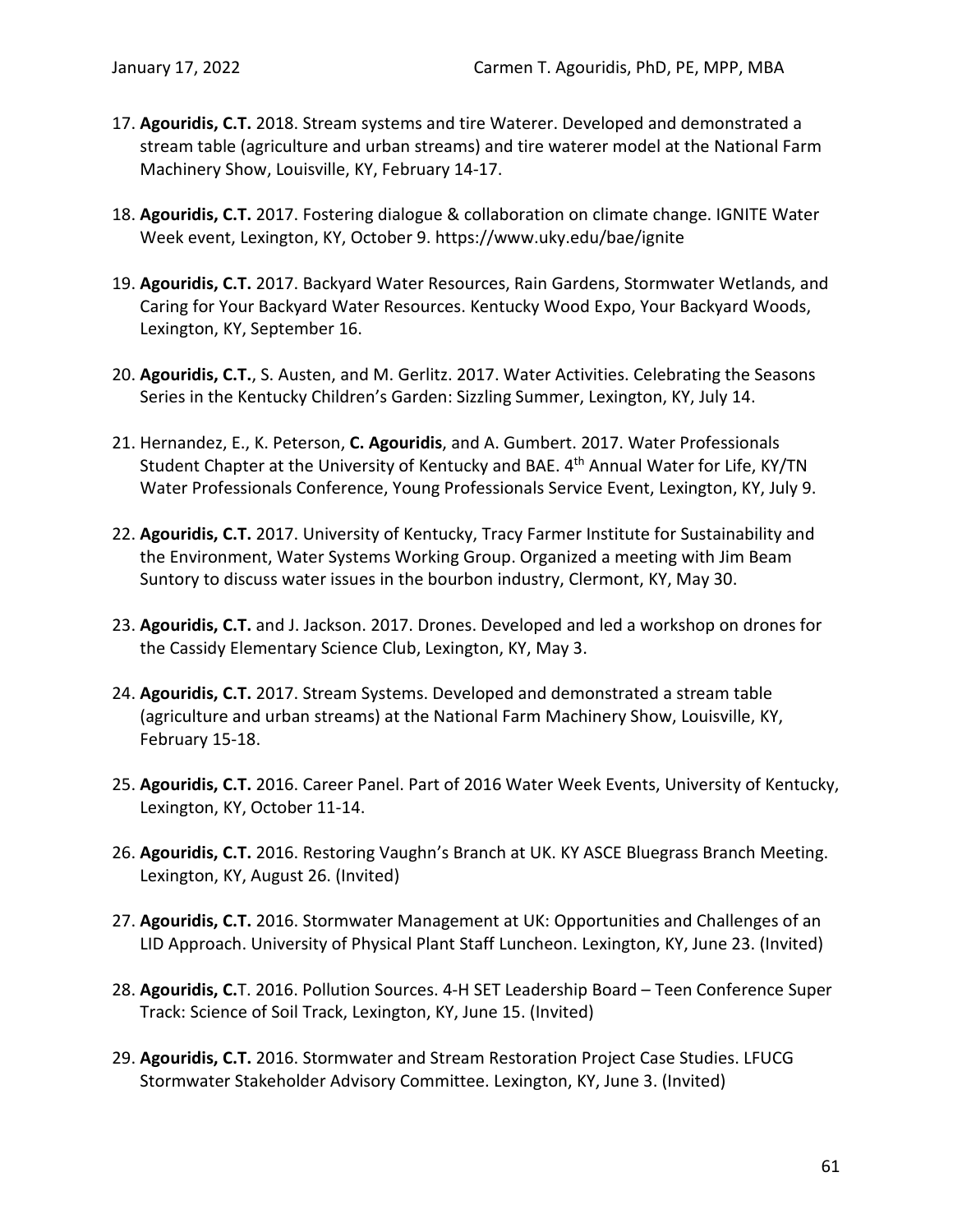- 17. **Agouridis, C.T.** 2018. Stream systems and tire Waterer. Developed and demonstrated a stream table (agriculture and urban streams) and tire waterer model at the National Farm Machinery Show, Louisville, KY, February 14-17.
- 18. **Agouridis, C.T.** 2017. Fostering dialogue & collaboration on climate change. IGNITE Water Week event, Lexington, KY, October 9. https://www.uky.edu/bae/ignite
- 19. **Agouridis, C.T.** 2017. Backyard Water Resources, Rain Gardens, Stormwater Wetlands, and Caring for Your Backyard Water Resources. Kentucky Wood Expo, Your Backyard Woods, Lexington, KY, September 16.
- 20. **Agouridis, C.T.**, S. Austen, and M. Gerlitz. 2017. Water Activities. Celebrating the Seasons Series in the Kentucky Children's Garden: Sizzling Summer, Lexington, KY, July 14.
- 21. Hernandez, E., K. Peterson, **C. Agouridis**, and A. Gumbert. 2017. Water Professionals Student Chapter at the University of Kentucky and BAE. 4<sup>th</sup> Annual Water for Life, KY/TN Water Professionals Conference, Young Professionals Service Event, Lexington, KY, July 9.
- 22. **Agouridis, C.T.** 2017. University of Kentucky, Tracy Farmer Institute for Sustainability and the Environment, Water Systems Working Group. Organized a meeting with Jim Beam Suntory to discuss water issues in the bourbon industry, Clermont, KY, May 30.
- 23. **Agouridis, C.T.** and J. Jackson. 2017. Drones. Developed and led a workshop on drones for the Cassidy Elementary Science Club, Lexington, KY, May 3.
- 24. **Agouridis, C.T.** 2017. Stream Systems. Developed and demonstrated a stream table (agriculture and urban streams) at the National Farm Machinery Show, Louisville, KY, February 15-18.
- 25. **Agouridis, C.T.** 2016. Career Panel. Part of 2016 Water Week Events, University of Kentucky, Lexington, KY, October 11-14.
- 26. **Agouridis, C.T.** 2016. Restoring Vaughn's Branch at UK. KY ASCE Bluegrass Branch Meeting. Lexington, KY, August 26. (Invited)
- 27. **Agouridis, C.T.** 2016. Stormwater Management at UK: Opportunities and Challenges of an LID Approach. University of Physical Plant Staff Luncheon. Lexington, KY, June 23. (Invited)
- 28. **Agouridis, C.**T. 2016. Pollution Sources. 4-H SET Leadership Board Teen Conference Super Track: Science of Soil Track, Lexington, KY, June 15. (Invited)
- 29. **Agouridis, C.T.** 2016. Stormwater and Stream Restoration Project Case Studies. LFUCG Stormwater Stakeholder Advisory Committee. Lexington, KY, June 3. (Invited)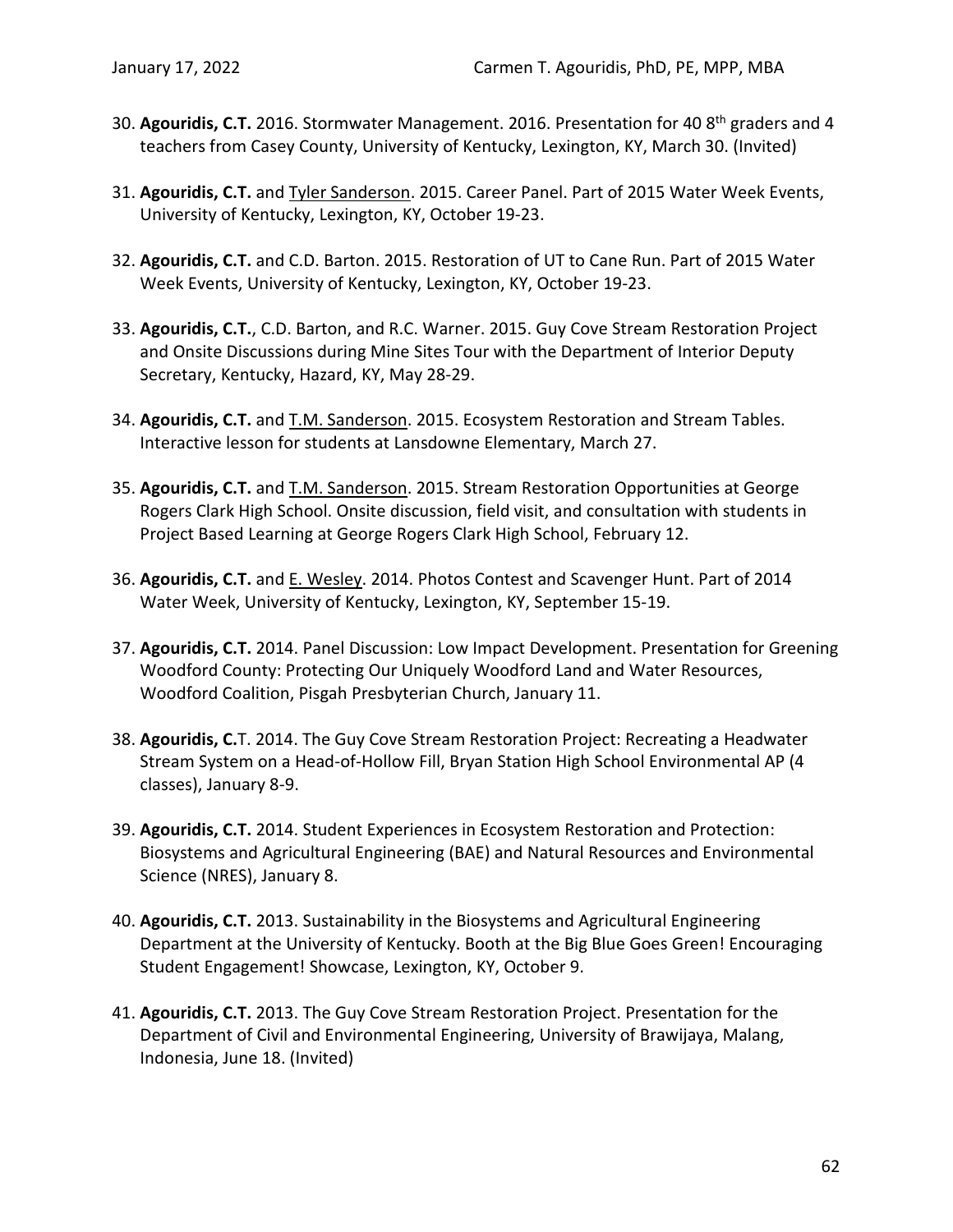- 30. **Agouridis, C.T.** 2016. Stormwater Management. 2016. Presentation for 40 8th graders and 4 teachers from Casey County, University of Kentucky, Lexington, KY, March 30. (Invited)
- 31. **Agouridis, C.T.** and Tyler Sanderson. 2015. Career Panel. Part of 2015 Water Week Events, University of Kentucky, Lexington, KY, October 19-23.
- 32. **Agouridis, C.T.** and C.D. Barton. 2015. Restoration of UT to Cane Run. Part of 2015 Water Week Events, University of Kentucky, Lexington, KY, October 19-23.
- 33. **Agouridis, C.T.**, C.D. Barton, and R.C. Warner. 2015. Guy Cove Stream Restoration Project and Onsite Discussions during Mine Sites Tour with the Department of Interior Deputy Secretary, Kentucky, Hazard, KY, May 28-29.
- 34. **Agouridis, C.T.** and T.M. Sanderson. 2015. Ecosystem Restoration and Stream Tables. Interactive lesson for students at Lansdowne Elementary, March 27.
- 35. **Agouridis, C.T.** and T.M. Sanderson. 2015. Stream Restoration Opportunities at George Rogers Clark High School. Onsite discussion, field visit, and consultation with students in Project Based Learning at George Rogers Clark High School, February 12.
- 36. **Agouridis, C.T.** and E. Wesley. 2014. Photos Contest and Scavenger Hunt. Part of 2014 Water Week, University of Kentucky, Lexington, KY, September 15-19.
- 37. **Agouridis, C.T.** 2014. Panel Discussion: Low Impact Development. Presentation for Greening Woodford County: Protecting Our Uniquely Woodford Land and Water Resources, Woodford Coalition, Pisgah Presbyterian Church, January 11.
- 38. **Agouridis, C.**T. 2014. The Guy Cove Stream Restoration Project: Recreating a Headwater Stream System on a Head-of-Hollow Fill, Bryan Station High School Environmental AP (4 classes), January 8-9.
- 39. **Agouridis, C.T.** 2014. Student Experiences in Ecosystem Restoration and Protection: Biosystems and Agricultural Engineering (BAE) and Natural Resources and Environmental Science (NRES), January 8.
- 40. **Agouridis, C.T.** 2013. Sustainability in the Biosystems and Agricultural Engineering Department at the University of Kentucky. Booth at the Big Blue Goes Green! Encouraging Student Engagement! Showcase, Lexington, KY, October 9.
- 41. **Agouridis, C.T.** 2013. The Guy Cove Stream Restoration Project. Presentation for the Department of Civil and Environmental Engineering, University of Brawijaya, Malang, Indonesia, June 18. (Invited)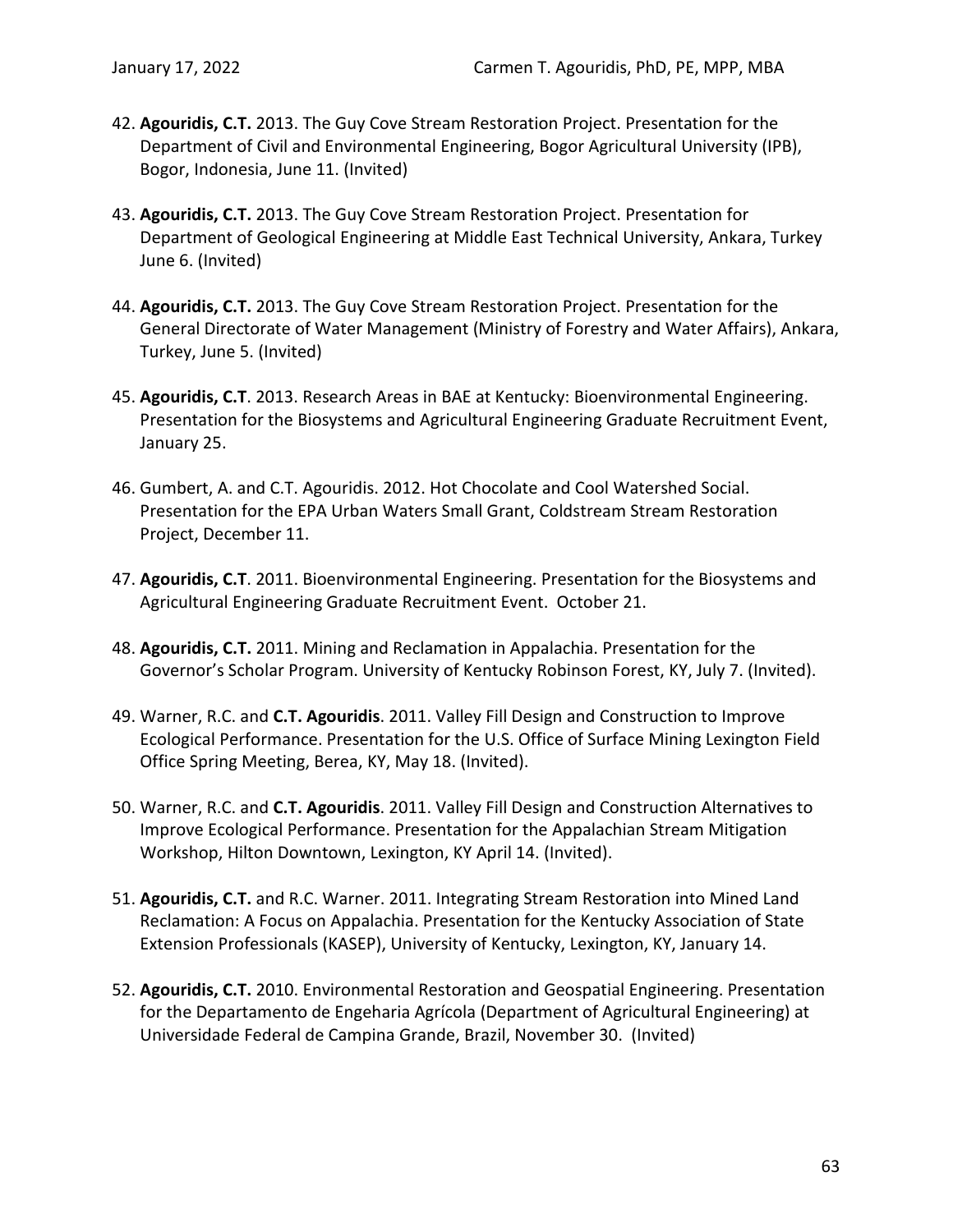- 42. **Agouridis, C.T.** 2013. The Guy Cove Stream Restoration Project. Presentation for the Department of Civil and Environmental Engineering, Bogor Agricultural University (IPB), Bogor, Indonesia, June 11. (Invited)
- 43. **Agouridis, C.T.** 2013. The Guy Cove Stream Restoration Project. Presentation for Department of Geological Engineering at Middle East Technical University, Ankara, Turkey June 6. (Invited)
- 44. **Agouridis, C.T.** 2013. The Guy Cove Stream Restoration Project. Presentation for the General Directorate of Water Management (Ministry of Forestry and Water Affairs), Ankara, Turkey, June 5. (Invited)
- 45. **Agouridis, C.T**. 2013. Research Areas in BAE at Kentucky: Bioenvironmental Engineering. Presentation for the Biosystems and Agricultural Engineering Graduate Recruitment Event, January 25.
- 46. Gumbert, A. and C.T. Agouridis. 2012. Hot Chocolate and Cool Watershed Social. Presentation for the EPA Urban Waters Small Grant, Coldstream Stream Restoration Project, December 11.
- 47. **Agouridis, C.T**. 2011. Bioenvironmental Engineering. Presentation for the Biosystems and Agricultural Engineering Graduate Recruitment Event. October 21.
- 48. **Agouridis, C.T.** 2011. Mining and Reclamation in Appalachia. Presentation for the Governor's Scholar Program. University of Kentucky Robinson Forest, KY, July 7. (Invited).
- 49. Warner, R.C. and **C.T. Agouridis**. 2011. Valley Fill Design and Construction to Improve Ecological Performance. Presentation for the U.S. Office of Surface Mining Lexington Field Office Spring Meeting, Berea, KY, May 18. (Invited).
- 50. Warner, R.C. and **C.T. Agouridis**. 2011. Valley Fill Design and Construction Alternatives to Improve Ecological Performance. Presentation for the Appalachian Stream Mitigation Workshop, Hilton Downtown, Lexington, KY April 14. (Invited).
- 51. **Agouridis, C.T.** and R.C. Warner. 2011. Integrating Stream Restoration into Mined Land Reclamation: A Focus on Appalachia. Presentation for the Kentucky Association of State Extension Professionals (KASEP), University of Kentucky, Lexington, KY, January 14.
- 52. **Agouridis, C.T.** 2010. Environmental Restoration and Geospatial Engineering. Presentation for the Departamento de Engeharia Agrícola (Department of Agricultural Engineering) at Universidade Federal de Campina Grande, Brazil, November 30. (Invited)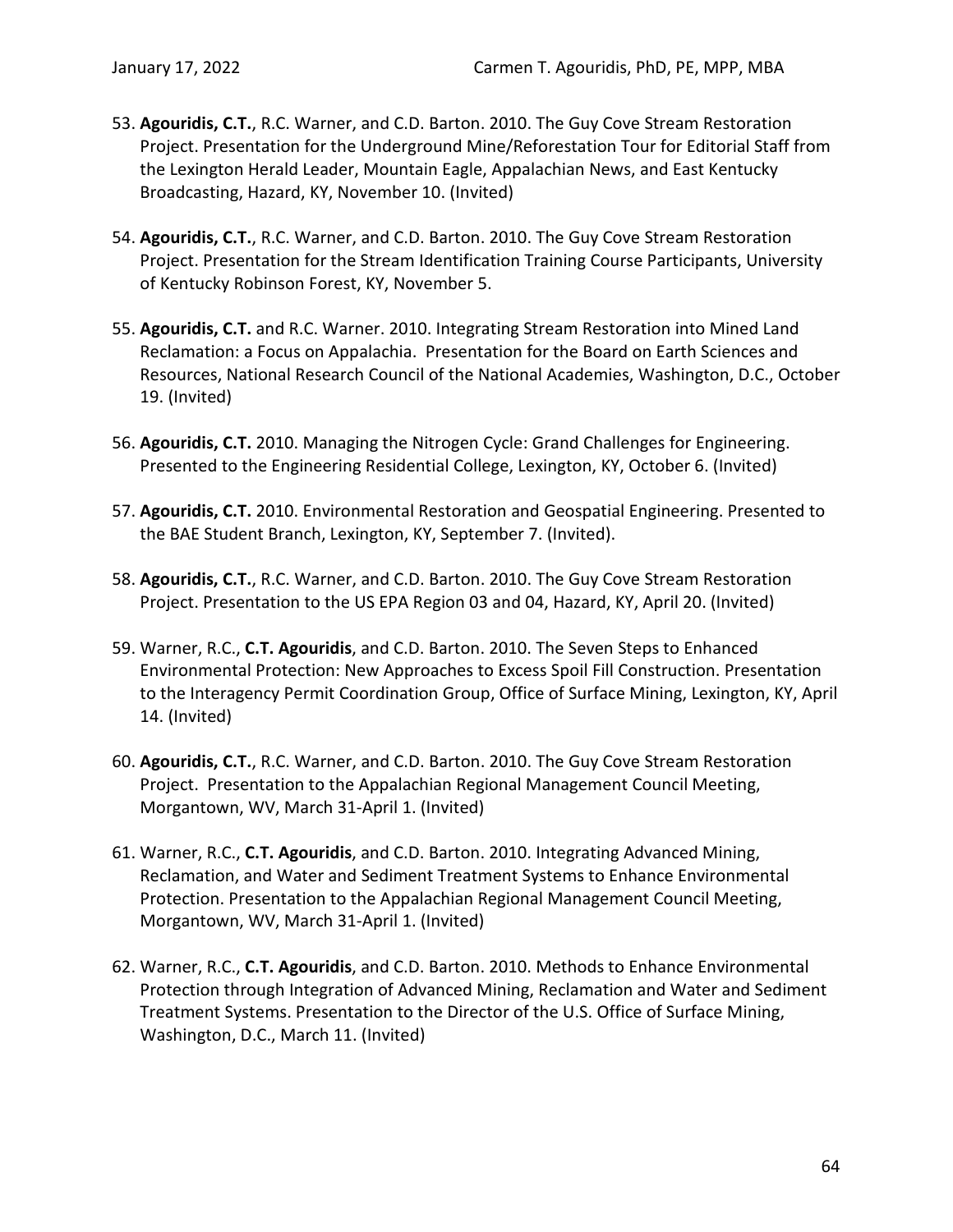- 53. **Agouridis, C.T.**, R.C. Warner, and C.D. Barton. 2010. The Guy Cove Stream Restoration Project. Presentation for the Underground Mine/Reforestation Tour for Editorial Staff from the Lexington Herald Leader, Mountain Eagle, Appalachian News, and East Kentucky Broadcasting, Hazard, KY, November 10. (Invited)
- 54. **Agouridis, C.T.**, R.C. Warner, and C.D. Barton. 2010. The Guy Cove Stream Restoration Project. Presentation for the Stream Identification Training Course Participants, University of Kentucky Robinson Forest, KY, November 5.
- 55. **Agouridis, C.T.** and R.C. Warner. 2010. Integrating Stream Restoration into Mined Land Reclamation: a Focus on Appalachia. Presentation for the Board on Earth Sciences and Resources, National Research Council of the National Academies, Washington, D.C., October 19. (Invited)
- 56. **Agouridis, C.T.** 2010. Managing the Nitrogen Cycle: Grand Challenges for Engineering. Presented to the Engineering Residential College, Lexington, KY, October 6. (Invited)
- 57. **Agouridis, C.T.** 2010. Environmental Restoration and Geospatial Engineering. Presented to the BAE Student Branch, Lexington, KY, September 7. (Invited).
- 58. **Agouridis, C.T.**, R.C. Warner, and C.D. Barton. 2010. The Guy Cove Stream Restoration Project. Presentation to the US EPA Region 03 and 04, Hazard, KY, April 20. (Invited)
- 59. Warner, R.C., **C.T. Agouridis**, and C.D. Barton. 2010. The Seven Steps to Enhanced Environmental Protection: New Approaches to Excess Spoil Fill Construction. Presentation to the Interagency Permit Coordination Group, Office of Surface Mining, Lexington, KY, April 14. (Invited)
- 60. **Agouridis, C.T.**, R.C. Warner, and C.D. Barton. 2010. The Guy Cove Stream Restoration Project. Presentation to the Appalachian Regional Management Council Meeting, Morgantown, WV, March 31-April 1. (Invited)
- 61. Warner, R.C., **C.T. Agouridis**, and C.D. Barton. 2010. Integrating Advanced Mining, Reclamation, and Water and Sediment Treatment Systems to Enhance Environmental Protection. Presentation to the Appalachian Regional Management Council Meeting, Morgantown, WV, March 31-April 1. (Invited)
- 62. Warner, R.C., **C.T. Agouridis**, and C.D. Barton. 2010. Methods to Enhance Environmental Protection through Integration of Advanced Mining, Reclamation and Water and Sediment Treatment Systems. Presentation to the Director of the U.S. Office of Surface Mining, Washington, D.C., March 11. (Invited)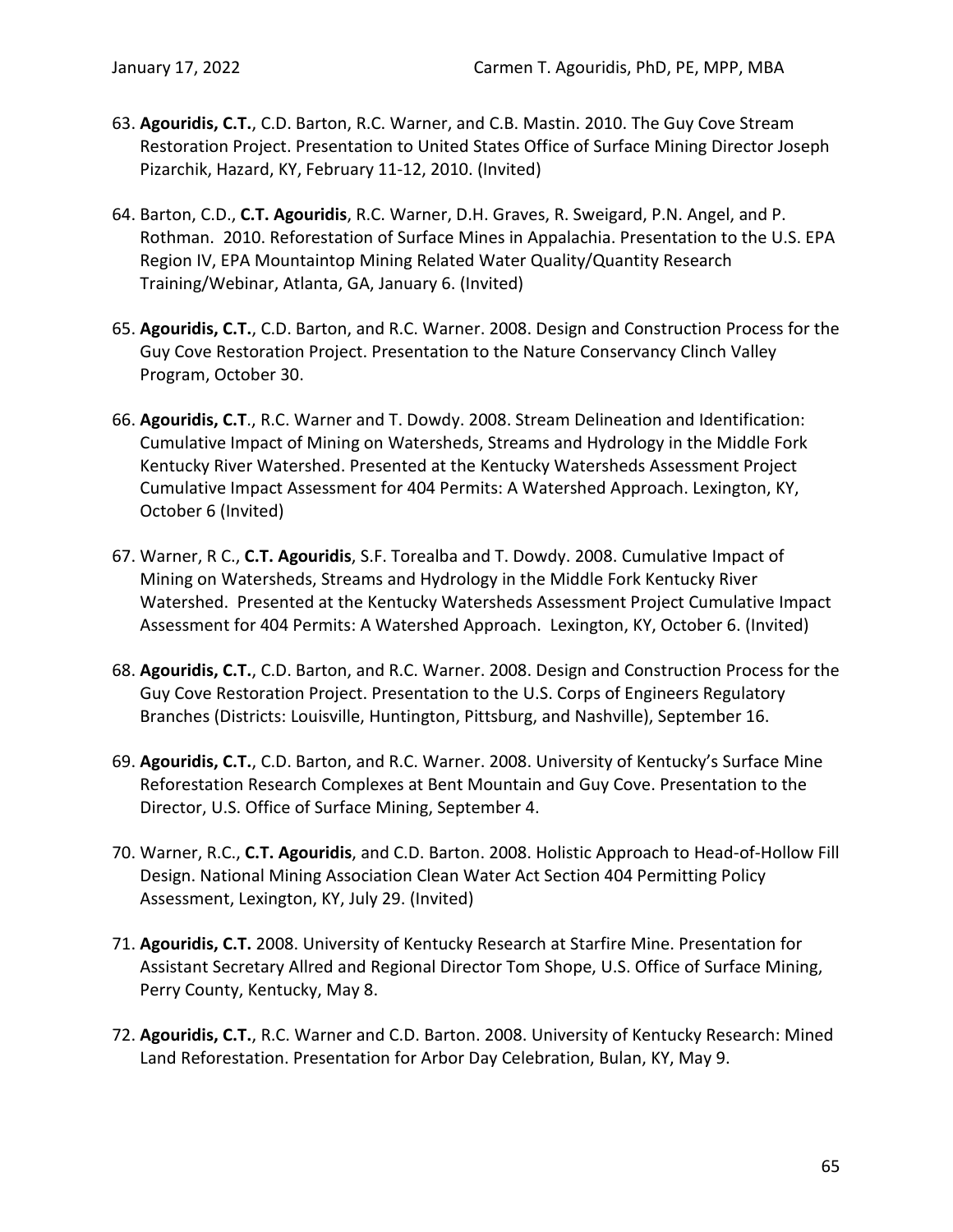- 63. **Agouridis, C.T.**, C.D. Barton, R.C. Warner, and C.B. Mastin. 2010. The Guy Cove Stream Restoration Project. Presentation to United States Office of Surface Mining Director Joseph Pizarchik, Hazard, KY, February 11-12, 2010. (Invited)
- 64. Barton, C.D., **C.T. Agouridis**, R.C. Warner, D.H. Graves, R. Sweigard, P.N. Angel, and P. Rothman. 2010. Reforestation of Surface Mines in Appalachia. Presentation to the U.S. EPA Region IV, EPA Mountaintop Mining Related Water Quality/Quantity Research Training/Webinar, Atlanta, GA, January 6. (Invited)
- 65. **Agouridis, C.T.**, C.D. Barton, and R.C. Warner. 2008. Design and Construction Process for the Guy Cove Restoration Project. Presentation to the Nature Conservancy Clinch Valley Program, October 30.
- 66. **Agouridis, C.T**., R.C. Warner and T. Dowdy. 2008. Stream Delineation and Identification: Cumulative Impact of Mining on Watersheds, Streams and Hydrology in the Middle Fork Kentucky River Watershed. Presented at the Kentucky Watersheds Assessment Project Cumulative Impact Assessment for 404 Permits: A Watershed Approach. Lexington, KY, October 6 (Invited)
- 67. Warner, R C., **C.T. Agouridis**, S.F. Torealba and T. Dowdy. 2008. Cumulative Impact of Mining on Watersheds, Streams and Hydrology in the Middle Fork Kentucky River Watershed. Presented at the Kentucky Watersheds Assessment Project Cumulative Impact Assessment for 404 Permits: A Watershed Approach. Lexington, KY, October 6. (Invited)
- 68. **Agouridis, C.T.**, C.D. Barton, and R.C. Warner. 2008. Design and Construction Process for the Guy Cove Restoration Project. Presentation to the U.S. Corps of Engineers Regulatory Branches (Districts: Louisville, Huntington, Pittsburg, and Nashville), September 16.
- 69. **Agouridis, C.T.**, C.D. Barton, and R.C. Warner. 2008. University of Kentucky's Surface Mine Reforestation Research Complexes at Bent Mountain and Guy Cove. Presentation to the Director, U.S. Office of Surface Mining, September 4.
- 70. Warner, R.C., **C.T. Agouridis**, and C.D. Barton. 2008. Holistic Approach to Head-of-Hollow Fill Design. National Mining Association Clean Water Act Section 404 Permitting Policy Assessment, Lexington, KY, July 29. (Invited)
- 71. **Agouridis, C.T.** 2008. University of Kentucky Research at Starfire Mine. Presentation for Assistant Secretary Allred and Regional Director Tom Shope, U.S. Office of Surface Mining, Perry County, Kentucky, May 8.
- 72. **Agouridis, C.T.**, R.C. Warner and C.D. Barton. 2008. University of Kentucky Research: Mined Land Reforestation. Presentation for Arbor Day Celebration, Bulan, KY, May 9.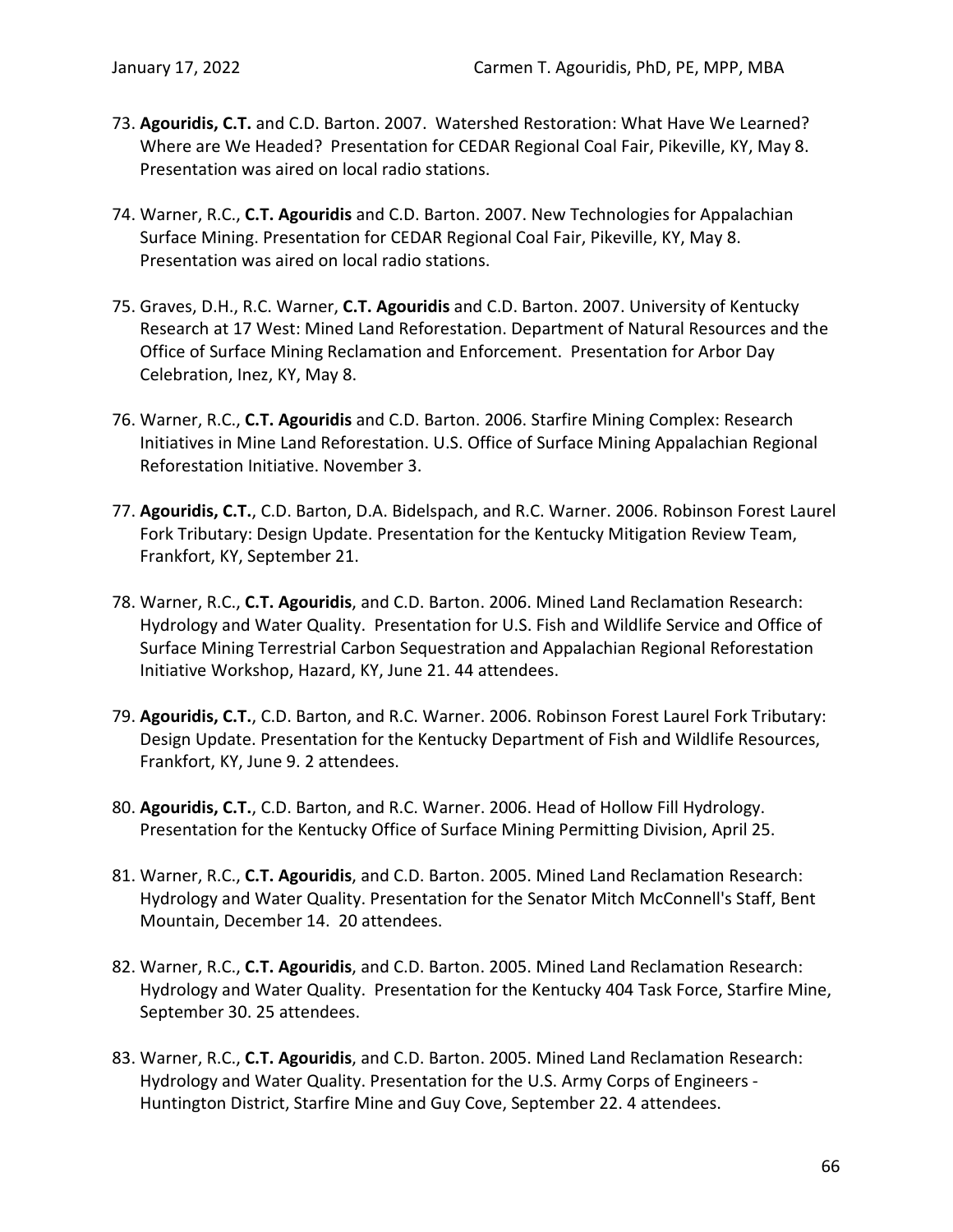- 73. **Agouridis, C.T.** and C.D. Barton. 2007. Watershed Restoration: What Have We Learned? Where are We Headed? Presentation for CEDAR Regional Coal Fair, Pikeville, KY, May 8. Presentation was aired on local radio stations.
- 74. Warner, R.C., **C.T. Agouridis** and C.D. Barton. 2007. New Technologies for Appalachian Surface Mining. Presentation for CEDAR Regional Coal Fair, Pikeville, KY, May 8. Presentation was aired on local radio stations.
- 75. Graves, D.H., R.C. Warner, **C.T. Agouridis** and C.D. Barton. 2007. University of Kentucky Research at 17 West: Mined Land Reforestation. Department of Natural Resources and the Office of Surface Mining Reclamation and Enforcement. Presentation for Arbor Day Celebration, Inez, KY, May 8.
- 76. Warner, R.C., **C.T. Agouridis** and C.D. Barton. 2006. Starfire Mining Complex: Research Initiatives in Mine Land Reforestation. U.S. Office of Surface Mining Appalachian Regional Reforestation Initiative. November 3.
- 77. **Agouridis, C.T.**, C.D. Barton, D.A. Bidelspach, and R.C. Warner. 2006. Robinson Forest Laurel Fork Tributary: Design Update. Presentation for the Kentucky Mitigation Review Team, Frankfort, KY, September 21.
- 78. Warner, R.C., **C.T. Agouridis**, and C.D. Barton. 2006. Mined Land Reclamation Research: Hydrology and Water Quality. Presentation for U.S. Fish and Wildlife Service and Office of Surface Mining Terrestrial Carbon Sequestration and Appalachian Regional Reforestation Initiative Workshop, Hazard, KY, June 21. 44 attendees.
- 79. **Agouridis, C.T.**, C.D. Barton, and R.C. Warner. 2006. Robinson Forest Laurel Fork Tributary: Design Update. Presentation for the Kentucky Department of Fish and Wildlife Resources, Frankfort, KY, June 9. 2 attendees.
- 80. **Agouridis, C.T.**, C.D. Barton, and R.C. Warner. 2006. Head of Hollow Fill Hydrology. Presentation for the Kentucky Office of Surface Mining Permitting Division, April 25.
- 81. Warner, R.C., **C.T. Agouridis**, and C.D. Barton. 2005. Mined Land Reclamation Research: Hydrology and Water Quality. Presentation for the Senator Mitch McConnell's Staff, Bent Mountain, December 14. 20 attendees.
- 82. Warner, R.C., **C.T. Agouridis**, and C.D. Barton. 2005. Mined Land Reclamation Research: Hydrology and Water Quality. Presentation for the Kentucky 404 Task Force, Starfire Mine, September 30. 25 attendees.
- 83. Warner, R.C., **C.T. Agouridis**, and C.D. Barton. 2005. Mined Land Reclamation Research: Hydrology and Water Quality. Presentation for the U.S. Army Corps of Engineers - Huntington District, Starfire Mine and Guy Cove, September 22. 4 attendees.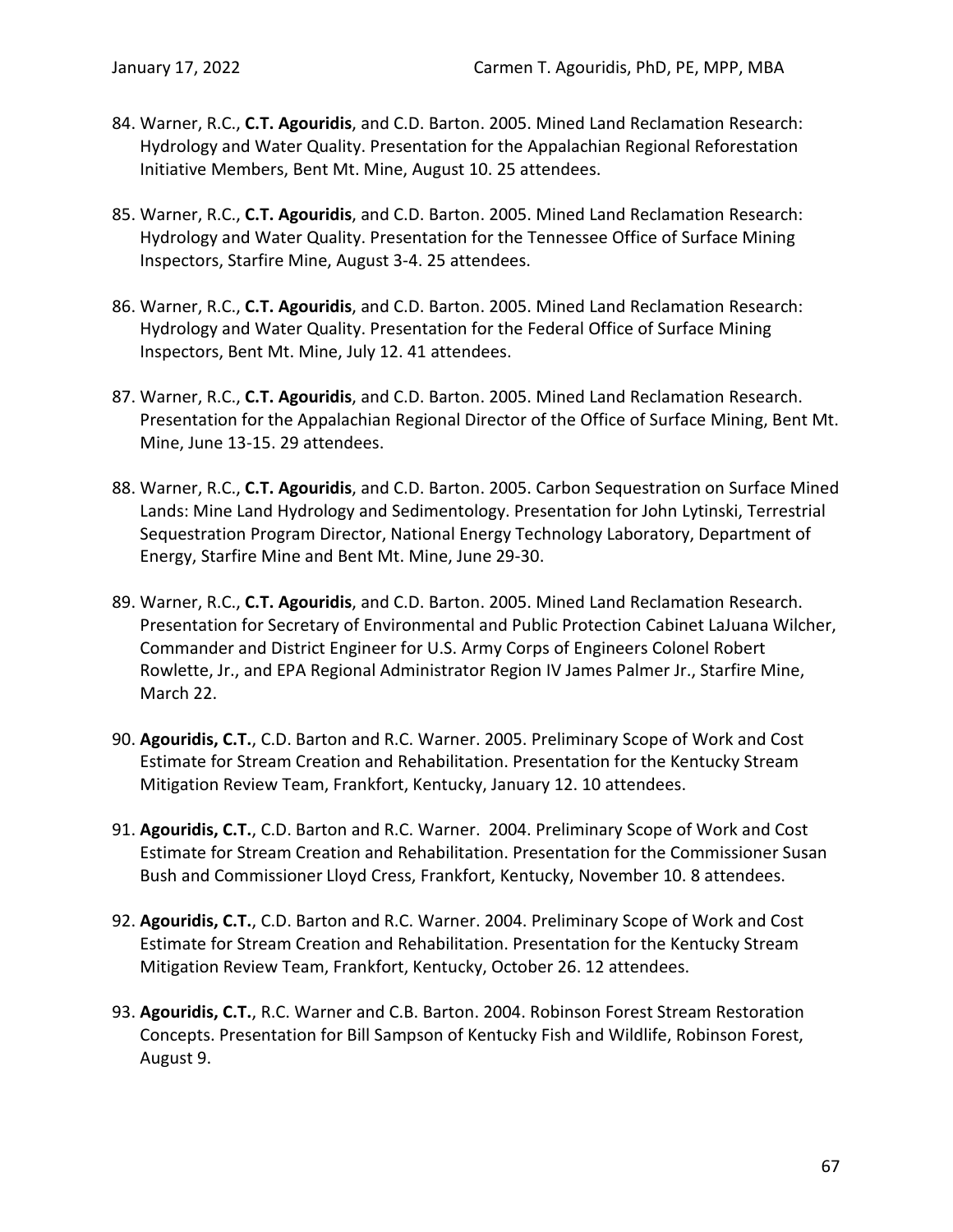- 84. Warner, R.C., **C.T. Agouridis**, and C.D. Barton. 2005. Mined Land Reclamation Research: Hydrology and Water Quality. Presentation for the Appalachian Regional Reforestation Initiative Members, Bent Mt. Mine, August 10. 25 attendees.
- 85. Warner, R.C., **C.T. Agouridis**, and C.D. Barton. 2005. Mined Land Reclamation Research: Hydrology and Water Quality. Presentation for the Tennessee Office of Surface Mining Inspectors, Starfire Mine, August 3-4. 25 attendees.
- 86. Warner, R.C., **C.T. Agouridis**, and C.D. Barton. 2005. Mined Land Reclamation Research: Hydrology and Water Quality. Presentation for the Federal Office of Surface Mining Inspectors, Bent Mt. Mine, July 12. 41 attendees.
- 87. Warner, R.C., **C.T. Agouridis**, and C.D. Barton. 2005. Mined Land Reclamation Research. Presentation for the Appalachian Regional Director of the Office of Surface Mining, Bent Mt. Mine, June 13-15. 29 attendees.
- 88. Warner, R.C., **C.T. Agouridis**, and C.D. Barton. 2005. Carbon Sequestration on Surface Mined Lands: Mine Land Hydrology and Sedimentology. Presentation for John Lytinski, Terrestrial Sequestration Program Director, National Energy Technology Laboratory, Department of Energy, Starfire Mine and Bent Mt. Mine, June 29-30.
- 89. Warner, R.C., **C.T. Agouridis**, and C.D. Barton. 2005. Mined Land Reclamation Research. Presentation for Secretary of Environmental and Public Protection Cabinet LaJuana Wilcher, Commander and District Engineer for U.S. Army Corps of Engineers Colonel Robert Rowlette, Jr., and EPA Regional Administrator Region IV James Palmer Jr., Starfire Mine, March 22.
- 90. **Agouridis, C.T.**, C.D. Barton and R.C. Warner. 2005. Preliminary Scope of Work and Cost Estimate for Stream Creation and Rehabilitation. Presentation for the Kentucky Stream Mitigation Review Team, Frankfort, Kentucky, January 12. 10 attendees.
- 91. **Agouridis, C.T.**, C.D. Barton and R.C. Warner. 2004. Preliminary Scope of Work and Cost Estimate for Stream Creation and Rehabilitation. Presentation for the Commissioner Susan Bush and Commissioner Lloyd Cress, Frankfort, Kentucky, November 10. 8 attendees.
- 92. **Agouridis, C.T.**, C.D. Barton and R.C. Warner. 2004. Preliminary Scope of Work and Cost Estimate for Stream Creation and Rehabilitation. Presentation for the Kentucky Stream Mitigation Review Team, Frankfort, Kentucky, October 26. 12 attendees.
- 93. **Agouridis, C.T.**, R.C. Warner and C.B. Barton. 2004. Robinson Forest Stream Restoration Concepts. Presentation for Bill Sampson of Kentucky Fish and Wildlife, Robinson Forest, August 9.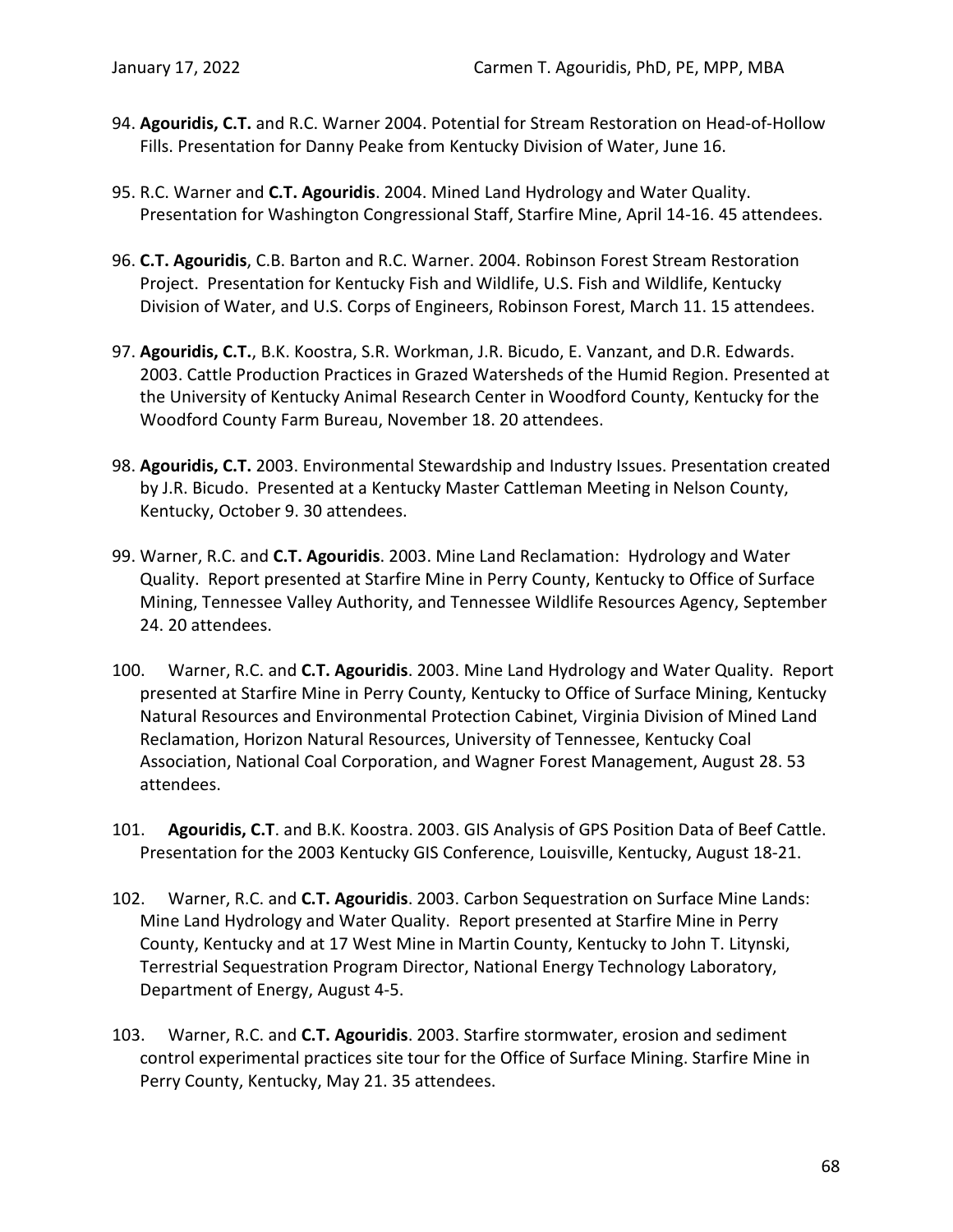- 94. **Agouridis, C.T.** and R.C. Warner 2004. Potential for Stream Restoration on Head-of-Hollow Fills. Presentation for Danny Peake from Kentucky Division of Water, June 16.
- 95. R.C. Warner and **C.T. Agouridis**. 2004. Mined Land Hydrology and Water Quality. Presentation for Washington Congressional Staff, Starfire Mine, April 14-16. 45 attendees.
- 96. **C.T. Agouridis**, C.B. Barton and R.C. Warner. 2004. Robinson Forest Stream Restoration Project. Presentation for Kentucky Fish and Wildlife, U.S. Fish and Wildlife, Kentucky Division of Water, and U.S. Corps of Engineers, Robinson Forest, March 11. 15 attendees.
- 97. **Agouridis, C.T.**, B.K. Koostra, S.R. Workman, J.R. Bicudo, E. Vanzant, and D.R. Edwards. 2003. Cattle Production Practices in Grazed Watersheds of the Humid Region. Presented at the University of Kentucky Animal Research Center in Woodford County, Kentucky for the Woodford County Farm Bureau, November 18. 20 attendees.
- 98. **Agouridis, C.T.** 2003. Environmental Stewardship and Industry Issues. Presentation created by J.R. Bicudo. Presented at a Kentucky Master Cattleman Meeting in Nelson County, Kentucky, October 9. 30 attendees.
- 99. Warner, R.C. and **C.T. Agouridis**. 2003. Mine Land Reclamation: Hydrology and Water Quality. Report presented at Starfire Mine in Perry County, Kentucky to Office of Surface Mining, Tennessee Valley Authority, and Tennessee Wildlife Resources Agency, September 24. 20 attendees.
- 100. Warner, R.C. and **C.T. Agouridis**. 2003. Mine Land Hydrology and Water Quality. Report presented at Starfire Mine in Perry County, Kentucky to Office of Surface Mining, Kentucky Natural Resources and Environmental Protection Cabinet, Virginia Division of Mined Land Reclamation, Horizon Natural Resources, University of Tennessee, Kentucky Coal Association, National Coal Corporation, and Wagner Forest Management, August 28. 53 attendees.
- 101. **Agouridis, C.T**. and B.K. Koostra. 2003. GIS Analysis of GPS Position Data of Beef Cattle. Presentation for the 2003 Kentucky GIS Conference, Louisville, Kentucky, August 18-21.
- 102. Warner, R.C. and **C.T. Agouridis**. 2003. Carbon Sequestration on Surface Mine Lands: Mine Land Hydrology and Water Quality. Report presented at Starfire Mine in Perry County, Kentucky and at 17 West Mine in Martin County, Kentucky to John T. Litynski, Terrestrial Sequestration Program Director, National Energy Technology Laboratory, Department of Energy, August 4-5.
- 103. Warner, R.C. and **C.T. Agouridis**. 2003. Starfire stormwater, erosion and sediment control experimental practices site tour for the Office of Surface Mining. Starfire Mine in Perry County, Kentucky, May 21. 35 attendees.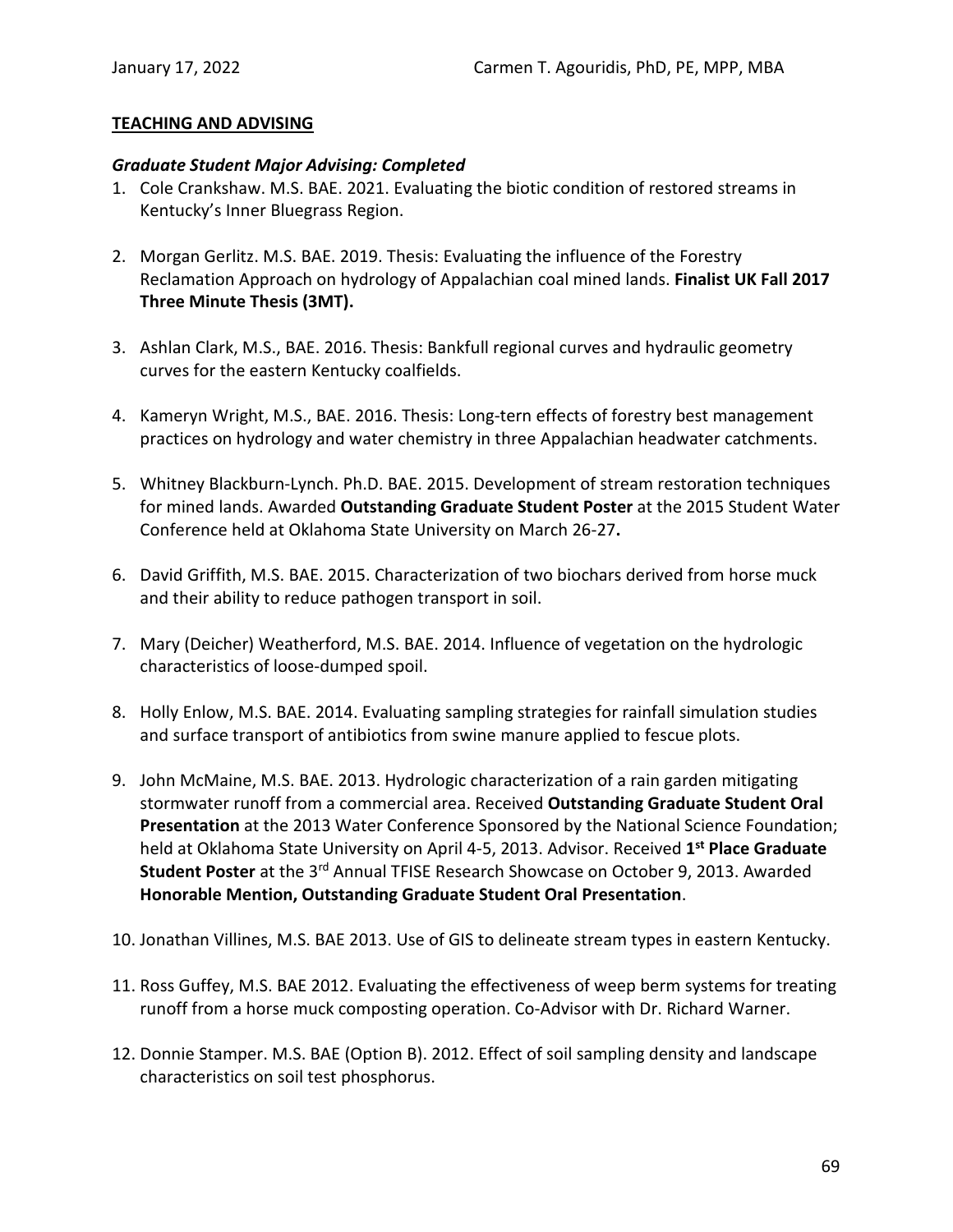### **TEACHING AND ADVISING**

#### *Graduate Student Major Advising: Completed*

- 1. Cole Crankshaw. M.S. BAE. 2021. Evaluating the biotic condition of restored streams in Kentucky's Inner Bluegrass Region.
- 2. Morgan Gerlitz. M.S. BAE. 2019. Thesis: Evaluating the influence of the Forestry Reclamation Approach on hydrology of Appalachian coal mined lands. **Finalist UK Fall 2017 Three Minute Thesis (3MT).**
- 3. Ashlan Clark, M.S., BAE. 2016. Thesis: Bankfull regional curves and hydraulic geometry curves for the eastern Kentucky coalfields.
- 4. Kameryn Wright, M.S., BAE. 2016. Thesis: Long-tern effects of forestry best management practices on hydrology and water chemistry in three Appalachian headwater catchments.
- 5. Whitney Blackburn-Lynch. Ph.D. BAE. 2015. Development of stream restoration techniques for mined lands. Awarded **Outstanding Graduate Student Poster** at the 2015 Student Water Conference held at Oklahoma State University on March 26-27**.**
- 6. David Griffith, M.S. BAE. 2015. Characterization of two biochars derived from horse muck and their ability to reduce pathogen transport in soil.
- 7. Mary (Deicher) Weatherford, M.S. BAE. 2014. Influence of vegetation on the hydrologic characteristics of loose-dumped spoil.
- 8. Holly Enlow, M.S. BAE. 2014. Evaluating sampling strategies for rainfall simulation studies and surface transport of antibiotics from swine manure applied to fescue plots.
- 9. John McMaine, M.S. BAE. 2013. Hydrologic characterization of a rain garden mitigating stormwater runoff from a commercial area. Received **Outstanding Graduate Student Oral Presentation** at the 2013 Water Conference Sponsored by the National Science Foundation; held at Oklahoma State University on April 4-5, 2013. Advisor. Received **1st Place Graduate Student Poster** at the 3rd Annual TFISE Research Showcase on October 9, 2013. Awarded **Honorable Mention, Outstanding Graduate Student Oral Presentation**.
- 10. Jonathan Villines, M.S. BAE 2013. Use of GIS to delineate stream types in eastern Kentucky.
- 11. Ross Guffey, M.S. BAE 2012. Evaluating the effectiveness of weep berm systems for treating runoff from a horse muck composting operation. Co-Advisor with Dr. Richard Warner.
- 12. Donnie Stamper. M.S. BAE (Option B). 2012. Effect of soil sampling density and landscape characteristics on soil test phosphorus.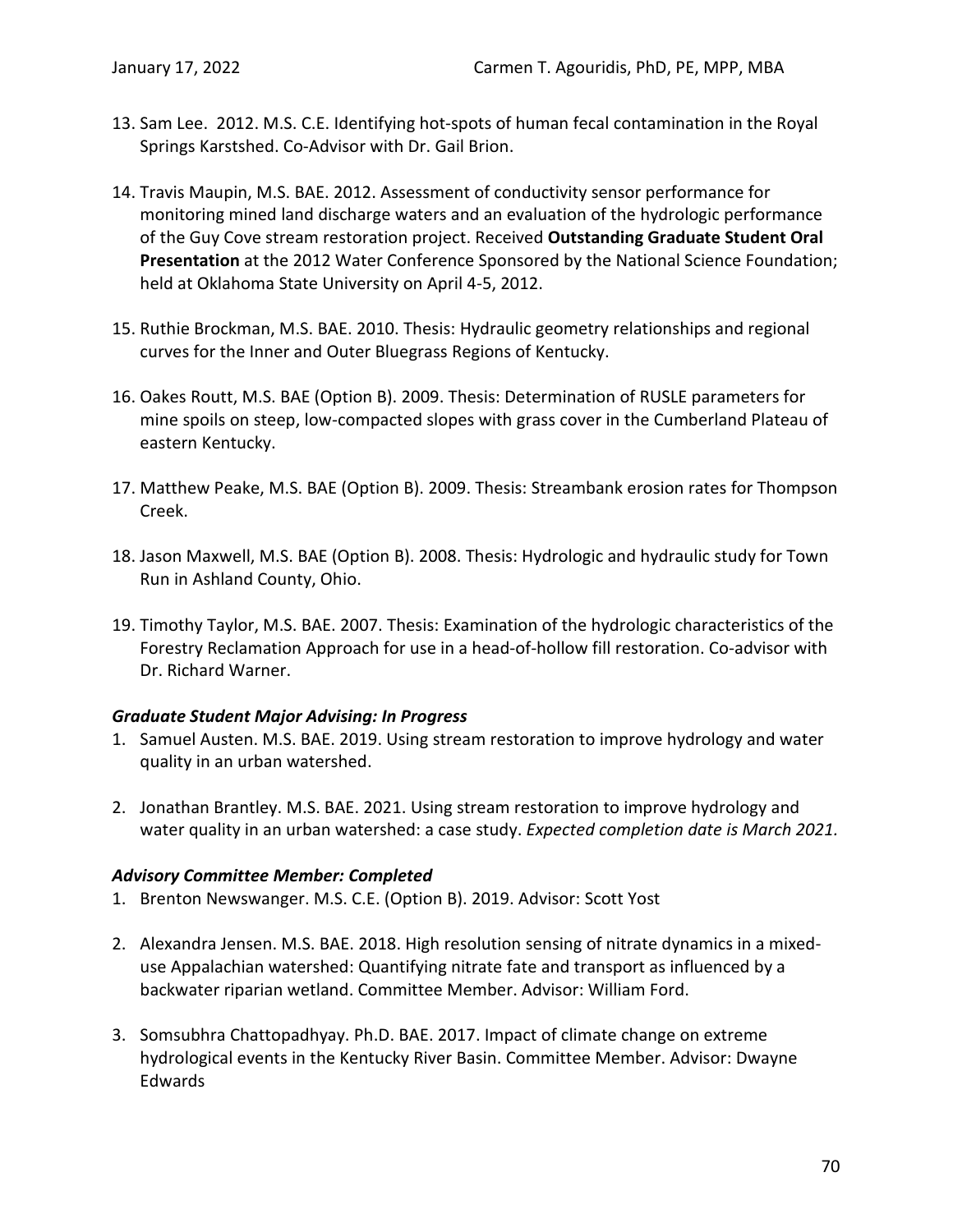- 13. Sam Lee. 2012. M.S. C.E. Identifying hot-spots of human fecal contamination in the Royal Springs Karstshed. Co-Advisor with Dr. Gail Brion.
- 14. Travis Maupin, M.S. BAE. 2012. Assessment of conductivity sensor performance for monitoring mined land discharge waters and an evaluation of the hydrologic performance of the Guy Cove stream restoration project. Received **Outstanding Graduate Student Oral Presentation** at the 2012 Water Conference Sponsored by the National Science Foundation; held at Oklahoma State University on April 4-5, 2012.
- 15. Ruthie Brockman, M.S. BAE. 2010. Thesis: Hydraulic geometry relationships and regional curves for the Inner and Outer Bluegrass Regions of Kentucky.
- 16. Oakes Routt, M.S. BAE (Option B). 2009. Thesis: Determination of RUSLE parameters for mine spoils on steep, low-compacted slopes with grass cover in the Cumberland Plateau of eastern Kentucky.
- 17. Matthew Peake, M.S. BAE (Option B). 2009. Thesis: Streambank erosion rates for Thompson Creek.
- 18. Jason Maxwell, M.S. BAE (Option B). 2008. Thesis: Hydrologic and hydraulic study for Town Run in Ashland County, Ohio.
- 19. Timothy Taylor, M.S. BAE. 2007. Thesis: Examination of the hydrologic characteristics of the Forestry Reclamation Approach for use in a head-of-hollow fill restoration. Co-advisor with Dr. Richard Warner.

### *Graduate Student Major Advising: In Progress*

- 1. Samuel Austen. M.S. BAE. 2019. Using stream restoration to improve hydrology and water quality in an urban watershed.
- 2. Jonathan Brantley. M.S. BAE. 2021. Using stream restoration to improve hydrology and water quality in an urban watershed: a case study. *Expected completion date is March 2021.*

## *Advisory Committee Member: Completed*

- 1. Brenton Newswanger. M.S. C.E. (Option B). 2019. Advisor: Scott Yost
- 2. Alexandra Jensen. M.S. BAE. 2018. High resolution sensing of nitrate dynamics in a mixeduse Appalachian watershed: Quantifying nitrate fate and transport as influenced by a backwater riparian wetland. Committee Member. Advisor: William Ford.
- 3. Somsubhra Chattopadhyay. Ph.D. BAE. 2017. Impact of climate change on extreme hydrological events in the Kentucky River Basin. Committee Member. Advisor: Dwayne Edwards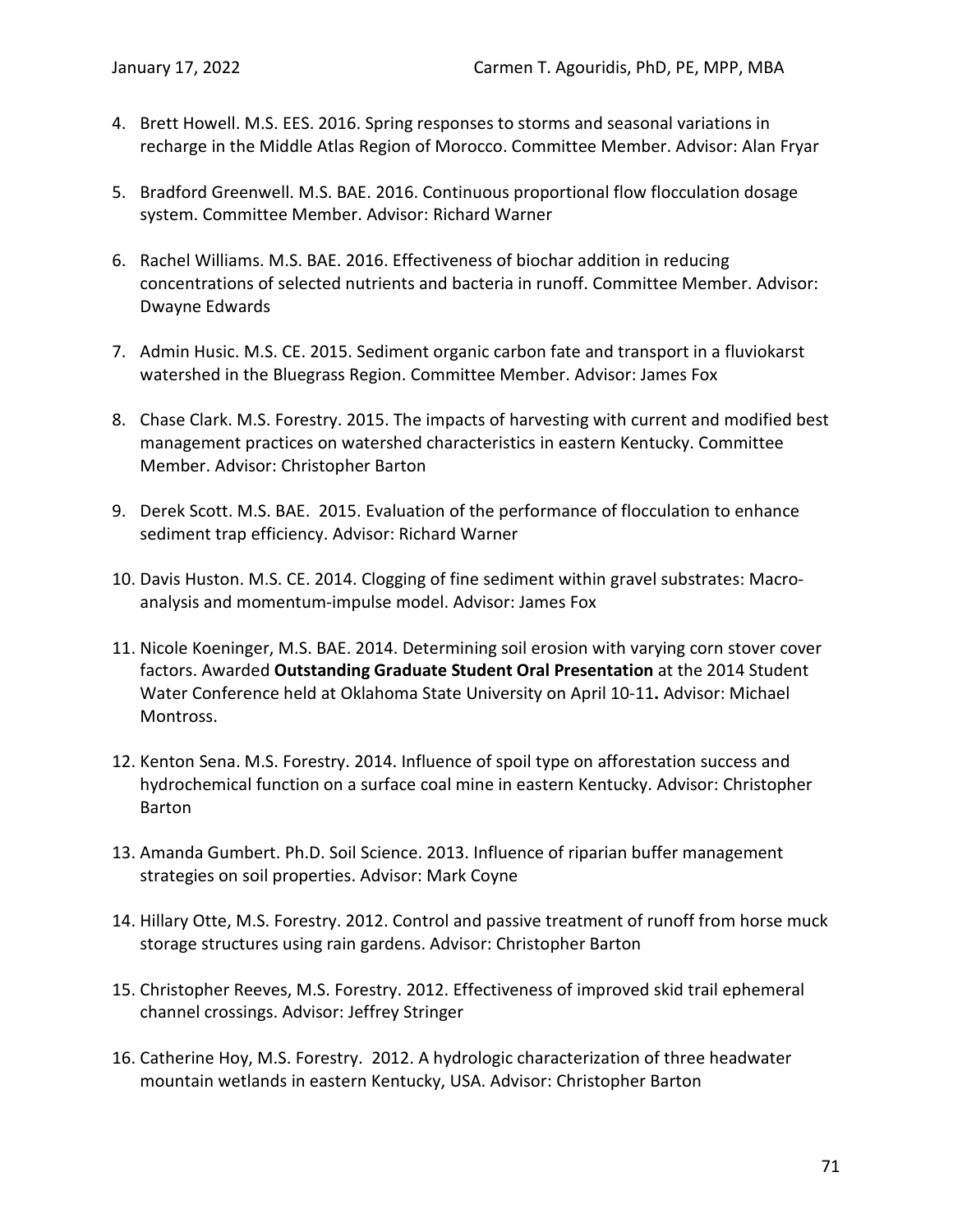- 4. Brett Howell. M.S. EES. 2016. Spring responses to storms and seasonal variations in recharge in the Middle Atlas Region of Morocco. Committee Member. Advisor: Alan Fryar
- 5. Bradford Greenwell. M.S. BAE. 2016. Continuous proportional flow flocculation dosage system. Committee Member. Advisor: Richard Warner
- 6. Rachel Williams. M.S. BAE. 2016. Effectiveness of biochar addition in reducing concentrations of selected nutrients and bacteria in runoff. Committee Member. Advisor: Dwayne Edwards
- 7. Admin Husic. M.S. CE. 2015. Sediment organic carbon fate and transport in a fluviokarst watershed in the Bluegrass Region. Committee Member. Advisor: James Fox
- 8. Chase Clark. M.S. Forestry. 2015. The impacts of harvesting with current and modified best management practices on watershed characteristics in eastern Kentucky. Committee Member. Advisor: Christopher Barton
- 9. Derek Scott. M.S. BAE. 2015. Evaluation of the performance of flocculation to enhance sediment trap efficiency. Advisor: Richard Warner
- 10. Davis Huston. M.S. CE. 2014. Clogging of fine sediment within gravel substrates: Macroanalysis and momentum-impulse model. Advisor: James Fox
- 11. Nicole Koeninger, M.S. BAE. 2014. Determining soil erosion with varying corn stover cover factors. Awarded **Outstanding Graduate Student Oral Presentation** at the 2014 Student Water Conference held at Oklahoma State University on April 10-11**.** Advisor: Michael Montross.
- 12. Kenton Sena. M.S. Forestry. 2014. Influence of spoil type on afforestation success and hydrochemical function on a surface coal mine in eastern Kentucky. Advisor: Christopher Barton
- 13. Amanda Gumbert. Ph.D. Soil Science. 2013. Influence of riparian buffer management strategies on soil properties. Advisor: Mark Coyne
- 14. Hillary Otte, M.S. Forestry. 2012. Control and passive treatment of runoff from horse muck storage structures using rain gardens. Advisor: Christopher Barton
- 15. Christopher Reeves, M.S. Forestry. 2012. Effectiveness of improved skid trail ephemeral channel crossings. Advisor: Jeffrey Stringer
- 16. Catherine Hoy, M.S. Forestry. 2012. A hydrologic characterization of three headwater mountain wetlands in eastern Kentucky, USA. Advisor: Christopher Barton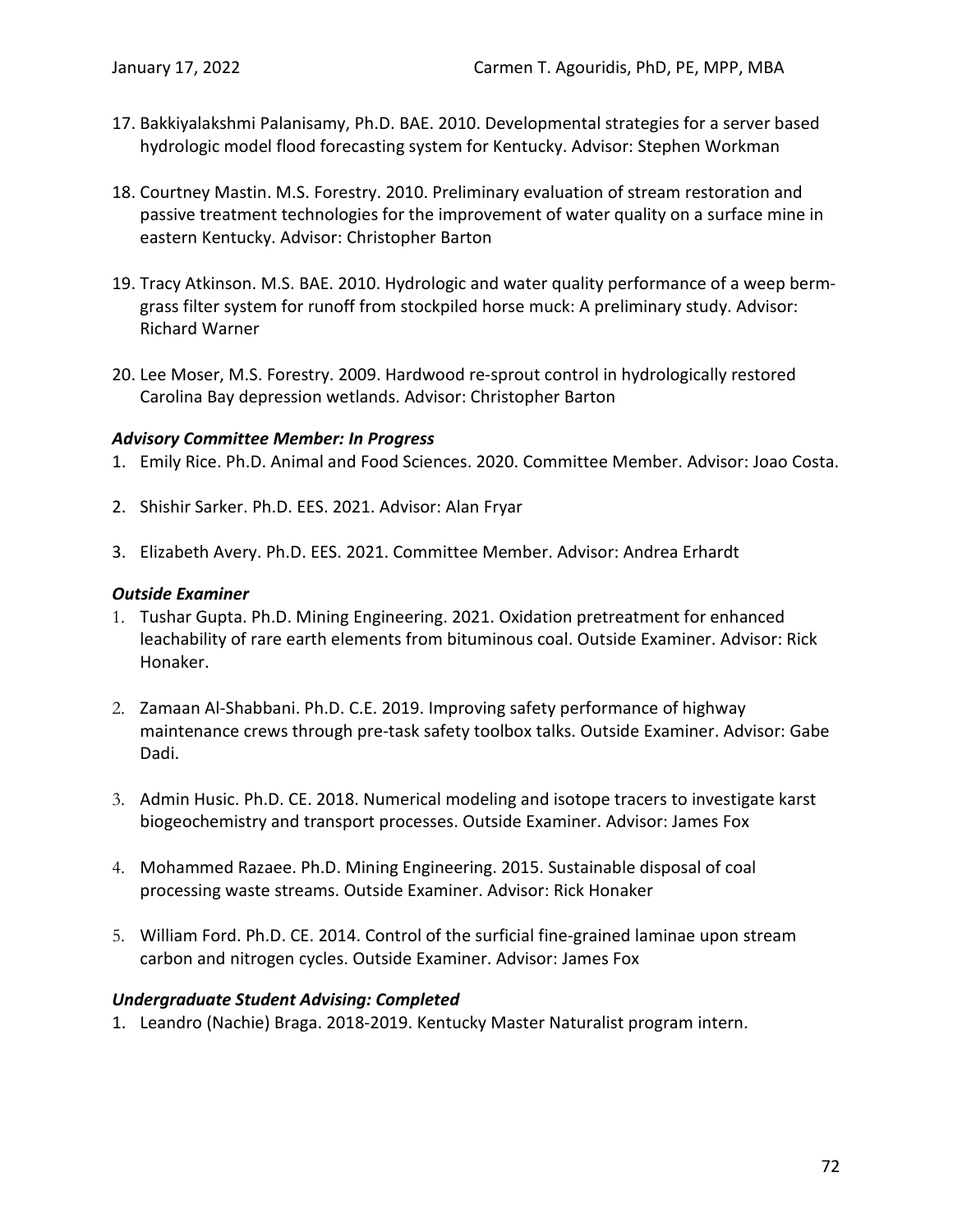- 17. Bakkiyalakshmi Palanisamy, Ph.D. BAE. 2010. Developmental strategies for a server based hydrologic model flood forecasting system for Kentucky. Advisor: Stephen Workman
- 18. Courtney Mastin. M.S. Forestry. 2010. Preliminary evaluation of stream restoration and passive treatment technologies for the improvement of water quality on a surface mine in eastern Kentucky. Advisor: Christopher Barton
- 19. Tracy Atkinson. M.S. BAE. 2010. Hydrologic and water quality performance of a weep bermgrass filter system for runoff from stockpiled horse muck: A preliminary study. Advisor: Richard Warner
- 20. Lee Moser, M.S. Forestry. 2009. Hardwood re-sprout control in hydrologically restored Carolina Bay depression wetlands. Advisor: Christopher Barton

### *Advisory Committee Member: In Progress*

- 1. Emily Rice. Ph.D. Animal and Food Sciences. 2020. Committee Member. Advisor: Joao Costa.
- 2. Shishir Sarker. Ph.D. EES. 2021. Advisor: Alan Fryar
- 3. Elizabeth Avery. Ph.D. EES. 2021. Committee Member. Advisor: Andrea Erhardt

#### *Outside Examiner*

- 1. Tushar Gupta. Ph.D. Mining Engineering. 2021. Oxidation pretreatment for enhanced leachability of rare earth elements from bituminous coal. Outside Examiner. Advisor: Rick Honaker.
- 2. Zamaan Al-Shabbani. Ph.D. C.E. 2019. Improving safety performance of highway maintenance crews through pre-task safety toolbox talks. Outside Examiner. Advisor: Gabe Dadi.
- 3. Admin Husic. Ph.D. CE. 2018. Numerical modeling and isotope tracers to investigate karst biogeochemistry and transport processes. Outside Examiner. Advisor: James Fox
- 4. Mohammed Razaee. Ph.D. Mining Engineering. 2015. Sustainable disposal of coal processing waste streams. Outside Examiner. Advisor: Rick Honaker
- 5. William Ford. Ph.D. CE. 2014. Control of the surficial fine-grained laminae upon stream carbon and nitrogen cycles. Outside Examiner. Advisor: James Fox

### *Undergraduate Student Advising: Completed*

1. Leandro (Nachie) Braga. 2018-2019. Kentucky Master Naturalist program intern.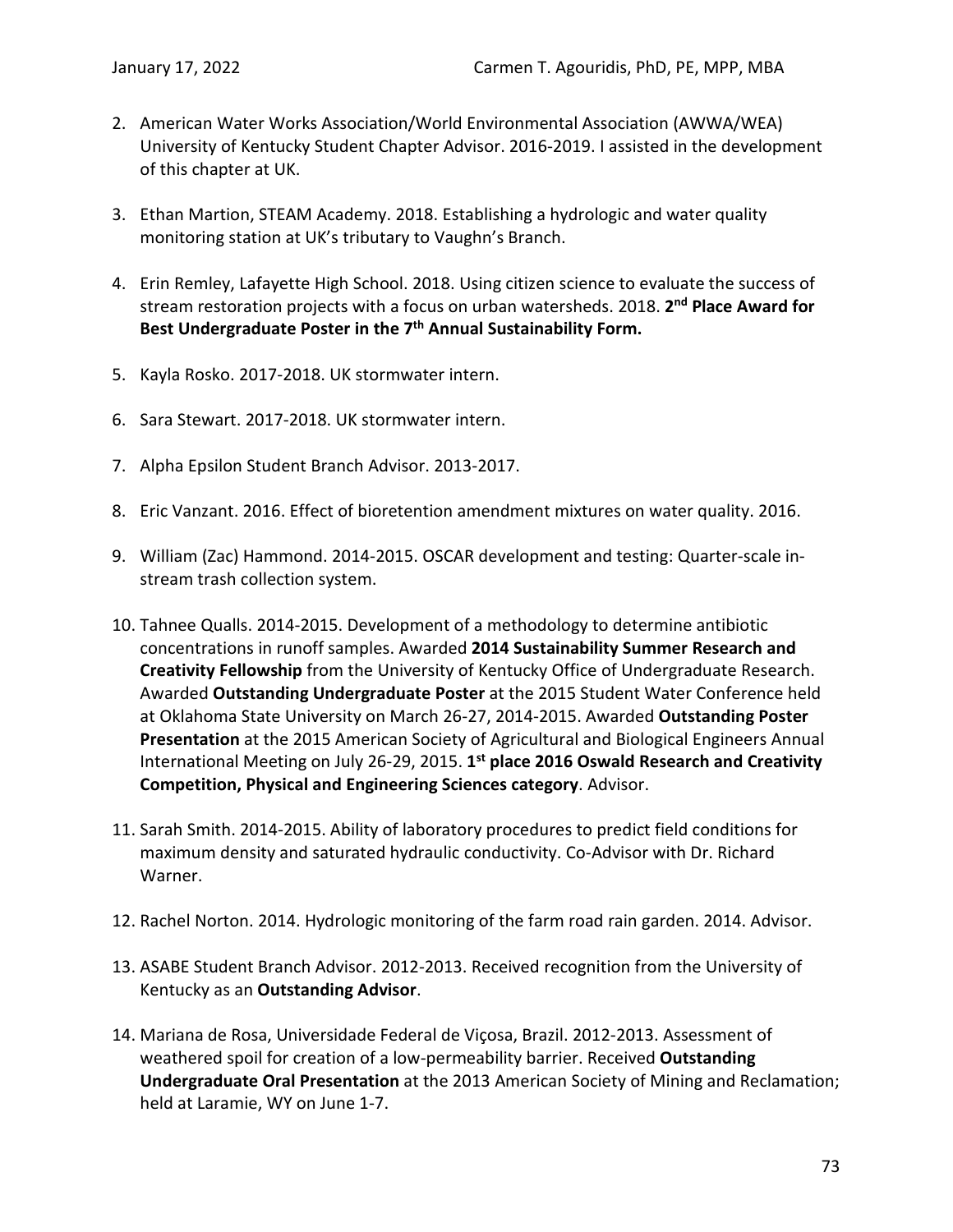- 2. American Water Works Association/World Environmental Association (AWWA/WEA) University of Kentucky Student Chapter Advisor. 2016-2019. I assisted in the development of this chapter at UK.
- 3. Ethan Martion, STEAM Academy. 2018. Establishing a hydrologic and water quality monitoring station at UK's tributary to Vaughn's Branch.
- 4. Erin Remley, Lafayette High School. 2018. Using citizen science to evaluate the success of stream restoration projects with a focus on urban watersheds. 2018. **2nd Place Award for Best Undergraduate Poster in the 7th Annual Sustainability Form.**
- 5. Kayla Rosko. 2017-2018. UK stormwater intern.
- 6. Sara Stewart. 2017-2018. UK stormwater intern.
- 7. Alpha Epsilon Student Branch Advisor. 2013-2017.
- 8. Eric Vanzant. 2016. Effect of bioretention amendment mixtures on water quality. 2016.
- 9. William (Zac) Hammond. 2014-2015. OSCAR development and testing: Quarter-scale instream trash collection system.
- 10. Tahnee Qualls. 2014-2015. Development of a methodology to determine antibiotic concentrations in runoff samples. Awarded **2014 Sustainability Summer Research and Creativity Fellowship** from the University of Kentucky Office of Undergraduate Research. Awarded **Outstanding Undergraduate Poster** at the 2015 Student Water Conference held at Oklahoma State University on March 26-27, 2014-2015. Awarded **Outstanding Poster Presentation** at the 2015 American Society of Agricultural and Biological Engineers Annual International Meeting on July 26-29, 2015. **1st place 2016 Oswald Research and Creativity Competition, Physical and Engineering Sciences category**. Advisor.
- 11. Sarah Smith. 2014-2015. Ability of laboratory procedures to predict field conditions for maximum density and saturated hydraulic conductivity. Co-Advisor with Dr. Richard Warner.
- 12. Rachel Norton. 2014. Hydrologic monitoring of the farm road rain garden. 2014. Advisor.
- 13. ASABE Student Branch Advisor. 2012-2013. Received recognition from the University of Kentucky as an **Outstanding Advisor**.
- 14. Mariana de Rosa, Universidade Federal de Viçosa, Brazil. 2012-2013. Assessment of weathered spoil for creation of a low-permeability barrier. Received **Outstanding Undergraduate Oral Presentation** at the 2013 American Society of Mining and Reclamation; held at Laramie, WY on June 1-7.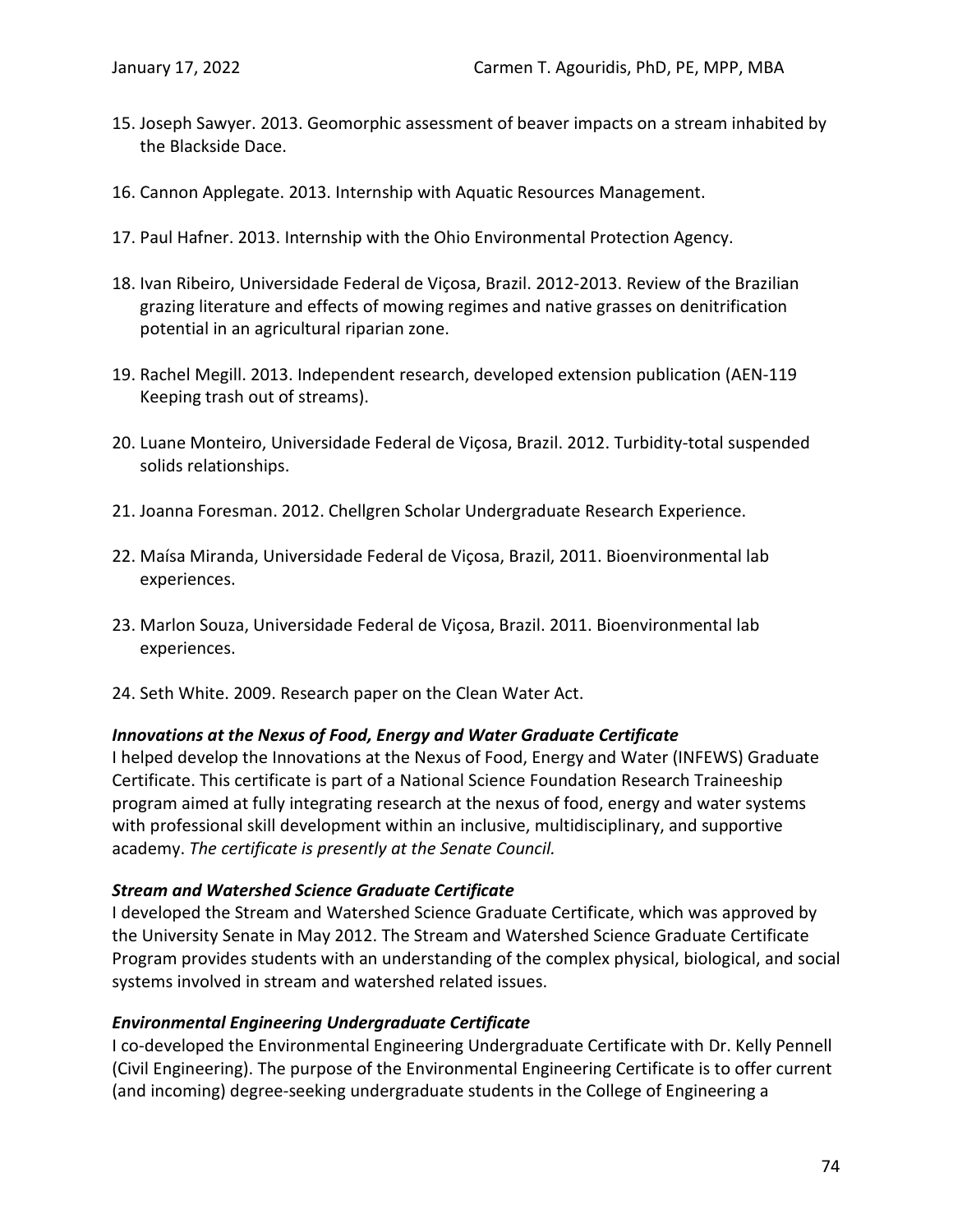- 15. Joseph Sawyer. 2013. Geomorphic assessment of beaver impacts on a stream inhabited by the Blackside Dace.
- 16. Cannon Applegate. 2013. Internship with Aquatic Resources Management.
- 17. Paul Hafner. 2013. Internship with the Ohio Environmental Protection Agency.
- 18. Ivan Ribeiro, Universidade Federal de Viçosa, Brazil. 2012-2013. Review of the Brazilian grazing literature and effects of mowing regimes and native grasses on denitrification potential in an agricultural riparian zone.
- 19. Rachel Megill. 2013. Independent research, developed extension publication (AEN-119 Keeping trash out of streams).
- 20. Luane Monteiro, Universidade Federal de Viçosa, Brazil. 2012. Turbidity-total suspended solids relationships.
- 21. Joanna Foresman. 2012. Chellgren Scholar Undergraduate Research Experience.
- 22. Maísa Miranda, Universidade Federal de Viçosa, Brazil, 2011. Bioenvironmental lab experiences.
- 23. Marlon Souza, Universidade Federal de Viçosa, Brazil. 2011. Bioenvironmental lab experiences.
- 24. Seth White. 2009. Research paper on the Clean Water Act.

#### *Innovations at the Nexus of Food, Energy and Water Graduate Certificate*

I helped develop the Innovations at the Nexus of Food, Energy and Water (INFEWS) Graduate Certificate. This certificate is part of a National Science Foundation Research Traineeship program aimed at fully integrating research at the nexus of food, energy and water systems with professional skill development within an inclusive, multidisciplinary, and supportive academy. *The certificate is presently at the Senate Council.*

#### *Stream and Watershed Science Graduate Certificate*

I developed the Stream and Watershed Science Graduate Certificate, which was approved by the University Senate in May 2012. The Stream and Watershed Science Graduate Certificate Program provides students with an understanding of the complex physical, biological, and social systems involved in stream and watershed related issues.

#### *Environmental Engineering Undergraduate Certificate*

I co-developed the Environmental Engineering Undergraduate Certificate with Dr. Kelly Pennell (Civil Engineering). The purpose of the Environmental Engineering Certificate is to offer current (and incoming) degree-seeking undergraduate students in the College of Engineering a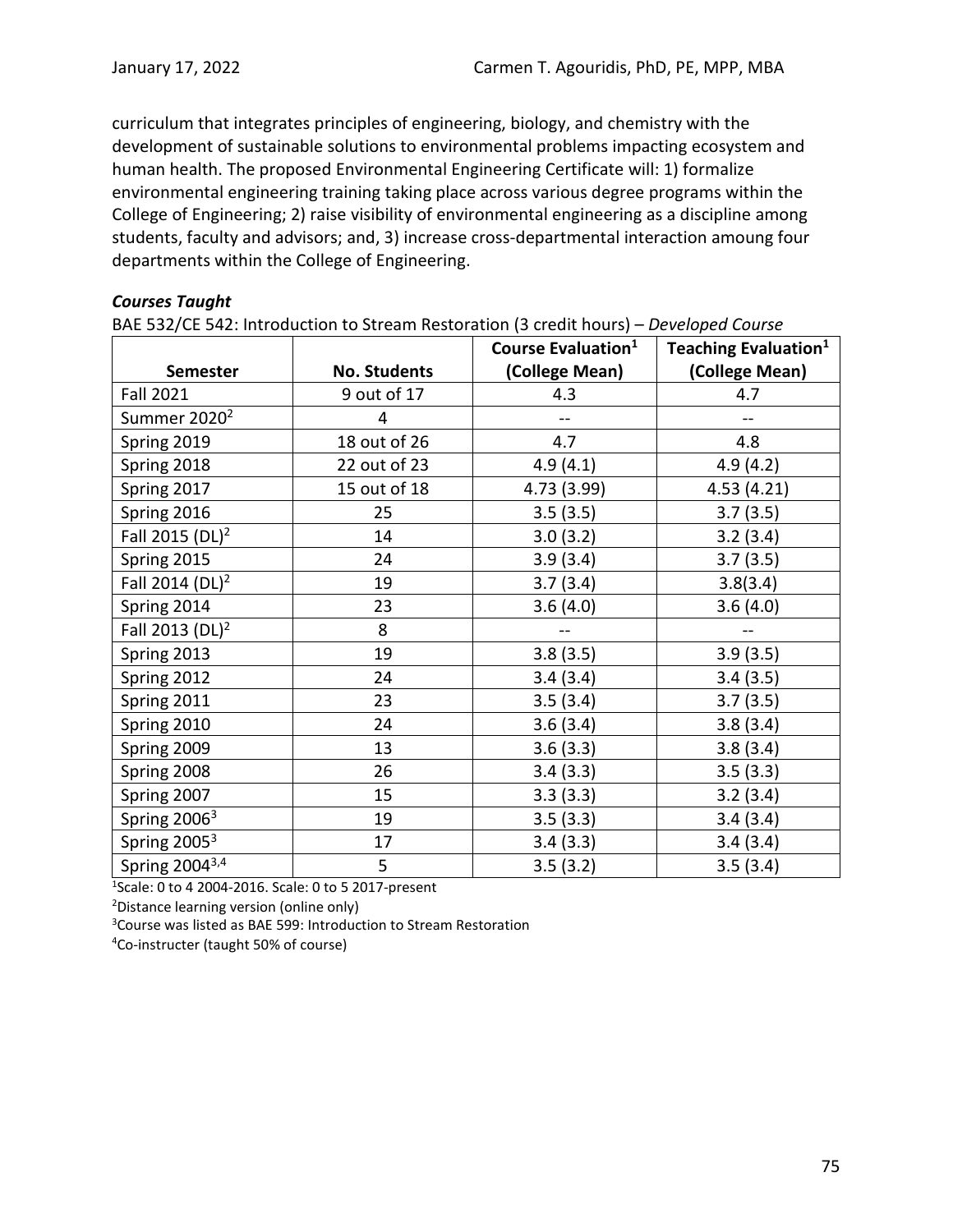curriculum that integrates principles of engineering, biology, and chemistry with the development of sustainable solutions to environmental problems impacting ecosystem and human health. The proposed Environmental Engineering Certificate will: 1) formalize environmental engineering training taking place across various degree programs within the College of Engineering; 2) raise visibility of environmental engineering as a discipline among students, faculty and advisors; and, 3) increase cross-departmental interaction amoung four departments within the College of Engineering.

### *Courses Taught*

BAE 532/CE 542: Introduction to Stream Restoration (3 credit hours) – *Developed Course*

|                             |                     | Course Evaluation <sup>1</sup> | <b>Teaching Evaluation</b> <sup>1</sup> |
|-----------------------------|---------------------|--------------------------------|-----------------------------------------|
| <b>Semester</b>             | <b>No. Students</b> | (College Mean)                 | (College Mean)                          |
| <b>Fall 2021</b>            | 9 out of 17         | 4.3                            | 4.7                                     |
| Summer 2020 <sup>2</sup>    | 4                   |                                |                                         |
| Spring 2019                 | 18 out of 26        | 4.7                            | 4.8                                     |
| Spring 2018                 | 22 out of 23        | 4.9(4.1)                       | 4.9(4.2)                                |
| Spring 2017                 | 15 out of 18        | 4.73 (3.99)                    | 4.53 (4.21)                             |
| Spring 2016                 | 25                  | 3.5(3.5)                       | 3.7(3.5)                                |
| Fall 2015 (DL) <sup>2</sup> | 14                  | 3.0(3.2)                       | 3.2(3.4)                                |
| Spring 2015                 | 24                  | 3.9(3.4)                       | 3.7(3.5)                                |
| Fall 2014 (DL) <sup>2</sup> | 19                  | 3.7(3.4)                       | 3.8(3.4)                                |
| Spring 2014                 | 23                  | 3.6(4.0)                       | 3.6(4.0)                                |
| Fall 2013 (DL) <sup>2</sup> | 8                   |                                |                                         |
| Spring 2013                 | 19                  | 3.8(3.5)                       | 3.9(3.5)                                |
| Spring 2012                 | 24                  | 3.4(3.4)                       | 3.4(3.5)                                |
| Spring 2011                 | 23                  | 3.5(3.4)                       | 3.7(3.5)                                |
| Spring 2010                 | 24                  | 3.6(3.4)                       | 3.8(3.4)                                |
| Spring 2009                 | 13                  | 3.6(3.3)                       | 3.8(3.4)                                |
| Spring 2008                 | 26                  | 3.4(3.3)                       | 3.5(3.3)                                |
| Spring 2007                 | 15                  | 3.3(3.3)                       | 3.2(3.4)                                |
| Spring 2006 <sup>3</sup>    | 19                  | 3.5(3.3)                       | 3.4(3.4)                                |
| Spring 2005 <sup>3</sup>    | 17                  | 3.4(3.3)                       | 3.4(3.4)                                |
| Spring 2004 <sup>3,4</sup>  | 5                   | 3.5(3.2)                       | 3.5(3.4)                                |

1 Scale: 0 to 4 2004-2016. Scale: 0 to 5 2017-present

2 Distance learning version (online only)

3 Course was listed as BAE 599: Introduction to Stream Restoration

4 Co-instructer (taught 50% of course)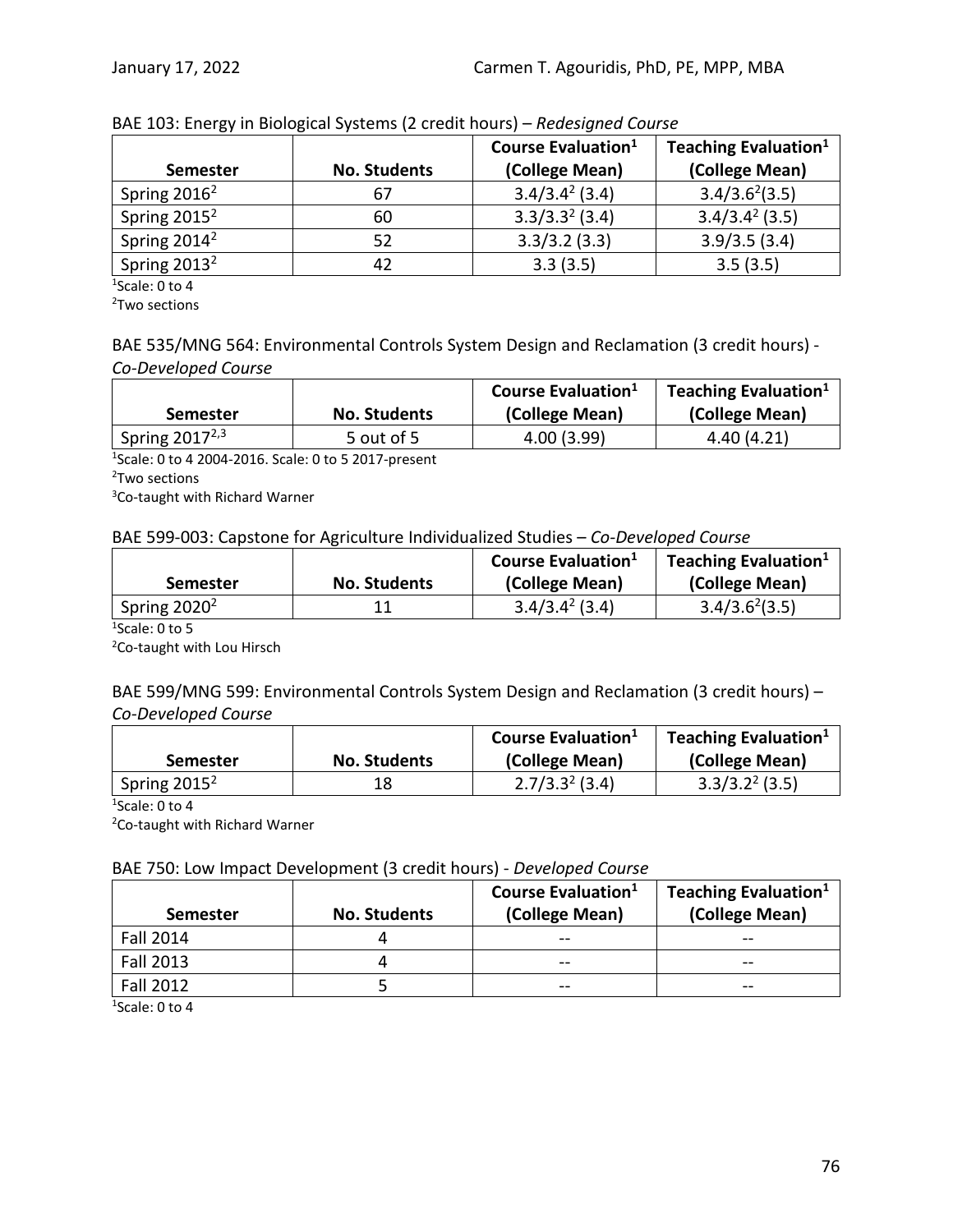| <b>Semester</b>          | <b>No. Students</b> | Course Evaluation <sup>1</sup><br>(College Mean) | Teaching Evaluation <sup>1</sup><br>(College Mean) |
|--------------------------|---------------------|--------------------------------------------------|----------------------------------------------------|
| Spring $2016^2$          | 67                  | $3.4/3.4^{2}$ (3.4)                              | $3.4/3.6^{2}(3.5)$                                 |
| Spring $2015^2$          | 60                  | $3.3/3.32$ (3.4)                                 | $3.4/3.4^{2}$ (3.5)                                |
| Spring 2014 <sup>2</sup> | 52                  | 3.3/3.2(3.3)                                     | 3.9/3.5(3.4)                                       |
| Spring 2013 <sup>2</sup> | 42                  | 3.3(3.5)                                         | 3.5(3.5)                                           |

### BAE 103: Energy in Biological Systems (2 credit hours) – *Redesigned Course*

1 Scale: 0 to 4

<sup>2</sup>Two sections

### BAE 535/MNG 564: Environmental Controls System Design and Reclamation (3 credit hours) - *Co-Developed Course*

|                            |                     | Course Evaluation <sup>1</sup> | Teaching Evaluation <sup>1</sup> |
|----------------------------|---------------------|--------------------------------|----------------------------------|
| <b>Semester</b>            | <b>No. Students</b> | (College Mean)                 | (College Mean)                   |
| Spring 2017 <sup>2,3</sup> | 5 out of 5          | 4.00(3.99)                     | 4.40(4.21)                       |

1 Scale: 0 to 4 2004-2016. Scale: 0 to 5 2017-present

<sup>2</sup>Two sections

3 Co-taught with Richard Warner

### BAE 599-003: Capstone for Agriculture Individualized Studies – *Co-Developed Course*

|                 |                     | Course Evaluation <sup>1</sup> | Teaching Evaluation <sup>1</sup> |
|-----------------|---------------------|--------------------------------|----------------------------------|
| <b>Semester</b> | <b>No. Students</b> | (College Mean)                 | (College Mean)                   |
| Spring $2020^2$ |                     | $3.4/3.4^{2}$ (3.4)            | $3.4/3.6^{2}(3.5)$               |

1 Scale: 0 to 5

<sup>2</sup>Co-taught with Lou Hirsch

BAE 599/MNG 599: Environmental Controls System Design and Reclamation (3 credit hours) – *Co-Developed Course*

|                 |                     | Course Evaluation <sup>1</sup> | Teaching Evaluation <sup>1</sup> |
|-----------------|---------------------|--------------------------------|----------------------------------|
| <b>Semester</b> | <b>No. Students</b> | (College Mean)                 | (College Mean)                   |
| Spring $2015^2$ | 18                  | $2.7/3.32$ (3.4)               | $3.3/3.22$ (3.5)                 |

1 Scale: 0 to 4

<sup>2</sup>Co-taught with Richard Warner

### BAE 750: Low Impact Development (3 credit hours) - *Developed Course*

| <b>Semester</b>  | <b>No. Students</b> | Course Evaluation <sup>1</sup><br>(College Mean) | Teaching Evaluation <sup>1</sup><br>(College Mean) |
|------------------|---------------------|--------------------------------------------------|----------------------------------------------------|
| <b>Fall 2014</b> |                     | $- -$                                            | --                                                 |
| <b>Fall 2013</b> |                     | $- -$                                            | --                                                 |
| <b>Fall 2012</b> |                     | --                                               | --                                                 |

1 Scale: 0 to 4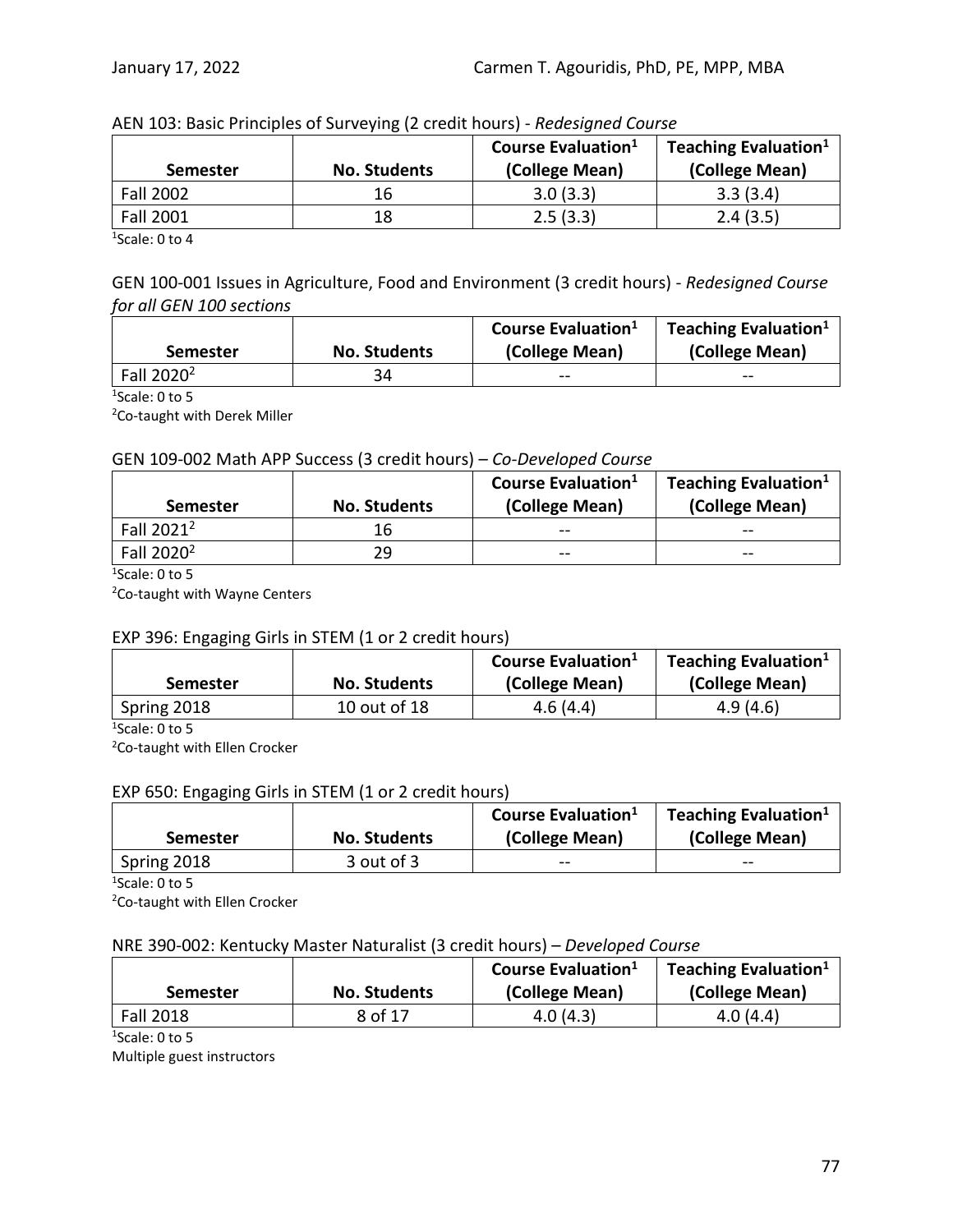| <b>Semester</b>  | <b>No. Students</b> | <b>Course Evaluation</b> <sup>1</sup><br>(College Mean) | Teaching Evaluation <sup>1</sup><br>(College Mean) |
|------------------|---------------------|---------------------------------------------------------|----------------------------------------------------|
| <b>Fall 2002</b> | 16                  | 3.0(3.3)                                                | 3.3(3.4)                                           |
| <b>Fall 2001</b> | 18                  | 2.5(3.3)                                                | 2.4(3.5)                                           |

#### AEN 103: Basic Principles of Surveying (2 credit hours) - *Redesigned Course*

1 Scale: 0 to 4

GEN 100-001 Issues in Agriculture, Food and Environment (3 credit hours) - *Redesigned Course for all GEN 100 sections*

|                        |                     | Course Evaluation <sup>1</sup> | Teaching Evaluation <sup>1</sup> |
|------------------------|---------------------|--------------------------------|----------------------------------|
| <b>Semester</b>        | <b>No. Students</b> | (College Mean)                 | (College Mean)                   |
| Fall 2020 <sup>2</sup> | 34                  | $\qquad \qquad \cdots$         | --                               |

1 Scale: 0 to 5

<sup>2</sup>Co-taught with Derek Miller

#### GEN 109-002 Math APP Success (3 credit hours) – *Co-Developed Course*

| Semester               | <b>No. Students</b> | <b>Course Evaluation</b> <sup>1</sup><br>(College Mean) | Teaching Evaluation <sup>1</sup><br>(College Mean) |
|------------------------|---------------------|---------------------------------------------------------|----------------------------------------------------|
| Fall 2021 <sup>2</sup> | 16                  | $- -$                                                   | $- -$                                              |
| Fall 2020 <sup>2</sup> | 29                  | $- -$                                                   | --                                                 |

1 Scale: 0 to 5

<sup>2</sup>Co-taught with Wayne Centers

### EXP 396: Engaging Girls in STEM (1 or 2 credit hours)

|                 |                     | Course Evaluation <sup>1</sup> | Teaching Evaluation <sup>1</sup> |
|-----------------|---------------------|--------------------------------|----------------------------------|
| <b>Semester</b> | <b>No. Students</b> | (College Mean)                 | (College Mean)                   |
| Spring 2018     | 10 out of 18        | 4.6(4.4)                       | 4.9(4.6)                         |

1 Scale: 0 to 5

<sup>2</sup>Co-taught with Ellen Crocker

### EXP 650: Engaging Girls in STEM (1 or 2 credit hours)

|                 |                     | Course Evaluation <sup>1</sup> | Teaching Evaluation <sup>1</sup> |
|-----------------|---------------------|--------------------------------|----------------------------------|
| <b>Semester</b> | <b>No. Students</b> | (College Mean)                 | (College Mean)                   |
| Spring 2018     | 3 out of 3          | $- -$                          | $- -$                            |

1 Scale: 0 to 5

<sup>2</sup>Co-taught with Ellen Crocker

#### NRE 390-002: Kentucky Master Naturalist (3 credit hours) – *Developed Course*

| <b>Semester</b>  | <b>No. Students</b> | Course Evaluation <sup>1</sup><br>(College Mean) | Teaching Evaluation <sup>1</sup><br>(College Mean) |
|------------------|---------------------|--------------------------------------------------|----------------------------------------------------|
| <b>Fall 2018</b> | 8 of 17             | 4.0(4.3)                                         | 4.0(4.4)                                           |

1 Scale: 0 to 5

Multiple guest instructors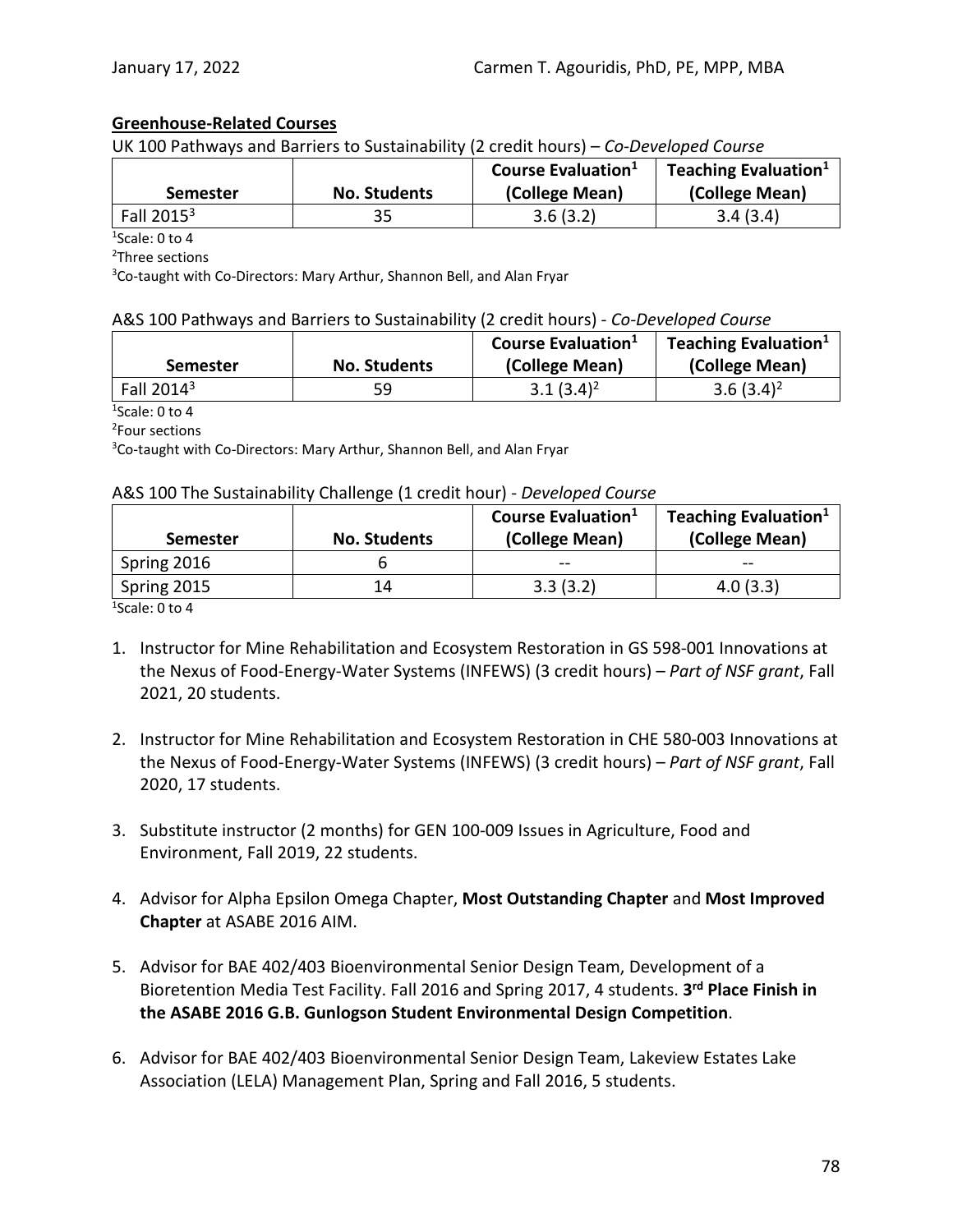### **Greenhouse-Related Courses**

UK 100 Pathways and Barriers to Sustainability (2 credit hours) – *Co-Developed Course*

|                 |                     | Course Evaluation <sup>1</sup> | Teaching Evaluation $1$ |
|-----------------|---------------------|--------------------------------|-------------------------|
| <b>Semester</b> | <b>No. Students</b> | (College Mean)                 | (College Mean)          |
| Fall $20153$    | 35                  | 3.6(3.2)                       | 3.4(3.4)                |

1 Scale: 0 to 4

2 Three sections

<sup>3</sup>Co-taught with Co-Directors: Mary Arthur, Shannon Bell, and Alan Fryar

#### A&S 100 Pathways and Barriers to Sustainability (2 credit hours) - *Co-Developed Course*

| <b>Semester</b> | <b>No. Students</b> | Course Evaluation <sup>1</sup><br>(College Mean) | Teaching Evaluation <sup>1</sup><br>(College Mean) |
|-----------------|---------------------|--------------------------------------------------|----------------------------------------------------|
| Fall $20143$    | 59                  | $3.1(3.4)^2$                                     | 3.6 $(3.4)^2$                                      |

1 Scale: 0 to 4

2 Four sections

<sup>3</sup>Co-taught with Co-Directors: Mary Arthur, Shannon Bell, and Alan Fryar

#### A&S 100 The Sustainability Challenge (1 credit hour) - *Developed Course*

| <b>No. Students</b> | Course Evaluation <sup>1</sup><br>(College Mean) | Teaching Evaluation <sup>1</sup><br>(College Mean) |
|---------------------|--------------------------------------------------|----------------------------------------------------|
|                     | $- -$                                            |                                                    |
| 14                  | 3.3(3.2)                                         | 4.0(3.3)                                           |
|                     |                                                  |                                                    |

1 Scale: 0 to 4

- 1. Instructor for Mine Rehabilitation and Ecosystem Restoration in GS 598-001 Innovations at the Nexus of Food-Energy-Water Systems (INFEWS) (3 credit hours) – *Part of NSF grant*, Fall 2021, 20 students.
- 2. Instructor for Mine Rehabilitation and Ecosystem Restoration in CHE 580-003 Innovations at the Nexus of Food-Energy-Water Systems (INFEWS) (3 credit hours) – *Part of NSF grant*, Fall 2020, 17 students.
- 3. Substitute instructor (2 months) for GEN 100-009 Issues in Agriculture, Food and Environment, Fall 2019, 22 students.
- 4. Advisor for Alpha Epsilon Omega Chapter, **Most Outstanding Chapter** and **Most Improved Chapter** at ASABE 2016 AIM.
- 5. Advisor for BAE 402/403 Bioenvironmental Senior Design Team, Development of a Bioretention Media Test Facility. Fall 2016 and Spring 2017, 4 students. **3rd Place Finish in the ASABE 2016 G.B. Gunlogson Student Environmental Design Competition**.
- 6. Advisor for BAE 402/403 Bioenvironmental Senior Design Team, Lakeview Estates Lake Association (LELA) Management Plan, Spring and Fall 2016, 5 students.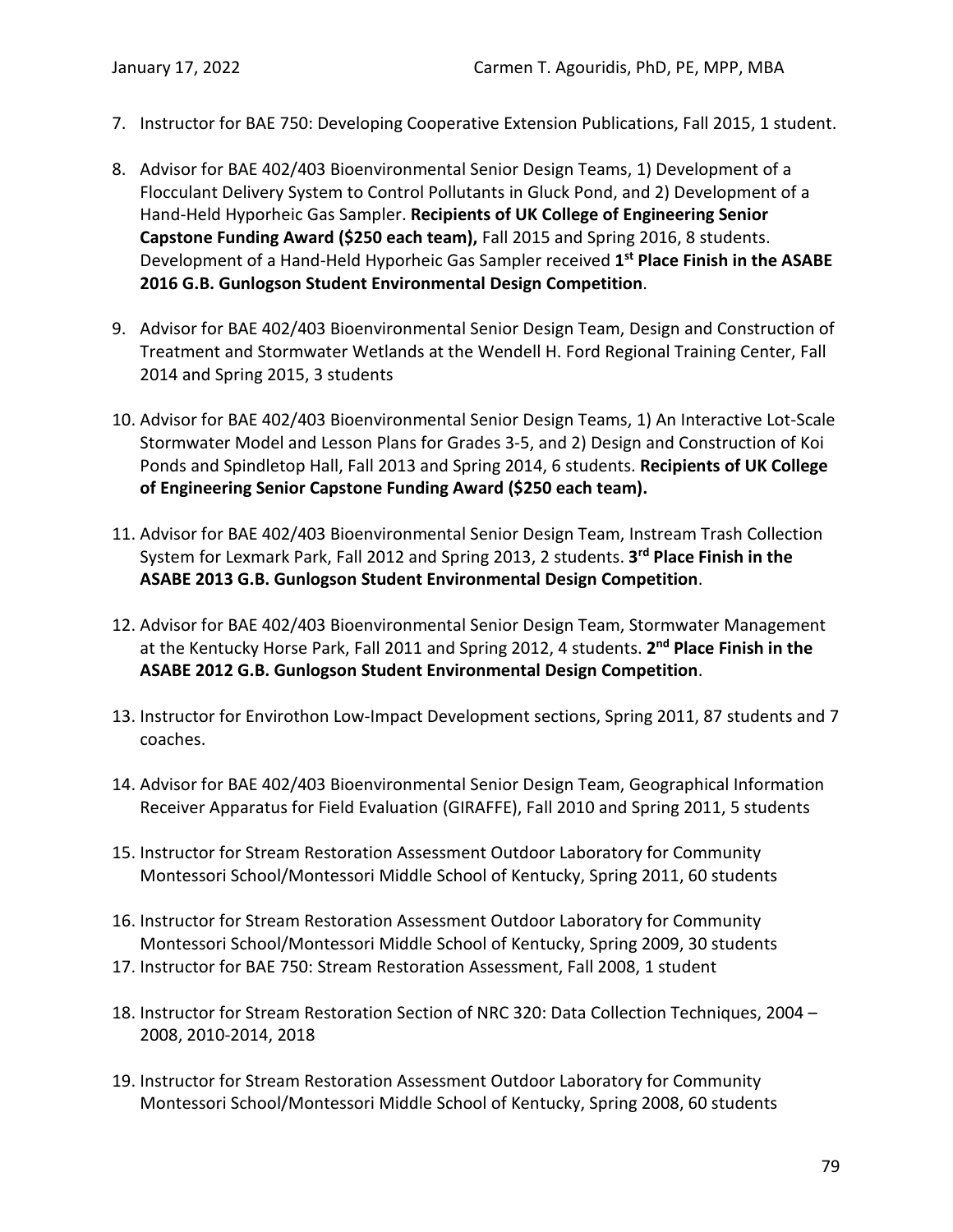- 7. Instructor for BAE 750: Developing Cooperative Extension Publications, Fall 2015, 1 student.
- 8. Advisor for BAE 402/403 Bioenvironmental Senior Design Teams, 1) Development of a Flocculant Delivery System to Control Pollutants in Gluck Pond, and 2) Development of a Hand-Held Hyporheic Gas Sampler. **Recipients of UK College of Engineering Senior Capstone Funding Award (\$250 each team),** Fall 2015 and Spring 2016, 8 students. Development of a Hand-Held Hyporheic Gas Sampler received **1st Place Finish in the ASABE 2016 G.B. Gunlogson Student Environmental Design Competition**.
- 9. Advisor for BAE 402/403 Bioenvironmental Senior Design Team, Design and Construction of Treatment and Stormwater Wetlands at the Wendell H. Ford Regional Training Center, Fall 2014 and Spring 2015, 3 students
- 10. Advisor for BAE 402/403 Bioenvironmental Senior Design Teams, 1) An Interactive Lot-Scale Stormwater Model and Lesson Plans for Grades 3-5, and 2) Design and Construction of Koi Ponds and Spindletop Hall, Fall 2013 and Spring 2014, 6 students. **Recipients of UK College of Engineering Senior Capstone Funding Award (\$250 each team).**
- 11. Advisor for BAE 402/403 Bioenvironmental Senior Design Team, Instream Trash Collection System for Lexmark Park, Fall 2012 and Spring 2013, 2 students. **3rd Place Finish in the ASABE 2013 G.B. Gunlogson Student Environmental Design Competition**.
- 12. Advisor for BAE 402/403 Bioenvironmental Senior Design Team, Stormwater Management at the Kentucky Horse Park, Fall 2011 and Spring 2012, 4 students. **2nd Place Finish in the ASABE 2012 G.B. Gunlogson Student Environmental Design Competition**.
- 13. Instructor for Envirothon Low-Impact Development sections, Spring 2011, 87 students and 7 coaches.
- 14. Advisor for BAE 402/403 Bioenvironmental Senior Design Team, Geographical Information Receiver Apparatus for Field Evaluation (GIRAFFE), Fall 2010 and Spring 2011, 5 students
- 15. Instructor for Stream Restoration Assessment Outdoor Laboratory for Community Montessori School/Montessori Middle School of Kentucky, Spring 2011, 60 students
- 16. Instructor for Stream Restoration Assessment Outdoor Laboratory for Community Montessori School/Montessori Middle School of Kentucky, Spring 2009, 30 students
- 17. Instructor for BAE 750: Stream Restoration Assessment, Fall 2008, 1 student
- 18. Instructor for Stream Restoration Section of NRC 320: Data Collection Techniques, 2004 2008, 2010-2014, 2018
- 19. Instructor for Stream Restoration Assessment Outdoor Laboratory for Community Montessori School/Montessori Middle School of Kentucky, Spring 2008, 60 students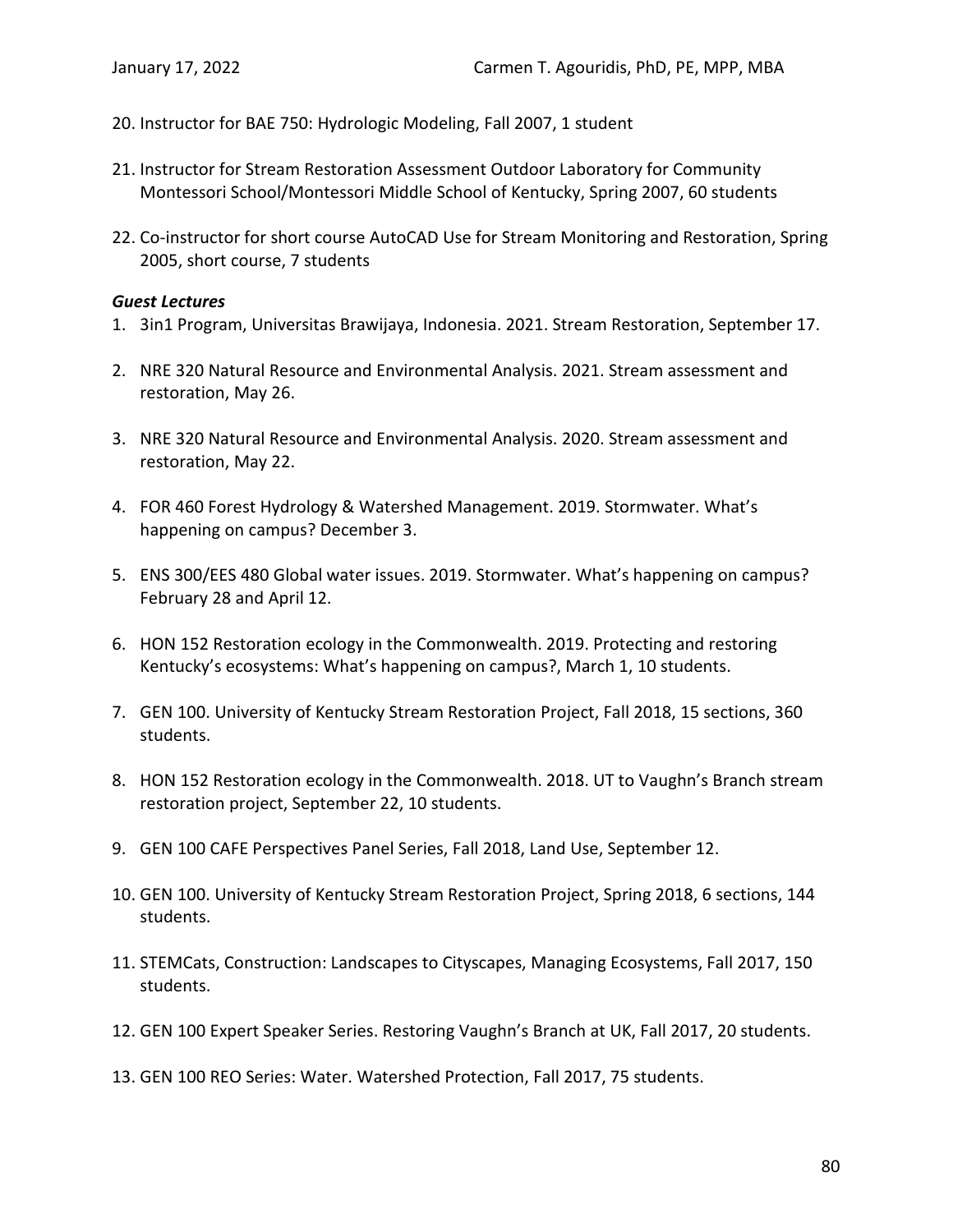- 20. Instructor for BAE 750: Hydrologic Modeling, Fall 2007, 1 student
- 21. Instructor for Stream Restoration Assessment Outdoor Laboratory for Community Montessori School/Montessori Middle School of Kentucky, Spring 2007, 60 students
- 22. Co-instructor for short course AutoCAD Use for Stream Monitoring and Restoration, Spring 2005, short course, 7 students

#### *Guest Lectures*

- 1. 3in1 Program, Universitas Brawijaya, Indonesia. 2021. Stream Restoration, September 17.
- 2. NRE 320 Natural Resource and Environmental Analysis. 2021. Stream assessment and restoration, May 26.
- 3. NRE 320 Natural Resource and Environmental Analysis. 2020. Stream assessment and restoration, May 22.
- 4. FOR 460 Forest Hydrology & Watershed Management. 2019. Stormwater. What's happening on campus? December 3.
- 5. ENS 300/EES 480 Global water issues. 2019. Stormwater. What's happening on campus? February 28 and April 12.
- 6. HON 152 Restoration ecology in the Commonwealth. 2019. Protecting and restoring Kentucky's ecosystems: What's happening on campus?, March 1, 10 students.
- 7. GEN 100. University of Kentucky Stream Restoration Project, Fall 2018, 15 sections, 360 students.
- 8. HON 152 Restoration ecology in the Commonwealth. 2018. UT to Vaughn's Branch stream restoration project, September 22, 10 students.
- 9. GEN 100 CAFE Perspectives Panel Series, Fall 2018, Land Use, September 12.
- 10. GEN 100. University of Kentucky Stream Restoration Project, Spring 2018, 6 sections, 144 students.
- 11. STEMCats, Construction: Landscapes to Cityscapes, Managing Ecosystems, Fall 2017, 150 students.
- 12. GEN 100 Expert Speaker Series. Restoring Vaughn's Branch at UK, Fall 2017, 20 students.
- 13. GEN 100 REO Series: Water. Watershed Protection, Fall 2017, 75 students.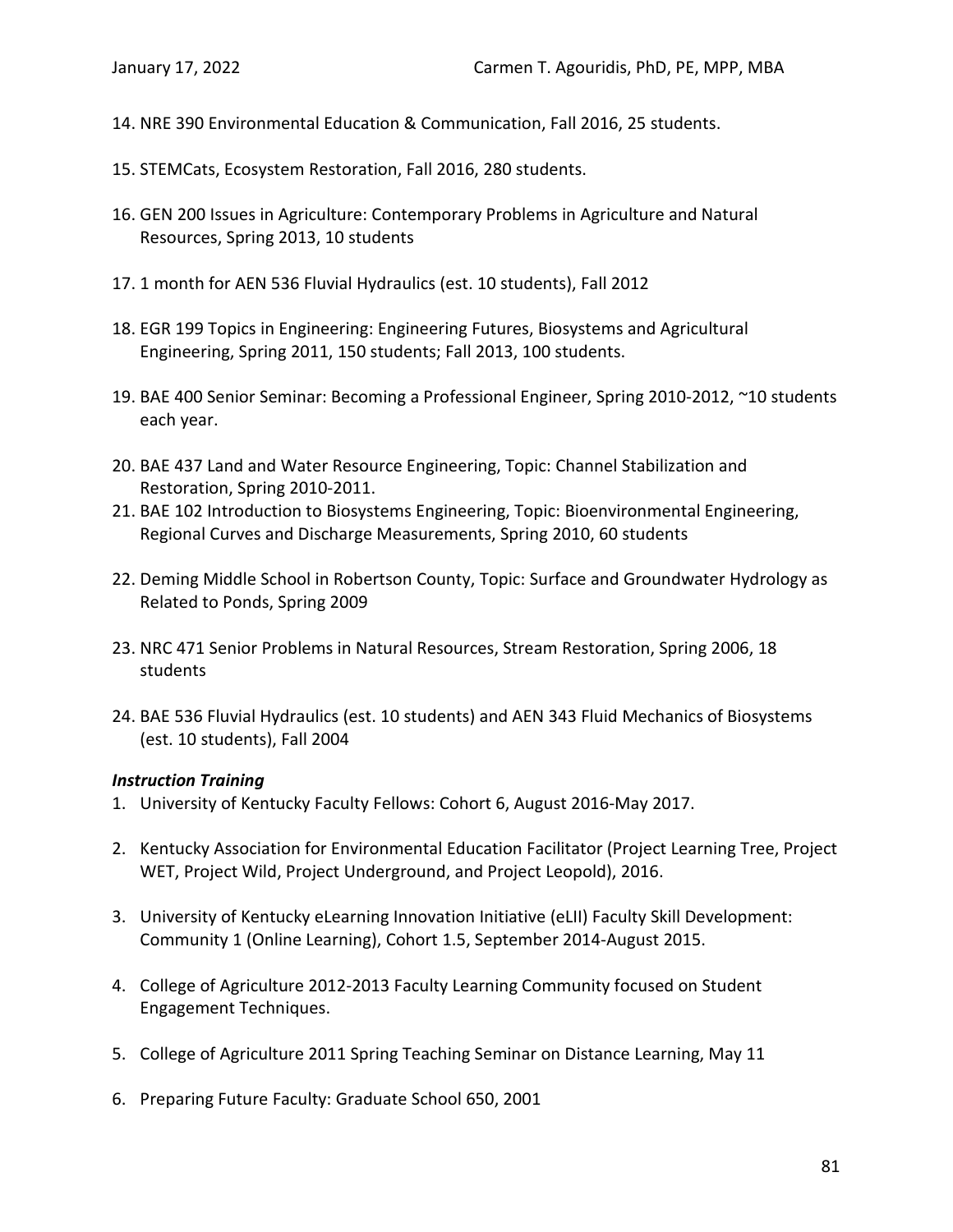- 14. NRE 390 Environmental Education & Communication, Fall 2016, 25 students.
- 15. STEMCats, Ecosystem Restoration, Fall 2016, 280 students.
- 16. GEN 200 Issues in Agriculture: Contemporary Problems in Agriculture and Natural Resources, Spring 2013, 10 students
- 17. 1 month for AEN 536 Fluvial Hydraulics (est. 10 students), Fall 2012
- 18. EGR 199 Topics in Engineering: Engineering Futures, Biosystems and Agricultural Engineering, Spring 2011, 150 students; Fall 2013, 100 students.
- 19. BAE 400 Senior Seminar: Becoming a Professional Engineer, Spring 2010-2012, ~10 students each year.
- 20. BAE 437 Land and Water Resource Engineering, Topic: Channel Stabilization and Restoration, Spring 2010-2011.
- 21. BAE 102 Introduction to Biosystems Engineering, Topic: Bioenvironmental Engineering, Regional Curves and Discharge Measurements, Spring 2010, 60 students
- 22. Deming Middle School in Robertson County, Topic: Surface and Groundwater Hydrology as Related to Ponds, Spring 2009
- 23. NRC 471 Senior Problems in Natural Resources, Stream Restoration, Spring 2006, 18 students
- 24. BAE 536 Fluvial Hydraulics (est. 10 students) and AEN 343 Fluid Mechanics of Biosystems (est. 10 students), Fall 2004

### *Instruction Training*

- 1. University of Kentucky Faculty Fellows: Cohort 6, August 2016-May 2017.
- 2. Kentucky Association for Environmental Education Facilitator (Project Learning Tree, Project WET, Project Wild, Project Underground, and Project Leopold), 2016.
- 3. University of Kentucky eLearning Innovation Initiative (eLII) Faculty Skill Development: Community 1 (Online Learning), Cohort 1.5, September 2014-August 2015.
- 4. College of Agriculture 2012-2013 Faculty Learning Community focused on Student Engagement Techniques.
- 5. College of Agriculture 2011 Spring Teaching Seminar on Distance Learning, May 11
- 6. Preparing Future Faculty: Graduate School 650, 2001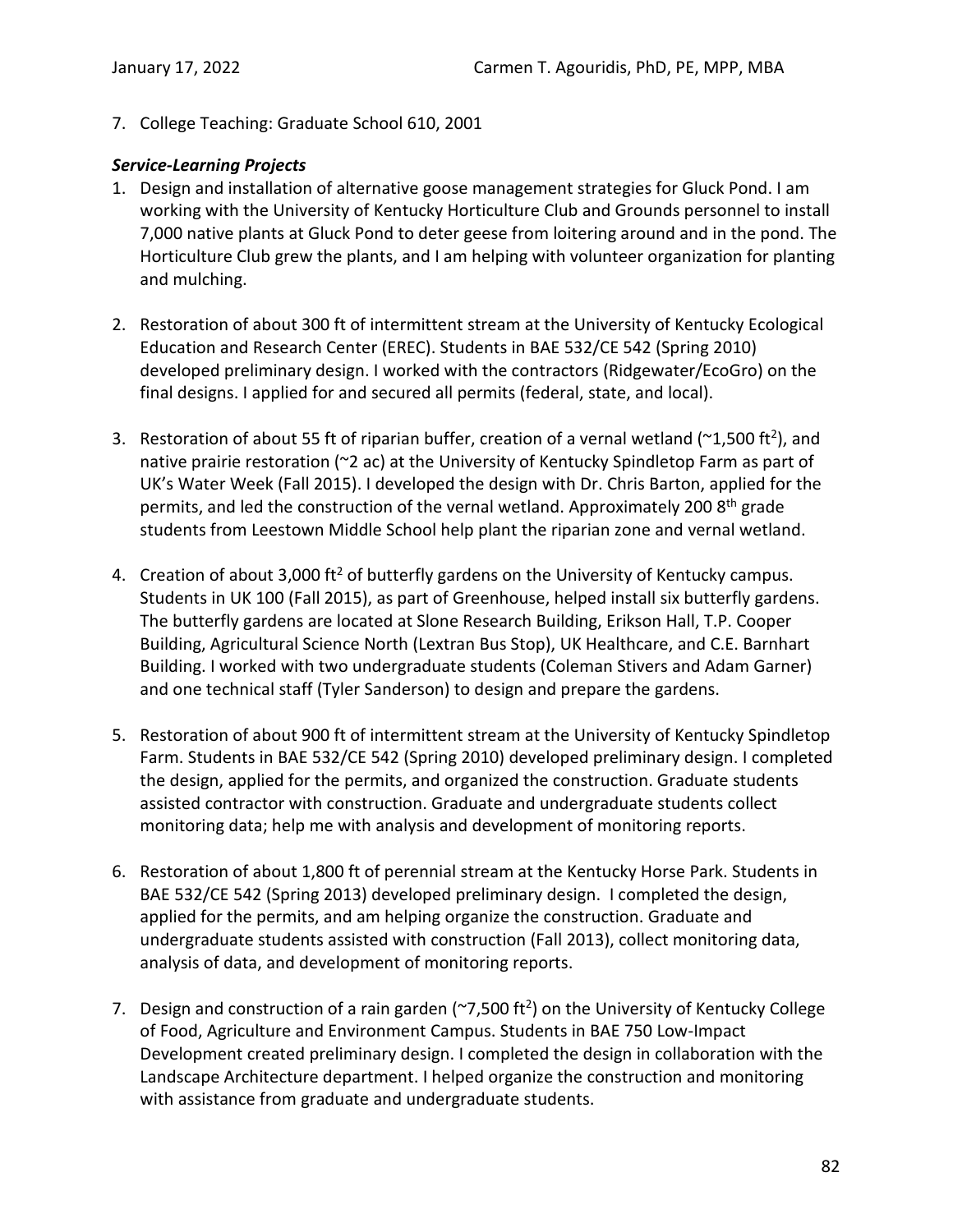7. College Teaching: Graduate School 610, 2001

### *Service-Learning Projects*

- 1. Design and installation of alternative goose management strategies for Gluck Pond. I am working with the University of Kentucky Horticulture Club and Grounds personnel to install 7,000 native plants at Gluck Pond to deter geese from loitering around and in the pond. The Horticulture Club grew the plants, and I am helping with volunteer organization for planting and mulching.
- 2. Restoration of about 300 ft of intermittent stream at the University of Kentucky Ecological Education and Research Center (EREC). Students in BAE 532/CE 542 (Spring 2010) developed preliminary design. I worked with the contractors (Ridgewater/EcoGro) on the final designs. I applied for and secured all permits (federal, state, and local).
- 3. Restoration of about 55 ft of riparian buffer, creation of a vernal wetland ( $\textdegree$ 1,500 ft<sup>2</sup>), and native prairie restoration (~2 ac) at the University of Kentucky Spindletop Farm as part of UK's Water Week (Fall 2015). I developed the design with Dr. Chris Barton, applied for the permits, and led the construction of the vernal wetland. Approximately 200 8<sup>th</sup> grade students from Leestown Middle School help plant the riparian zone and vernal wetland.
- 4. Creation of about 3,000 ft<sup>2</sup> of butterfly gardens on the University of Kentucky campus. Students in UK 100 (Fall 2015), as part of Greenhouse, helped install six butterfly gardens. The butterfly gardens are located at Slone Research Building, Erikson Hall, T.P. Cooper Building, Agricultural Science North (Lextran Bus Stop), UK Healthcare, and C.E. Barnhart Building. I worked with two undergraduate students (Coleman Stivers and Adam Garner) and one technical staff (Tyler Sanderson) to design and prepare the gardens.
- 5. Restoration of about 900 ft of intermittent stream at the University of Kentucky Spindletop Farm. Students in BAE 532/CE 542 (Spring 2010) developed preliminary design. I completed the design, applied for the permits, and organized the construction. Graduate students assisted contractor with construction. Graduate and undergraduate students collect monitoring data; help me with analysis and development of monitoring reports.
- 6. Restoration of about 1,800 ft of perennial stream at the Kentucky Horse Park. Students in BAE 532/CE 542 (Spring 2013) developed preliminary design. I completed the design, applied for the permits, and am helping organize the construction. Graduate and undergraduate students assisted with construction (Fall 2013), collect monitoring data, analysis of data, and development of monitoring reports.
- 7. Design and construction of a rain garden ( $\sim$ 7,500 ft<sup>2</sup>) on the University of Kentucky College of Food, Agriculture and Environment Campus. Students in BAE 750 Low-Impact Development created preliminary design. I completed the design in collaboration with the Landscape Architecture department. I helped organize the construction and monitoring with assistance from graduate and undergraduate students.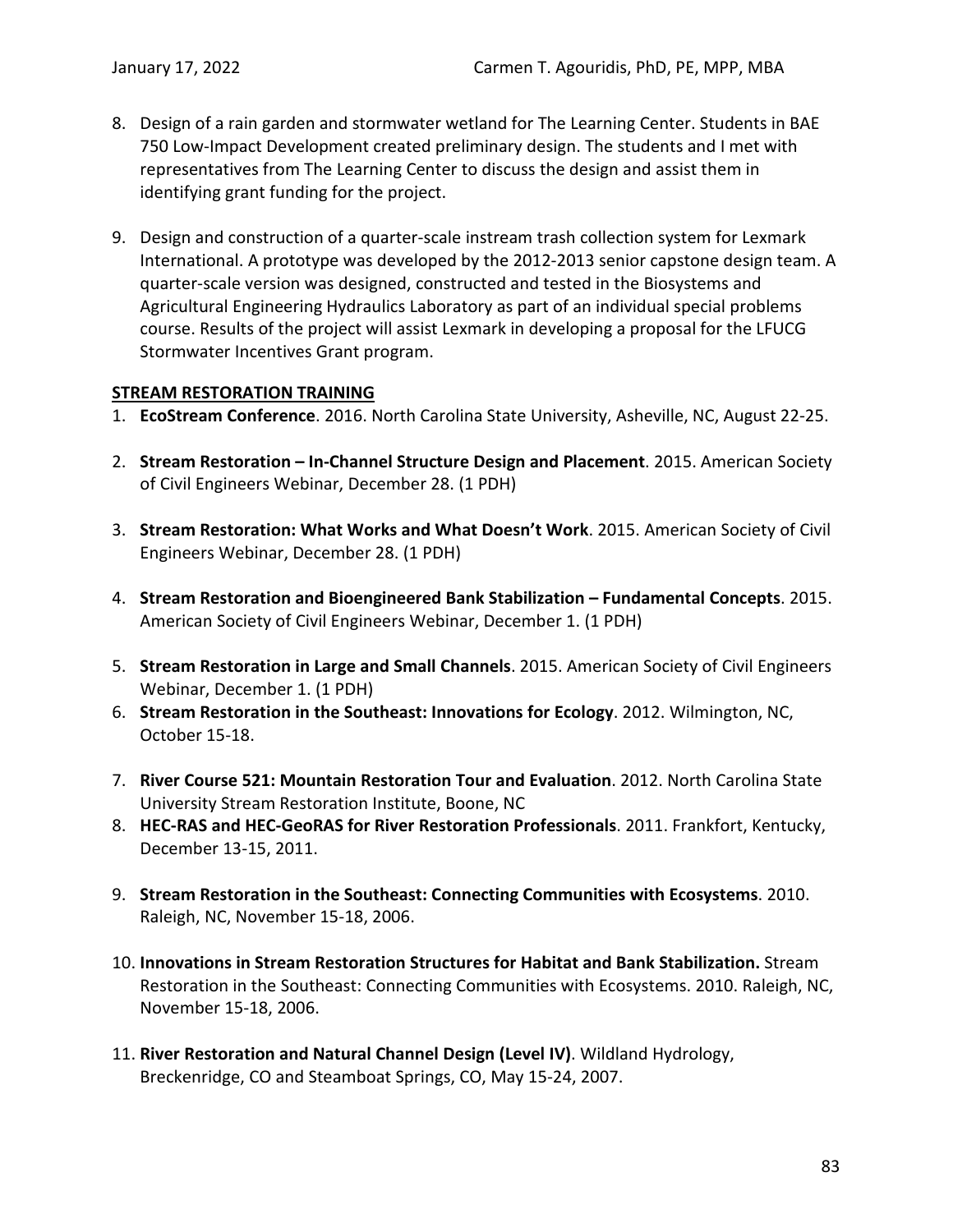- 8. Design of a rain garden and stormwater wetland for The Learning Center. Students in BAE 750 Low-Impact Development created preliminary design. The students and I met with representatives from The Learning Center to discuss the design and assist them in identifying grant funding for the project.
- 9. Design and construction of a quarter-scale instream trash collection system for Lexmark International. A prototype was developed by the 2012-2013 senior capstone design team. A quarter-scale version was designed, constructed and tested in the Biosystems and Agricultural Engineering Hydraulics Laboratory as part of an individual special problems course. Results of the project will assist Lexmark in developing a proposal for the LFUCG Stormwater Incentives Grant program.

#### **STREAM RESTORATION TRAINING**

- 1. **EcoStream Conference**. 2016. North Carolina State University, Asheville, NC, August 22-25.
- 2. **Stream Restoration – In-Channel Structure Design and Placement**. 2015. American Society of Civil Engineers Webinar, December 28. (1 PDH)
- 3. **Stream Restoration: What Works and What Doesn't Work**. 2015. American Society of Civil Engineers Webinar, December 28. (1 PDH)
- 4. **Stream Restoration and Bioengineered Bank Stabilization – Fundamental Concepts**. 2015. American Society of Civil Engineers Webinar, December 1. (1 PDH)
- 5. **Stream Restoration in Large and Small Channels**. 2015. American Society of Civil Engineers Webinar, December 1. (1 PDH)
- 6. **Stream Restoration in the Southeast: Innovations for Ecology**. 2012. Wilmington, NC, October 15-18.
- 7. **River Course 521: Mountain Restoration Tour and Evaluation**. 2012. North Carolina State University Stream Restoration Institute, Boone, NC
- 8. **HEC-RAS and HEC-GeoRAS for River Restoration Professionals**. 2011. Frankfort, Kentucky, December 13-15, 2011.
- 9. **Stream Restoration in the Southeast: Connecting Communities with Ecosystems**. 2010. Raleigh, NC, November 15-18, 2006.
- 10. **Innovations in Stream Restoration Structures for Habitat and Bank Stabilization.** Stream Restoration in the Southeast: Connecting Communities with Ecosystems. 2010. Raleigh, NC, November 15-18, 2006.
- 11. **River Restoration and Natural Channel Design (Level IV)**. Wildland Hydrology, Breckenridge, CO and Steamboat Springs, CO, May 15-24, 2007.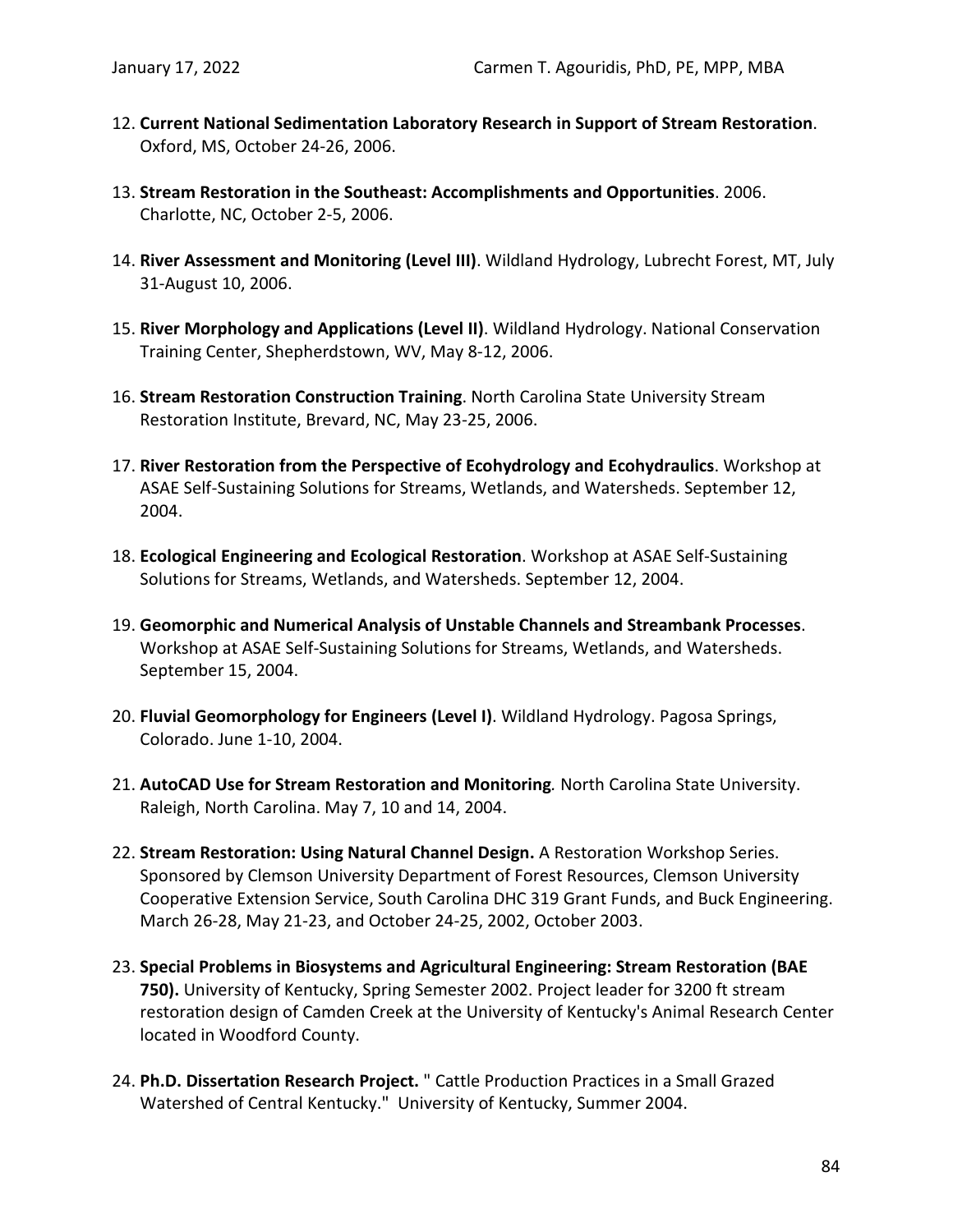- 12. **Current National Sedimentation Laboratory Research in Support of Stream Restoration**. Oxford, MS, October 24-26, 2006.
- 13. **Stream Restoration in the Southeast: Accomplishments and Opportunities**. 2006. Charlotte, NC, October 2-5, 2006.
- 14. **River Assessment and Monitoring (Level III)**. Wildland Hydrology, Lubrecht Forest, MT, July 31-August 10, 2006.
- 15. **River Morphology and Applications (Level II)**. Wildland Hydrology. National Conservation Training Center, Shepherdstown, WV, May 8-12, 2006.
- 16. **Stream Restoration Construction Training**. North Carolina State University Stream Restoration Institute, Brevard, NC, May 23-25, 2006.
- 17. **River Restoration from the Perspective of Ecohydrology and Ecohydraulics**. Workshop at ASAE Self-Sustaining Solutions for Streams, Wetlands, and Watersheds. September 12, 2004.
- 18. **Ecological Engineering and Ecological Restoration**. Workshop at ASAE Self-Sustaining Solutions for Streams, Wetlands, and Watersheds. September 12, 2004.
- 19. **Geomorphic and Numerical Analysis of Unstable Channels and Streambank Processes**. Workshop at ASAE Self-Sustaining Solutions for Streams, Wetlands, and Watersheds. September 15, 2004.
- 20. **Fluvial Geomorphology for Engineers (Level I)**. Wildland Hydrology. Pagosa Springs, Colorado. June 1-10, 2004.
- 21. **AutoCAD Use for Stream Restoration and Monitoring***.* North Carolina State University. Raleigh, North Carolina. May 7, 10 and 14, 2004.
- 22. **Stream Restoration: Using Natural Channel Design.** A Restoration Workshop Series. Sponsored by Clemson University Department of Forest Resources, Clemson University Cooperative Extension Service, South Carolina DHC 319 Grant Funds, and Buck Engineering. March 26-28, May 21-23, and October 24-25, 2002, October 2003.
- 23. **Special Problems in Biosystems and Agricultural Engineering: Stream Restoration (BAE 750).** University of Kentucky, Spring Semester 2002. Project leader for 3200 ft stream restoration design of Camden Creek at the University of Kentucky's Animal Research Center located in Woodford County.
- 24. **Ph.D. Dissertation Research Project.** " Cattle Production Practices in a Small Grazed Watershed of Central Kentucky." University of Kentucky, Summer 2004.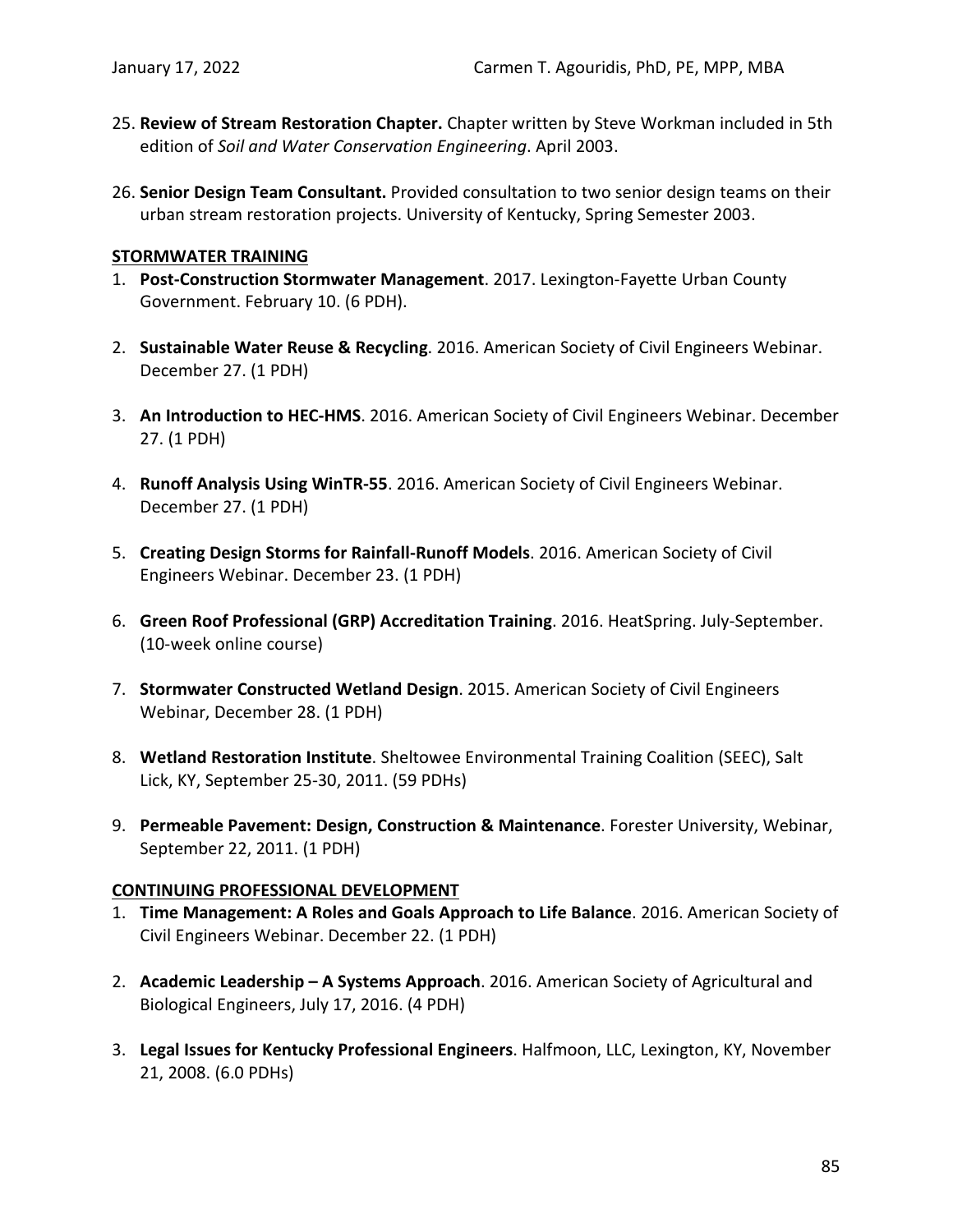- 25. **Review of Stream Restoration Chapter.** Chapter written by Steve Workman included in 5th edition of *Soil and Water Conservation Engineering*. April 2003.
- 26. **Senior Design Team Consultant.** Provided consultation to two senior design teams on their urban stream restoration projects. University of Kentucky, Spring Semester 2003.

#### **STORMWATER TRAINING**

- 1. **Post-Construction Stormwater Management**. 2017. Lexington-Fayette Urban County Government. February 10. (6 PDH).
- 2. **Sustainable Water Reuse & Recycling**. 2016. American Society of Civil Engineers Webinar. December 27. (1 PDH)
- 3. **An Introduction to HEC-HMS**. 2016. American Society of Civil Engineers Webinar. December 27. (1 PDH)
- 4. **Runoff Analysis Using WinTR-55**. 2016. American Society of Civil Engineers Webinar. December 27. (1 PDH)
- 5. **Creating Design Storms for Rainfall-Runoff Models**. 2016. American Society of Civil Engineers Webinar. December 23. (1 PDH)
- 6. **Green Roof Professional (GRP) Accreditation Training**. 2016. HeatSpring. July-September. (10-week online course)
- 7. **Stormwater Constructed Wetland Design**. 2015. American Society of Civil Engineers Webinar, December 28. (1 PDH)
- 8. **Wetland Restoration Institute**. Sheltowee Environmental Training Coalition (SEEC), Salt Lick, KY, September 25-30, 2011. (59 PDHs)
- 9. **Permeable Pavement: Design, Construction & Maintenance**. Forester University, Webinar, September 22, 2011. (1 PDH)

### **CONTINUING PROFESSIONAL DEVELOPMENT**

- 1. **Time Management: A Roles and Goals Approach to Life Balance**. 2016. American Society of Civil Engineers Webinar. December 22. (1 PDH)
- 2. **Academic Leadership – A Systems Approach**. 2016. American Society of Agricultural and Biological Engineers, July 17, 2016. (4 PDH)
- 3. **Legal Issues for Kentucky Professional Engineers**. Halfmoon, LLC, Lexington, KY, November 21, 2008. (6.0 PDHs)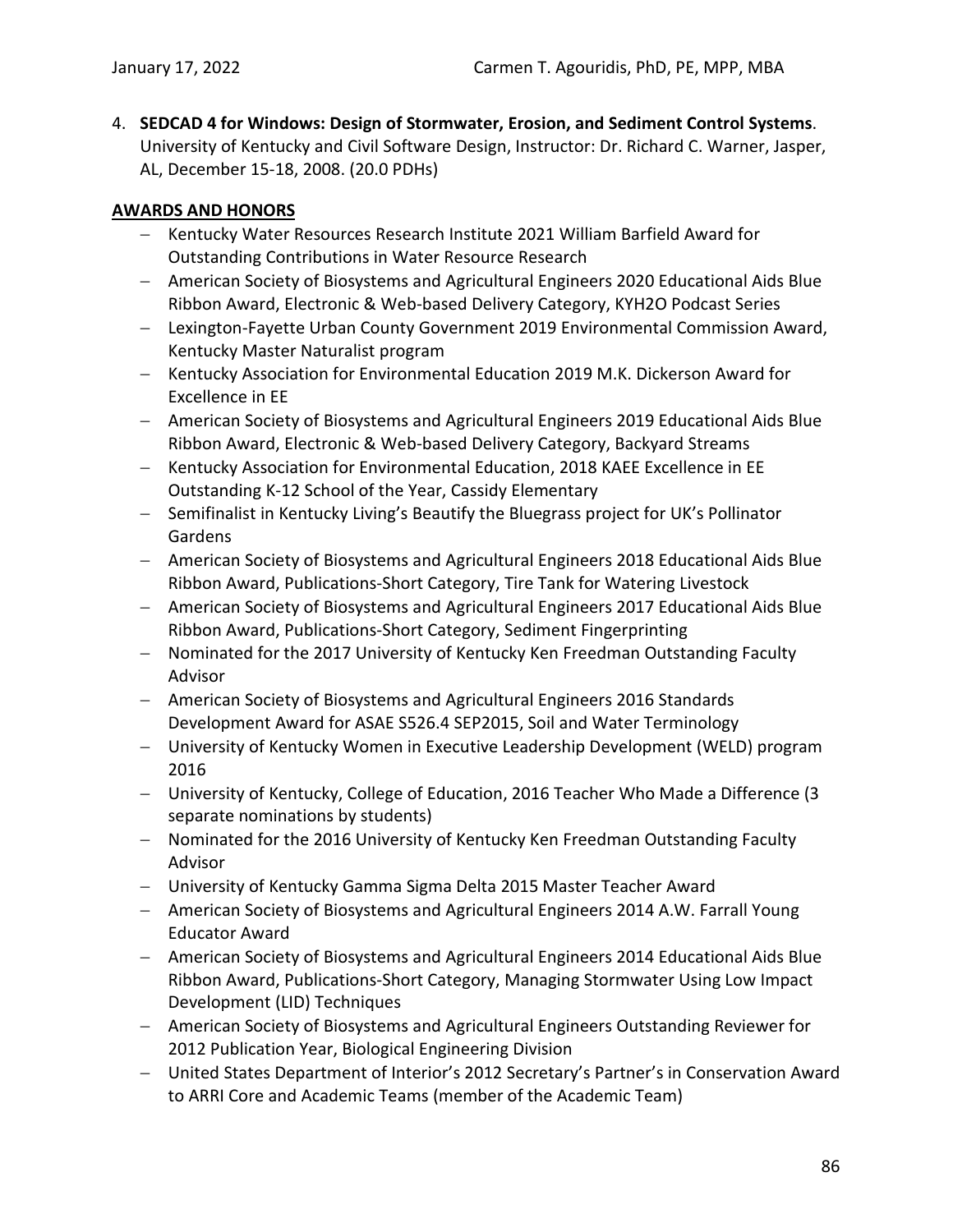4. **SEDCAD 4 for Windows: Design of Stormwater, Erosion, and Sediment Control Systems**. University of Kentucky and Civil Software Design, Instructor: Dr. Richard C. Warner, Jasper, AL, December 15-18, 2008. (20.0 PDHs)

# **AWARDS AND HONORS**

- − Kentucky Water Resources Research Institute 2021 William Barfield Award for Outstanding Contributions in Water Resource Research
- − American Society of Biosystems and Agricultural Engineers 2020 Educational Aids Blue Ribbon Award, Electronic & Web-based Delivery Category, KYH2O Podcast Series
- − Lexington-Fayette Urban County Government 2019 Environmental Commission Award, Kentucky Master Naturalist program
- − Kentucky Association for Environmental Education 2019 M.K. Dickerson Award for Excellence in EE
- − American Society of Biosystems and Agricultural Engineers 2019 Educational Aids Blue Ribbon Award, Electronic & Web-based Delivery Category, Backyard Streams
- − Kentucky Association for Environmental Education, 2018 KAEE Excellence in EE Outstanding K-12 School of the Year, Cassidy Elementary
- − Semifinalist in Kentucky Living's Beautify the Bluegrass project for UK's Pollinator Gardens
- − American Society of Biosystems and Agricultural Engineers 2018 Educational Aids Blue Ribbon Award, Publications-Short Category, Tire Tank for Watering Livestock
- − American Society of Biosystems and Agricultural Engineers 2017 Educational Aids Blue Ribbon Award, Publications-Short Category, Sediment Fingerprinting
- − Nominated for the 2017 University of Kentucky Ken Freedman Outstanding Faculty Advisor
- − American Society of Biosystems and Agricultural Engineers 2016 Standards Development Award for ASAE S526.4 SEP2015, Soil and Water Terminology
- − University of Kentucky Women in Executive Leadership Development (WELD) program 2016
- − University of Kentucky, College of Education, 2016 Teacher Who Made a Difference (3 separate nominations by students)
- − Nominated for the 2016 University of Kentucky Ken Freedman Outstanding Faculty Advisor
- − University of Kentucky Gamma Sigma Delta 2015 Master Teacher Award
- − American Society of Biosystems and Agricultural Engineers 2014 A.W. Farrall Young Educator Award
- − American Society of Biosystems and Agricultural Engineers 2014 Educational Aids Blue Ribbon Award, Publications-Short Category, Managing Stormwater Using Low Impact Development (LID) Techniques
- − American Society of Biosystems and Agricultural Engineers Outstanding Reviewer for 2012 Publication Year, Biological Engineering Division
- − United States Department of Interior's 2012 Secretary's Partner's in Conservation Award to ARRI Core and Academic Teams (member of the Academic Team)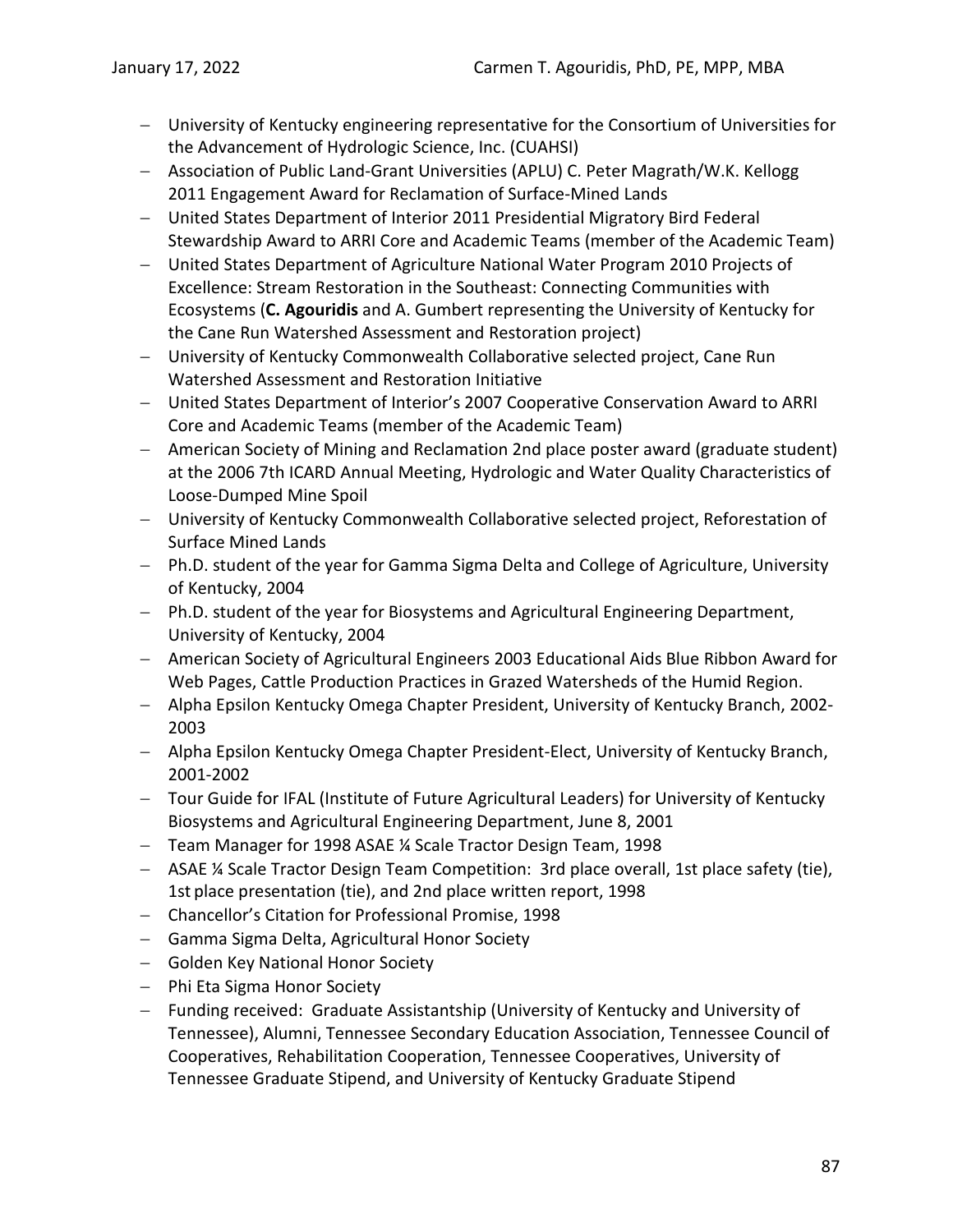- − University of Kentucky engineering representative for the Consortium of Universities for the Advancement of Hydrologic Science, Inc. (CUAHSI)
- − Association of Public Land-Grant Universities (APLU) C. Peter Magrath/W.K. Kellogg 2011 Engagement Award for Reclamation of Surface-Mined Lands
- − United States Department of Interior 2011 Presidential Migratory Bird Federal Stewardship Award to ARRI Core and Academic Teams (member of the Academic Team)
- − United States Department of Agriculture National Water Program 2010 Projects of Excellence: Stream Restoration in the Southeast: Connecting Communities with Ecosystems (**C. Agouridis** and A. Gumbert representing the University of Kentucky for the Cane Run Watershed Assessment and Restoration project)
- − University of Kentucky Commonwealth Collaborative selected project, Cane Run Watershed Assessment and Restoration Initiative
- − United States Department of Interior's 2007 Cooperative Conservation Award to ARRI Core and Academic Teams (member of the Academic Team)
- − American Society of Mining and Reclamation 2nd place poster award (graduate student) at the 2006 7th ICARD Annual Meeting, Hydrologic and Water Quality Characteristics of Loose-Dumped Mine Spoil
- − University of Kentucky Commonwealth Collaborative selected project, Reforestation of Surface Mined Lands
- − Ph.D. student of the year for Gamma Sigma Delta and College of Agriculture, University of Kentucky, 2004
- − Ph.D. student of the year for Biosystems and Agricultural Engineering Department, University of Kentucky, 2004
- − American Society of Agricultural Engineers 2003 Educational Aids Blue Ribbon Award for Web Pages, Cattle Production Practices in Grazed Watersheds of the Humid Region.
- − Alpha Epsilon Kentucky Omega Chapter President, University of Kentucky Branch, 2002- 2003
- − Alpha Epsilon Kentucky Omega Chapter President-Elect, University of Kentucky Branch, 2001-2002
- − Tour Guide for IFAL (Institute of Future Agricultural Leaders) for University of Kentucky Biosystems and Agricultural Engineering Department, June 8, 2001
- − Team Manager for 1998 ASAE ¼ Scale Tractor Design Team, 1998
- − ASAE ¼ Scale Tractor Design Team Competition: 3rd place overall, 1st place safety (tie), 1st place presentation (tie), and 2nd place written report, 1998
- − Chancellor's Citation for Professional Promise, 1998
- − Gamma Sigma Delta, Agricultural Honor Society
- − Golden Key National Honor Society
- − Phi Eta Sigma Honor Society
- − Funding received: Graduate Assistantship (University of Kentucky and University of Tennessee), Alumni, Tennessee Secondary Education Association, Tennessee Council of Cooperatives, Rehabilitation Cooperation, Tennessee Cooperatives, University of Tennessee Graduate Stipend, and University of Kentucky Graduate Stipend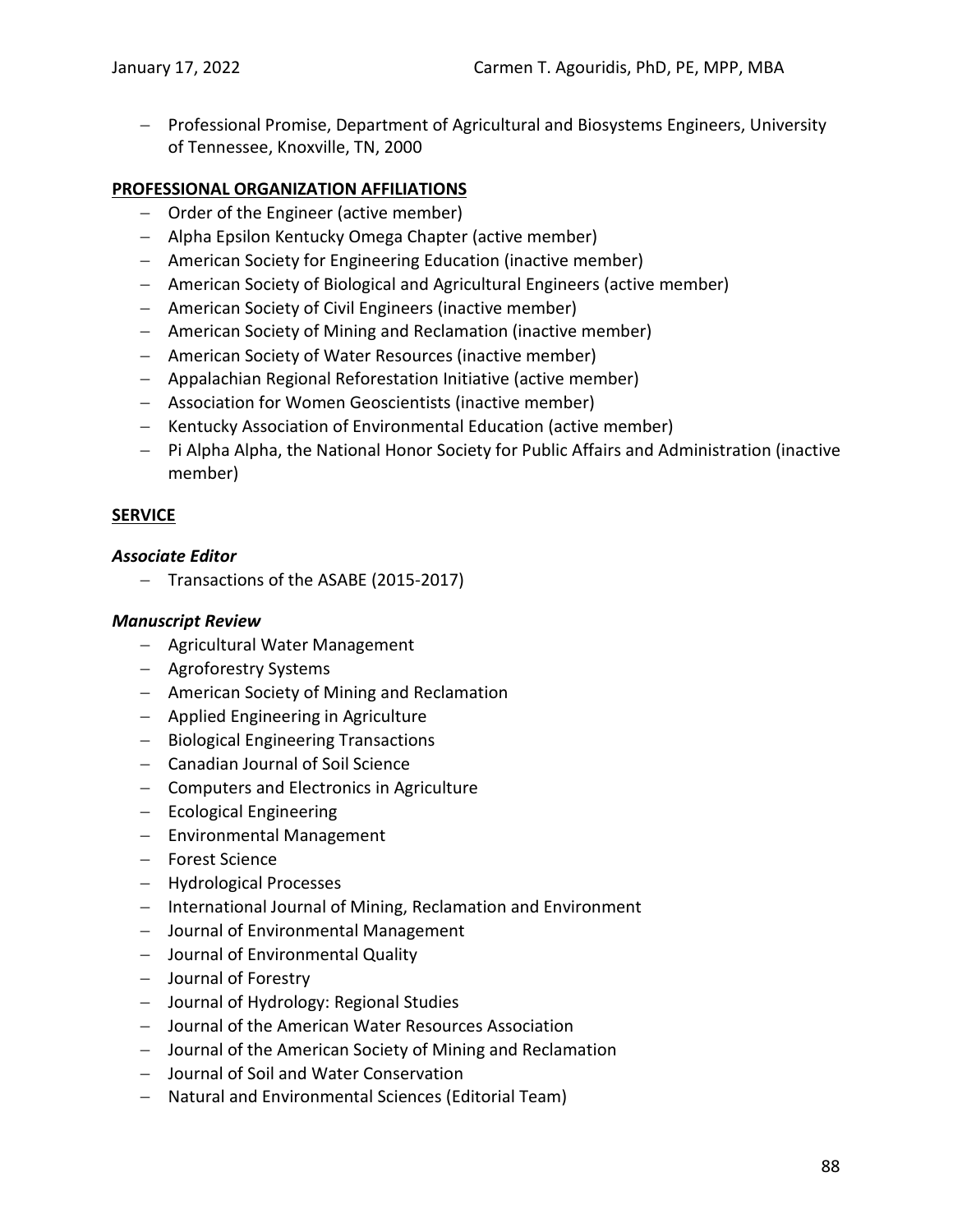− Professional Promise, Department of Agricultural and Biosystems Engineers, University of Tennessee, Knoxville, TN, 2000

### **PROFESSIONAL ORGANIZATION AFFILIATIONS**

- − Order of the Engineer (active member)
- − Alpha Epsilon Kentucky Omega Chapter (active member)
- − American Society for Engineering Education (inactive member)
- − American Society of Biological and Agricultural Engineers (active member)
- − American Society of Civil Engineers (inactive member)
- − American Society of Mining and Reclamation (inactive member)
- − American Society of Water Resources (inactive member)
- − Appalachian Regional Reforestation Initiative (active member)
- − Association for Women Geoscientists (inactive member)
- − Kentucky Association of Environmental Education (active member)
- − Pi Alpha Alpha, the National Honor Society for Public Affairs and Administration (inactive member)

### **SERVICE**

#### *Associate Editor*

− Transactions of the ASABE (2015-2017)

### *Manuscript Review*

- − Agricultural Water Management
- − Agroforestry Systems
- − American Society of Mining and Reclamation
- − Applied Engineering in Agriculture
- − Biological Engineering Transactions
- − Canadian Journal of Soil Science
- − Computers and Electronics in Agriculture
- − Ecological Engineering
- − Environmental Management
- − Forest Science
- − Hydrological Processes
- − International Journal of Mining, Reclamation and Environment
- − Journal of Environmental Management
- − Journal of Environmental Quality
- − Journal of Forestry
- − Journal of Hydrology: Regional Studies
- − Journal of the American Water Resources Association
- − Journal of the American Society of Mining and Reclamation
- − Journal of Soil and Water Conservation
- − Natural and Environmental Sciences (Editorial Team)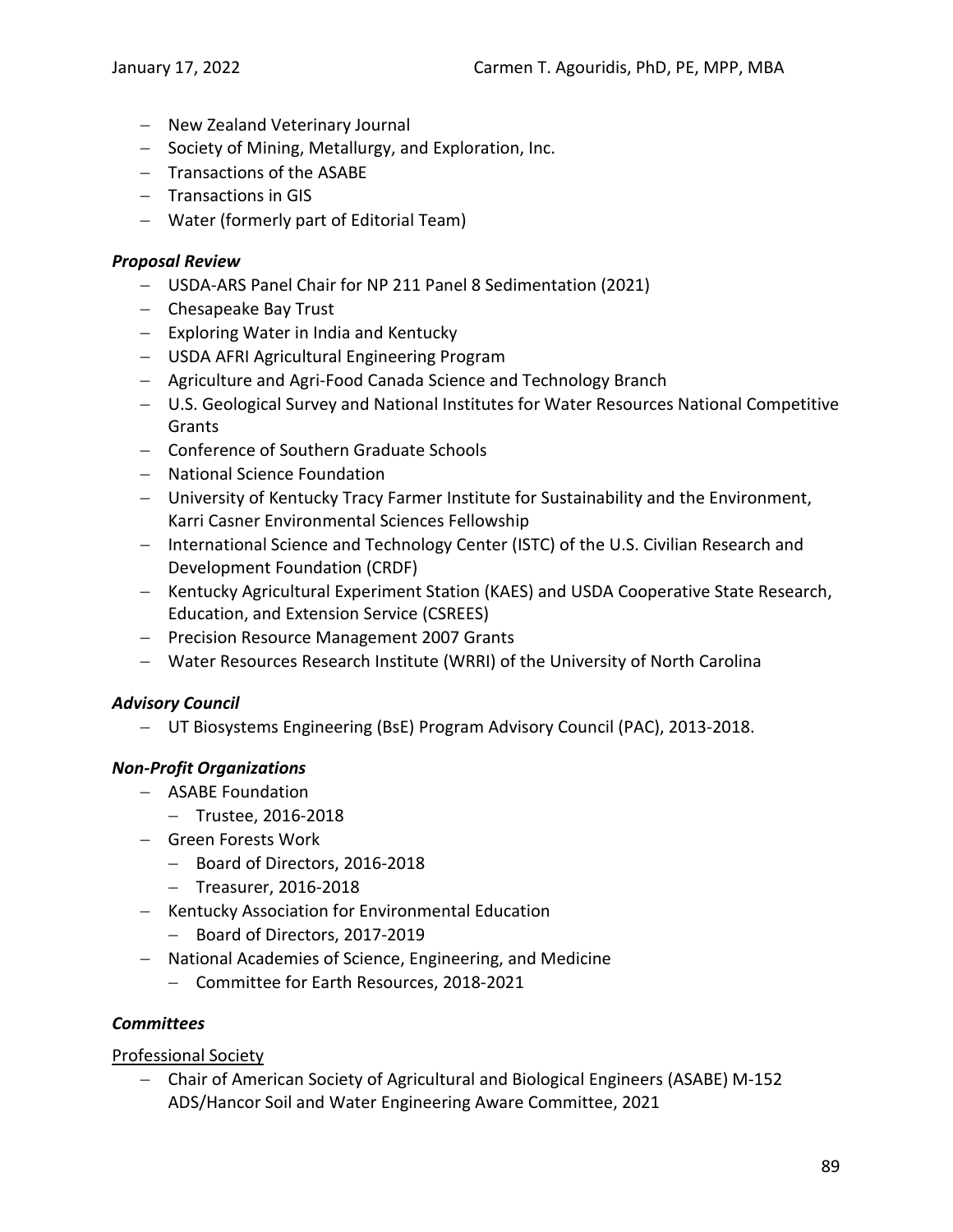- − New Zealand Veterinary Journal
- − Society of Mining, Metallurgy, and Exploration, Inc.
- − Transactions of the ASABE
- − Transactions in GIS
- − Water (formerly part of Editorial Team)

### *Proposal Review*

- − USDA-ARS Panel Chair for NP 211 Panel 8 Sedimentation (2021)
- − Chesapeake Bay Trust
- − Exploring Water in India and Kentucky
- − USDA AFRI Agricultural Engineering Program
- − Agriculture and Agri-Food Canada Science and Technology Branch
- − U.S. Geological Survey and National Institutes for Water Resources National Competitive Grants
- − Conference of Southern Graduate Schools
- − National Science Foundation
- − University of Kentucky Tracy Farmer Institute for Sustainability and the Environment, Karri Casner Environmental Sciences Fellowship
- − International Science and Technology Center (ISTC) of the U.S. Civilian Research and Development Foundation (CRDF)
- − Kentucky Agricultural Experiment Station (KAES) and USDA Cooperative State Research, Education, and Extension Service (CSREES)
- − Precision Resource Management 2007 Grants
- − Water Resources Research Institute (WRRI) of the University of North Carolina

### *Advisory Council*

− UT Biosystems Engineering (BsE) Program Advisory Council (PAC), 2013-2018.

### *Non-Profit Organizations*

- − ASABE Foundation
	- − Trustee, 2016-2018
- − Green Forests Work
	- − Board of Directors, 2016-2018
	- − Treasurer, 2016-2018
- − Kentucky Association for Environmental Education
	- − Board of Directors, 2017-2019
- − National Academies of Science, Engineering, and Medicine
	- − Committee for Earth Resources, 2018-2021

### *Committees*

### Professional Society

− Chair of American Society of Agricultural and Biological Engineers (ASABE) M-152 ADS/Hancor Soil and Water Engineering Aware Committee, 2021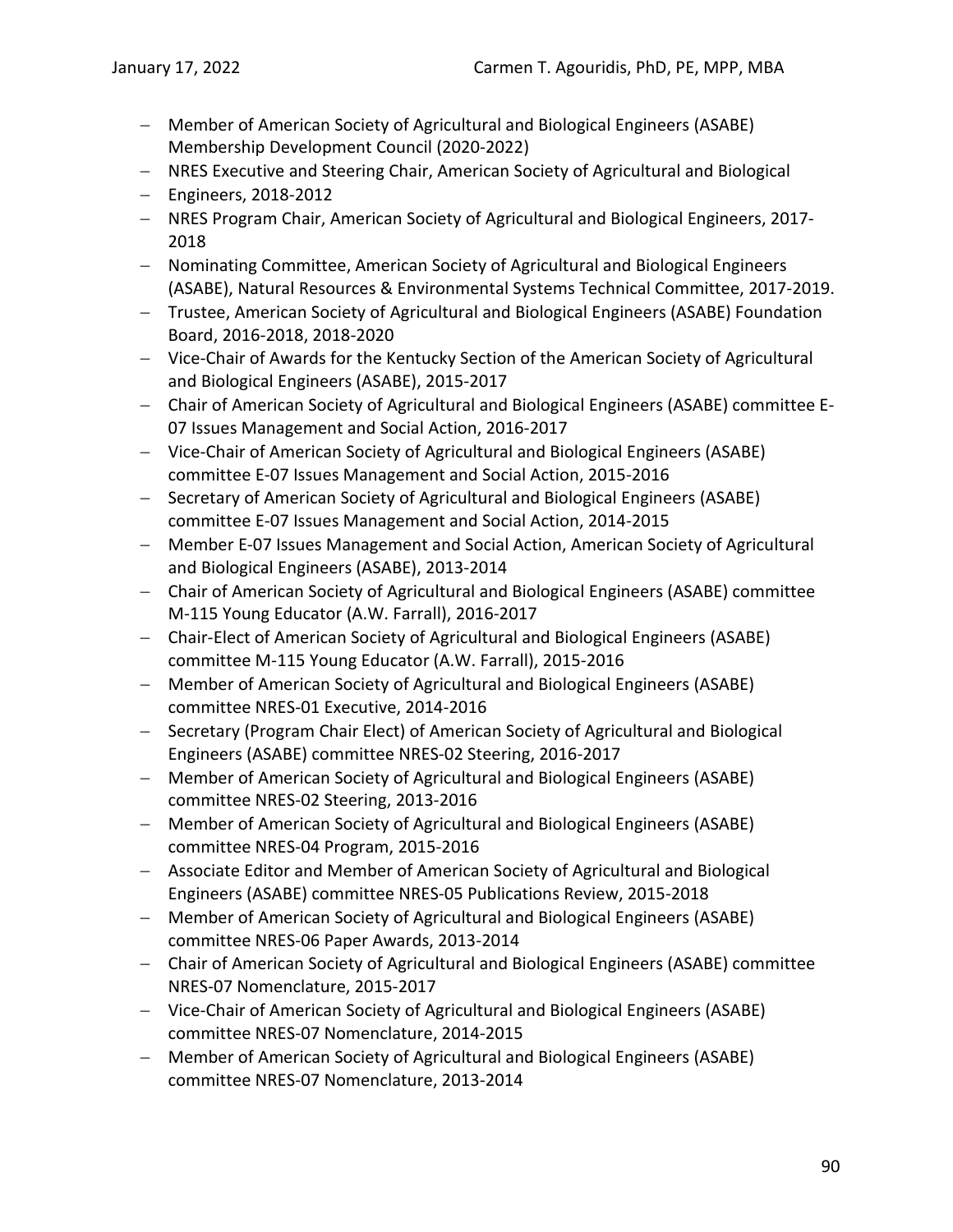- − Member of American Society of Agricultural and Biological Engineers (ASABE) Membership Development Council (2020-2022)
- − NRES Executive and Steering Chair, American Society of Agricultural and Biological
- − Engineers, 2018-2012
- − NRES Program Chair, American Society of Agricultural and Biological Engineers, 2017- 2018
- − Nominating Committee, American Society of Agricultural and Biological Engineers (ASABE), Natural Resources & Environmental Systems Technical Committee, 2017-2019.
- − Trustee, American Society of Agricultural and Biological Engineers (ASABE) Foundation Board, 2016-2018, 2018-2020
- − Vice-Chair of Awards for the Kentucky Section of the American Society of Agricultural and Biological Engineers (ASABE), 2015-2017
- − Chair of American Society of Agricultural and Biological Engineers (ASABE) committee E-07 Issues Management and Social Action, 2016-2017
- − Vice-Chair of American Society of Agricultural and Biological Engineers (ASABE) committee E-07 Issues Management and Social Action, 2015-2016
- − Secretary of American Society of Agricultural and Biological Engineers (ASABE) committee E-07 Issues Management and Social Action, 2014-2015
- − Member E-07 Issues Management and Social Action, American Society of Agricultural and Biological Engineers (ASABE), 2013-2014
- − Chair of American Society of Agricultural and Biological Engineers (ASABE) committee M-115 Young Educator (A.W. Farrall), 2016-2017
- − Chair-Elect of American Society of Agricultural and Biological Engineers (ASABE) committee M-115 Young Educator (A.W. Farrall), 2015-2016
- − Member of American Society of Agricultural and Biological Engineers (ASABE) committee NRES-01 Executive, 2014-2016
- − Secretary (Program Chair Elect) of American Society of Agricultural and Biological Engineers (ASABE) committee NRES-02 Steering, 2016-2017
- − Member of American Society of Agricultural and Biological Engineers (ASABE) committee NRES-02 Steering, 2013-2016
- − Member of American Society of Agricultural and Biological Engineers (ASABE) committee NRES-04 Program, 2015-2016
- − Associate Editor and Member of American Society of Agricultural and Biological Engineers (ASABE) committee NRES-05 Publications Review, 2015-2018
- − Member of American Society of Agricultural and Biological Engineers (ASABE) committee NRES-06 Paper Awards, 2013-2014
- − Chair of American Society of Agricultural and Biological Engineers (ASABE) committee NRES-07 Nomenclature, 2015-2017
- − Vice-Chair of American Society of Agricultural and Biological Engineers (ASABE) committee NRES-07 Nomenclature, 2014-2015
- − Member of American Society of Agricultural and Biological Engineers (ASABE) committee NRES-07 Nomenclature, 2013-2014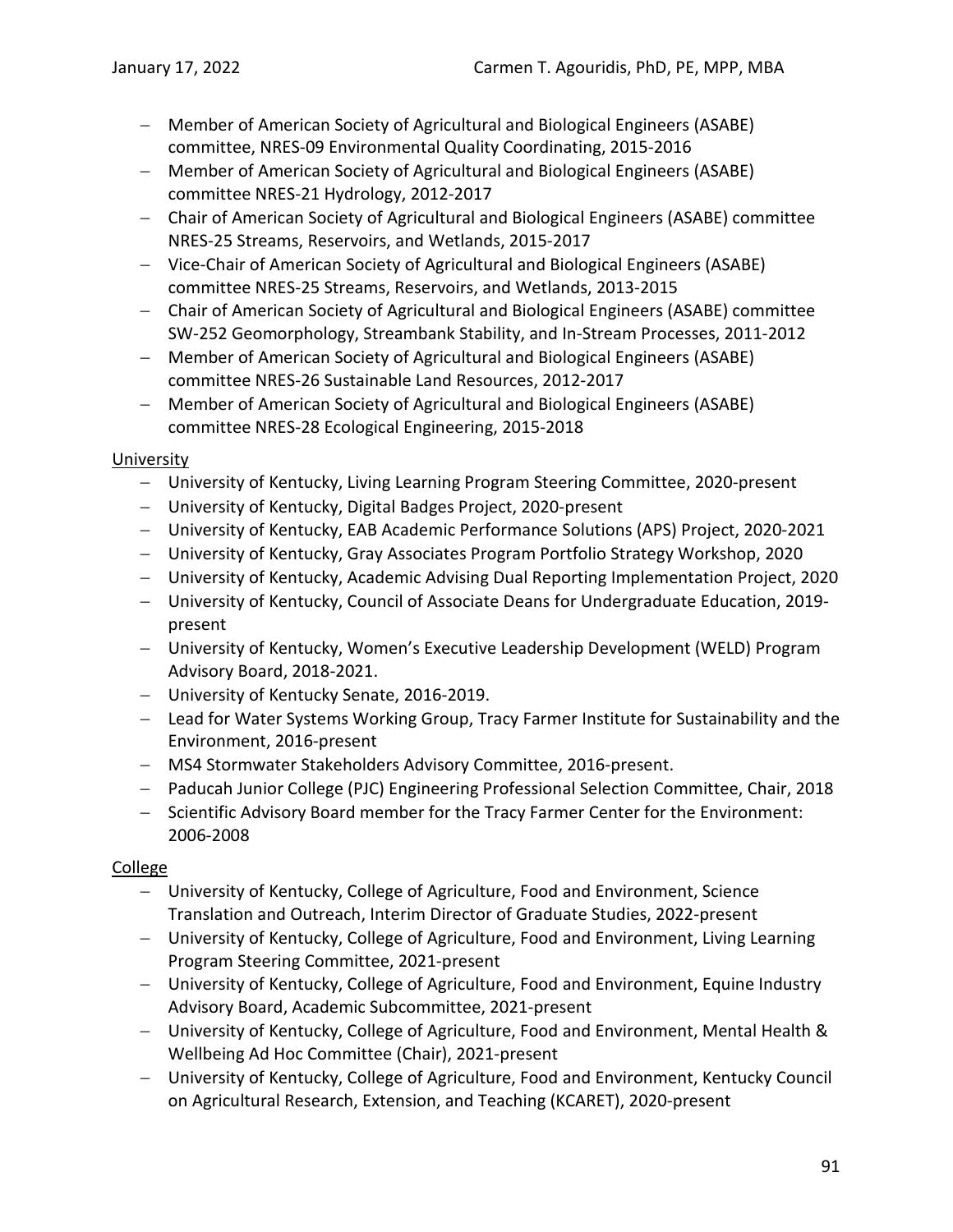- − Member of American Society of Agricultural and Biological Engineers (ASABE) committee, NRES-09 Environmental Quality Coordinating, 2015-2016
- − Member of American Society of Agricultural and Biological Engineers (ASABE) committee NRES-21 Hydrology, 2012-2017
- − Chair of American Society of Agricultural and Biological Engineers (ASABE) committee NRES-25 Streams, Reservoirs, and Wetlands, 2015-2017
- − Vice-Chair of American Society of Agricultural and Biological Engineers (ASABE) committee NRES-25 Streams, Reservoirs, and Wetlands, 2013-2015
- − Chair of American Society of Agricultural and Biological Engineers (ASABE) committee SW-252 Geomorphology, Streambank Stability, and In-Stream Processes, 2011-2012
- − Member of American Society of Agricultural and Biological Engineers (ASABE) committee NRES-26 Sustainable Land Resources, 2012-2017
- − Member of American Society of Agricultural and Biological Engineers (ASABE) committee NRES-28 Ecological Engineering, 2015-2018

## University

- − University of Kentucky, Living Learning Program Steering Committee, 2020-present
- − University of Kentucky, Digital Badges Project, 2020-present
- − University of Kentucky, EAB Academic Performance Solutions (APS) Project, 2020-2021
- − University of Kentucky, Gray Associates Program Portfolio Strategy Workshop, 2020
- − University of Kentucky, Academic Advising Dual Reporting Implementation Project, 2020
- − University of Kentucky, Council of Associate Deans for Undergraduate Education, 2019 present
- − University of Kentucky, Women's Executive Leadership Development (WELD) Program Advisory Board, 2018-2021.
- − University of Kentucky Senate, 2016-2019.
- − Lead for Water Systems Working Group, Tracy Farmer Institute for Sustainability and the Environment, 2016-present
- − MS4 Stormwater Stakeholders Advisory Committee, 2016-present.
- − Paducah Junior College (PJC) Engineering Professional Selection Committee, Chair, 2018
- − Scientific Advisory Board member for the Tracy Farmer Center for the Environment: 2006-2008

# College

- − University of Kentucky, College of Agriculture, Food and Environment, Science Translation and Outreach, Interim Director of Graduate Studies, 2022-present
- − University of Kentucky, College of Agriculture, Food and Environment, Living Learning Program Steering Committee, 2021-present
- − University of Kentucky, College of Agriculture, Food and Environment, Equine Industry Advisory Board, Academic Subcommittee, 2021-present
- − University of Kentucky, College of Agriculture, Food and Environment, Mental Health & Wellbeing Ad Hoc Committee (Chair), 2021-present
- − University of Kentucky, College of Agriculture, Food and Environment, Kentucky Council on Agricultural Research, Extension, and Teaching (KCARET), 2020-present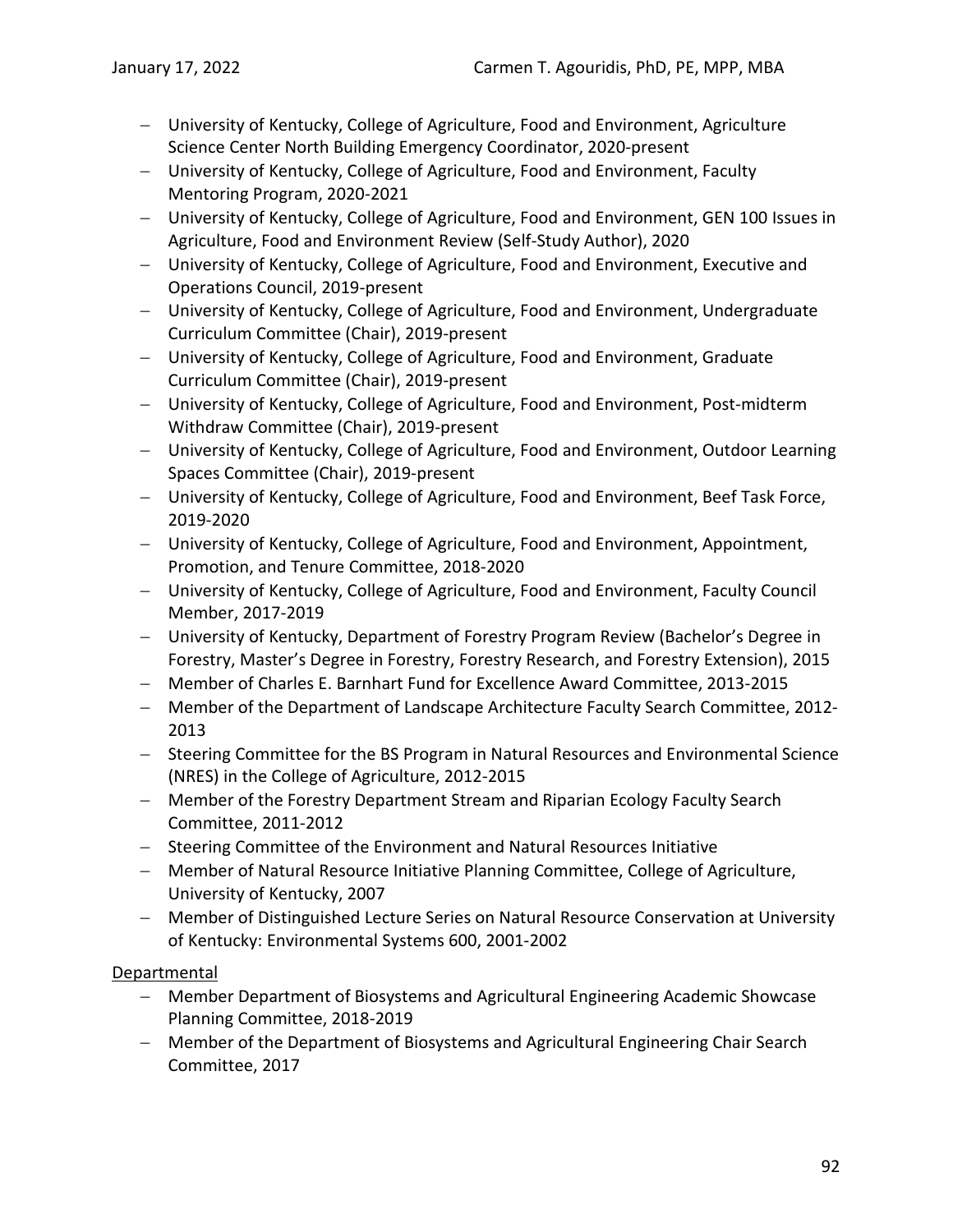- − University of Kentucky, College of Agriculture, Food and Environment, Agriculture Science Center North Building Emergency Coordinator, 2020-present
- − University of Kentucky, College of Agriculture, Food and Environment, Faculty Mentoring Program, 2020-2021
- − University of Kentucky, College of Agriculture, Food and Environment, GEN 100 Issues in Agriculture, Food and Environment Review (Self-Study Author), 2020
- − University of Kentucky, College of Agriculture, Food and Environment, Executive and Operations Council, 2019-present
- − University of Kentucky, College of Agriculture, Food and Environment, Undergraduate Curriculum Committee (Chair), 2019-present
- − University of Kentucky, College of Agriculture, Food and Environment, Graduate Curriculum Committee (Chair), 2019-present
- − University of Kentucky, College of Agriculture, Food and Environment, Post-midterm Withdraw Committee (Chair), 2019-present
- − University of Kentucky, College of Agriculture, Food and Environment, Outdoor Learning Spaces Committee (Chair), 2019-present
- − University of Kentucky, College of Agriculture, Food and Environment, Beef Task Force, 2019-2020
- − University of Kentucky, College of Agriculture, Food and Environment, Appointment, Promotion, and Tenure Committee, 2018-2020
- − University of Kentucky, College of Agriculture, Food and Environment, Faculty Council Member, 2017-2019
- − University of Kentucky, Department of Forestry Program Review (Bachelor's Degree in Forestry, Master's Degree in Forestry, Forestry Research, and Forestry Extension), 2015
- − Member of Charles E. Barnhart Fund for Excellence Award Committee, 2013-2015
- − Member of the Department of Landscape Architecture Faculty Search Committee, 2012- 2013
- − Steering Committee for the BS Program in Natural Resources and Environmental Science (NRES) in the College of Agriculture, 2012-2015
- − Member of the Forestry Department Stream and Riparian Ecology Faculty Search Committee, 2011-2012
- − Steering Committee of the Environment and Natural Resources Initiative
- − Member of Natural Resource Initiative Planning Committee, College of Agriculture, University of Kentucky, 2007
- − Member of Distinguished Lecture Series on Natural Resource Conservation at University of Kentucky: Environmental Systems 600, 2001-2002

## Departmental

- − Member Department of Biosystems and Agricultural Engineering Academic Showcase Planning Committee, 2018-2019
- − Member of the Department of Biosystems and Agricultural Engineering Chair Search Committee, 2017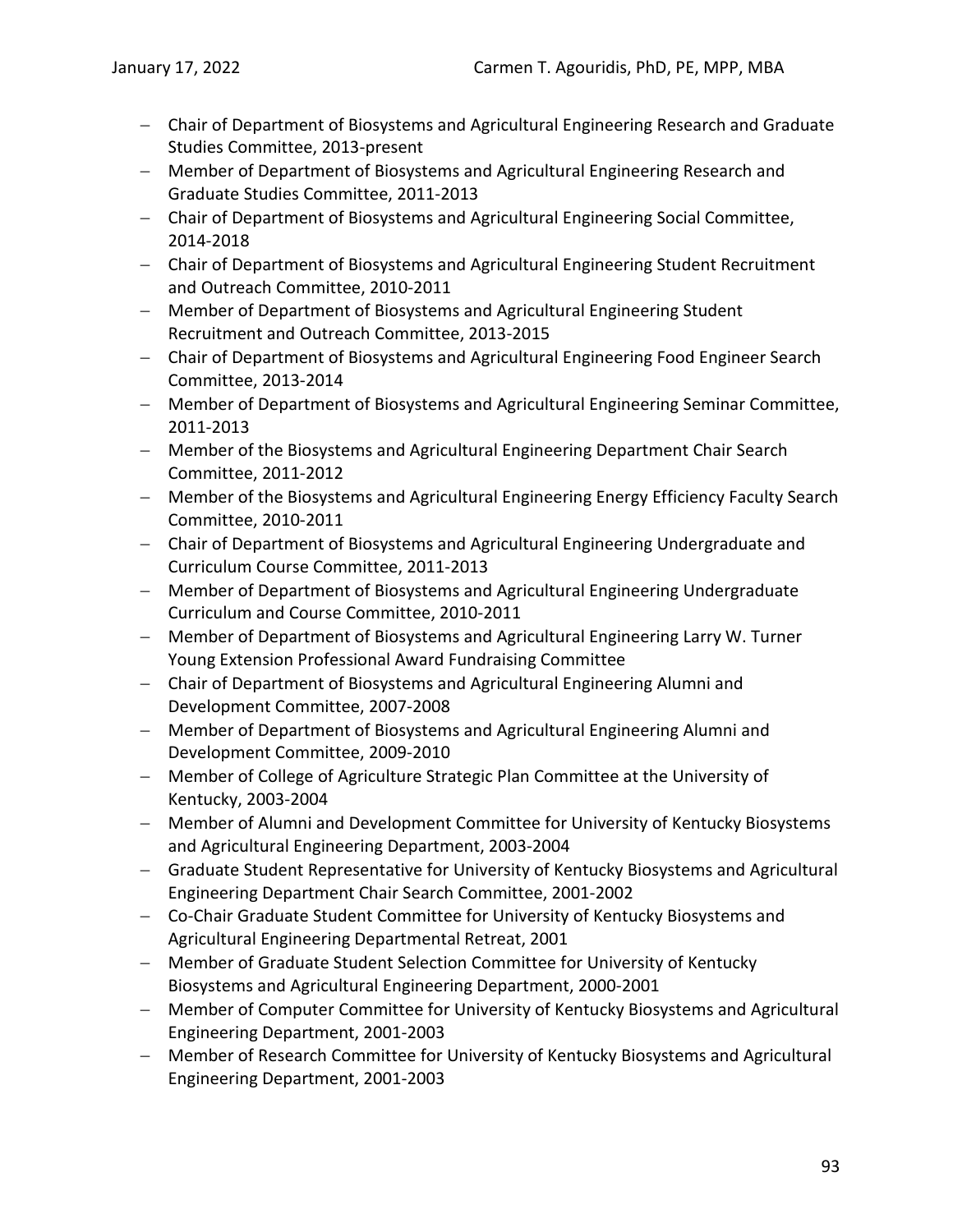- − Chair of Department of Biosystems and Agricultural Engineering Research and Graduate Studies Committee, 2013-present
- − Member of Department of Biosystems and Agricultural Engineering Research and Graduate Studies Committee, 2011-2013
- − Chair of Department of Biosystems and Agricultural Engineering Social Committee, 2014-2018
- − Chair of Department of Biosystems and Agricultural Engineering Student Recruitment and Outreach Committee, 2010-2011
- − Member of Department of Biosystems and Agricultural Engineering Student Recruitment and Outreach Committee, 2013-2015
- − Chair of Department of Biosystems and Agricultural Engineering Food Engineer Search Committee, 2013-2014
- − Member of Department of Biosystems and Agricultural Engineering Seminar Committee, 2011-2013
- − Member of the Biosystems and Agricultural Engineering Department Chair Search Committee, 2011-2012
- − Member of the Biosystems and Agricultural Engineering Energy Efficiency Faculty Search Committee, 2010-2011
- − Chair of Department of Biosystems and Agricultural Engineering Undergraduate and Curriculum Course Committee, 2011-2013
- − Member of Department of Biosystems and Agricultural Engineering Undergraduate Curriculum and Course Committee, 2010-2011
- − Member of Department of Biosystems and Agricultural Engineering Larry W. Turner Young Extension Professional Award Fundraising Committee
- − Chair of Department of Biosystems and Agricultural Engineering Alumni and Development Committee, 2007-2008
- − Member of Department of Biosystems and Agricultural Engineering Alumni and Development Committee, 2009-2010
- − Member of College of Agriculture Strategic Plan Committee at the University of Kentucky, 2003-2004
- − Member of Alumni and Development Committee for University of Kentucky Biosystems and Agricultural Engineering Department, 2003-2004
- − Graduate Student Representative for University of Kentucky Biosystems and Agricultural Engineering Department Chair Search Committee, 2001-2002
- − Co-Chair Graduate Student Committee for University of Kentucky Biosystems and Agricultural Engineering Departmental Retreat, 2001
- − Member of Graduate Student Selection Committee for University of Kentucky Biosystems and Agricultural Engineering Department, 2000-2001
- − Member of Computer Committee for University of Kentucky Biosystems and Agricultural Engineering Department, 2001-2003
- − Member of Research Committee for University of Kentucky Biosystems and Agricultural Engineering Department, 2001-2003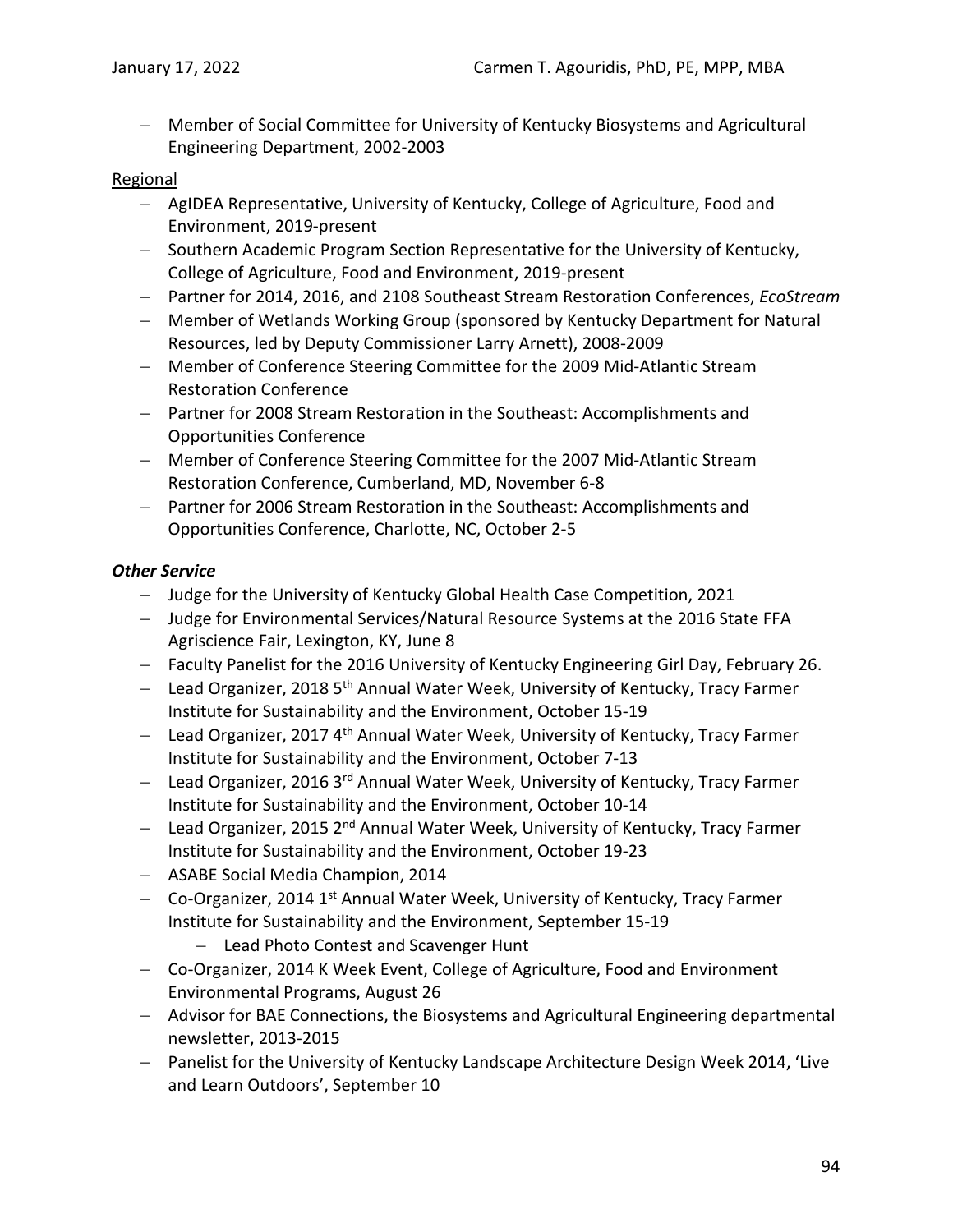− Member of Social Committee for University of Kentucky Biosystems and Agricultural Engineering Department, 2002-2003

### Regional

- − AgIDEA Representative, University of Kentucky, College of Agriculture, Food and Environment, 2019-present
- − Southern Academic Program Section Representative for the University of Kentucky, College of Agriculture, Food and Environment, 2019-present
- − Partner for 2014, 2016, and 2108 Southeast Stream Restoration Conferences, *EcoStream*
- − Member of Wetlands Working Group (sponsored by Kentucky Department for Natural Resources, led by Deputy Commissioner Larry Arnett), 2008-2009
- − Member of Conference Steering Committee for the 2009 Mid-Atlantic Stream Restoration Conference
- − Partner for 2008 Stream Restoration in the Southeast: Accomplishments and Opportunities Conference
- − Member of Conference Steering Committee for the 2007 Mid-Atlantic Stream Restoration Conference, Cumberland, MD, November 6-8
- − Partner for 2006 Stream Restoration in the Southeast: Accomplishments and Opportunities Conference, Charlotte, NC, October 2-5

### *Other Service*

- − Judge for the University of Kentucky Global Health Case Competition, 2021
- − Judge for Environmental Services/Natural Resource Systems at the 2016 State FFA Agriscience Fair, Lexington, KY, June 8
- − Faculty Panelist for the 2016 University of Kentucky Engineering Girl Day, February 26.
- − Lead Organizer, 2018 5<sup>th</sup> Annual Water Week, University of Kentucky, Tracy Farmer Institute for Sustainability and the Environment, October 15-19
- − Lead Organizer, 2017 4<sup>th</sup> Annual Water Week, University of Kentucky, Tracy Farmer Institute for Sustainability and the Environment, October 7-13
- − Lead Organizer, 2016 3rd Annual Water Week, University of Kentucky, Tracy Farmer Institute for Sustainability and the Environment, October 10-14
- − Lead Organizer, 2015 2<sup>nd</sup> Annual Water Week, University of Kentucky, Tracy Farmer Institute for Sustainability and the Environment, October 19-23
- − ASABE Social Media Champion, 2014
- − Co-Organizer, 2014 1<sup>st</sup> Annual Water Week, University of Kentucky, Tracy Farmer Institute for Sustainability and the Environment, September 15-19
	- − Lead Photo Contest and Scavenger Hunt
- − Co-Organizer, 2014 K Week Event, College of Agriculture, Food and Environment Environmental Programs, August 26
- − Advisor for BAE Connections, the Biosystems and Agricultural Engineering departmental newsletter, 2013-2015
- − Panelist for the University of Kentucky Landscape Architecture Design Week 2014, 'Live and Learn Outdoors', September 10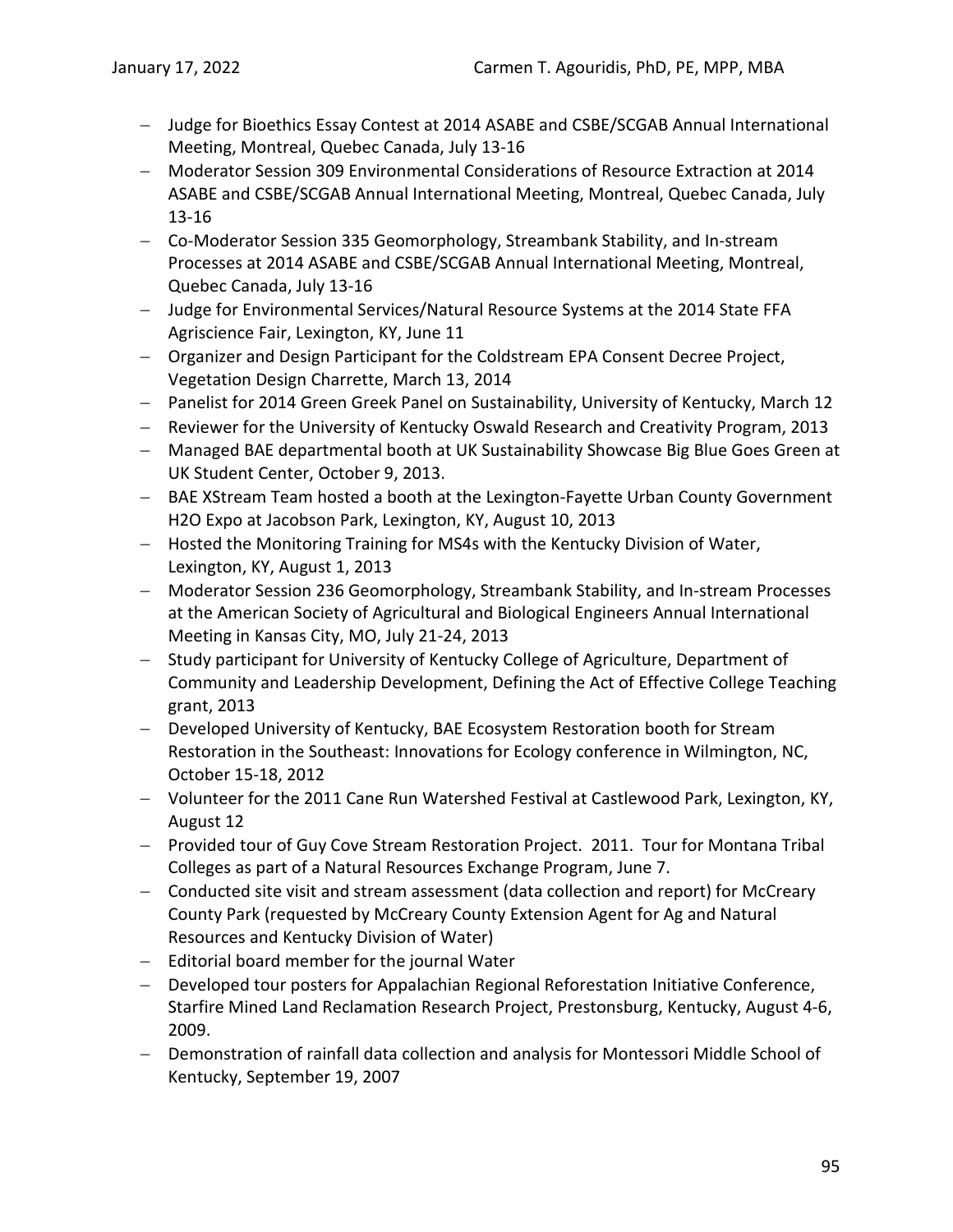- − Judge for Bioethics Essay Contest at 2014 ASABE and CSBE/SCGAB Annual International Meeting, Montreal, Quebec Canada, July 13-16
- − Moderator Session 309 Environmental Considerations of Resource Extraction at 2014 ASABE and CSBE/SCGAB Annual International Meeting, Montreal, Quebec Canada, July 13-16
- − Co-Moderator Session 335 Geomorphology, Streambank Stability, and In-stream Processes at 2014 ASABE and CSBE/SCGAB Annual International Meeting, Montreal, Quebec Canada, July 13-16
- − Judge for Environmental Services/Natural Resource Systems at the 2014 State FFA Agriscience Fair, Lexington, KY, June 11
- − Organizer and Design Participant for the Coldstream EPA Consent Decree Project, Vegetation Design Charrette, March 13, 2014
- − Panelist for 2014 Green Greek Panel on Sustainability, University of Kentucky, March 12
- − Reviewer for the University of Kentucky Oswald Research and Creativity Program, 2013
- − Managed BAE departmental booth at UK Sustainability Showcase Big Blue Goes Green at UK Student Center, October 9, 2013.
- − BAE XStream Team hosted a booth at the Lexington-Fayette Urban County Government H2O Expo at Jacobson Park, Lexington, KY, August 10, 2013
- − Hosted the Monitoring Training for MS4s with the Kentucky Division of Water, Lexington, KY, August 1, 2013
- − Moderator Session 236 Geomorphology, Streambank Stability, and In-stream Processes at the American Society of Agricultural and Biological Engineers Annual International Meeting in Kansas City, MO, July 21-24, 2013
- − Study participant for University of Kentucky College of Agriculture, Department of Community and Leadership Development, Defining the Act of Effective College Teaching grant, 2013
- − Developed University of Kentucky, BAE Ecosystem Restoration booth for Stream Restoration in the Southeast: Innovations for Ecology conference in Wilmington, NC, October 15-18, 2012
- − Volunteer for the 2011 Cane Run Watershed Festival at Castlewood Park, Lexington, KY, August 12
- − Provided tour of Guy Cove Stream Restoration Project. 2011. Tour for Montana Tribal Colleges as part of a Natural Resources Exchange Program, June 7.
- − Conducted site visit and stream assessment (data collection and report) for McCreary County Park (requested by McCreary County Extension Agent for Ag and Natural Resources and Kentucky Division of Water)
- − Editorial board member for the journal Water
- − Developed tour posters for Appalachian Regional Reforestation Initiative Conference, Starfire Mined Land Reclamation Research Project, Prestonsburg, Kentucky, August 4-6, 2009.
- − Demonstration of rainfall data collection and analysis for Montessori Middle School of Kentucky, September 19, 2007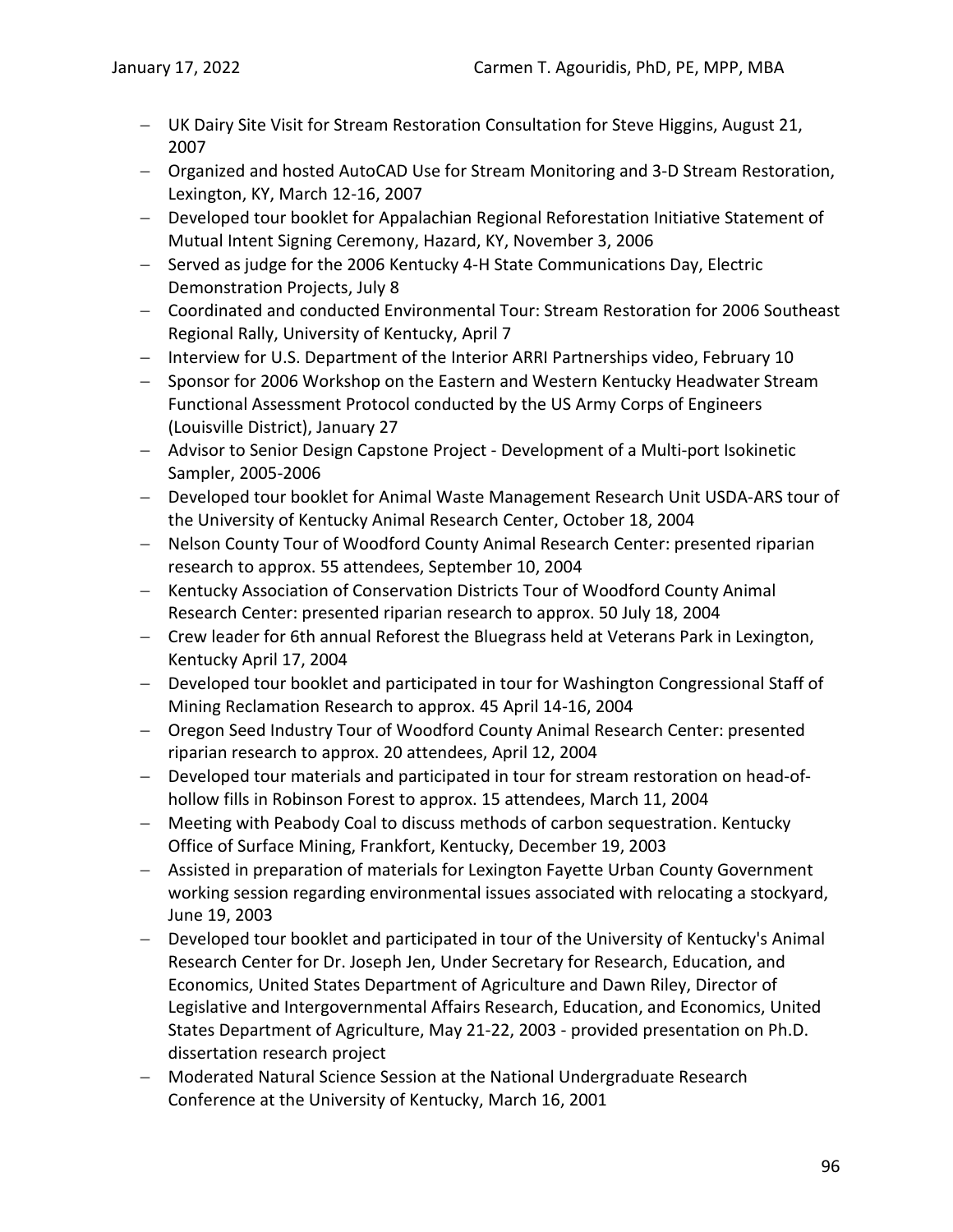- − UK Dairy Site Visit for Stream Restoration Consultation for Steve Higgins, August 21, 2007
- − Organized and hosted AutoCAD Use for Stream Monitoring and 3-D Stream Restoration, Lexington, KY, March 12-16, 2007
- − Developed tour booklet for Appalachian Regional Reforestation Initiative Statement of Mutual Intent Signing Ceremony, Hazard, KY, November 3, 2006
- − Served as judge for the 2006 Kentucky 4-H State Communications Day, Electric Demonstration Projects, July 8
- − Coordinated and conducted Environmental Tour: Stream Restoration for 2006 Southeast Regional Rally, University of Kentucky, April 7
- − Interview for U.S. Department of the Interior ARRI Partnerships video, February 10
- − Sponsor for 2006 Workshop on the Eastern and Western Kentucky Headwater Stream Functional Assessment Protocol conducted by the US Army Corps of Engineers (Louisville District), January 27
- − Advisor to Senior Design Capstone Project Development of a Multi-port Isokinetic Sampler, 2005-2006
- − Developed tour booklet for Animal Waste Management Research Unit USDA-ARS tour of the University of Kentucky Animal Research Center, October 18, 2004
- − Nelson County Tour of Woodford County Animal Research Center: presented riparian research to approx. 55 attendees, September 10, 2004
- − Kentucky Association of Conservation Districts Tour of Woodford County Animal Research Center: presented riparian research to approx. 50 July 18, 2004
- − Crew leader for 6th annual Reforest the Bluegrass held at Veterans Park in Lexington, Kentucky April 17, 2004
- − Developed tour booklet and participated in tour for Washington Congressional Staff of Mining Reclamation Research to approx. 45 April 14-16, 2004
- − Oregon Seed Industry Tour of Woodford County Animal Research Center: presented riparian research to approx. 20 attendees, April 12, 2004
- − Developed tour materials and participated in tour for stream restoration on head-ofhollow fills in Robinson Forest to approx. 15 attendees, March 11, 2004
- − Meeting with Peabody Coal to discuss methods of carbon sequestration. Kentucky Office of Surface Mining, Frankfort, Kentucky, December 19, 2003
- − Assisted in preparation of materials for Lexington Fayette Urban County Government working session regarding environmental issues associated with relocating a stockyard, June 19, 2003
- − Developed tour booklet and participated in tour of the University of Kentucky's Animal Research Center for Dr. Joseph Jen, Under Secretary for Research, Education, and Economics, United States Department of Agriculture and Dawn Riley, Director of Legislative and Intergovernmental Affairs Research, Education, and Economics, United States Department of Agriculture, May 21-22, 2003 - provided presentation on Ph.D. dissertation research project
- − Moderated Natural Science Session at the National Undergraduate Research Conference at the University of Kentucky, March 16, 2001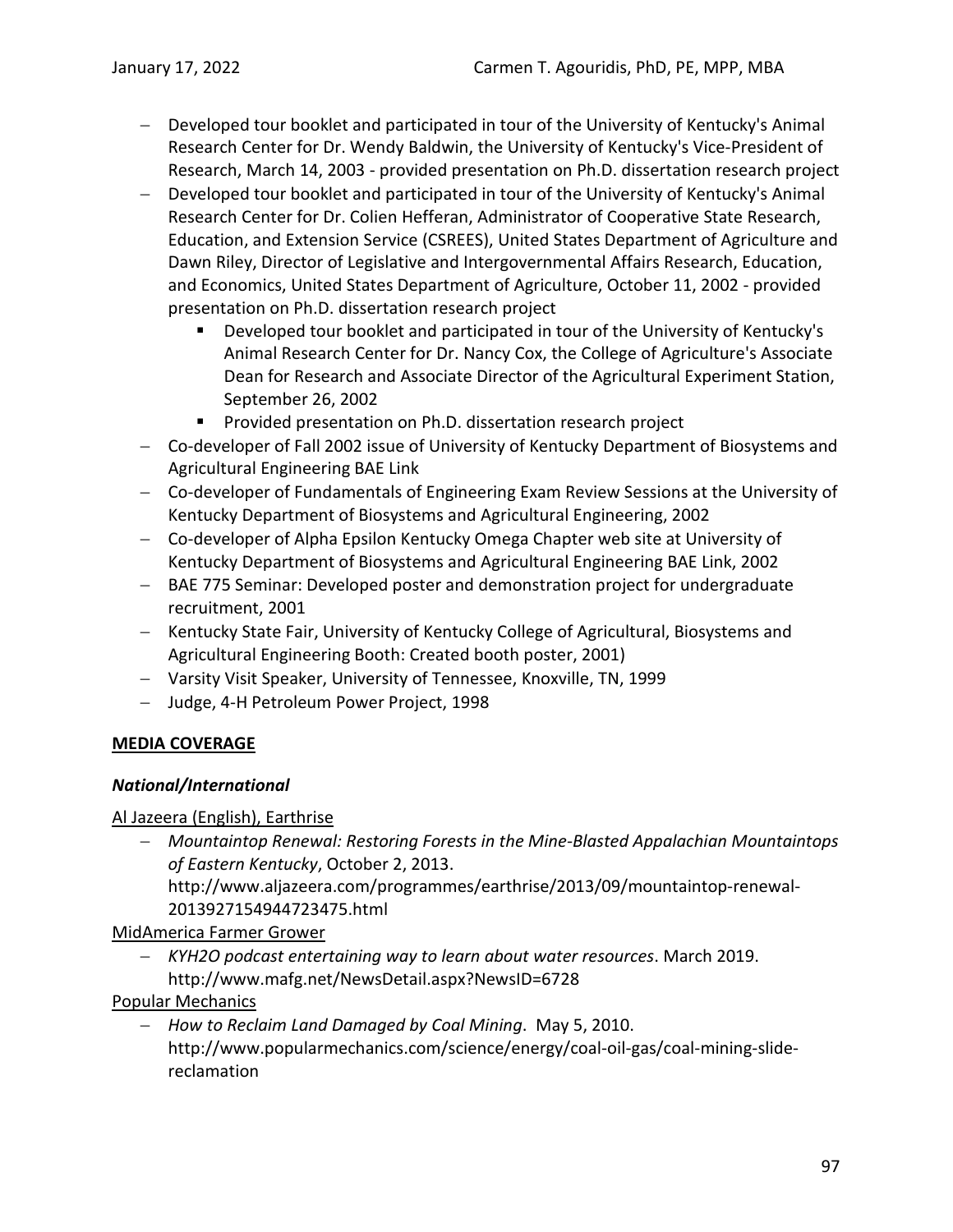- − Developed tour booklet and participated in tour of the University of Kentucky's Animal Research Center for Dr. Wendy Baldwin, the University of Kentucky's Vice-President of Research, March 14, 2003 - provided presentation on Ph.D. dissertation research project
- Developed tour booklet and participated in tour of the University of Kentucky's Animal Research Center for Dr. Colien Hefferan, Administrator of Cooperative State Research, Education, and Extension Service (CSREES), United States Department of Agriculture and Dawn Riley, Director of Legislative and Intergovernmental Affairs Research, Education, and Economics, United States Department of Agriculture, October 11, 2002 - provided presentation on Ph.D. dissertation research project
	- **Developed tour booklet and participated in tour of the University of Kentucky's** Animal Research Center for Dr. Nancy Cox, the College of Agriculture's Associate Dean for Research and Associate Director of the Agricultural Experiment Station, September 26, 2002
	- **Provided presentation on Ph.D. dissertation research project**
- − Co-developer of Fall 2002 issue of University of Kentucky Department of Biosystems and Agricultural Engineering BAE Link
- − Co-developer of Fundamentals of Engineering Exam Review Sessions at the University of Kentucky Department of Biosystems and Agricultural Engineering, 2002
- − Co-developer of Alpha Epsilon Kentucky Omega Chapter web site at University of Kentucky Department of Biosystems and Agricultural Engineering BAE Link, 2002
- − BAE 775 Seminar: Developed poster and demonstration project for undergraduate recruitment, 2001
- − Kentucky State Fair, University of Kentucky College of Agricultural, Biosystems and Agricultural Engineering Booth: Created booth poster, 2001)
- − Varsity Visit Speaker, University of Tennessee, Knoxville, TN, 1999
- − Judge, 4-H Petroleum Power Project, 1998

## **MEDIA COVERAGE**

## *National/International*

## Al Jazeera (English), Earthrise

− *Mountaintop Renewal: Restoring Forests in the Mine-Blasted Appalachian Mountaintops of Eastern Kentucky*, October 2, 2013. http://www.aljazeera.com/programmes/earthrise/2013/09/mountaintop-renewal-

2013927154944723475.html

# MidAmerica Farmer Grower

− *KYH2O podcast entertaining way to learn about water resources*. March 2019. http://www.mafg.net/NewsDetail.aspx?NewsID=6728

## Popular Mechanics

− *How to Reclaim Land Damaged by Coal Mining*. May 5, 2010. http://www.popularmechanics.com/science/energy/coal-oil-gas/coal-mining-slidereclamation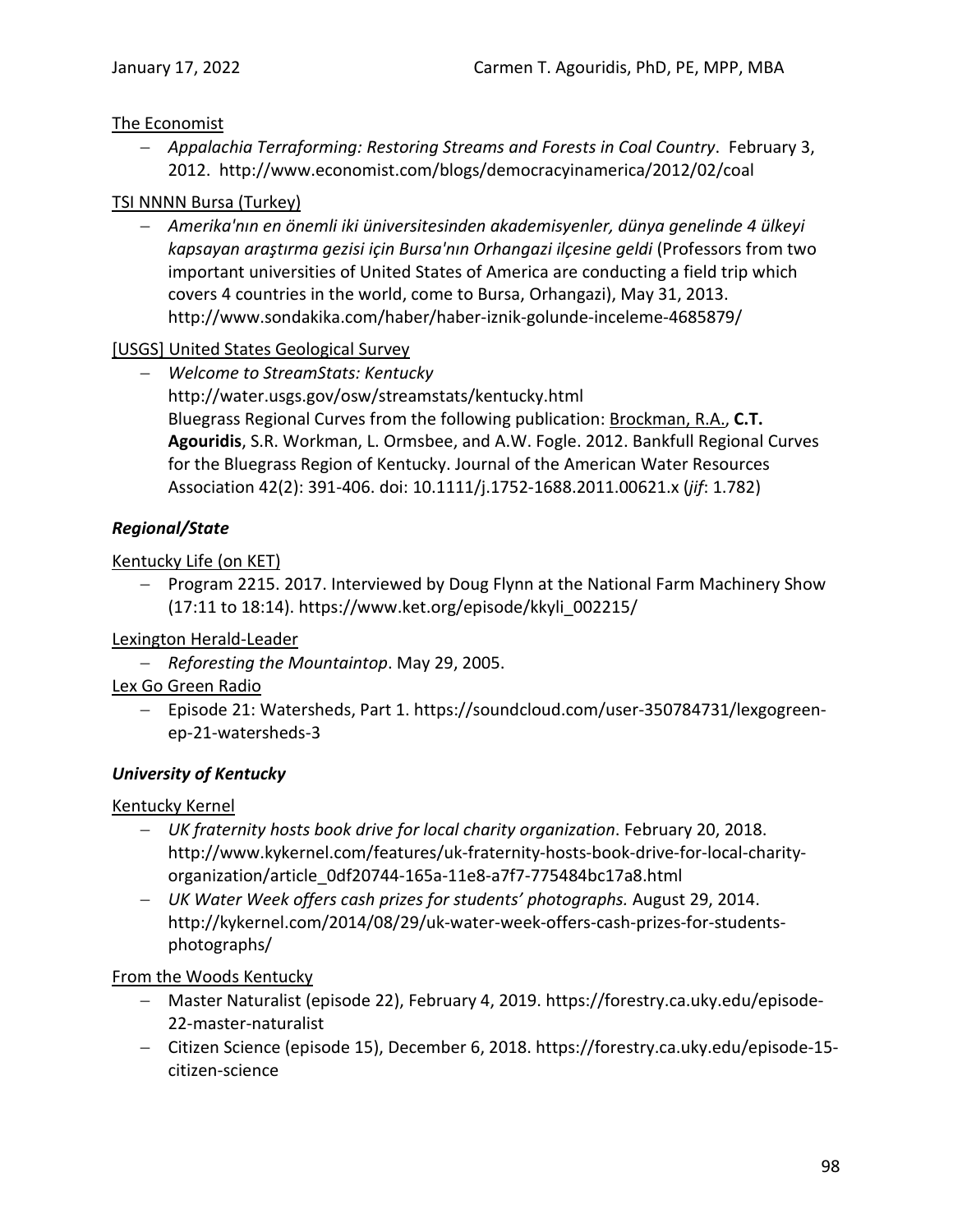## The Economist

− *Appalachia Terraforming: Restoring Streams and Forests in Coal Country*. February 3, 2012. http://www.economist.com/blogs/democracyinamerica/2012/02/coal

### TSI NNNN Bursa (Turkey)

− *Amerika'nın en önemli iki üniversitesinden akademisyenler, dünya genelinde 4 ülkeyi kapsayan araştırma gezisi için Bursa'nın Orhangazi ilçesine geldi* (Professors from two important universities of United States of America are conducting a field trip which covers 4 countries in the world, come to Bursa, Orhangazi), May 31, 2013. http://www.sondakika.com/haber/haber-iznik-golunde-inceleme-4685879/

## [USGS] United States Geological Survey

− *Welcome to StreamStats: Kentucky*  http://water.usgs.gov/osw/streamstats/kentucky.html Bluegrass Regional Curves from the following publication: Brockman, R.A., **C.T. Agouridis**, S.R. Workman, L. Ormsbee, and A.W. Fogle. 2012. Bankfull Regional Curves for the Bluegrass Region of Kentucky. Journal of the American Water Resources Association 42(2): 391-406. doi: 10.1111/j.1752-1688.2011.00621.x (*jif*: 1.782)

## *Regional/State*

## Kentucky Life (on KET)

− Program 2215. 2017. Interviewed by Doug Flynn at the National Farm Machinery Show (17:11 to 18:14). https://www.ket.org/episode/kkyli\_002215/

## Lexington Herald-Leader

− *Reforesting the Mountaintop*. May 29, 2005.

## Lex Go Green Radio

− Episode 21: Watersheds, Part 1. https://soundcloud.com/user-350784731/lexgogreenep-21-watersheds-3

## *University of Kentucky*

## Kentucky Kernel

- − *UK fraternity hosts book drive for local charity organization*. February 20, 2018. http://www.kykernel.com/features/uk-fraternity-hosts-book-drive-for-local-charityorganization/article\_0df20744-165a-11e8-a7f7-775484bc17a8.html
- − *UK Water Week offers cash prizes for students' photographs.* August 29, 2014. http://kykernel.com/2014/08/29/uk-water-week-offers-cash-prizes-for-studentsphotographs/

### From the Woods Kentucky

- − Master Naturalist (episode 22), February 4, 2019. https://forestry.ca.uky.edu/episode-22-master-naturalist
- − Citizen Science (episode 15), December 6, 2018. https://forestry.ca.uky.edu/episode-15 citizen-science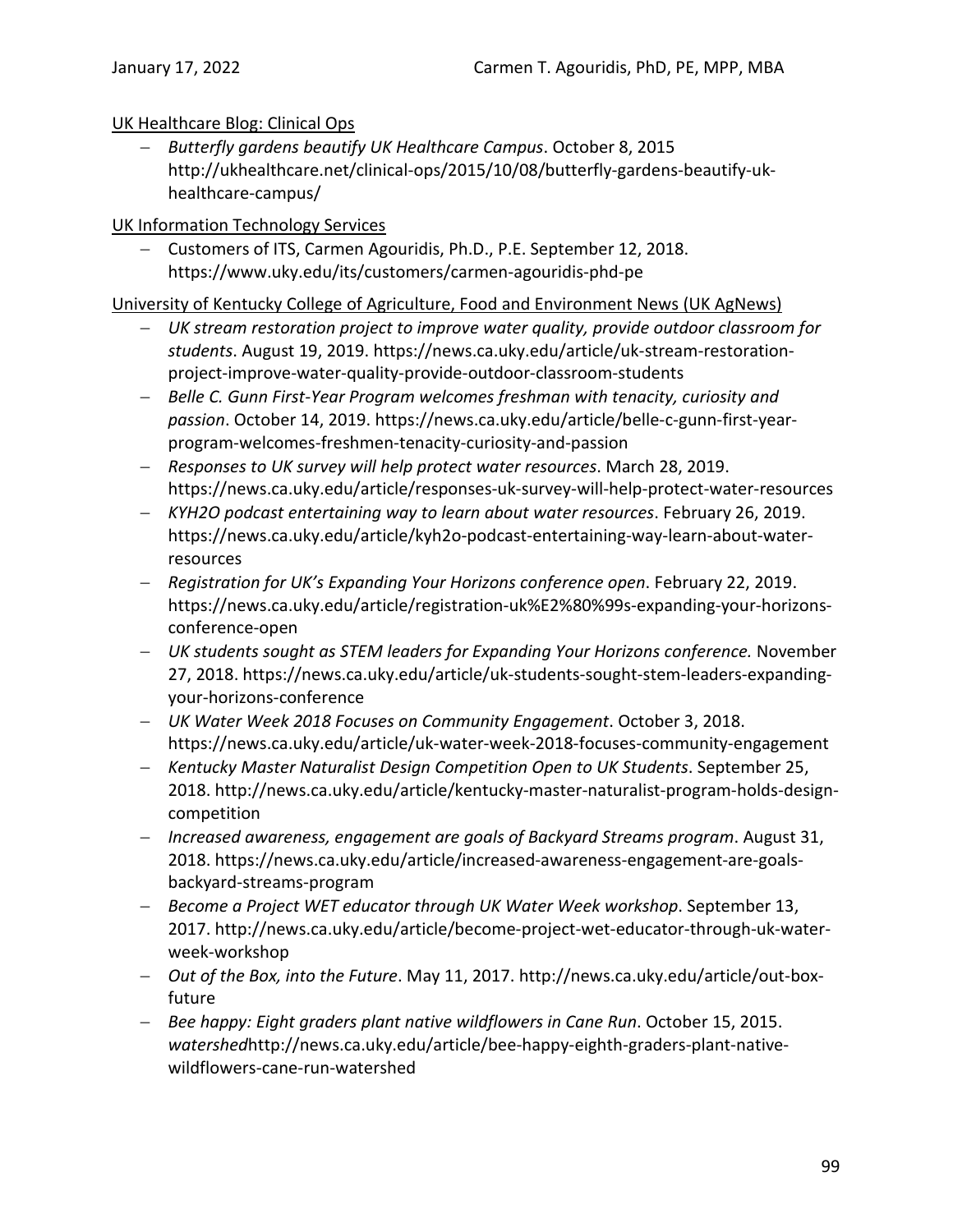## UK Healthcare Blog: Clinical Ops

− *Butterfly gardens beautify UK Healthcare Campus*. October 8, 2015 http://ukhealthcare.net/clinical-ops/2015/10/08/butterfly-gardens-beautify-ukhealthcare-campus/

### UK Information Technology Services

− Customers of ITS, Carmen Agouridis, Ph.D., P.E. September 12, 2018. https://www.uky.edu/its/customers/carmen-agouridis-phd-pe

### University of Kentucky College of Agriculture, Food and Environment News (UK AgNews)

- − *UK stream restoration project to improve water quality, provide outdoor classroom for students*. August 19, 2019. https://news.ca.uky.edu/article/uk-stream-restorationproject-improve-water-quality-provide-outdoor-classroom-students
- − *Belle C. Gunn First-Year Program welcomes freshman with tenacity, curiosity and passion*. October 14, 2019. https://news.ca.uky.edu/article/belle-c-gunn-first-yearprogram-welcomes-freshmen-tenacity-curiosity-and-passion
- − *Responses to UK survey will help protect water resources*. March 28, 2019. https://news.ca.uky.edu/article/responses-uk-survey-will-help-protect-water-resources
- − *KYH2O podcast entertaining way to learn about water resources*. February 26, 2019. https://news.ca.uky.edu/article/kyh2o-podcast-entertaining-way-learn-about-waterresources
- − *Registration for UK's Expanding Your Horizons conference open*. February 22, 2019. https://news.ca.uky.edu/article/registration-uk%E2%80%99s-expanding-your-horizonsconference-open
- − *UK students sought as STEM leaders for Expanding Your Horizons conference.* November 27, 2018. https://news.ca.uky.edu/article/uk-students-sought-stem-leaders-expandingyour-horizons-conference
- − *UK Water Week 2018 Focuses on Community Engagement*. October 3, 2018. https://news.ca.uky.edu/article/uk-water-week-2018-focuses-community-engagement
- − *Kentucky Master Naturalist Design Competition Open to UK Students*. September 25, 2018. http://news.ca.uky.edu/article/kentucky-master-naturalist-program-holds-designcompetition
- − *Increased awareness, engagement are goals of Backyard Streams program*. August 31, 2018. https://news.ca.uky.edu/article/increased-awareness-engagement-are-goalsbackyard-streams-program
- − *Become a Project WET educator through UK Water Week workshop*. September 13, 2017. http://news.ca.uky.edu/article/become-project-wet-educator-through-uk-waterweek-workshop
- − *Out of the Box, into the Future*. May 11, 2017. http://news.ca.uky.edu/article/out-boxfuture
- − *Bee happy: Eight graders plant native wildflowers in Cane Run*. October 15, 2015. *watershed*http://news.ca.uky.edu/article/bee-happy-eighth-graders-plant-nativewildflowers-cane-run-watershed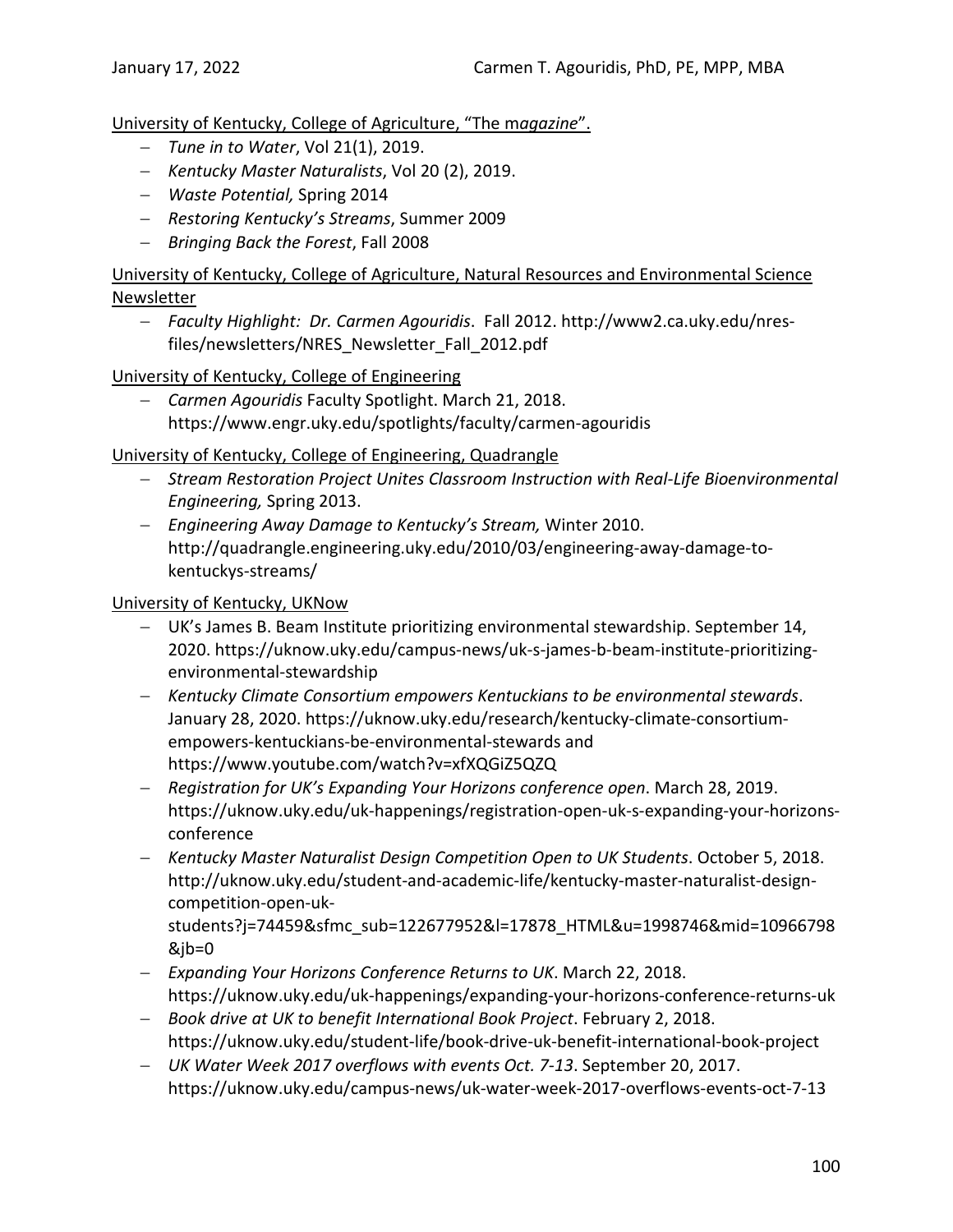University of Kentucky, College of Agriculture, "The m*agazine*".

- − *Tune in to Water*, Vol 21(1), 2019.
- − *Kentucky Master Naturalists*, Vol 20 (2), 2019.
- − *Waste Potential,* Spring 2014
- − *Restoring Kentucky's Streams*, Summer 2009
- − *Bringing Back the Forest*, Fall 2008

University of Kentucky, College of Agriculture, Natural Resources and Environmental Science **Newsletter** 

− *Faculty Highlight: Dr. Carmen Agouridis*. Fall 2012. http://www2.ca.uky.edu/nresfiles/newsletters/NRES\_Newsletter\_Fall\_2012.pdf

University of Kentucky, College of Engineering

− *Carmen Agouridis* Faculty Spotlight. March 21, 2018. https://www.engr.uky.edu/spotlights/faculty/carmen-agouridis

### University of Kentucky, College of Engineering, Quadrangle

- − *Stream Restoration Project Unites Classroom Instruction with Real-Life Bioenvironmental Engineering,* Spring 2013.
- − *Engineering Away Damage to Kentucky's Stream,* Winter 2010. http://quadrangle.engineering.uky.edu/2010/03/engineering-away-damage-tokentuckys-streams/

### University of Kentucky, UKNow

- − UK's James B. Beam Institute prioritizing environmental stewardship. September 14, 2020. https://uknow.uky.edu/campus-news/uk-s-james-b-beam-institute-prioritizingenvironmental-stewardship
- − *Kentucky Climate Consortium empowers Kentuckians to be environmental stewards*. January 28, 2020. https://uknow.uky.edu/research/kentucky-climate-consortiumempowers-kentuckians-be-environmental-stewards and https://www.youtube.com/watch?v=xfXQGiZ5QZQ
- − *Registration for UK's Expanding Your Horizons conference open*. March 28, 2019. https://uknow.uky.edu/uk-happenings/registration-open-uk-s-expanding-your-horizonsconference
- − *Kentucky Master Naturalist Design Competition Open to UK Students*. October 5, 2018. http://uknow.uky.edu/student-and-academic-life/kentucky-master-naturalist-designcompetition-open-uk-

students?j=74459&sfmc\_sub=122677952&l=17878\_HTML&u=1998746&mid=10966798 &jb=0

- − *Expanding Your Horizons Conference Returns to UK*. March 22, 2018. https://uknow.uky.edu/uk-happenings/expanding-your-horizons-conference-returns-uk
- − *Book drive at UK to benefit International Book Project*. February 2, 2018. https://uknow.uky.edu/student-life/book-drive-uk-benefit-international-book-project
- − *UK Water Week 2017 overflows with events Oct. 7-13*. September 20, 2017. https://uknow.uky.edu/campus-news/uk-water-week-2017-overflows-events-oct-7-13